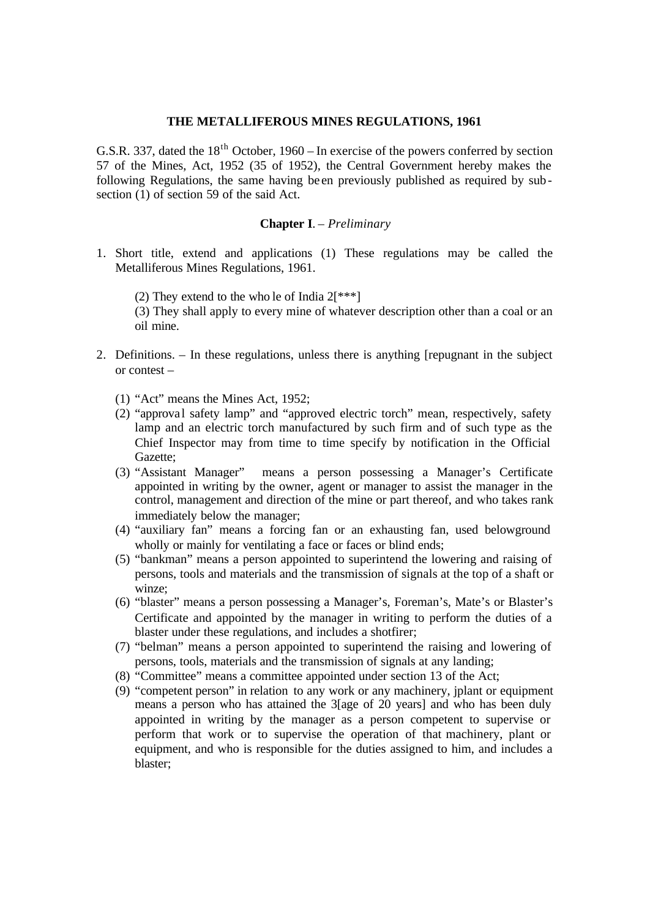#### **THE METALLIFEROUS MINES REGULATIONS, 1961**

G.S.R. 337, dated the  $18<sup>th</sup>$  October, 1960 – In exercise of the powers conferred by section 57 of the Mines, Act, 1952 (35 of 1952), the Central Government hereby makes the following Regulations, the same having be en previously published as required by sub section (1) of section 59 of the said Act.

### **Chapter I**. – *Preliminary*

- 1. Short title, extend and applications (1) These regulations may be called the Metalliferous Mines Regulations, 1961.
	- (2) They extend to the who le of India  $2[^{***}]$

(3) They shall apply to every mine of whatever description other than a coal or an oil mine.

- 2. Definitions. In these regulations, unless there is anything [repugnant in the subject or contest –
	- (1) "Act" means the Mines Act, 1952;
	- (2) "approva l safety lamp" and "approved electric torch" mean, respectively, safety lamp and an electric torch manufactured by such firm and of such type as the Chief Inspector may from time to time specify by notification in the Official Gazette;
	- (3) "Assistant Manager" means a person possessing a Manager's Certificate appointed in writing by the owner, agent or manager to assist the manager in the control, management and direction of the mine or part thereof, and who takes rank immediately below the manager;
	- (4) "auxiliary fan" means a forcing fan or an exhausting fan, used belowground wholly or mainly for ventilating a face or faces or blind ends:
	- (5) "bankman" means a person appointed to superintend the lowering and raising of persons, tools and materials and the transmission of signals at the top of a shaft or winze;
	- (6) "blaster" means a person possessing a Manager's, Foreman's, Mate's or Blaster's Certificate and appointed by the manager in writing to perform the duties of a blaster under these regulations, and includes a shotfirer;
	- (7) "belman" means a person appointed to superintend the raising and lowering of persons, tools, materials and the transmission of signals at any landing;
	- (8) "Committee" means a committee appointed under section 13 of the Act;
	- (9) "competent person" in relation to any work or any machinery, jplant or equipment means a person who has attained the 3[age of 20 years] and who has been duly appointed in writing by the manager as a person competent to supervise or perform that work or to supervise the operation of that machinery, plant or equipment, and who is responsible for the duties assigned to him, and includes a blaster;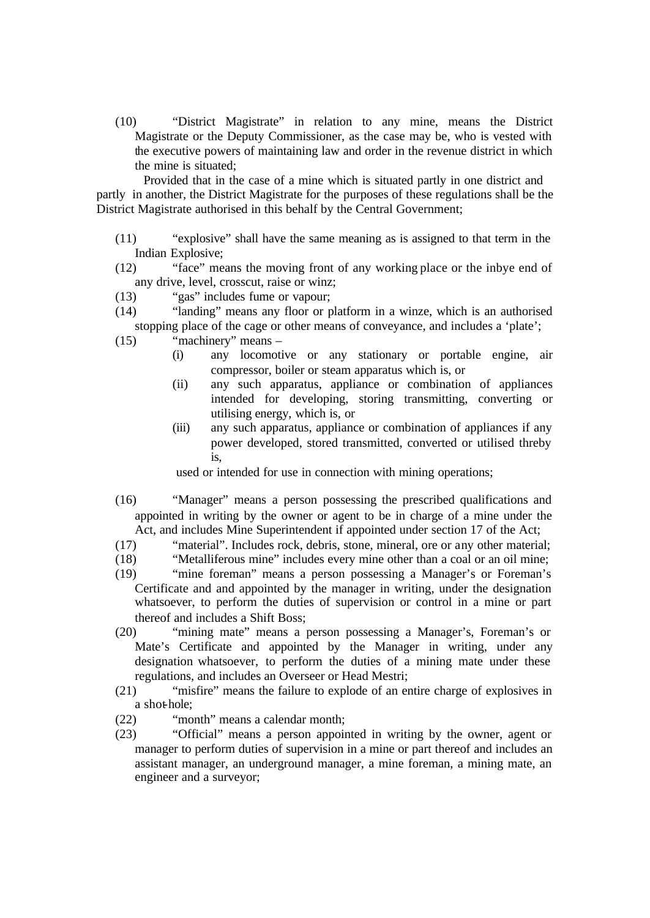(10) "District Magistrate" in relation to any mine, means the District Magistrate or the Deputy Commissioner, as the case may be, who is vested with the executive powers of maintaining law and order in the revenue district in which the mine is situated;

 Provided that in the case of a mine which is situated partly in one district and partly in another, the District Magistrate for the purposes of these regulations shall be the District Magistrate authorised in this behalf by the Central Government;

- (11) "explosive" shall have the same meaning as is assigned to that term in the Indian Explosive;
- (12) "face" means the moving front of any working place or the inbye end of any drive, level, crosscut, raise or winz;
- (13) "gas" includes fume or vapour;
- (14) "landing" means any floor or platform in a winze, which is an authorised stopping place of the cage or other means of conveyance, and includes a 'plate';
- $(15)$  "machinery" means
	- (i) any locomotive or any stationary or portable engine, air compressor, boiler or steam apparatus which is, or
	- (ii) any such apparatus, appliance or combination of appliances intended for developing, storing transmitting, converting or utilising energy, which is, or
	- (iii) any such apparatus, appliance or combination of appliances if any power developed, stored transmitted, converted or utilised threby is,

used or intended for use in connection with mining operations;

- (16) "Manager" means a person possessing the prescribed qualifications and appointed in writing by the owner or agent to be in charge of a mine under the Act, and includes Mine Superintendent if appointed under section 17 of the Act;
- (17) "material". Includes rock, debris, stone, mineral, ore or any other material;
- (18) "Metalliferous mine" includes every mine other than a coal or an oil mine;
- (19) "mine foreman" means a person possessing a Manager's or Foreman's Certificate and and appointed by the manager in writing, under the designation whatsoever, to perform the duties of supervision or control in a mine or part thereof and includes a Shift Boss;
- (20) "mining mate" means a person possessing a Manager's, Foreman's or Mate's Certificate and appointed by the Manager in writing, under any designation whatsoever, to perform the duties of a mining mate under these regulations, and includes an Overseer or Head Mestri;
- (21) "misfire" means the failure to explode of an entire charge of explosives in a shot-hole;
- (22) "month" means a calendar month;
- (23) "Official" means a person appointed in writing by the owner, agent or manager to perform duties of supervision in a mine or part thereof and includes an assistant manager, an underground manager, a mine foreman, a mining mate, an engineer and a surveyor;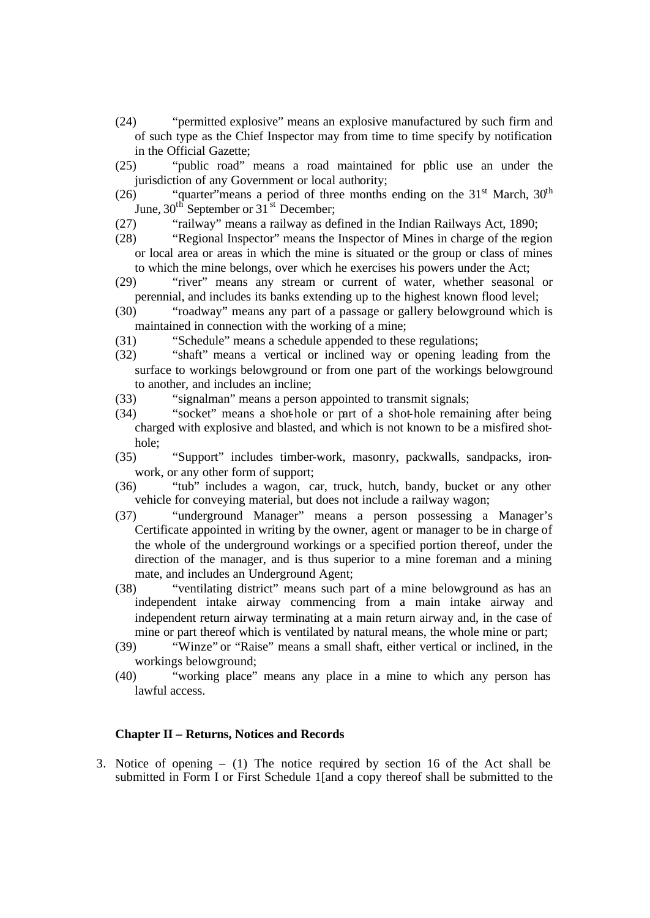- (24) "permitted explosive" means an explosive manufactured by such firm and of such type as the Chief Inspector may from time to time specify by notification in the Official Gazette;
- (25) "public road" means a road maintained for pblic use an under the jurisdiction of any Government or local authority;
- (26) ""quarter" means a period of three months ending on the  $31<sup>st</sup>$  March,  $30<sup>th</sup>$ June,  $30<sup>th</sup>$  September or  $31<sup>st</sup>$  December;
- (27) "railway" means a railway as defined in the Indian Railways Act, 1890;
- (28) "Regional Inspector" means the Inspector of Mines in charge of the region or local area or areas in which the mine is situated or the group or class of mines to which the mine belongs, over which he exercises his powers under the Act;
- (29) "river" means any stream or current of water, whether seasonal or perennial, and includes its banks extending up to the highest known flood level;
- (30) "roadway" means any part of a passage or gallery belowground which is maintained in connection with the working of a mine;
- (31) "Schedule" means a schedule appended to these regulations;
- (32) "shaft" means a vertical or inclined way or opening leading from the surface to workings belowground or from one part of the workings belowground to another, and includes an incline;
- (33) "signalman" means a person appointed to transmit signals;
- (34) "socket" means a shot-hole or part of a shot-hole remaining after being charged with explosive and blasted, and which is not known to be a misfired shothole;
- (35) "Support" includes timber-work, masonry, packwalls, sandpacks, ironwork, or any other form of support;
- (36) "tub" includes a wagon, car, truck, hutch, bandy, bucket or any other vehicle for conveying material, but does not include a railway wagon;
- (37) "underground Manager" means a person possessing a Manager's Certificate appointed in writing by the owner, agent or manager to be in charge of the whole of the underground workings or a specified portion thereof, under the direction of the manager, and is thus superior to a mine foreman and a mining mate, and includes an Underground Agent;
- (38) "ventilating district" means such part of a mine belowground as has an independent intake airway commencing from a main intake airway and independent return airway terminating at a main return airway and, in the case of mine or part thereof which is ventilated by natural means, the whole mine or part;
- (39) "Winze" or "Raise" means a small shaft, either vertical or inclined, in the workings belowground;
- (40) "working place" means any place in a mine to which any person has lawful access.

## **Chapter II – Returns, Notices and Records**

3. Notice of opening – (1) The notice required by section 16 of the Act shall be submitted in Form I or First Schedule 1[and a copy thereof shall be submitted to the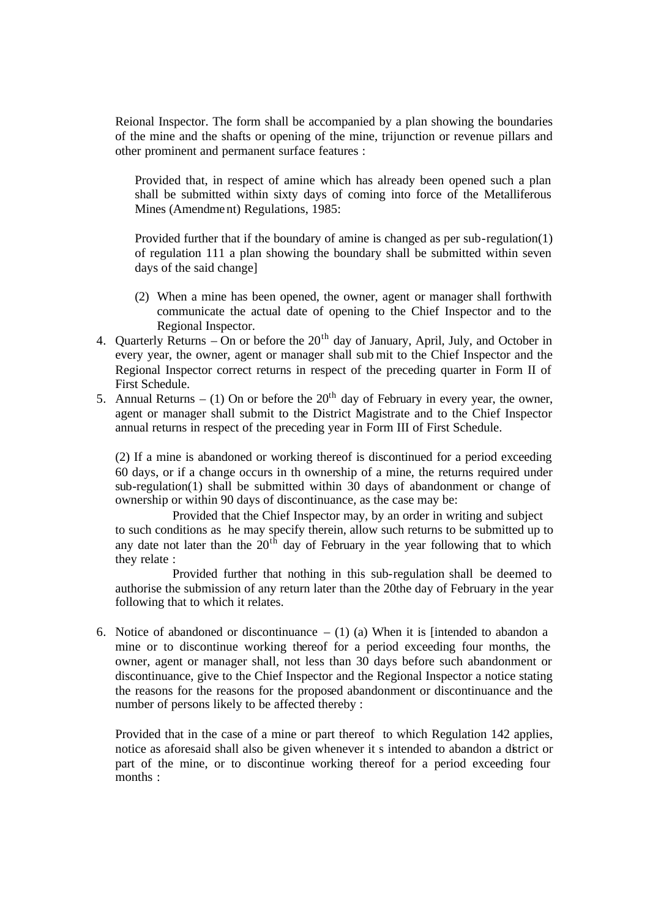Reional Inspector. The form shall be accompanied by a plan showing the boundaries of the mine and the shafts or opening of the mine, trijunction or revenue pillars and other prominent and permanent surface features :

Provided that, in respect of amine which has already been opened such a plan shall be submitted within sixty days of coming into force of the Metalliferous Mines (Amendment) Regulations, 1985:

Provided further that if the boundary of amine is changed as per sub-regulation(1) of regulation 111 a plan showing the boundary shall be submitted within seven days of the said change]

- (2) When a mine has been opened, the owner, agent or manager shall forthwith communicate the actual date of opening to the Chief Inspector and to the Regional Inspector.
- 4. Quarterly Returns On or before the  $20<sup>th</sup>$  day of January, April, July, and October in every year, the owner, agent or manager shall sub mit to the Chief Inspector and the Regional Inspector correct returns in respect of the preceding quarter in Form II of First Schedule.
- 5. Annual Returns (1) On or before the  $20<sup>th</sup>$  day of February in every year, the owner, agent or manager shall submit to the District Magistrate and to the Chief Inspector annual returns in respect of the preceding year in Form III of First Schedule.

(2) If a mine is abandoned or working thereof is discontinued for a period exceeding 60 days, or if a change occurs in th ownership of a mine, the returns required under sub-regulation(1) shall be submitted within 30 days of abandonment or change of ownership or within 90 days of discontinuance, as the case may be:

Provided that the Chief Inspector may, by an order in writing and subject to such conditions as he may specify therein, allow such returns to be submitted up to any date not later than the  $20<sup>th</sup>$  day of February in the year following that to which they relate :

Provided further that nothing in this sub-regulation shall be deemed to authorise the submission of any return later than the 20the day of February in the year following that to which it relates.

6. Notice of abandoned or discontinuance  $- (1)$  (a) When it is [intended to abandon a mine or to discontinue working thereof for a period exceeding four months, the owner, agent or manager shall, not less than 30 days before such abandonment or discontinuance, give to the Chief Inspector and the Regional Inspector a notice stating the reasons for the reasons for the proposed abandonment or discontinuance and the number of persons likely to be affected thereby :

Provided that in the case of a mine or part thereof to which Regulation 142 applies, notice as aforesaid shall also be given whenever it s intended to abandon a district or part of the mine, or to discontinue working thereof for a period exceeding four months :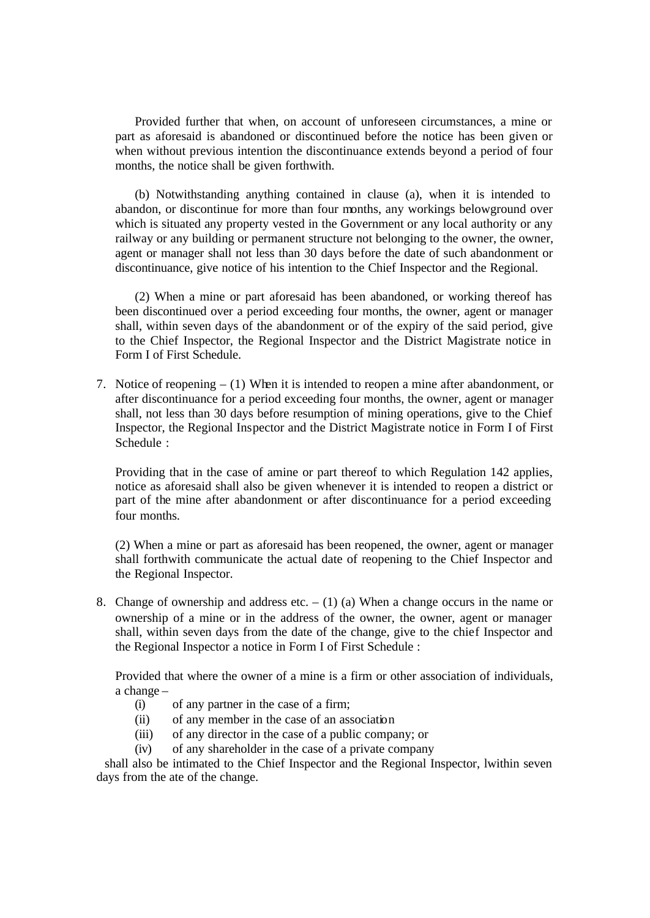Provided further that when, on account of unforeseen circumstances, a mine or part as aforesaid is abandoned or discontinued before the notice has been given or when without previous intention the discontinuance extends beyond a period of four months, the notice shall be given forthwith.

(b) Notwithstanding anything contained in clause (a), when it is intended to abandon, or discontinue for more than four months, any workings belowground over which is situated any property vested in the Government or any local authority or any railway or any building or permanent structure not belonging to the owner, the owner, agent or manager shall not less than 30 days before the date of such abandonment or discontinuance, give notice of his intention to the Chief Inspector and the Regional.

(2) When a mine or part aforesaid has been abandoned, or working thereof has been discontinued over a period exceeding four months, the owner, agent or manager shall, within seven days of the abandonment or of the expiry of the said period, give to the Chief Inspector, the Regional Inspector and the District Magistrate notice in Form I of First Schedule.

7. Notice of reopening – (1) When it is intended to reopen a mine after abandonment, or after discontinuance for a period exceeding four months, the owner, agent or manager shall, not less than 30 days before resumption of mining operations, give to the Chief Inspector, the Regional Inspector and the District Magistrate notice in Form I of First Schedule :

Providing that in the case of amine or part thereof to which Regulation 142 applies, notice as aforesaid shall also be given whenever it is intended to reopen a district or part of the mine after abandonment or after discontinuance for a period exceeding four months.

(2) When a mine or part as aforesaid has been reopened, the owner, agent or manager shall forthwith communicate the actual date of reopening to the Chief Inspector and the Regional Inspector.

8. Change of ownership and address etc.  $- (1)$  (a) When a change occurs in the name or ownership of a mine or in the address of the owner, the owner, agent or manager shall, within seven days from the date of the change, give to the chief Inspector and the Regional Inspector a notice in Form I of First Schedule :

Provided that where the owner of a mine is a firm or other association of individuals, a change –

- (i) of any partner in the case of a firm;
- (ii) of any member in the case of an association
- (iii) of any director in the case of a public company; or
- (iv) of any shareholder in the case of a private company

 shall also be intimated to the Chief Inspector and the Regional Inspector, lwithin seven days from the ate of the change.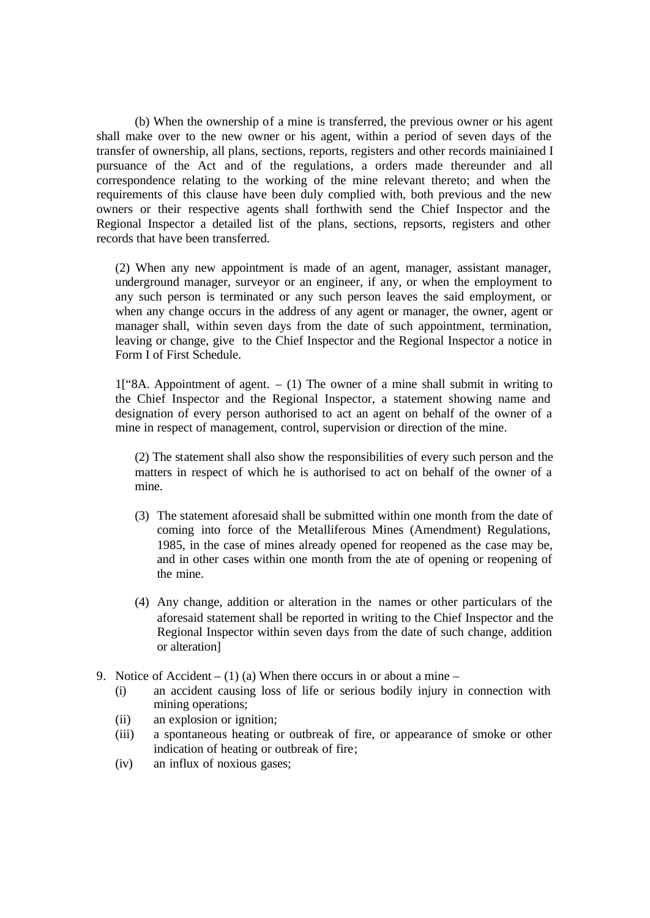(b) When the ownership of a mine is transferred, the previous owner or his agent shall make over to the new owner or his agent, within a period of seven days of the transfer of ownership, all plans, sections, reports, registers and other records mainiained I pursuance of the Act and of the regulations, a orders made thereunder and all correspondence relating to the working of the mine relevant thereto; and when the requirements of this clause have been duly complied with, both previous and the new owners or their respective agents shall forthwith send the Chief Inspector and the Regional Inspector a detailed list of the plans, sections, repsorts, registers and other records that have been transferred.

(2) When any new appointment is made of an agent, manager, assistant manager, underground manager, surveyor or an engineer, if any, or when the employment to any such person is terminated or any such person leaves the said employment, or when any change occurs in the address of any agent or manager, the owner, agent or manager shall, within seven days from the date of such appointment, termination, leaving or change, give to the Chief Inspector and the Regional Inspector a notice in Form I of First Schedule.

 $1$ ["8A. Appointment of agent.  $- (1)$  The owner of a mine shall submit in writing to the Chief Inspector and the Regional Inspector, a statement showing name and designation of every person authorised to act an agent on behalf of the owner of a mine in respect of management, control, supervision or direction of the mine.

(2) The statement shall also show the responsibilities of every such person and the matters in respect of which he is authorised to act on behalf of the owner of a mine.

- (3) The statement aforesaid shall be submitted within one month from the date of coming into force of the Metalliferous Mines (Amendment) Regulations, 1985, in the case of mines already opened for reopened as the case may be, and in other cases within one month from the ate of opening or reopening of the mine.
- (4) Any change, addition or alteration in the names or other particulars of the aforesaid statement shall be reported in writing to the Chief Inspector and the Regional Inspector within seven days from the date of such change, addition or alteration]
- 9. Notice of Accident (1) (a) When there occurs in or about a mine
	- (i) an accident causing loss of life or serious bodily injury in connection with mining operations;
	- (ii) an explosion or ignition;
	- (iii) a spontaneous heating or outbreak of fire, or appearance of smoke or other indication of heating or outbreak of fire;
	- (iv) an influx of noxious gases;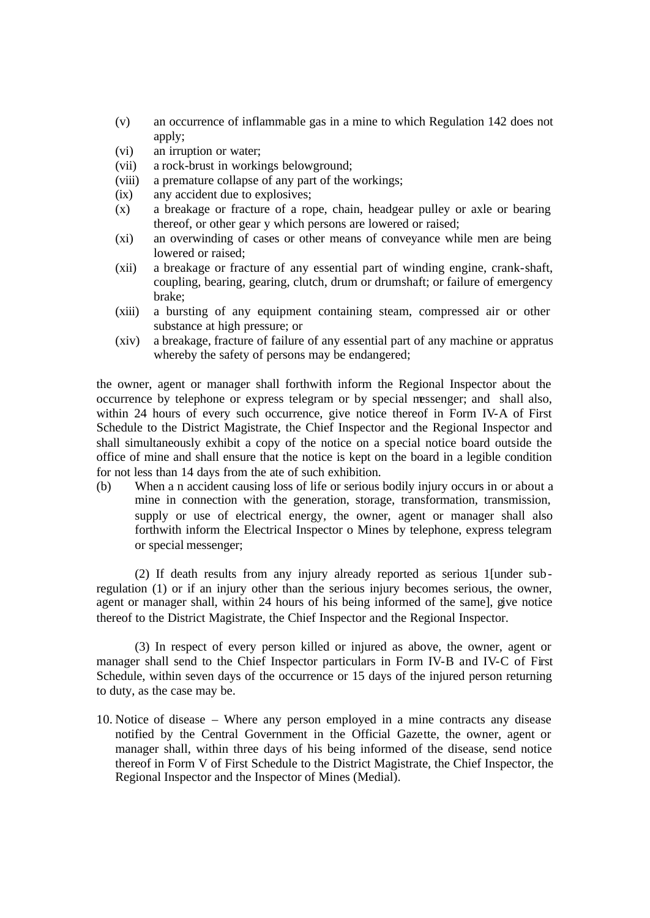- (v) an occurrence of inflammable gas in a mine to which Regulation 142 does not apply;
- (vi) an irruption or water;
- (vii) a rock-brust in workings belowground;
- (viii) a premature collapse of any part of the workings;
- (ix) any accident due to explosives;
- (x) a breakage or fracture of a rope, chain, headgear pulley or axle or bearing thereof, or other gear y which persons are lowered or raised;
- (xi) an overwinding of cases or other means of conveyance while men are being lowered or raised;
- (xii) a breakage or fracture of any essential part of winding engine, crank-shaft, coupling, bearing, gearing, clutch, drum or drumshaft; or failure of emergency brake;
- (xiii) a bursting of any equipment containing steam, compressed air or other substance at high pressure; or
- (xiv) a breakage, fracture of failure of any essential part of any machine or appratus whereby the safety of persons may be endangered;

the owner, agent or manager shall forthwith inform the Regional Inspector about the occurrence by telephone or express telegram or by special messenger; and shall also, within 24 hours of every such occurrence, give notice thereof in Form IV-A of First Schedule to the District Magistrate, the Chief Inspector and the Regional Inspector and shall simultaneously exhibit a copy of the notice on a special notice board outside the office of mine and shall ensure that the notice is kept on the board in a legible condition for not less than 14 days from the ate of such exhibition.

(b) When a n accident causing loss of life or serious bodily injury occurs in or about a mine in connection with the generation, storage, transformation, transmission, supply or use of electrical energy, the owner, agent or manager shall also forthwith inform the Electrical Inspector o Mines by telephone, express telegram or special messenger;

(2) If death results from any injury already reported as serious 1[under subregulation (1) or if an injury other than the serious injury becomes serious, the owner, agent or manager shall, within 24 hours of his being informed of the same], give notice thereof to the District Magistrate, the Chief Inspector and the Regional Inspector.

(3) In respect of every person killed or injured as above, the owner, agent or manager shall send to the Chief Inspector particulars in Form IV-B and IV-C of First Schedule, within seven days of the occurrence or 15 days of the injured person returning to duty, as the case may be.

10. Notice of disease – Where any person employed in a mine contracts any disease notified by the Central Government in the Official Gazette, the owner, agent or manager shall, within three days of his being informed of the disease, send notice thereof in Form V of First Schedule to the District Magistrate, the Chief Inspector, the Regional Inspector and the Inspector of Mines (Medial).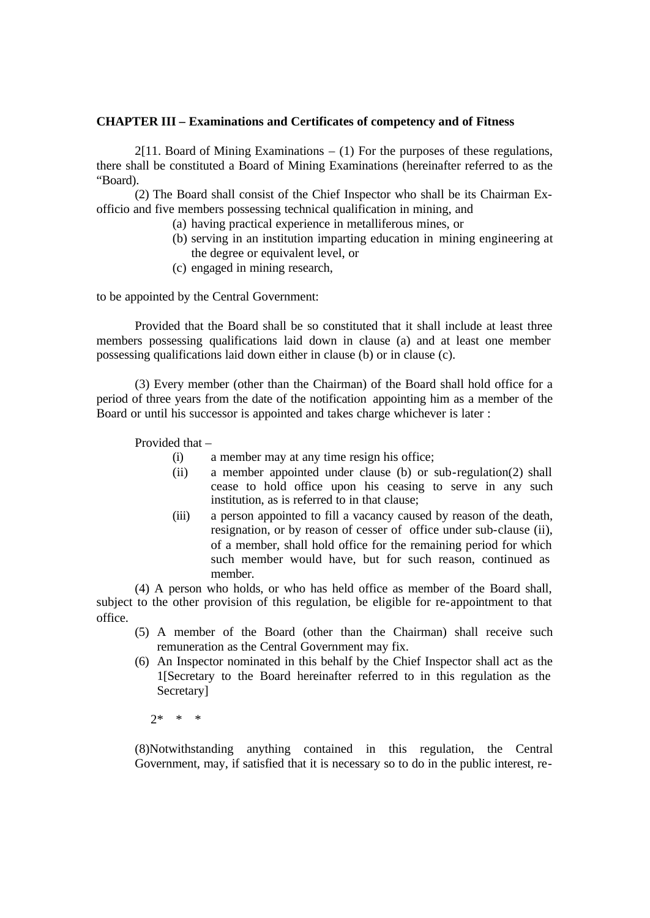### **CHAPTER III – Examinations and Certificates of competency and of Fitness**

 $2[11.$  Board of Mining Examinations  $- (1)$  For the purposes of these regulations, there shall be constituted a Board of Mining Examinations (hereinafter referred to as the "Board).

(2) The Board shall consist of the Chief Inspector who shall be its Chairman Exofficio and five members possessing technical qualification in mining, and

- (a) having practical experience in metalliferous mines, or
	- (b) serving in an institution imparting education in mining engineering at the degree or equivalent level, or
- (c) engaged in mining research,

to be appointed by the Central Government:

Provided that the Board shall be so constituted that it shall include at least three members possessing qualifications laid down in clause (a) and at least one member possessing qualifications laid down either in clause (b) or in clause (c).

(3) Every member (other than the Chairman) of the Board shall hold office for a period of three years from the date of the notification appointing him as a member of the Board or until his successor is appointed and takes charge whichever is later :

Provided that –

- (i) a member may at any time resign his office;
- (ii) a member appointed under clause (b) or sub-regulation(2) shall cease to hold office upon his ceasing to serve in any such institution, as is referred to in that clause;
- (iii) a person appointed to fill a vacancy caused by reason of the death, resignation, or by reason of cesser of office under sub-clause (ii), of a member, shall hold office for the remaining period for which such member would have, but for such reason, continued as member.

(4) A person who holds, or who has held office as member of the Board shall, subject to the other provision of this regulation, be eligible for re-appointment to that office.

- (5) A member of the Board (other than the Chairman) shall receive such remuneration as the Central Government may fix.
- (6) An Inspector nominated in this behalf by the Chief Inspector shall act as the 1[Secretary to the Board hereinafter referred to in this regulation as the Secretary]

2\* \* \*

(8)Notwithstanding anything contained in this regulation, the Central Government, may, if satisfied that it is necessary so to do in the public interest, re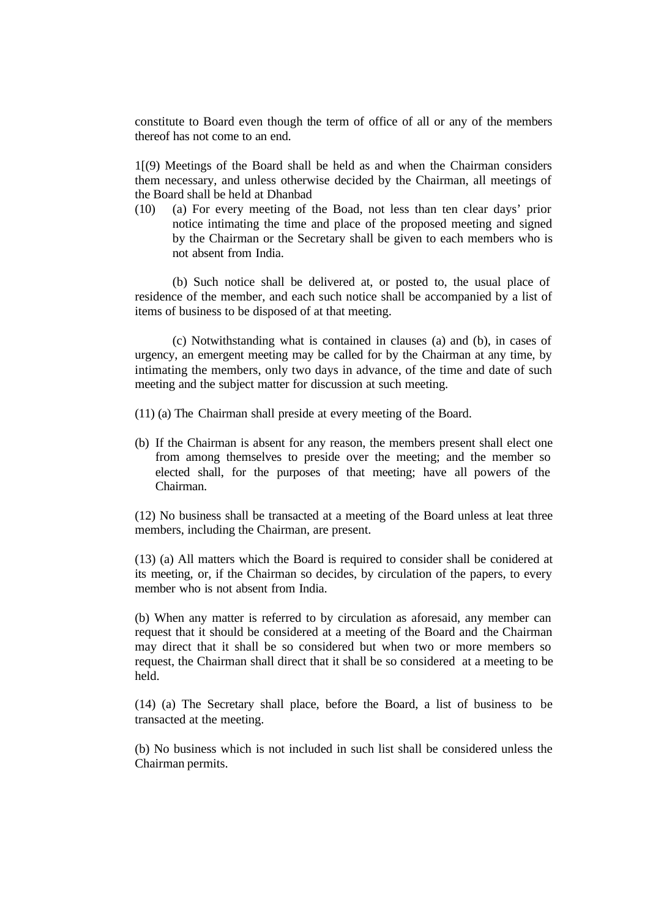constitute to Board even though the term of office of all or any of the members thereof has not come to an end.

1[(9) Meetings of the Board shall be held as and when the Chairman considers them necessary, and unless otherwise decided by the Chairman, all meetings of the Board shall be held at Dhanbad

(10) (a) For every meeting of the Boad, not less than ten clear days' prior notice intimating the time and place of the proposed meeting and signed by the Chairman or the Secretary shall be given to each members who is not absent from India.

(b) Such notice shall be delivered at, or posted to, the usual place of residence of the member, and each such notice shall be accompanied by a list of items of business to be disposed of at that meeting.

(c) Notwithstanding what is contained in clauses (a) and (b), in cases of urgency, an emergent meeting may be called for by the Chairman at any time, by intimating the members, only two days in advance, of the time and date of such meeting and the subject matter for discussion at such meeting.

- (11) (a) The Chairman shall preside at every meeting of the Board.
- (b) If the Chairman is absent for any reason, the members present shall elect one from among themselves to preside over the meeting; and the member so elected shall, for the purposes of that meeting; have all powers of the Chairman.

(12) No business shall be transacted at a meeting of the Board unless at leat three members, including the Chairman, are present.

(13) (a) All matters which the Board is required to consider shall be conidered at its meeting, or, if the Chairman so decides, by circulation of the papers, to every member who is not absent from India.

(b) When any matter is referred to by circulation as aforesaid, any member can request that it should be considered at a meeting of the Board and the Chairman may direct that it shall be so considered but when two or more members so request, the Chairman shall direct that it shall be so considered at a meeting to be held.

(14) (a) The Secretary shall place, before the Board, a list of business to be transacted at the meeting.

(b) No business which is not included in such list shall be considered unless the Chairman permits.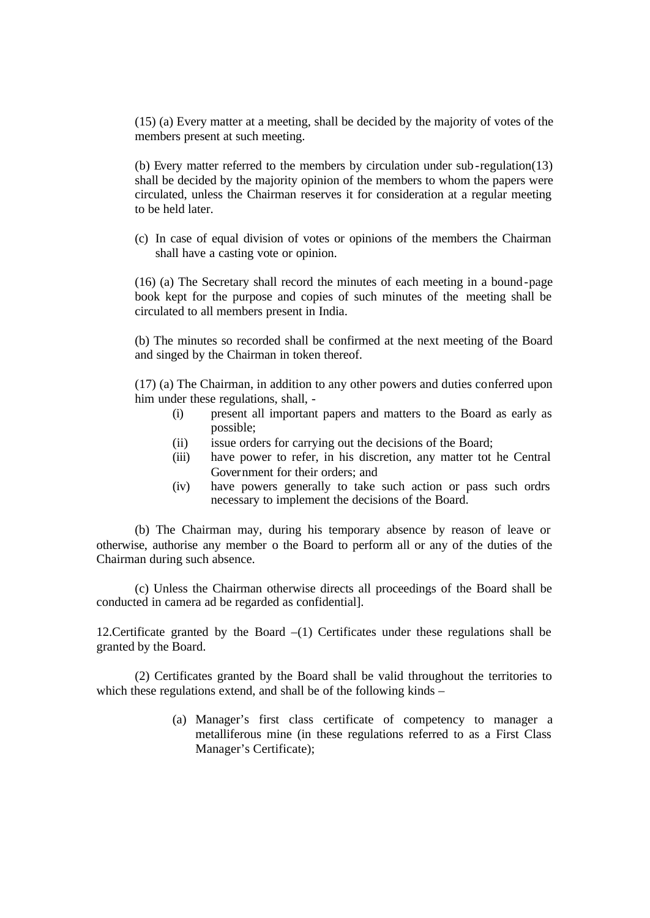(15) (a) Every matter at a meeting, shall be decided by the majority of votes of the members present at such meeting.

(b) Every matter referred to the members by circulation under sub-regulation(13) shall be decided by the majority opinion of the members to whom the papers were circulated, unless the Chairman reserves it for consideration at a regular meeting to be held later.

(c) In case of equal division of votes or opinions of the members the Chairman shall have a casting vote or opinion.

(16) (a) The Secretary shall record the minutes of each meeting in a bound-page book kept for the purpose and copies of such minutes of the meeting shall be circulated to all members present in India.

(b) The minutes so recorded shall be confirmed at the next meeting of the Board and singed by the Chairman in token thereof.

(17) (a) The Chairman, in addition to any other powers and duties conferred upon him under these regulations, shall, -

- (i) present all important papers and matters to the Board as early as possible;
- (ii) issue orders for carrying out the decisions of the Board;
- (iii) have power to refer, in his discretion, any matter tot he Central Government for their orders; and
- (iv) have powers generally to take such action or pass such ordrs necessary to implement the decisions of the Board.

 (b) The Chairman may, during his temporary absence by reason of leave or otherwise, authorise any member o the Board to perform all or any of the duties of the Chairman during such absence.

(c) Unless the Chairman otherwise directs all proceedings of the Board shall be conducted in camera ad be regarded as confidential].

12. Certificate granted by the Board  $-(1)$  Certificates under these regulations shall be granted by the Board.

(2) Certificates granted by the Board shall be valid throughout the territories to which these regulations extend, and shall be of the following kinds –

> (a) Manager's first class certificate of competency to manager a metalliferous mine (in these regulations referred to as a First Class Manager's Certificate);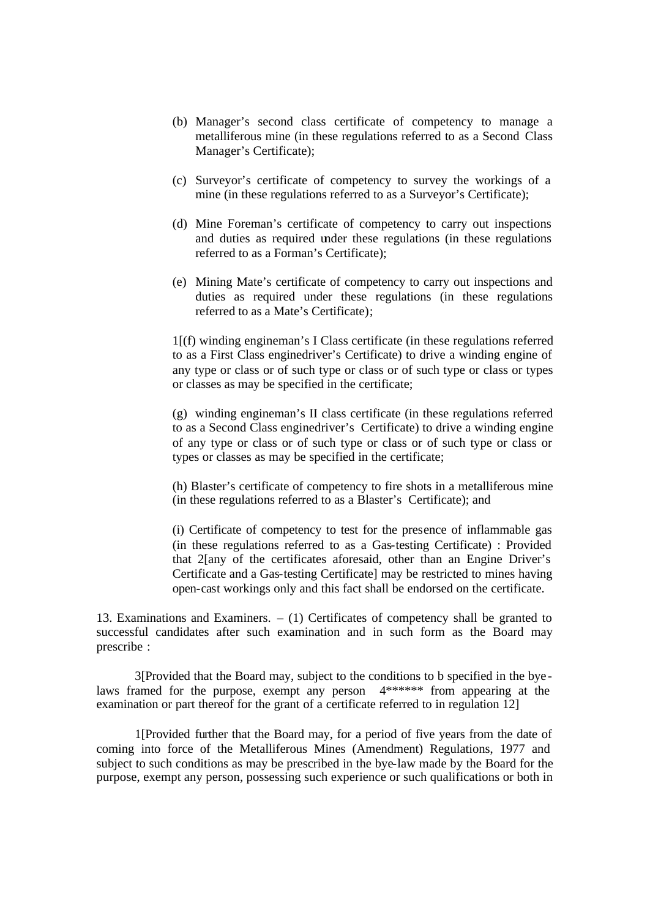- (b) Manager's second class certificate of competency to manage a metalliferous mine (in these regulations referred to as a Second Class Manager's Certificate);
- (c) Surveyor's certificate of competency to survey the workings of a mine (in these regulations referred to as a Surveyor's Certificate);
- (d) Mine Foreman's certificate of competency to carry out inspections and duties as required under these regulations (in these regulations referred to as a Forman's Certificate);
- (e) Mining Mate's certificate of competency to carry out inspections and duties as required under these regulations (in these regulations referred to as a Mate's Certificate);

1[(f) winding engineman's I Class certificate (in these regulations referred to as a First Class enginedriver's Certificate) to drive a winding engine of any type or class or of such type or class or of such type or class or types or classes as may be specified in the certificate;

(g) winding engineman's II class certificate (in these regulations referred to as a Second Class enginedriver's Certificate) to drive a winding engine of any type or class or of such type or class or of such type or class or types or classes as may be specified in the certificate;

(h) Blaster's certificate of competency to fire shots in a metalliferous mine (in these regulations referred to as a Blaster's Certificate); and

(i) Certificate of competency to test for the presence of inflammable gas (in these regulations referred to as a Gas-testing Certificate) : Provided that 2[any of the certificates aforesaid, other than an Engine Driver's Certificate and a Gas-testing Certificate] may be restricted to mines having open-cast workings only and this fact shall be endorsed on the certificate.

13. Examinations and Examiners. – (1) Certificates of competency shall be granted to successful candidates after such examination and in such form as the Board may prescribe :

3[Provided that the Board may, subject to the conditions to b specified in the bye laws framed for the purpose, exempt any person 4\*\*\*\*\*\* from appearing at the examination or part thereof for the grant of a certificate referred to in regulation 12]

1[Provided further that the Board may, for a period of five years from the date of coming into force of the Metalliferous Mines (Amendment) Regulations, 1977 and subject to such conditions as may be prescribed in the bye-law made by the Board for the purpose, exempt any person, possessing such experience or such qualifications or both in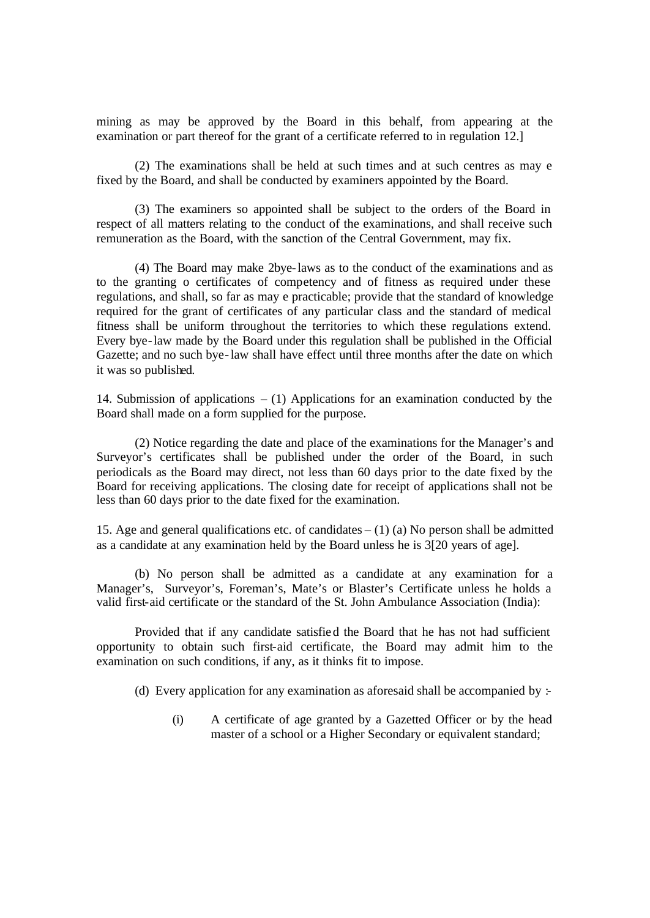mining as may be approved by the Board in this behalf, from appearing at the examination or part thereof for the grant of a certificate referred to in regulation 12.]

(2) The examinations shall be held at such times and at such centres as may e fixed by the Board, and shall be conducted by examiners appointed by the Board.

(3) The examiners so appointed shall be subject to the orders of the Board in respect of all matters relating to the conduct of the examinations, and shall receive such remuneration as the Board, with the sanction of the Central Government, may fix.

(4) The Board may make 2bye-laws as to the conduct of the examinations and as to the granting o certificates of competency and of fitness as required under these regulations, and shall, so far as may e practicable; provide that the standard of knowledge required for the grant of certificates of any particular class and the standard of medical fitness shall be uniform throughout the territories to which these regulations extend. Every bye-law made by the Board under this regulation shall be published in the Official Gazette; and no such bye-law shall have effect until three months after the date on which it was so published.

14. Submission of applications – (1) Applications for an examination conducted by the Board shall made on a form supplied for the purpose.

(2) Notice regarding the date and place of the examinations for the Manager's and Surveyor's certificates shall be published under the order of the Board, in such periodicals as the Board may direct, not less than 60 days prior to the date fixed by the Board for receiving applications. The closing date for receipt of applications shall not be less than 60 days prior to the date fixed for the examination.

15. Age and general qualifications etc. of candidates  $- (1)$  (a) No person shall be admitted as a candidate at any examination held by the Board unless he is 3[20 years of age].

(b) No person shall be admitted as a candidate at any examination for a Manager's, Surveyor's, Foreman's, Mate's or Blaster's Certificate unless he holds a valid first-aid certificate or the standard of the St. John Ambulance Association (India):

Provided that if any candidate satisfied the Board that he has not had sufficient opportunity to obtain such first-aid certificate, the Board may admit him to the examination on such conditions, if any, as it thinks fit to impose.

- (d) Every application for any examination as aforesaid shall be accompanied by  $\pm$ 
	- (i) A certificate of age granted by a Gazetted Officer or by the head master of a school or a Higher Secondary or equivalent standard;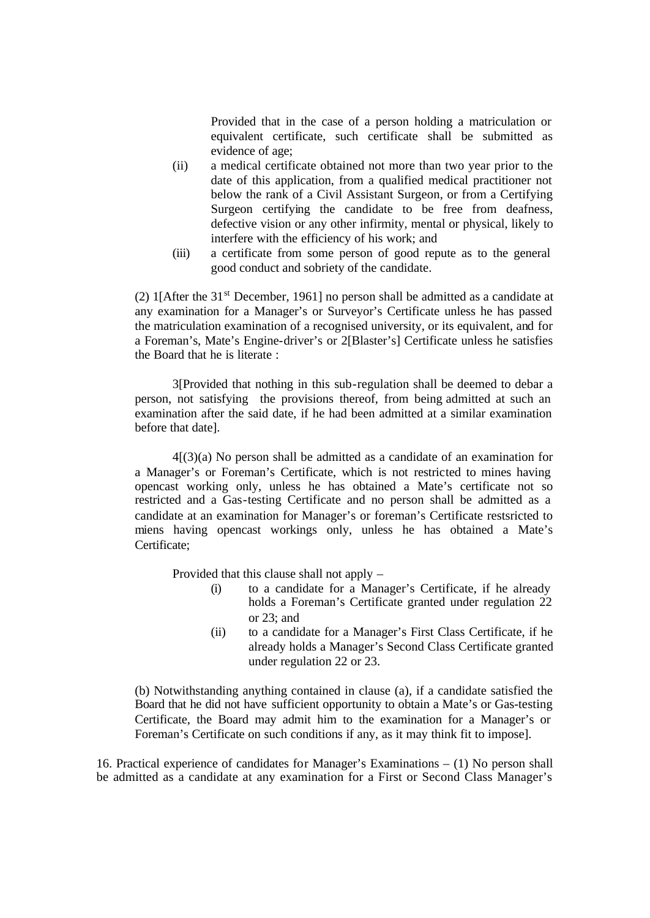Provided that in the case of a person holding a matriculation or equivalent certificate, such certificate shall be submitted as evidence of age;

- (ii) a medical certificate obtained not more than two year prior to the date of this application, from a qualified medical practitioner not below the rank of a Civil Assistant Surgeon, or from a Certifying Surgeon certifying the candidate to be free from deafness, defective vision or any other infirmity, mental or physical, likely to interfere with the efficiency of his work; and
- (iii) a certificate from some person of good repute as to the general good conduct and sobriety of the candidate.

(2) 1[After the  $31<sup>st</sup>$  December, 1961] no person shall be admitted as a candidate at any examination for a Manager's or Surveyor's Certificate unless he has passed the matriculation examination of a recognised university, or its equivalent, and for a Foreman's, Mate's Engine-driver's or 2[Blaster's] Certificate unless he satisfies the Board that he is literate :

3[Provided that nothing in this sub-regulation shall be deemed to debar a person, not satisfying the provisions thereof, from being admitted at such an examination after the said date, if he had been admitted at a similar examination before that date].

4[(3)(a) No person shall be admitted as a candidate of an examination for a Manager's or Foreman's Certificate, which is not restricted to mines having opencast working only, unless he has obtained a Mate's certificate not so restricted and a Gas-testing Certificate and no person shall be admitted as a candidate at an examination for Manager's or foreman's Certificate restsricted to miens having opencast workings only, unless he has obtained a Mate's Certificate;

Provided that this clause shall not apply –

- (i) to a candidate for a Manager's Certificate, if he already holds a Foreman's Certificate granted under regulation 22 or 23; and
- (ii) to a candidate for a Manager's First Class Certificate, if he already holds a Manager's Second Class Certificate granted under regulation 22 or 23.

(b) Notwithstanding anything contained in clause (a), if a candidate satisfied the Board that he did not have sufficient opportunity to obtain a Mate's or Gas-testing Certificate, the Board may admit him to the examination for a Manager's or Foreman's Certificate on such conditions if any, as it may think fit to impose].

16. Practical experience of candidates for Manager's Examinations – (1) No person shall be admitted as a candidate at any examination for a First or Second Class Manager's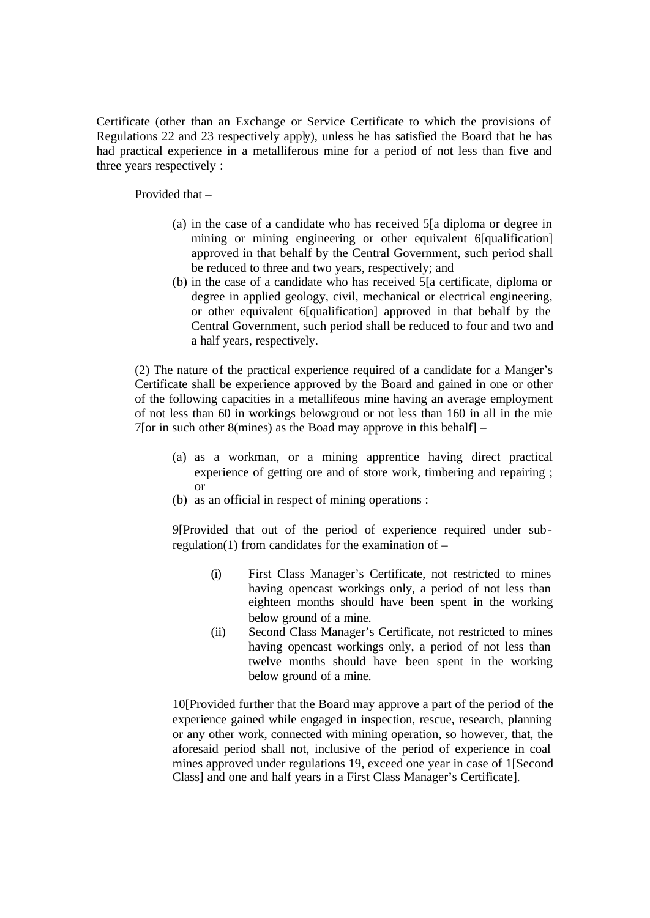Certificate (other than an Exchange or Service Certificate to which the provisions of Regulations 22 and 23 respectively apply), unless he has satisfied the Board that he has had practical experience in a metalliferous mine for a period of not less than five and three years respectively :

Provided that –

- (a) in the case of a candidate who has received 5[a diploma or degree in mining or mining engineering or other equivalent 6[qualification] approved in that behalf by the Central Government, such period shall be reduced to three and two years, respectively; and
- (b) in the case of a candidate who has received 5[a certificate, diploma or degree in applied geology, civil, mechanical or electrical engineering, or other equivalent 6[qualification] approved in that behalf by the Central Government, such period shall be reduced to four and two and a half years, respectively.

(2) The nature of the practical experience required of a candidate for a Manger's Certificate shall be experience approved by the Board and gained in one or other of the following capacities in a metallifeous mine having an average employment of not less than 60 in workings belowgroud or not less than 160 in all in the mie 7[or in such other 8(mines) as the Boad may approve in this behalf]  $-$ 

- (a) as a workman, or a mining apprentice having direct practical experience of getting ore and of store work, timbering and repairing ; or
- (b) as an official in respect of mining operations :

9[Provided that out of the period of experience required under subregulation(1) from candidates for the examination of  $-$ 

- (i) First Class Manager's Certificate, not restricted to mines having opencast workings only, a period of not less than eighteen months should have been spent in the working below ground of a mine.
- (ii) Second Class Manager's Certificate, not restricted to mines having opencast workings only, a period of not less than twelve months should have been spent in the working below ground of a mine.

10[Provided further that the Board may approve a part of the period of the experience gained while engaged in inspection, rescue, research, planning or any other work, connected with mining operation, so however, that, the aforesaid period shall not, inclusive of the period of experience in coal mines approved under regulations 19, exceed one year in case of 1[Second Class] and one and half years in a First Class Manager's Certificate].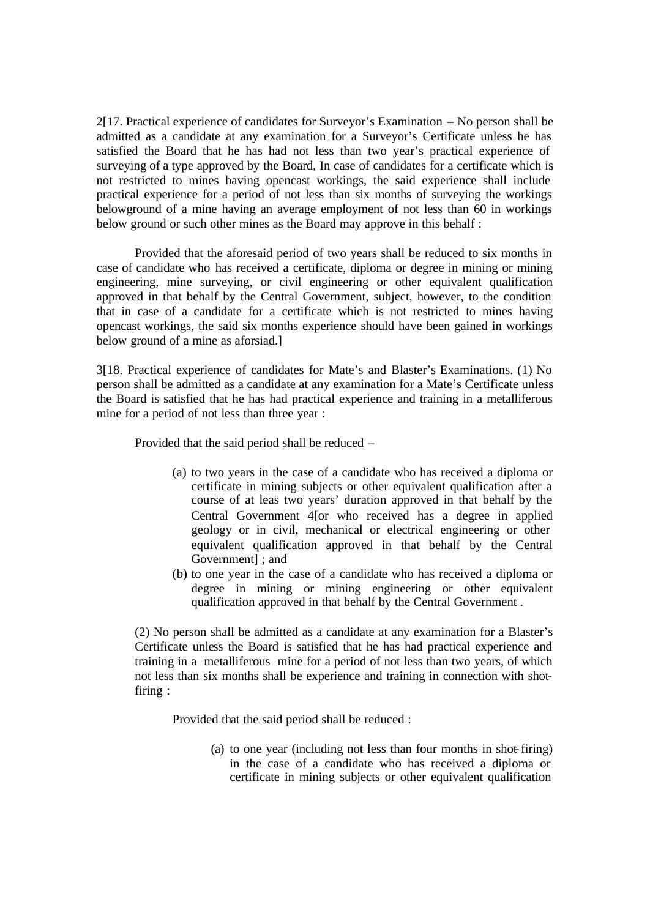2[17. Practical experience of candidates for Surveyor's Examination – No person shall be admitted as a candidate at any examination for a Surveyor's Certificate unless he has satisfied the Board that he has had not less than two year's practical experience of surveying of a type approved by the Board, In case of candidates for a certificate which is not restricted to mines having opencast workings, the said experience shall include practical experience for a period of not less than six months of surveying the workings belowground of a mine having an average employment of not less than 60 in workings below ground or such other mines as the Board may approve in this behalf :

Provided that the aforesaid period of two years shall be reduced to six months in case of candidate who has received a certificate, diploma or degree in mining or mining engineering, mine surveying, or civil engineering or other equivalent qualification approved in that behalf by the Central Government, subject, however, to the condition that in case of a candidate for a certificate which is not restricted to mines having opencast workings, the said six months experience should have been gained in workings below ground of a mine as aforsiad.]

3[18. Practical experience of candidates for Mate's and Blaster's Examinations. (1) No person shall be admitted as a candidate at any examination for a Mate's Certificate unless the Board is satisfied that he has had practical experience and training in a metalliferous mine for a period of not less than three year :

Provided that the said period shall be reduced –

- (a) to two years in the case of a candidate who has received a diploma or certificate in mining subjects or other equivalent qualification after a course of at leas two years' duration approved in that behalf by the Central Government 4[or who received has a degree in applied geology or in civil, mechanical or electrical engineering or other equivalent qualification approved in that behalf by the Central Government] ; and
- (b) to one year in the case of a candidate who has received a diploma or degree in mining or mining engineering or other equivalent qualification approved in that behalf by the Central Government .

(2) No person shall be admitted as a candidate at any examination for a Blaster's Certificate unless the Board is satisfied that he has had practical experience and training in a metalliferous mine for a period of not less than two years, of which not less than six months shall be experience and training in connection with shotfiring :

Provided that the said period shall be reduced :

(a) to one year (including not less than four months in shot-firing) in the case of a candidate who has received a diploma or certificate in mining subjects or other equivalent qualification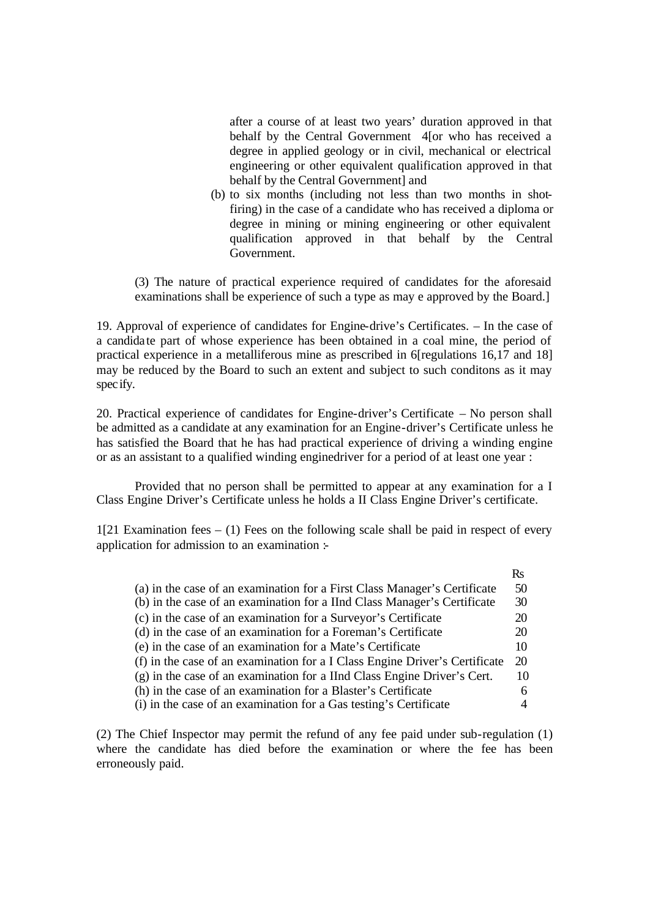after a course of at least two years' duration approved in that behalf by the Central Government 4[or who has received a degree in applied geology or in civil, mechanical or electrical engineering or other equivalent qualification approved in that behalf by the Central Government] and

(b) to six months (including not less than two months in shotfiring) in the case of a candidate who has received a diploma or degree in mining or mining engineering or other equivalent qualification approved in that behalf by the Central Government.

(3) The nature of practical experience required of candidates for the aforesaid examinations shall be experience of such a type as may e approved by the Board.]

19. Approval of experience of candidates for Engine-drive's Certificates. – In the case of a candida te part of whose experience has been obtained in a coal mine, the period of practical experience in a metalliferous mine as prescribed in 6[regulations 16,17 and 18] may be reduced by the Board to such an extent and subject to such conditons as it may specify.

20. Practical experience of candidates for Engine-driver's Certificate – No person shall be admitted as a candidate at any examination for an Engine-driver's Certificate unless he has satisfied the Board that he has had practical experience of driving a winding engine or as an assistant to a qualified winding enginedriver for a period of at least one year :

Provided that no person shall be permitted to appear at any examination for a I Class Engine Driver's Certificate unless he holds a II Class Engine Driver's certificate.

1[21 Examination fees  $-$  (1) Fees on the following scale shall be paid in respect of every application for admission to an examination :-

|                                                                             | Rs |
|-----------------------------------------------------------------------------|----|
| (a) in the case of an examination for a First Class Manager's Certificate   | 50 |
| (b) in the case of an examination for a IInd Class Manager's Certificate    | 30 |
| (c) in the case of an examination for a Surveyor's Certificate              | 20 |
| (d) in the case of an examination for a Foreman's Certificate               | 20 |
| (e) in the case of an examination for a Mate's Certificate                  | 10 |
| (f) in the case of an examination for a I Class Engine Driver's Certificate | 20 |
| (g) in the case of an examination for a IInd Class Engine Driver's Cert.    | 10 |
| (h) in the case of an examination for a Blaster's Certificate               | 6  |
| (i) in the case of an examination for a Gas testing's Certificate           |    |

(2) The Chief Inspector may permit the refund of any fee paid under sub-regulation (1) where the candidate has died before the examination or where the fee has been erroneously paid.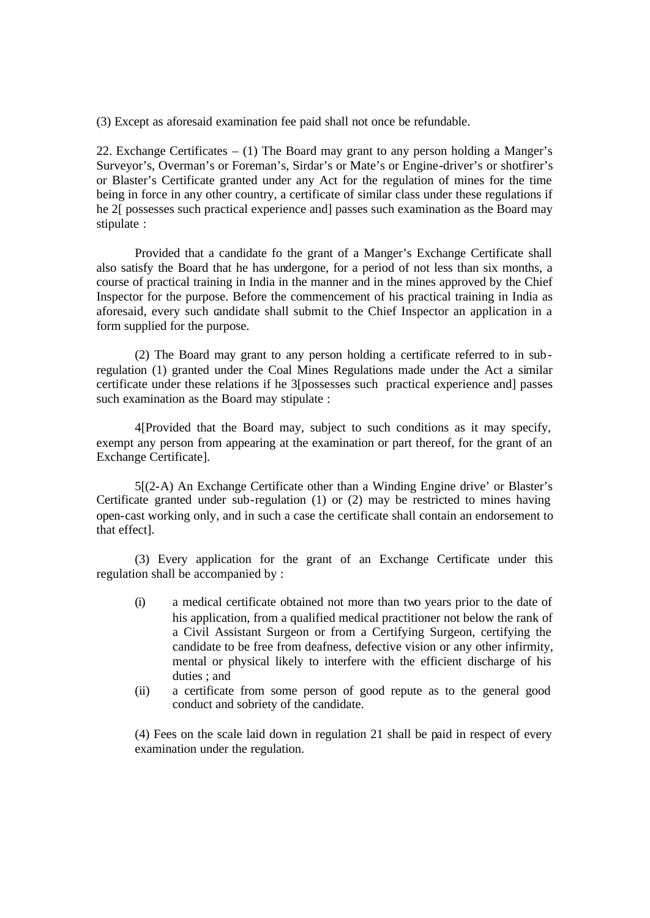(3) Except as aforesaid examination fee paid shall not once be refundable.

22. Exchange Certificates – (1) The Board may grant to any person holding a Manger's Surveyor's, Overman's or Foreman's, Sirdar's or Mate's or Engine-driver's or shotfirer's or Blaster's Certificate granted under any Act for the regulation of mines for the time being in force in any other country, a certificate of similar class under these regulations if he 2[ possesses such practical experience and] passes such examination as the Board may stipulate :

Provided that a candidate fo the grant of a Manger's Exchange Certificate shall also satisfy the Board that he has undergone, for a period of not less than six months, a course of practical training in India in the manner and in the mines approved by the Chief Inspector for the purpose. Before the commencement of his practical training in India as aforesaid, every such candidate shall submit to the Chief Inspector an application in a form supplied for the purpose.

(2) The Board may grant to any person holding a certificate referred to in subregulation (1) granted under the Coal Mines Regulations made under the Act a similar certificate under these relations if he 3[possesses such practical experience and] passes such examination as the Board may stipulate :

4[Provided that the Board may, subject to such conditions as it may specify, exempt any person from appearing at the examination or part thereof, for the grant of an Exchange Certificate].

5[(2-A) An Exchange Certificate other than a Winding Engine drive' or Blaster's Certificate granted under sub-regulation (1) or (2) may be restricted to mines having open-cast working only, and in such a case the certificate shall contain an endorsement to that effect].

(3) Every application for the grant of an Exchange Certificate under this regulation shall be accompanied by :

- (i) a medical certificate obtained not more than two years prior to the date of his application, from a qualified medical practitioner not below the rank of a Civil Assistant Surgeon or from a Certifying Surgeon, certifying the candidate to be free from deafness, defective vision or any other infirmity, mental or physical likely to interfere with the efficient discharge of his duties ; and
- (ii) a certificate from some person of good repute as to the general good conduct and sobriety of the candidate.

(4) Fees on the scale laid down in regulation 21 shall be paid in respect of every examination under the regulation.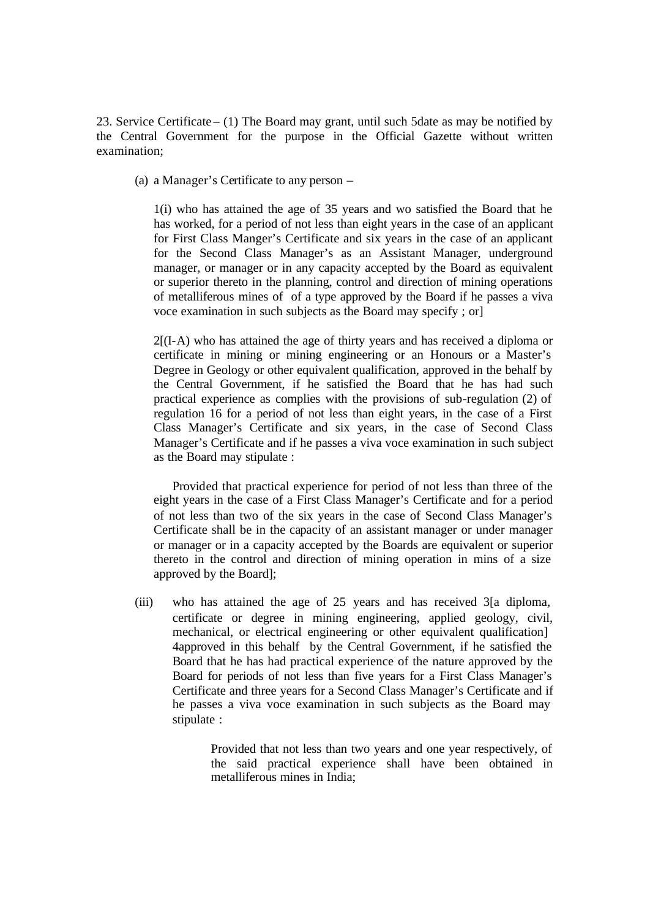23. Service Certificate – (1) The Board may grant, until such 5date as may be notified by the Central Government for the purpose in the Official Gazette without written examination;

(a) a Manager's Certificate to any person –

1(i) who has attained the age of 35 years and wo satisfied the Board that he has worked, for a period of not less than eight years in the case of an applicant for First Class Manger's Certificate and six years in the case of an applicant for the Second Class Manager's as an Assistant Manager, underground manager, or manager or in any capacity accepted by the Board as equivalent or superior thereto in the planning, control and direction of mining operations of metalliferous mines of of a type approved by the Board if he passes a viva voce examination in such subjects as the Board may specify ; or]

2[(I-A) who has attained the age of thirty years and has received a diploma or certificate in mining or mining engineering or an Honours or a Master's Degree in Geology or other equivalent qualification, approved in the behalf by the Central Government, if he satisfied the Board that he has had such practical experience as complies with the provisions of sub-regulation (2) of regulation 16 for a period of not less than eight years, in the case of a First Class Manager's Certificate and six years, in the case of Second Class Manager's Certificate and if he passes a viva voce examination in such subject as the Board may stipulate :

Provided that practical experience for period of not less than three of the eight years in the case of a First Class Manager's Certificate and for a period of not less than two of the six years in the case of Second Class Manager's Certificate shall be in the capacity of an assistant manager or under manager or manager or in a capacity accepted by the Boards are equivalent or superior thereto in the control and direction of mining operation in mins of a size approved by the Board];

(iii) who has attained the age of 25 years and has received 3[a diploma, certificate or degree in mining engineering, applied geology, civil, mechanical, or electrical engineering or other equivalent qualification] 4approved in this behalf by the Central Government, if he satisfied the Board that he has had practical experience of the nature approved by the Board for periods of not less than five years for a First Class Manager's Certificate and three years for a Second Class Manager's Certificate and if he passes a viva voce examination in such subjects as the Board may stipulate :

> Provided that not less than two years and one year respectively, of the said practical experience shall have been obtained in metalliferous mines in India;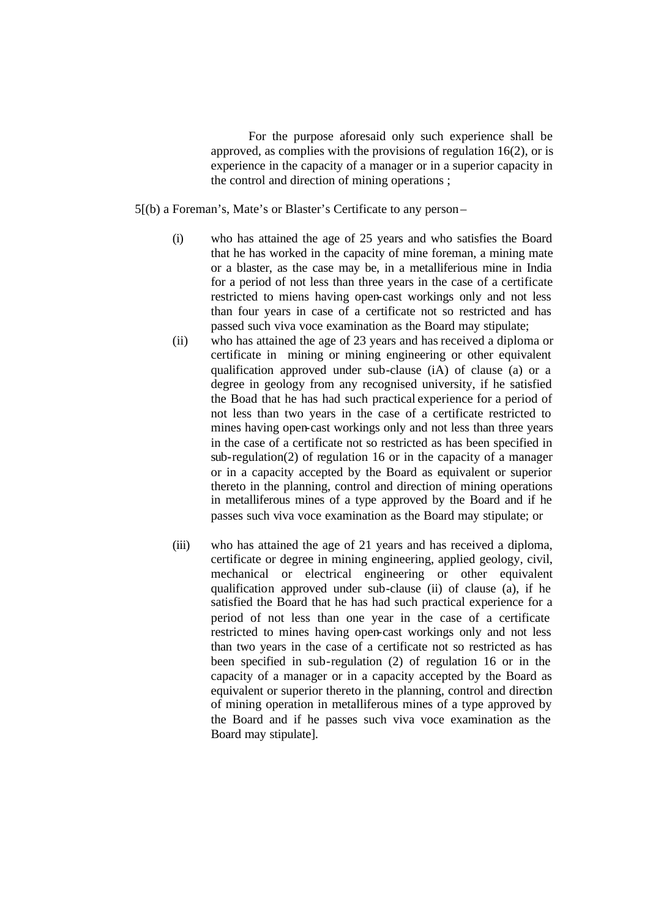For the purpose aforesaid only such experience shall be approved, as complies with the provisions of regulation 16(2), or is experience in the capacity of a manager or in a superior capacity in the control and direction of mining operations ;

5[(b) a Foreman's, Mate's or Blaster's Certificate to any person –

- (i) who has attained the age of 25 years and who satisfies the Board that he has worked in the capacity of mine foreman, a mining mate or a blaster, as the case may be, in a metalliferious mine in India for a period of not less than three years in the case of a certificate restricted to miens having open-cast workings only and not less than four years in case of a certificate not so restricted and has passed such viva voce examination as the Board may stipulate;
- (ii) who has attained the age of 23 years and has received a diploma or certificate in mining or mining engineering or other equivalent qualification approved under sub-clause (iA) of clause (a) or a degree in geology from any recognised university, if he satisfied the Boad that he has had such practical experience for a period of not less than two years in the case of a certificate restricted to mines having open-cast workings only and not less than three years in the case of a certificate not so restricted as has been specified in sub-regulation(2) of regulation 16 or in the capacity of a manager or in a capacity accepted by the Board as equivalent or superior thereto in the planning, control and direction of mining operations in metalliferous mines of a type approved by the Board and if he passes such viva voce examination as the Board may stipulate; or
- (iii) who has attained the age of 21 years and has received a diploma, certificate or degree in mining engineering, applied geology, civil, mechanical or electrical engineering or other equivalent qualification approved under sub-clause (ii) of clause (a), if he satisfied the Board that he has had such practical experience for a period of not less than one year in the case of a certificate restricted to mines having open-cast workings only and not less than two years in the case of a certificate not so restricted as has been specified in sub-regulation (2) of regulation 16 or in the capacity of a manager or in a capacity accepted by the Board as equivalent or superior thereto in the planning, control and direction of mining operation in metalliferous mines of a type approved by the Board and if he passes such viva voce examination as the Board may stipulate].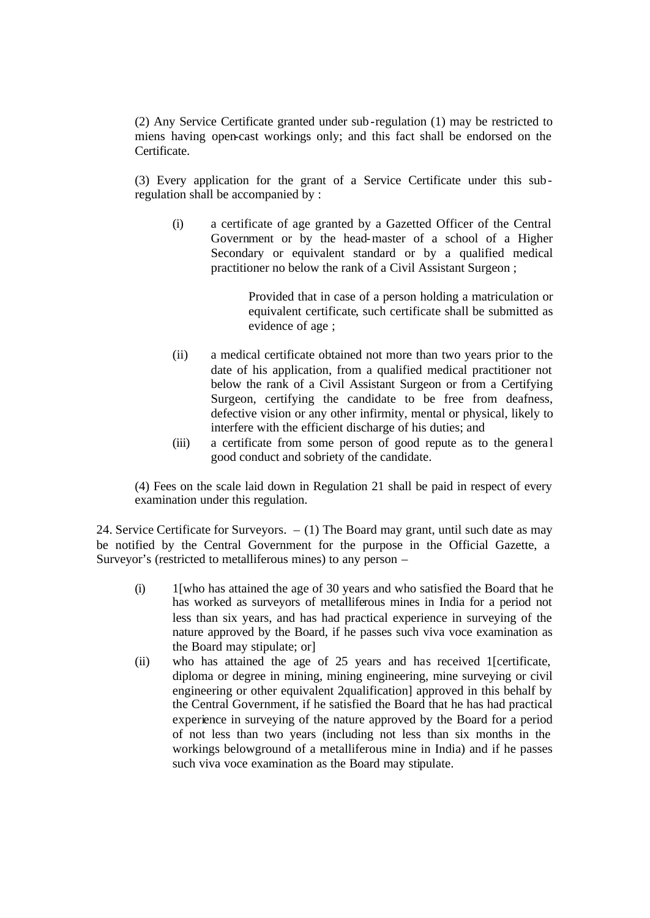(2) Any Service Certificate granted under sub-regulation (1) may be restricted to miens having open-cast workings only; and this fact shall be endorsed on the Certificate.

(3) Every application for the grant of a Service Certificate under this subregulation shall be accompanied by :

(i) a certificate of age granted by a Gazetted Officer of the Central Government or by the head-master of a school of a Higher Secondary or equivalent standard or by a qualified medical practitioner no below the rank of a Civil Assistant Surgeon ;

> Provided that in case of a person holding a matriculation or equivalent certificate, such certificate shall be submitted as evidence of age ;

- (ii) a medical certificate obtained not more than two years prior to the date of his application, from a qualified medical practitioner not below the rank of a Civil Assistant Surgeon or from a Certifying Surgeon, certifying the candidate to be free from deafness, defective vision or any other infirmity, mental or physical, likely to interfere with the efficient discharge of his duties; and
- (iii) a certificate from some person of good repute as to the general good conduct and sobriety of the candidate.

(4) Fees on the scale laid down in Regulation 21 shall be paid in respect of every examination under this regulation.

24. Service Certificate for Surveyors. – (1) The Board may grant, until such date as may be notified by the Central Government for the purpose in the Official Gazette, a Surveyor's (restricted to metalliferous mines) to any person –

- (i) 1[who has attained the age of 30 years and who satisfied the Board that he has worked as surveyors of metalliferous mines in India for a period not less than six years, and has had practical experience in surveying of the nature approved by the Board, if he passes such viva voce examination as the Board may stipulate; or]
- (ii) who has attained the age of 25 years and has received 1[certificate, diploma or degree in mining, mining engineering, mine surveying or civil engineering or other equivalent 2qualification] approved in this behalf by the Central Government, if he satisfied the Board that he has had practical experience in surveying of the nature approved by the Board for a period of not less than two years (including not less than six months in the workings belowground of a metalliferous mine in India) and if he passes such viva voce examination as the Board may stipulate.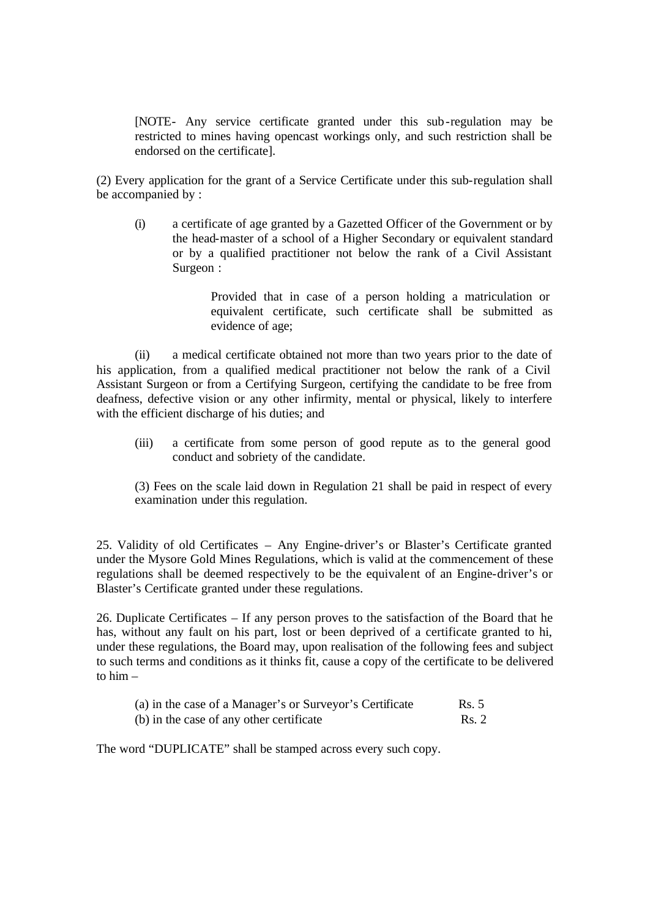[NOTE- Any service certificate granted under this sub-regulation may be restricted to mines having opencast workings only, and such restriction shall be endorsed on the certificate].

(2) Every application for the grant of a Service Certificate under this sub-regulation shall be accompanied by :

(i) a certificate of age granted by a Gazetted Officer of the Government or by the head-master of a school of a Higher Secondary or equivalent standard or by a qualified practitioner not below the rank of a Civil Assistant Surgeon :

> Provided that in case of a person holding a matriculation or equivalent certificate, such certificate shall be submitted as evidence of age;

(ii) a medical certificate obtained not more than two years prior to the date of his application, from a qualified medical practitioner not below the rank of a Civil Assistant Surgeon or from a Certifying Surgeon, certifying the candidate to be free from deafness, defective vision or any other infirmity, mental or physical, likely to interfere with the efficient discharge of his duties; and

(iii) a certificate from some person of good repute as to the general good conduct and sobriety of the candidate.

(3) Fees on the scale laid down in Regulation 21 shall be paid in respect of every examination under this regulation.

25. Validity of old Certificates – Any Engine-driver's or Blaster's Certificate granted under the Mysore Gold Mines Regulations, which is valid at the commencement of these regulations shall be deemed respectively to be the equivalent of an Engine-driver's or Blaster's Certificate granted under these regulations.

26. Duplicate Certificates – If any person proves to the satisfaction of the Board that he has, without any fault on his part, lost or been deprived of a certificate granted to hi, under these regulations, the Board may, upon realisation of the following fees and subject to such terms and conditions as it thinks fit, cause a copy of the certificate to be delivered to  $him -$ 

| (a) in the case of a Manager's or Surveyor's Certificate | Rs. 5 |
|----------------------------------------------------------|-------|
| (b) in the case of any other certificate                 | Rs. 2 |

The word "DUPLICATE" shall be stamped across every such copy.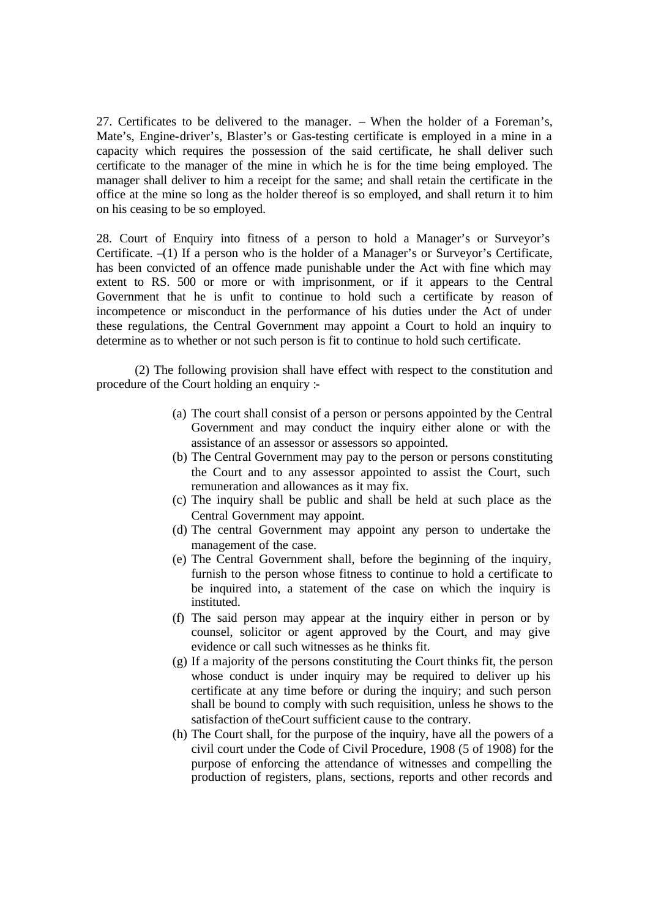27. Certificates to be delivered to the manager. – When the holder of a Foreman's, Mate's, Engine-driver's, Blaster's or Gas-testing certificate is employed in a mine in a capacity which requires the possession of the said certificate, he shall deliver such certificate to the manager of the mine in which he is for the time being employed. The manager shall deliver to him a receipt for the same; and shall retain the certificate in the office at the mine so long as the holder thereof is so employed, and shall return it to him on his ceasing to be so employed.

28. Court of Enquiry into fitness of a person to hold a Manager's or Surveyor's Certificate. –(1) If a person who is the holder of a Manager's or Surveyor's Certificate, has been convicted of an offence made punishable under the Act with fine which may extent to RS. 500 or more or with imprisonment, or if it appears to the Central Government that he is unfit to continue to hold such a certificate by reason of incompetence or misconduct in the performance of his duties under the Act of under these regulations, the Central Government may appoint a Court to hold an inquiry to determine as to whether or not such person is fit to continue to hold such certificate.

(2) The following provision shall have effect with respect to the constitution and procedure of the Court holding an enquiry :-

- (a) The court shall consist of a person or persons appointed by the Central Government and may conduct the inquiry either alone or with the assistance of an assessor or assessors so appointed.
- (b) The Central Government may pay to the person or persons constituting the Court and to any assessor appointed to assist the Court, such remuneration and allowances as it may fix.
- (c) The inquiry shall be public and shall be held at such place as the Central Government may appoint.
- (d) The central Government may appoint any person to undertake the management of the case.
- (e) The Central Government shall, before the beginning of the inquiry, furnish to the person whose fitness to continue to hold a certificate to be inquired into, a statement of the case on which the inquiry is instituted.
- (f) The said person may appear at the inquiry either in person or by counsel, solicitor or agent approved by the Court, and may give evidence or call such witnesses as he thinks fit.
- (g) If a majority of the persons constituting the Court thinks fit, the person whose conduct is under inquiry may be required to deliver up his certificate at any time before or during the inquiry; and such person shall be bound to comply with such requisition, unless he shows to the satisfaction of theCourt sufficient cause to the contrary.
- (h) The Court shall, for the purpose of the inquiry, have all the powers of a civil court under the Code of Civil Procedure, 1908 (5 of 1908) for the purpose of enforcing the attendance of witnesses and compelling the production of registers, plans, sections, reports and other records and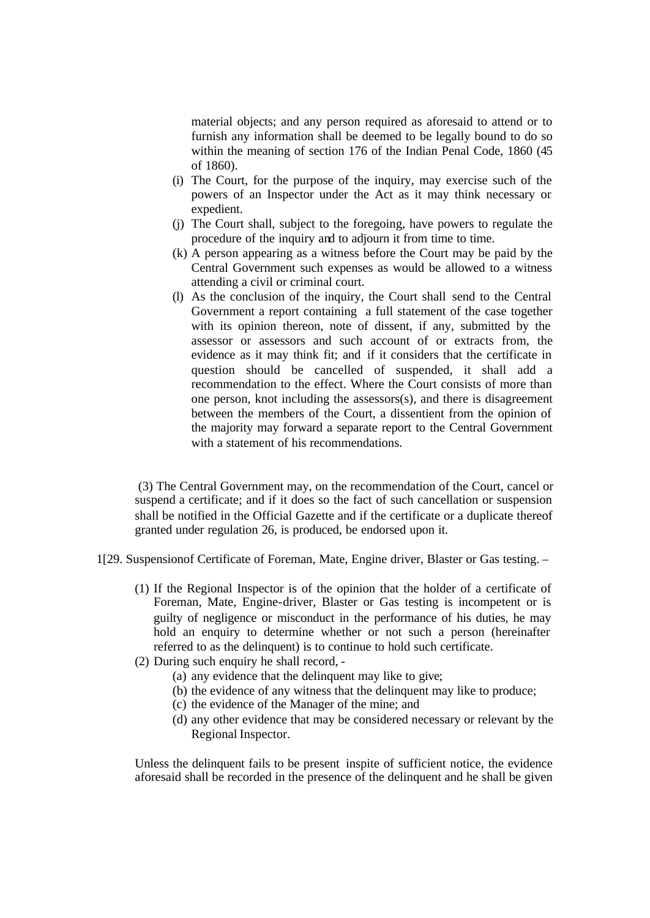material objects; and any person required as aforesaid to attend or to furnish any information shall be deemed to be legally bound to do so within the meaning of section 176 of the Indian Penal Code, 1860 (45 of 1860).

- (i) The Court, for the purpose of the inquiry, may exercise such of the powers of an Inspector under the Act as it may think necessary or expedient.
- (j) The Court shall, subject to the foregoing, have powers to regulate the procedure of the inquiry and to adjourn it from time to time.
- (k) A person appearing as a witness before the Court may be paid by the Central Government such expenses as would be allowed to a witness attending a civil or criminal court.
- (l) As the conclusion of the inquiry, the Court shall send to the Central Government a report containing a full statement of the case together with its opinion thereon, note of dissent, if any, submitted by the assessor or assessors and such account of or extracts from, the evidence as it may think fit; and if it considers that the certificate in question should be cancelled of suspended, it shall add a recommendation to the effect. Where the Court consists of more than one person, knot including the assessors(s), and there is disagreement between the members of the Court, a dissentient from the opinion of the majority may forward a separate report to the Central Government with a statement of his recommendations.

 (3) The Central Government may, on the recommendation of the Court, cancel or suspend a certificate; and if it does so the fact of such cancellation or suspension shall be notified in the Official Gazette and if the certificate or a duplicate thereof granted under regulation 26, is produced, be endorsed upon it.

- 1[29. Suspensionof Certificate of Foreman, Mate, Engine driver, Blaster or Gas testing.
	- (1) If the Regional Inspector is of the opinion that the holder of a certificate of Foreman, Mate, Engine-driver, Blaster or Gas testing is incompetent or is guilty of negligence or misconduct in the performance of his duties, he may hold an enquiry to determine whether or not such a person (hereinafter referred to as the delinquent) is to continue to hold such certificate.
	- (2) During such enquiry he shall record,
		- (a) any evidence that the delinquent may like to give;
		- (b) the evidence of any witness that the delinquent may like to produce;
		- (c) the evidence of the Manager of the mine; and
		- (d) any other evidence that may be considered necessary or relevant by the Regional Inspector.

Unless the delinquent fails to be present inspite of sufficient notice, the evidence aforesaid shall be recorded in the presence of the delinquent and he shall be given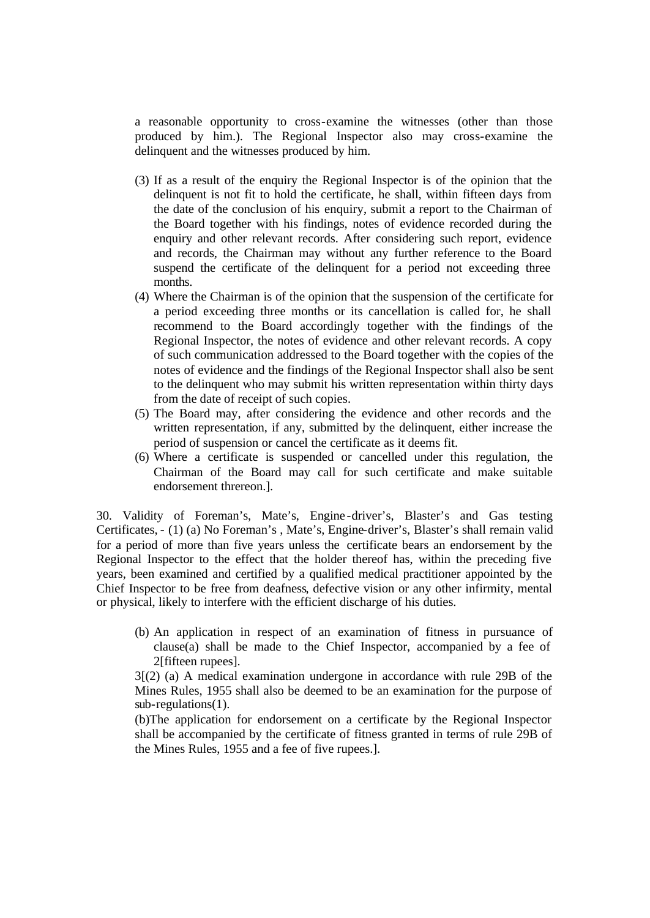a reasonable opportunity to cross-examine the witnesses (other than those produced by him.). The Regional Inspector also may cross-examine the delinquent and the witnesses produced by him.

- (3) If as a result of the enquiry the Regional Inspector is of the opinion that the delinquent is not fit to hold the certificate, he shall, within fifteen days from the date of the conclusion of his enquiry, submit a report to the Chairman of the Board together with his findings, notes of evidence recorded during the enquiry and other relevant records. After considering such report, evidence and records, the Chairman may without any further reference to the Board suspend the certificate of the delinquent for a period not exceeding three months.
- (4) Where the Chairman is of the opinion that the suspension of the certificate for a period exceeding three months or its cancellation is called for, he shall recommend to the Board accordingly together with the findings of the Regional Inspector, the notes of evidence and other relevant records. A copy of such communication addressed to the Board together with the copies of the notes of evidence and the findings of the Regional Inspector shall also be sent to the delinquent who may submit his written representation within thirty days from the date of receipt of such copies.
- (5) The Board may, after considering the evidence and other records and the written representation, if any, submitted by the delinquent, either increase the period of suspension or cancel the certificate as it deems fit.
- (6) Where a certificate is suspended or cancelled under this regulation, the Chairman of the Board may call for such certificate and make suitable endorsement threreon.].

30. Validity of Foreman's, Mate's, Engine -driver's, Blaster's and Gas testing Certificates, - (1) (a) No Foreman's , Mate's, Engine-driver's, Blaster's shall remain valid for a period of more than five years unless the certificate bears an endorsement by the Regional Inspector to the effect that the holder thereof has, within the preceding five years, been examined and certified by a qualified medical practitioner appointed by the Chief Inspector to be free from deafness, defective vision or any other infirmity, mental or physical, likely to interfere with the efficient discharge of his duties.

(b) An application in respect of an examination of fitness in pursuance of clause(a) shall be made to the Chief Inspector, accompanied by a fee of 2[fifteen rupees].

3[(2) (a) A medical examination undergone in accordance with rule 29B of the Mines Rules, 1955 shall also be deemed to be an examination for the purpose of sub-regulations(1).

(b)The application for endorsement on a certificate by the Regional Inspector shall be accompanied by the certificate of fitness granted in terms of rule 29B of the Mines Rules, 1955 and a fee of five rupees.].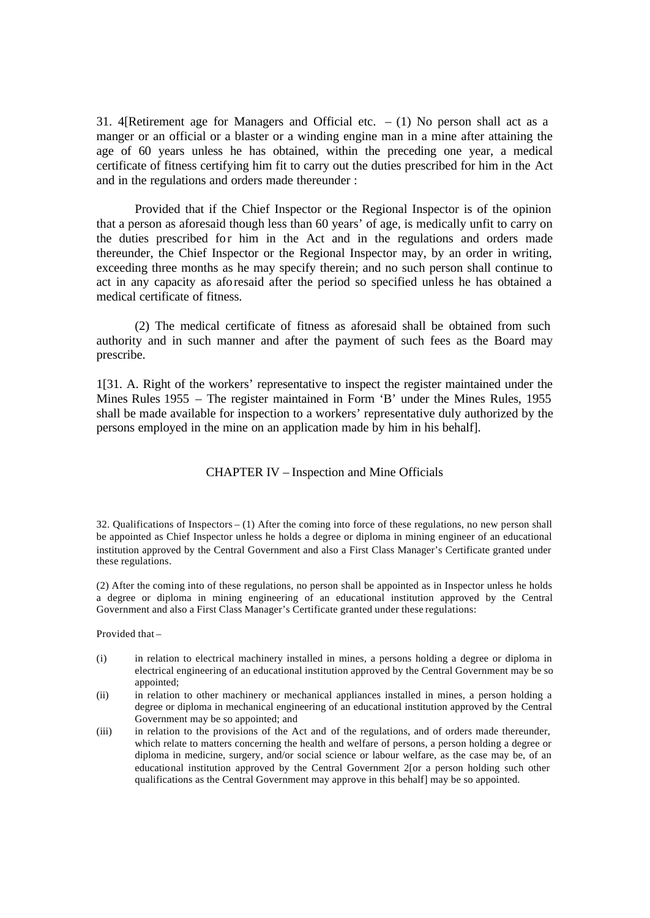31. 4[Retirement age for Managers and Official etc.  $- (1)$  No person shall act as a manger or an official or a blaster or a winding engine man in a mine after attaining the age of 60 years unless he has obtained, within the preceding one year, a medical certificate of fitness certifying him fit to carry out the duties prescribed for him in the Act and in the regulations and orders made thereunder :

Provided that if the Chief Inspector or the Regional Inspector is of the opinion that a person as aforesaid though less than 60 years' of age, is medically unfit to carry on the duties prescribed for him in the Act and in the regulations and orders made thereunder, the Chief Inspector or the Regional Inspector may, by an order in writing, exceeding three months as he may specify therein; and no such person shall continue to act in any capacity as aforesaid after the period so specified unless he has obtained a medical certificate of fitness.

(2) The medical certificate of fitness as aforesaid shall be obtained from such authority and in such manner and after the payment of such fees as the Board may prescribe.

1[31. A. Right of the workers' representative to inspect the register maintained under the Mines Rules 1955 – The register maintained in Form 'B' under the Mines Rules, 1955 shall be made available for inspection to a workers' representative duly authorized by the persons employed in the mine on an application made by him in his behalf].

# CHAPTER IV – Inspection and Mine Officials

32. Qualifications of Inspectors – (1) After the coming into force of these regulations, no new person shall be appointed as Chief Inspector unless he holds a degree or diploma in mining engineer of an educational institution approved by the Central Government and also a First Class Manager's Certificate granted under these regulations.

(2) After the coming into of these regulations, no person shall be appointed as in Inspector unless he holds a degree or diploma in mining engineering of an educational institution approved by the Central Government and also a First Class Manager's Certificate granted under these regulations:

Provided that –

- (i) in relation to electrical machinery installed in mines, a persons holding a degree or diploma in electrical engineering of an educational institution approved by the Central Government may be so appointed;
- (ii) in relation to other machinery or mechanical appliances installed in mines, a person holding a degree or diploma in mechanical engineering of an educational institution approved by the Central Government may be so appointed; and
- (iii) in relation to the provisions of the Act and of the regulations, and of orders made thereunder, which relate to matters concerning the health and welfare of persons, a person holding a degree or diploma in medicine, surgery, and/or social science or labour welfare, as the case may be, of an educational institution approved by the Central Government 2[or a person holding such other qualifications as the Central Government may approve in this behalf] may be so appointed.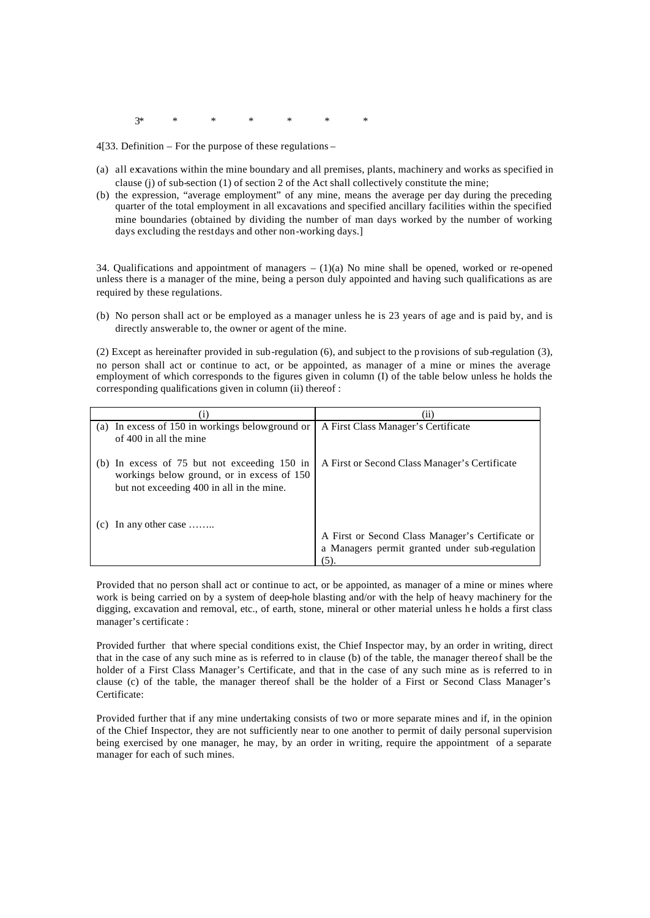3\* \* \* \* \* \* \*

4[33. Definition – For the purpose of these regulations –

- (a) all excavations within the mine boundary and all premises, plants, machinery and works as specified in clause (j) of sub-section (1) of section 2 of the Act shall collectively constitute the mine;
- (b) the expression, "average employment" of any mine, means the average per day during the preceding quarter of the total employment in all excavations and specified ancillary facilities within the specified mine boundaries (obtained by dividing the number of man days worked by the number of working days excluding the restdays and other non-working days.]

34. Qualifications and appointment of managers – (1)(a) No mine shall be opened, worked or re-opened unless there is a manager of the mine, being a person duly appointed and having such qualifications as are required by these regulations.

(b) No person shall act or be employed as a manager unless he is 23 years of age and is paid by, and is directly answerable to, the owner or agent of the mine.

(2) Except as hereinafter provided in sub-regulation (6), and subject to the p rovisions of sub-regulation (3), no person shall act or continue to act, or be appointed, as manager of a mine or mines the average employment of which corresponds to the figures given in column (I) of the table below unless he holds the corresponding qualifications given in column (ii) thereof :

|                                                                                                                                           | (11)                                                                                                      |
|-------------------------------------------------------------------------------------------------------------------------------------------|-----------------------------------------------------------------------------------------------------------|
| (a) In excess of 150 in workings below ground or<br>of 400 in all the mine                                                                | A First Class Manager's Certificate                                                                       |
| (b) In excess of $75$ but not exceeding 150 in<br>workings below ground, or in excess of 150<br>but not exceeding 400 in all in the mine. | A First or Second Class Manager's Certificate                                                             |
| In any other case                                                                                                                         | A First or Second Class Manager's Certificate or<br>a Managers permit granted under sub-regulation<br>(5) |

Provided that no person shall act or continue to act, or be appointed, as manager of a mine or mines where work is being carried on by a system of deep-hole blasting and/or with the help of heavy machinery for the digging, excavation and removal, etc., of earth, stone, mineral or other material unless he holds a first class manager's certificate :

Provided further that where special conditions exist, the Chief Inspector may, by an order in writing, direct that in the case of any such mine as is referred to in clause (b) of the table, the manager thereof shall be the holder of a First Class Manager's Certificate, and that in the case of any such mine as is referred to in clause (c) of the table, the manager thereof shall be the holder of a First or Second Class Manager's Certificate:

Provided further that if any mine undertaking consists of two or more separate mines and if, in the opinion of the Chief Inspector, they are not sufficiently near to one another to permit of daily personal supervision being exercised by one manager, he may, by an order in writing, require the appointment of a separate manager for each of such mines.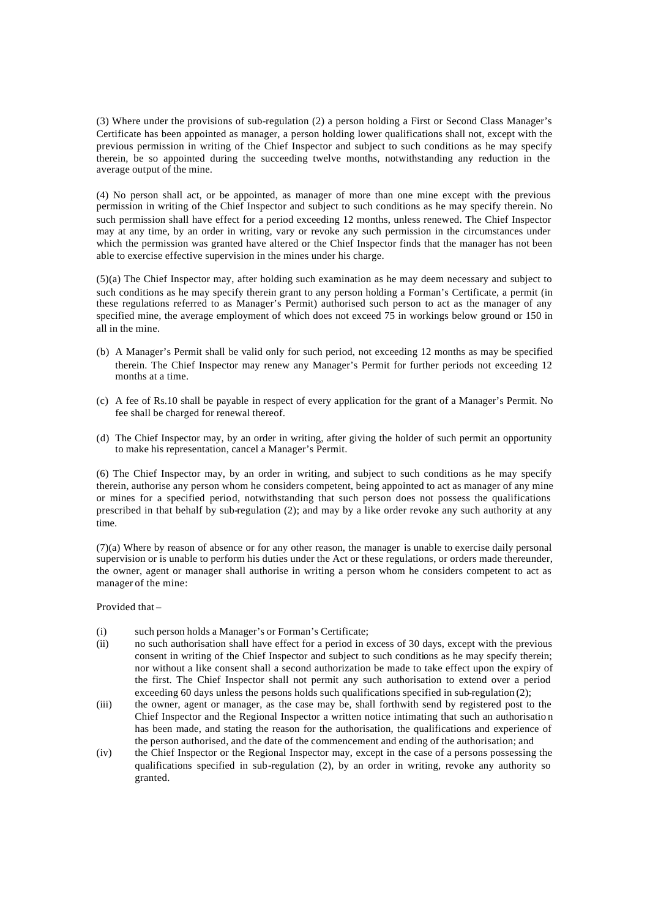(3) Where under the provisions of sub-regulation (2) a person holding a First or Second Class Manager's Certificate has been appointed as manager, a person holding lower qualifications shall not, except with the previous permission in writing of the Chief Inspector and subject to such conditions as he may specify therein, be so appointed during the succeeding twelve months, notwithstanding any reduction in the average output of the mine.

(4) No person shall act, or be appointed, as manager of more than one mine except with the previous permission in writing of the Chief Inspector and subject to such conditions as he may specify therein. No such permission shall have effect for a period exceeding 12 months, unless renewed. The Chief Inspector may at any time, by an order in writing, vary or revoke any such permission in the circumstances under which the permission was granted have altered or the Chief Inspector finds that the manager has not been able to exercise effective supervision in the mines under his charge.

(5)(a) The Chief Inspector may, after holding such examination as he may deem necessary and subject to such conditions as he may specify therein grant to any person holding a Forman's Certificate, a permit (in these regulations referred to as Manager's Permit) authorised such person to act as the manager of any specified mine, the average employment of which does not exceed 75 in workings below ground or 150 in all in the mine.

- (b) A Manager's Permit shall be valid only for such period, not exceeding 12 months as may be specified therein. The Chief Inspector may renew any Manager's Permit for further periods not exceeding 12 months at a time.
- (c) A fee of Rs.10 shall be payable in respect of every application for the grant of a Manager's Permit. No fee shall be charged for renewal thereof.
- (d) The Chief Inspector may, by an order in writing, after giving the holder of such permit an opportunity to make his representation, cancel a Manager's Permit.

(6) The Chief Inspector may, by an order in writing, and subject to such conditions as he may specify therein, authorise any person whom he considers competent, being appointed to act as manager of any mine or mines for a specified period, notwithstanding that such person does not possess the qualifications prescribed in that behalf by sub-regulation (2); and may by a like order revoke any such authority at any time.

(7)(a) Where by reason of absence or for any other reason, the manager is unable to exercise daily personal supervision or is unable to perform his duties under the Act or these regulations, or orders made thereunder, the owner, agent or manager shall authorise in writing a person whom he considers competent to act as manager of the mine:

Provided that –

- (i) such person holds a Manager's or Forman's Certificate;
- (ii) no such authorisation shall have effect for a period in excess of 30 days, except with the previous consent in writing of the Chief Inspector and subject to such conditions as he may specify therein; nor without a like consent shall a second authorization be made to take effect upon the expiry of the first. The Chief Inspector shall not permit any such authorisation to extend over a period exceeding 60 days unless the persons holds such qualifications specified in sub-regulation (2);
- (iii) the owner, agent or manager, as the case may be, shall forthwith send by registered post to the Chief Inspector and the Regional Inspector a written notice intimating that such an authorisatio n has been made, and stating the reason for the authorisation, the qualifications and experience of the person authorised, and the date of the commencement and ending of the authorisation; and
- (iv) the Chief Inspector or the Regional Inspector may, except in the case of a persons possessing the qualifications specified in sub-regulation (2), by an order in writing, revoke any authority so granted.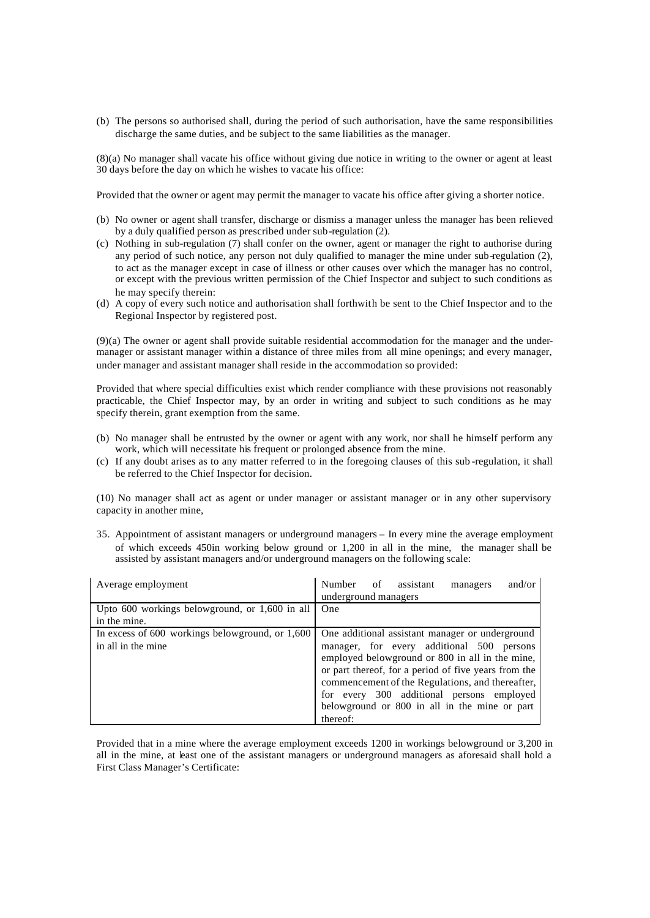(b) The persons so authorised shall, during the period of such authorisation, have the same responsibilities discharge the same duties, and be subject to the same liabilities as the manager.

(8)(a) No manager shall vacate his office without giving due notice in writing to the owner or agent at least 30 days before the day on which he wishes to vacate his office:

Provided that the owner or agent may permit the manager to vacate his office after giving a shorter notice.

- (b) No owner or agent shall transfer, discharge or dismiss a manager unless the manager has been relieved by a duly qualified person as prescribed under sub-regulation (2).
- (c) Nothing in sub-regulation (7) shall confer on the owner, agent or manager the right to authorise during any period of such notice, any person not duly qualified to manager the mine under sub-regulation (2), to act as the manager except in case of illness or other causes over which the manager has no control, or except with the previous written permission of the Chief Inspector and subject to such conditions as he may specify therein:
- (d) A copy of every such notice and authorisation shall forthwith be sent to the Chief Inspector and to the Regional Inspector by registered post.

(9)(a) The owner or agent shall provide suitable residential accommodation for the manager and the undermanager or assistant manager within a distance of three miles from all mine openings; and every manager, under manager and assistant manager shall reside in the accommodation so provided:

Provided that where special difficulties exist which render compliance with these provisions not reasonably practicable, the Chief Inspector may, by an order in writing and subject to such conditions as he may specify therein, grant exemption from the same.

- (b) No manager shall be entrusted by the owner or agent with any work, nor shall he himself perform any work, which will necessitate his frequent or prolonged absence from the mine.
- (c) If any doubt arises as to any matter referred to in the foregoing clauses of this sub -regulation, it shall be referred to the Chief Inspector for decision.

(10) No manager shall act as agent or under manager or assistant manager or in any other supervisory capacity in another mine,

35. Appointment of assistant managers or underground managers – In every mine the average employment of which exceeds 450in working below ground or 1,200 in all in the mine, the manager shall be assisted by assistant managers and/or underground managers on the following scale:

| Average employment                              | and/or<br><b>Number</b><br>of assistant<br>managers<br>underground managers                                                                                                                                                                                                                                        |
|-------------------------------------------------|--------------------------------------------------------------------------------------------------------------------------------------------------------------------------------------------------------------------------------------------------------------------------------------------------------------------|
| Upto 600 workings belowground, or 1,600 in all  | One                                                                                                                                                                                                                                                                                                                |
| in the mine.                                    |                                                                                                                                                                                                                                                                                                                    |
| In excess of 600 workings belowground, or 1,600 | One additional assistant manager or underground                                                                                                                                                                                                                                                                    |
| in all in the mine                              | manager, for every additional 500 persons<br>employed belowground or 800 in all in the mine,<br>or part thereof, for a period of five years from the<br>commencement of the Regulations, and thereafter,<br>for every 300 additional persons employed<br>belowground or 800 in all in the mine or part<br>thereof: |

Provided that in a mine where the average employment exceeds 1200 in workings belowground or 3,200 in all in the mine, at least one of the assistant managers or underground managers as aforesaid shall hold a First Class Manager's Certificate: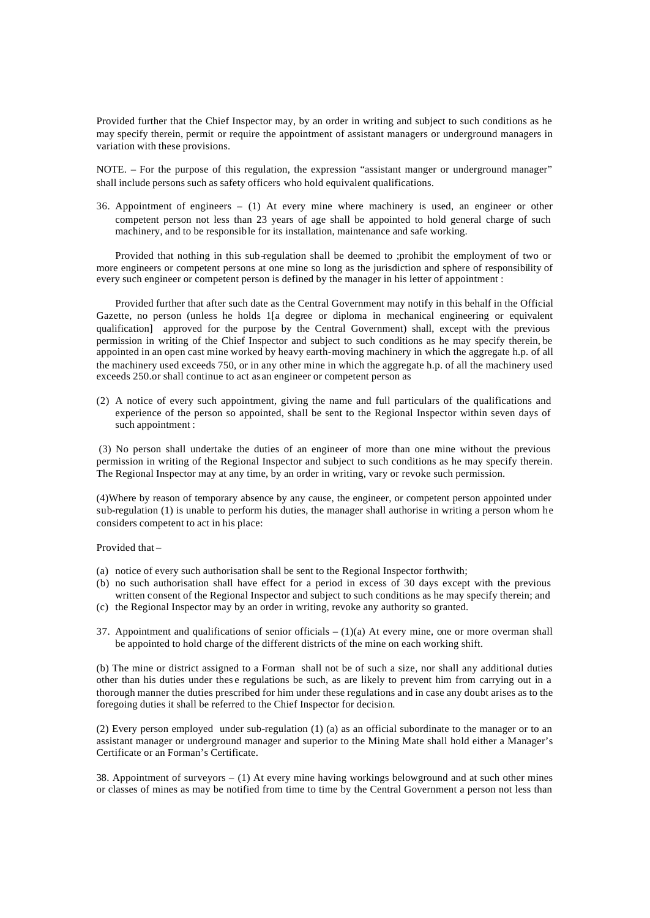Provided further that the Chief Inspector may, by an order in writing and subject to such conditions as he may specify therein, permit or require the appointment of assistant managers or underground managers in variation with these provisions.

NOTE. – For the purpose of this regulation, the expression "assistant manger or underground manager" shall include persons such as safety officers who hold equivalent qualifications.

36. Appointment of engineers – (1) At every mine where machinery is used, an engineer or other competent person not less than 23 years of age shall be appointed to hold general charge of such machinery, and to be responsible for its installation, maintenance and safe working.

Provided that nothing in this sub-regulation shall be deemed to ;prohibit the employment of two or more engineers or competent persons at one mine so long as the jurisdiction and sphere of responsibility of every such engineer or competent person is defined by the manager in his letter of appointment :

Provided further that after such date as the Central Government may notify in this behalf in the Official Gazette, no person (unless he holds 1[a degree or diploma in mechanical engineering or equivalent qualification] approved for the purpose by the Central Government) shall, except with the previous permission in writing of the Chief Inspector and subject to such conditions as he may specify therein, be appointed in an open cast mine worked by heavy earth-moving machinery in which the aggregate h.p. of all the machinery used exceeds 750, or in any other mine in which the aggregate h.p. of all the machinery used exceeds 250.or shall continue to act as an engineer or competent person as

(2) A notice of every such appointment, giving the name and full particulars of the qualifications and experience of the person so appointed, shall be sent to the Regional Inspector within seven days of such appointment :

(3) No person shall undertake the duties of an engineer of more than one mine without the previous permission in writing of the Regional Inspector and subject to such conditions as he may specify therein. The Regional Inspector may at any time, by an order in writing, vary or revoke such permission.

(4)Where by reason of temporary absence by any cause, the engineer, or competent person appointed under sub-regulation (1) is unable to perform his duties, the manager shall authorise in writing a person whom he considers competent to act in his place:

Provided that –

- (a) notice of every such authorisation shall be sent to the Regional Inspector forthwith;
- (b) no such authorisation shall have effect for a period in excess of 30 days except with the previous written consent of the Regional Inspector and subject to such conditions as he may specify therein; and (c) the Regional Inspector may by an order in writing, revoke any authority so granted.
- 37. Appointment and qualifications of senior officials  $(1)(a)$  At every mine, one or more overman shall be appointed to hold charge of the different districts of the mine on each working shift.

(b) The mine or district assigned to a Forman shall not be of such a size, nor shall any additional duties other than his duties under thes e regulations be such, as are likely to prevent him from carrying out in a thorough manner the duties prescribed for him under these regulations and in case any doubt arises as to the foregoing duties it shall be referred to the Chief Inspector for decision.

(2) Every person employed under sub-regulation (1) (a) as an official subordinate to the manager or to an assistant manager or underground manager and superior to the Mining Mate shall hold either a Manager's Certificate or an Forman's Certificate.

38. Appointment of surveyors – (1) At every mine having workings belowground and at such other mines or classes of mines as may be notified from time to time by the Central Government a person not less than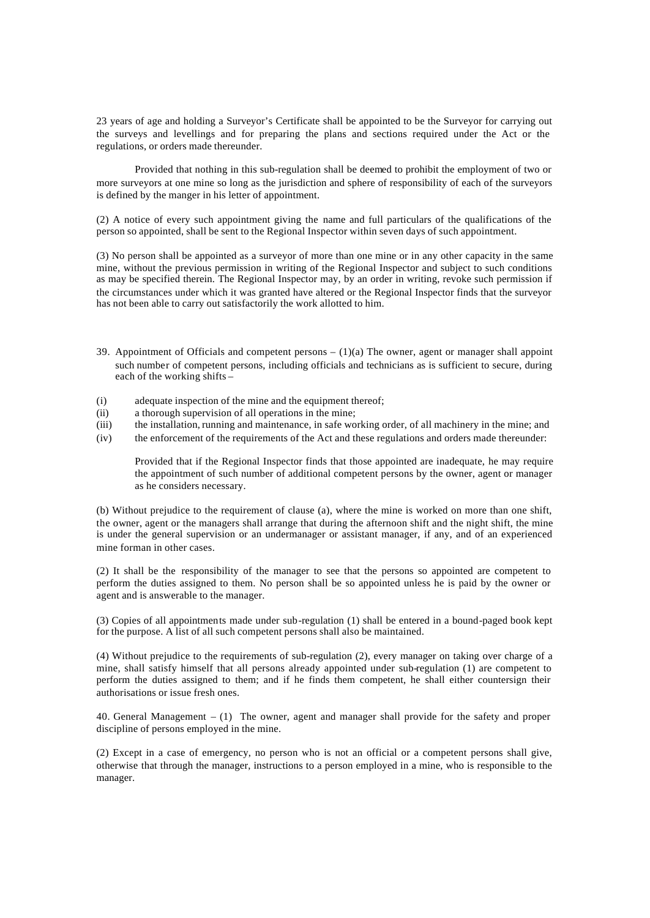23 years of age and holding a Surveyor's Certificate shall be appointed to be the Surveyor for carrying out the surveys and levellings and for preparing the plans and sections required under the Act or the regulations, or orders made thereunder.

Provided that nothing in this sub-regulation shall be deemed to prohibit the employment of two or more surveyors at one mine so long as the jurisdiction and sphere of responsibility of each of the surveyors is defined by the manger in his letter of appointment.

(2) A notice of every such appointment giving the name and full particulars of the qualifications of the person so appointed, shall be sent to the Regional Inspector within seven days of such appointment.

(3) No person shall be appointed as a surveyor of more than one mine or in any other capacity in the same mine, without the previous permission in writing of the Regional Inspector and subject to such conditions as may be specified therein. The Regional Inspector may, by an order in writing, revoke such permission if the circumstances under which it was granted have altered or the Regional Inspector finds that the surveyor has not been able to carry out satisfactorily the work allotted to him.

- 39. Appointment of Officials and competent persons  $(1)(a)$  The owner, agent or manager shall appoint such number of competent persons, including officials and technicians as is sufficient to secure, during each of the working shifts –
- (i) adequate inspection of the mine and the equipment thereof;
- (ii) a thorough supervision of all operations in the mine;
- (iii) the installation, running and maintenance, in safe working order, of all machinery in the mine; and
- (iv) the enforcement of the requirements of the Act and these regulations and orders made thereunder:

Provided that if the Regional Inspector finds that those appointed are inadequate, he may require the appointment of such number of additional competent persons by the owner, agent or manager as he considers necessary.

(b) Without prejudice to the requirement of clause (a), where the mine is worked on more than one shift, the owner, agent or the managers shall arrange that during the afternoon shift and the night shift, the mine is under the general supervision or an undermanager or assistant manager, if any, and of an experienced mine forman in other cases.

(2) It shall be the responsibility of the manager to see that the persons so appointed are competent to perform the duties assigned to them. No person shall be so appointed unless he is paid by the owner or agent and is answerable to the manager.

(3) Copies of all appointments made under sub-regulation (1) shall be entered in a bound-paged book kept for the purpose. A list of all such competent persons shall also be maintained.

(4) Without prejudice to the requirements of sub-regulation (2), every manager on taking over charge of a mine, shall satisfy himself that all persons already appointed under sub-regulation (1) are competent to perform the duties assigned to them; and if he finds them competent, he shall either countersign their authorisations or issue fresh ones.

40. General Management – (1) The owner, agent and manager shall provide for the safety and proper discipline of persons employed in the mine.

(2) Except in a case of emergency, no person who is not an official or a competent persons shall give, otherwise that through the manager, instructions to a person employed in a mine, who is responsible to the manager.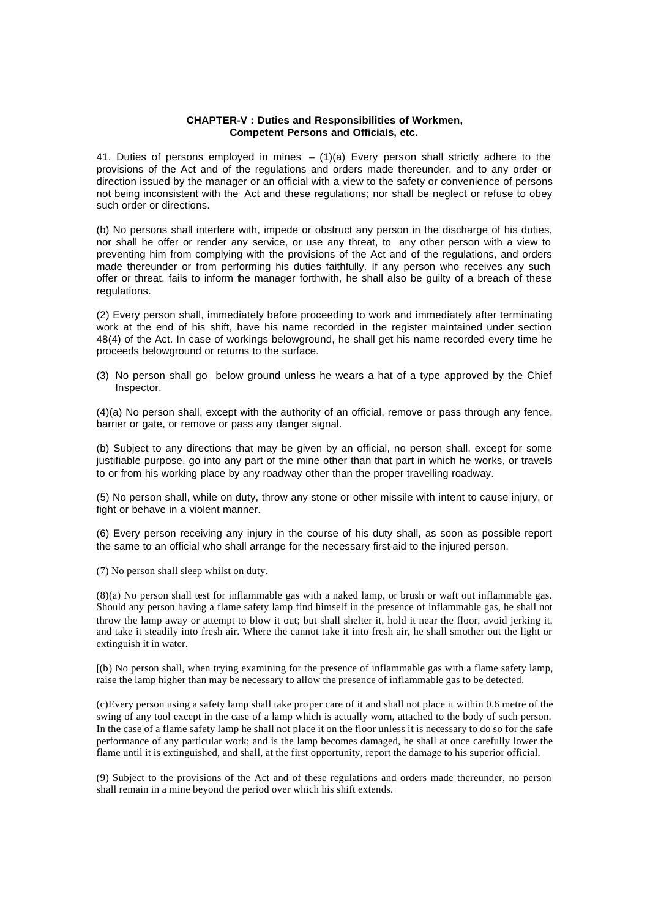#### **CHAPTER-V : Duties and Responsibilities of Workmen, Competent Persons and Officials, etc.**

41. Duties of persons employed in mines  $-$  (1)(a) Every person shall strictly adhere to the provisions of the Act and of the regulations and orders made thereunder, and to any order or direction issued by the manager or an official with a view to the safety or convenience of persons not being inconsistent with the Act and these regulations; nor shall be neglect or refuse to obey such order or directions.

(b) No persons shall interfere with, impede or obstruct any person in the discharge of his duties, nor shall he offer or render any service, or use any threat, to any other person with a view to preventing him from complying with the provisions of the Act and of the regulations, and orders made thereunder or from performing his duties faithfully. If any person who receives any such offer or threat, fails to inform the manager forthwith, he shall also be guilty of a breach of these regulations.

(2) Every person shall, immediately before proceeding to work and immediately after terminating work at the end of his shift, have his name recorded in the register maintained under section 48(4) of the Act. In case of workings belowground, he shall get his name recorded every time he proceeds belowground or returns to the surface.

(3) No person shall go below ground unless he wears a hat of a type approved by the Chief Inspector.

(4)(a) No person shall, except with the authority of an official, remove or pass through any fence, barrier or gate, or remove or pass any danger signal.

(b) Subject to any directions that may be given by an official, no person shall, except for some justifiable purpose, go into any part of the mine other than that part in which he works, or travels to or from his working place by any roadway other than the proper travelling roadway.

(5) No person shall, while on duty, throw any stone or other missile with intent to cause injury, or fight or behave in a violent manner.

(6) Every person receiving any injury in the course of his duty shall, as soon as possible report the same to an official who shall arrange for the necessary first-aid to the injured person.

(7) No person shall sleep whilst on duty.

(8)(a) No person shall test for inflammable gas with a naked lamp, or brush or waft out inflammable gas. Should any person having a flame safety lamp find himself in the presence of inflammable gas, he shall not throw the lamp away or attempt to blow it out; but shall shelter it, hold it near the floor, avoid jerking it, and take it steadily into fresh air. Where the cannot take it into fresh air, he shall smother out the light or extinguish it in water.

[(b) No person shall, when trying examining for the presence of inflammable gas with a flame safety lamp, raise the lamp higher than may be necessary to allow the presence of inflammable gas to be detected.

(c)Every person using a safety lamp shall take proper care of it and shall not place it within 0.6 metre of the swing of any tool except in the case of a lamp which is actually worn, attached to the body of such person. In the case of a flame safety lamp he shall not place it on the floor unless it is necessary to do so for the safe performance of any particular work; and is the lamp becomes damaged, he shall at once carefully lower the flame until it is extinguished, and shall, at the first opportunity, report the damage to his superior official.

(9) Subject to the provisions of the Act and of these regulations and orders made thereunder, no person shall remain in a mine beyond the period over which his shift extends.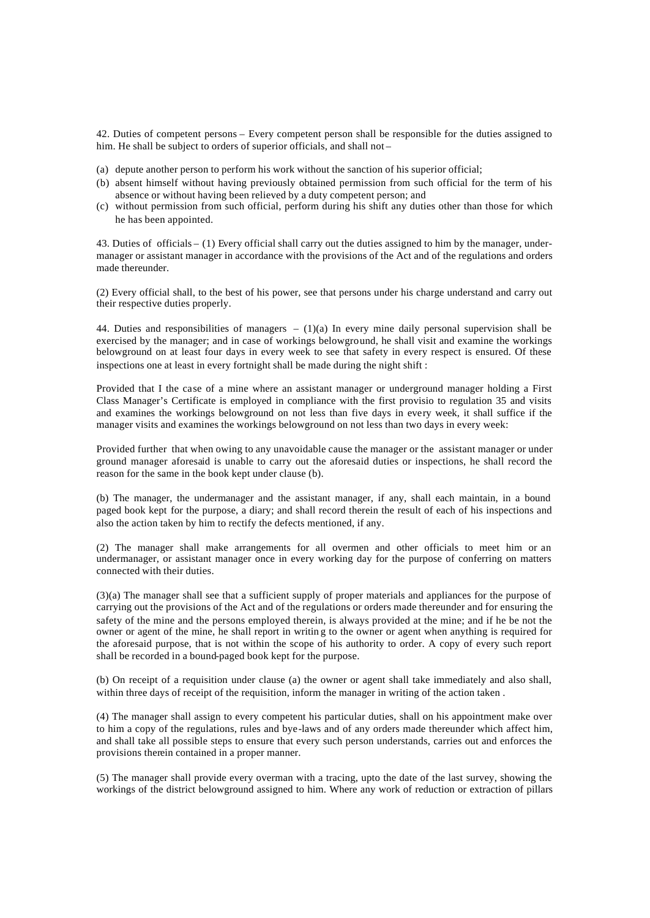42. Duties of competent persons – Every competent person shall be responsible for the duties assigned to him. He shall be subject to orders of superior officials, and shall not –

- (a) depute another person to perform his work without the sanction of his superior official;
- (b) absent himself without having previously obtained permission from such official for the term of his absence or without having been relieved by a duty competent person; and
- (c) without permission from such official, perform during his shift any duties other than those for which he has been appointed.

43. Duties of officials – (1) Every official shall carry out the duties assigned to him by the manager, undermanager or assistant manager in accordance with the provisions of the Act and of the regulations and orders made thereunder.

(2) Every official shall, to the best of his power, see that persons under his charge understand and carry out their respective duties properly.

44. Duties and responsibilities of managers  $- (1)(a)$  In every mine daily personal supervision shall be exercised by the manager; and in case of workings belowground, he shall visit and examine the workings belowground on at least four days in every week to see that safety in every respect is ensured. Of these inspections one at least in every fortnight shall be made during the night shift :

Provided that I the case of a mine where an assistant manager or underground manager holding a First Class Manager's Certificate is employed in compliance with the first provisio to regulation 35 and visits and examines the workings belowground on not less than five days in every week, it shall suffice if the manager visits and examines the workings belowground on not less than two days in every week:

Provided further that when owing to any unavoidable cause the manager or the assistant manager or under ground manager aforesaid is unable to carry out the aforesaid duties or inspections, he shall record the reason for the same in the book kept under clause (b).

(b) The manager, the undermanager and the assistant manager, if any, shall each maintain, in a bound paged book kept for the purpose, a diary; and shall record therein the result of each of his inspections and also the action taken by him to rectify the defects mentioned, if any.

(2) The manager shall make arrangements for all overmen and other officials to meet him or an undermanager, or assistant manager once in every working day for the purpose of conferring on matters connected with their duties.

(3)(a) The manager shall see that a sufficient supply of proper materials and appliances for the purpose of carrying out the provisions of the Act and of the regulations or orders made thereunder and for ensuring the safety of the mine and the persons employed therein, is always provided at the mine; and if he be not the owner or agent of the mine, he shall report in writin g to the owner or agent when anything is required for the aforesaid purpose, that is not within the scope of his authority to order. A copy of every such report shall be recorded in a bound-paged book kept for the purpose.

(b) On receipt of a requisition under clause (a) the owner or agent shall take immediately and also shall, within three days of receipt of the requisition, inform the manager in writing of the action taken.

(4) The manager shall assign to every competent his particular duties, shall on his appointment make over to him a copy of the regulations, rules and bye-laws and of any orders made thereunder which affect him, and shall take all possible steps to ensure that every such person understands, carries out and enforces the provisions therein contained in a proper manner.

(5) The manager shall provide every overman with a tracing, upto the date of the last survey, showing the workings of the district belowground assigned to him. Where any work of reduction or extraction of pillars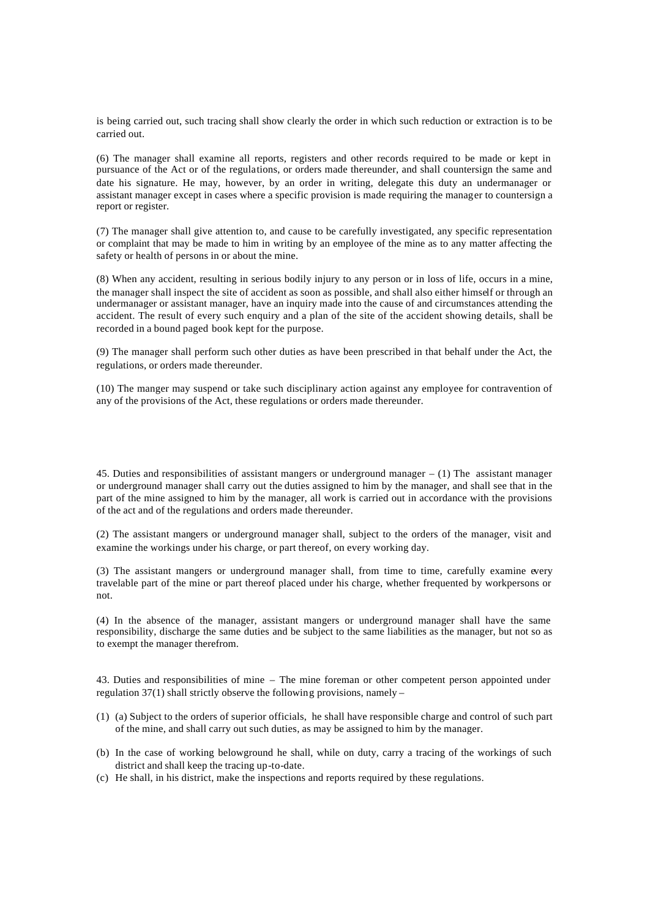is being carried out, such tracing shall show clearly the order in which such reduction or extraction is to be carried out.

(6) The manager shall examine all reports, registers and other records required to be made or kept in pursuance of the Act or of the regulations, or orders made thereunder, and shall countersign the same and date his signature. He may, however, by an order in writing, delegate this duty an undermanager or assistant manager except in cases where a specific provision is made requiring the manager to countersign a report or register.

(7) The manager shall give attention to, and cause to be carefully investigated, any specific representation or complaint that may be made to him in writing by an employee of the mine as to any matter affecting the safety or health of persons in or about the mine.

(8) When any accident, resulting in serious bodily injury to any person or in loss of life, occurs in a mine, the manager shall inspect the site of accident as soon as possible, and shall also either himself or through an undermanager or assistant manager, have an inquiry made into the cause of and circumstances attending the accident. The result of every such enquiry and a plan of the site of the accident showing details, shall be recorded in a bound paged book kept for the purpose.

(9) The manager shall perform such other duties as have been prescribed in that behalf under the Act, the regulations, or orders made thereunder.

(10) The manger may suspend or take such disciplinary action against any employee for contravention of any of the provisions of the Act, these regulations or orders made thereunder.

45. Duties and responsibilities of assistant mangers or underground manager – (1) The assistant manager or underground manager shall carry out the duties assigned to him by the manager, and shall see that in the part of the mine assigned to him by the manager, all work is carried out in accordance with the provisions of the act and of the regulations and orders made thereunder.

(2) The assistant mangers or underground manager shall, subject to the orders of the manager, visit and examine the workings under his charge, or part thereof, on every working day.

(3) The assistant mangers or underground manager shall, from time to time, carefully examine every travelable part of the mine or part thereof placed under his charge, whether frequented by workpersons or not.

(4) In the absence of the manager, assistant mangers or underground manager shall have the same responsibility, discharge the same duties and be subject to the same liabilities as the manager, but not so as to exempt the manager therefrom.

43. Duties and responsibilities of mine – The mine foreman or other competent person appointed under regulation 37(1) shall strictly observe the following provisions, namely –

- (1) (a) Subject to the orders of superior officials, he shall have responsible charge and control of such part of the mine, and shall carry out such duties, as may be assigned to him by the manager.
- (b) In the case of working belowground he shall, while on duty, carry a tracing of the workings of such district and shall keep the tracing up-to-date.
- (c) He shall, in his district, make the inspections and reports required by these regulations.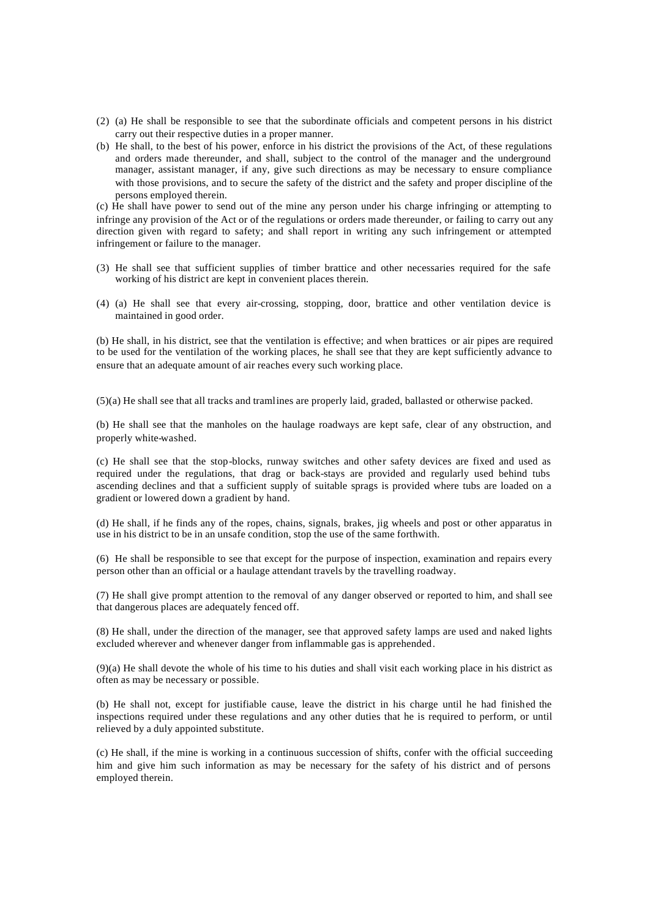- (2) (a) He shall be responsible to see that the subordinate officials and competent persons in his district carry out their respective duties in a proper manner.
- (b) He shall, to the best of his power, enforce in his district the provisions of the Act, of these regulations and orders made thereunder, and shall, subject to the control of the manager and the underground manager, assistant manager, if any, give such directions as may be necessary to ensure compliance with those provisions, and to secure the safety of the district and the safety and proper discipline of the persons employed therein.

(c) He shall have power to send out of the mine any person under his charge infringing or attempting to infringe any provision of the Act or of the regulations or orders made thereunder, or failing to carry out any direction given with regard to safety; and shall report in writing any such infringement or attempted infringement or failure to the manager.

- (3) He shall see that sufficient supplies of timber brattice and other necessaries required for the safe working of his district are kept in convenient places therein.
- (4) (a) He shall see that every air-crossing, stopping, door, brattice and other ventilation device is maintained in good order.

(b) He shall, in his district, see that the ventilation is effective; and when brattices or air pipes are required to be used for the ventilation of the working places, he shall see that they are kept sufficiently advance to ensure that an adequate amount of air reaches every such working place.

(5)(a) He shall see that all tracks and tramlines are properly laid, graded, ballasted or otherwise packed.

(b) He shall see that the manholes on the haulage roadways are kept safe, clear of any obstruction, and properly white-washed.

(c) He shall see that the stop-blocks, runway switches and other safety devices are fixed and used as required under the regulations, that drag or back-stays are provided and regularly used behind tubs ascending declines and that a sufficient supply of suitable sprags is provided where tubs are loaded on a gradient or lowered down a gradient by hand.

(d) He shall, if he finds any of the ropes, chains, signals, brakes, jig wheels and post or other apparatus in use in his district to be in an unsafe condition, stop the use of the same forthwith.

(6) He shall be responsible to see that except for the purpose of inspection, examination and repairs every person other than an official or a haulage attendant travels by the travelling roadway.

(7) He shall give prompt attention to the removal of any danger observed or reported to him, and shall see that dangerous places are adequately fenced off.

(8) He shall, under the direction of the manager, see that approved safety lamps are used and naked lights excluded wherever and whenever danger from inflammable gas is apprehended.

(9)(a) He shall devote the whole of his time to his duties and shall visit each working place in his district as often as may be necessary or possible.

(b) He shall not, except for justifiable cause, leave the district in his charge until he had finished the inspections required under these regulations and any other duties that he is required to perform, or until relieved by a duly appointed substitute.

(c) He shall, if the mine is working in a continuous succession of shifts, confer with the official succeeding him and give him such information as may be necessary for the safety of his district and of persons employed therein.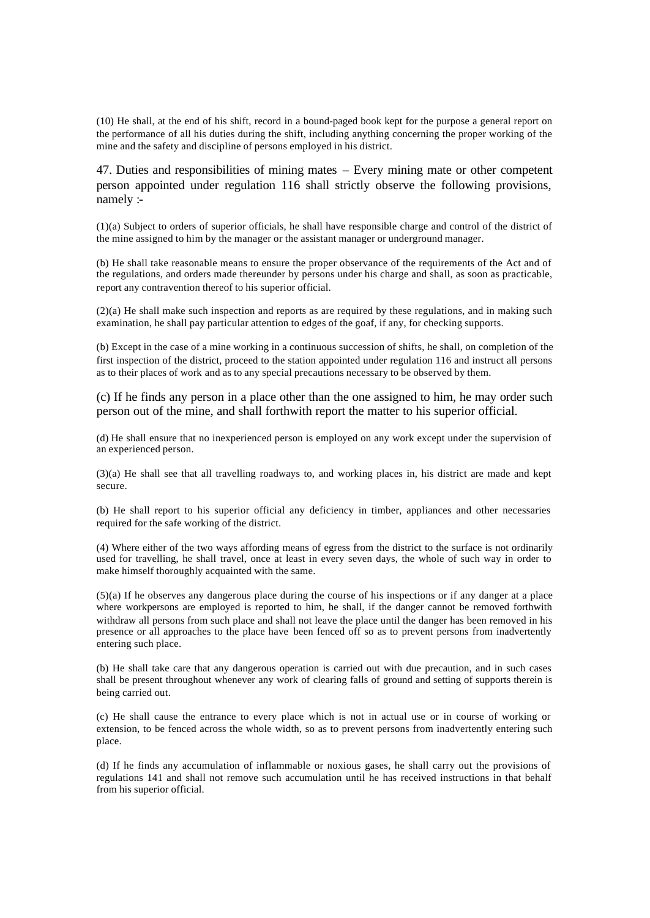(10) He shall, at the end of his shift, record in a bound-paged book kept for the purpose a general report on the performance of all his duties during the shift, including anything concerning the proper working of the mine and the safety and discipline of persons employed in his district.

47. Duties and responsibilities of mining mates – Every mining mate or other competent person appointed under regulation 116 shall strictly observe the following provisions, namely :-

(1)(a) Subject to orders of superior officials, he shall have responsible charge and control of the district of the mine assigned to him by the manager or the assistant manager or underground manager.

(b) He shall take reasonable means to ensure the proper observance of the requirements of the Act and of the regulations, and orders made thereunder by persons under his charge and shall, as soon as practicable, report any contravention thereof to his superior official.

(2)(a) He shall make such inspection and reports as are required by these regulations, and in making such examination, he shall pay particular attention to edges of the goaf, if any, for checking supports.

(b) Except in the case of a mine working in a continuous succession of shifts, he shall, on completion of the first inspection of the district, proceed to the station appointed under regulation 116 and instruct all persons as to their places of work and as to any special precautions necessary to be observed by them.

(c) If he finds any person in a place other than the one assigned to him, he may order such person out of the mine, and shall forthwith report the matter to his superior official.

(d) He shall ensure that no inexperienced person is employed on any work except under the supervision of an experienced person.

(3)(a) He shall see that all travelling roadways to, and working places in, his district are made and kept secure.

(b) He shall report to his superior official any deficiency in timber, appliances and other necessaries required for the safe working of the district.

(4) Where either of the two ways affording means of egress from the district to the surface is not ordinarily used for travelling, he shall travel, once at least in every seven days, the whole of such way in order to make himself thoroughly acquainted with the same.

(5)(a) If he observes any dangerous place during the course of his inspections or if any danger at a place where workpersons are employed is reported to him, he shall, if the danger cannot be removed forthwith withdraw all persons from such place and shall not leave the place until the danger has been removed in his presence or all approaches to the place have been fenced off so as to prevent persons from inadvertently entering such place.

(b) He shall take care that any dangerous operation is carried out with due precaution, and in such cases shall be present throughout whenever any work of clearing falls of ground and setting of supports therein is being carried out.

(c) He shall cause the entrance to every place which is not in actual use or in course of working or extension, to be fenced across the whole width, so as to prevent persons from inadvertently entering such place.

(d) If he finds any accumulation of inflammable or noxious gases, he shall carry out the provisions of regulations 141 and shall not remove such accumulation until he has received instructions in that behalf from his superior official.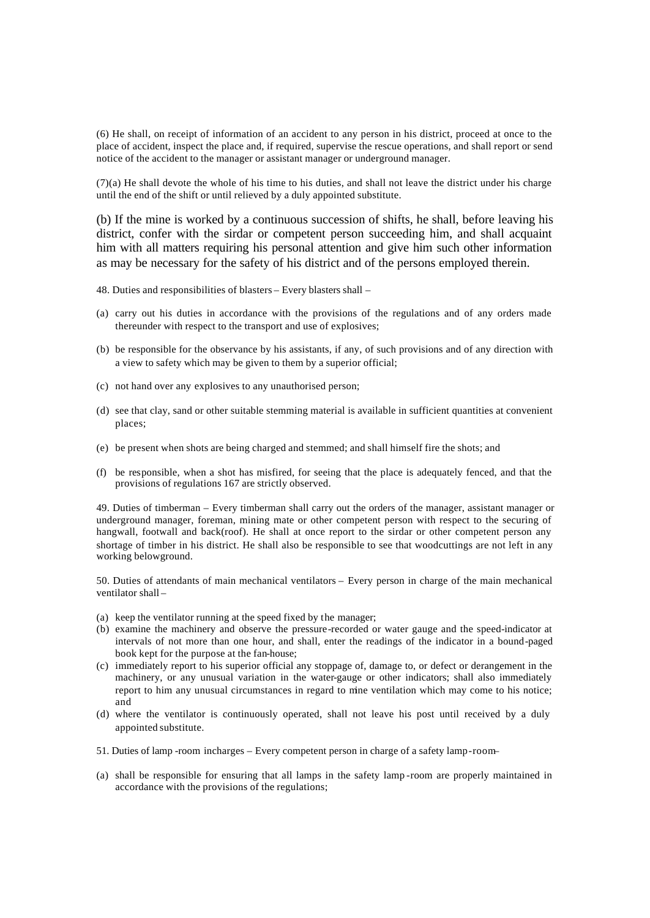(6) He shall, on receipt of information of an accident to any person in his district, proceed at once to the place of accident, inspect the place and, if required, supervise the rescue operations, and shall report or send notice of the accident to the manager or assistant manager or underground manager.

(7)(a) He shall devote the whole of his time to his duties, and shall not leave the district under his charge until the end of the shift or until relieved by a duly appointed substitute.

(b) If the mine is worked by a continuous succession of shifts, he shall, before leaving his district, confer with the sirdar or competent person succeeding him, and shall acquaint him with all matters requiring his personal attention and give him such other information as may be necessary for the safety of his district and of the persons employed therein.

- 48. Duties and responsibilities of blasters Every blasters shall –
- (a) carry out his duties in accordance with the provisions of the regulations and of any orders made thereunder with respect to the transport and use of explosives;
- (b) be responsible for the observance by his assistants, if any, of such provisions and of any direction with a view to safety which may be given to them by a superior official;
- (c) not hand over any explosives to any unauthorised person;
- (d) see that clay, sand or other suitable stemming material is available in sufficient quantities at convenient places;
- (e) be present when shots are being charged and stemmed; and shall himself fire the shots; and
- (f) be responsible, when a shot has misfired, for seeing that the place is adequately fenced, and that the provisions of regulations 167 are strictly observed.

49. Duties of timberman – Every timberman shall carry out the orders of the manager, assistant manager or underground manager, foreman, mining mate or other competent person with respect to the securing of hangwall, footwall and back(roof). He shall at once report to the sirdar or other competent person any shortage of timber in his district. He shall also be responsible to see that woodcuttings are not left in any working belowground.

50. Duties of attendants of main mechanical ventilators – Every person in charge of the main mechanical ventilator shall –

- (a) keep the ventilator running at the speed fixed by the manager;
- (b) examine the machinery and observe the pressure-recorded or water gauge and the speed-indicator at intervals of not more than one hour, and shall, enter the readings of the indicator in a bound-paged book kept for the purpose at the fan-house;
- (c) immediately report to his superior official any stoppage of, damage to, or defect or derangement in the machinery, or any unusual variation in the water-gauge or other indicators; shall also immediately report to him any unusual circumstances in regard to mine ventilation which may come to his notice; and
- (d) where the ventilator is continuously operated, shall not leave his post until received by a duly appointed substitute.
- 51. Duties of lamp -room incharges Every competent person in charge of a safety lamp-room–
- (a) shall be responsible for ensuring that all lamps in the safety lamp -room are properly maintained in accordance with the provisions of the regulations;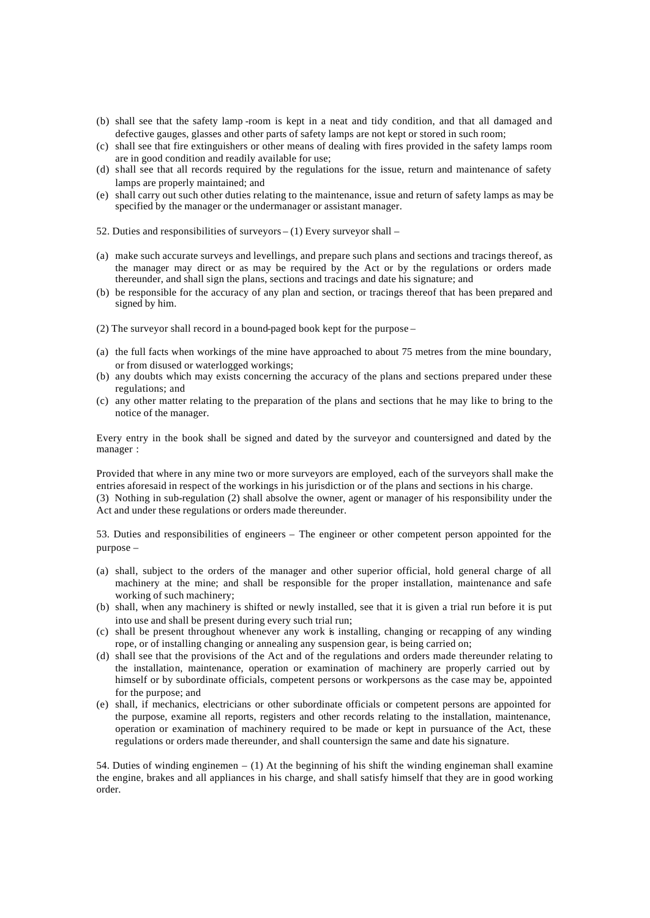- (b) shall see that the safety lamp -room is kept in a neat and tidy condition, and that all damaged and defective gauges, glasses and other parts of safety lamps are not kept or stored in such room;
- (c) shall see that fire extinguishers or other means of dealing with fires provided in the safety lamps room are in good condition and readily available for use;
- (d) shall see that all records required by the regulations for the issue, return and maintenance of safety lamps are properly maintained; and
- (e) shall carry out such other duties relating to the maintenance, issue and return of safety lamps as may be specified by the manager or the undermanager or assistant manager.
- 52. Duties and responsibilities of surveyors (1) Every surveyor shall –
- (a) make such accurate surveys and levellings, and prepare such plans and sections and tracings thereof, as the manager may direct or as may be required by the Act or by the regulations or orders made thereunder, and shall sign the plans, sections and tracings and date his signature; and
- (b) be responsible for the accuracy of any plan and section, or tracings thereof that has been prepared and signed by him.
- (2) The surveyor shall record in a bound-paged book kept for the purpose –
- (a) the full facts when workings of the mine have approached to about 75 metres from the mine boundary, or from disused or waterlogged workings;
- (b) any doubts which may exists concerning the accuracy of the plans and sections prepared under these regulations; and
- (c) any other matter relating to the preparation of the plans and sections that he may like to bring to the notice of the manager.

Every entry in the book shall be signed and dated by the surveyor and countersigned and dated by the manager :

Provided that where in any mine two or more surveyors are employed, each of the surveyors shall make the entries aforesaid in respect of the workings in his jurisdiction or of the plans and sections in his charge. (3) Nothing in sub-regulation (2) shall absolve the owner, agent or manager of his responsibility under the Act and under these regulations or orders made thereunder.

53. Duties and responsibilities of engineers – The engineer or other competent person appointed for the purpose –

- (a) shall, subject to the orders of the manager and other superior official, hold general charge of all machinery at the mine; and shall be responsible for the proper installation, maintenance and safe working of such machinery;
- (b) shall, when any machinery is shifted or newly installed, see that it is given a trial run before it is put into use and shall be present during every such trial run;
- (c) shall be present throughout whenever any work is installing, changing or recapping of any winding rope, or of installing changing or annealing any suspension gear, is being carried on;
- (d) shall see that the provisions of the Act and of the regulations and orders made thereunder relating to the installation, maintenance, operation or examination of machinery are properly carried out by himself or by subordinate officials, competent persons or workpersons as the case may be, appointed for the purpose; and
- (e) shall, if mechanics, electricians or other subordinate officials or competent persons are appointed for the purpose, examine all reports, registers and other records relating to the installation, maintenance, operation or examination of machinery required to be made or kept in pursuance of the Act, these regulations or orders made thereunder, and shall countersign the same and date his signature.

54. Duties of winding enginemen – (1) At the beginning of his shift the winding engineman shall examine the engine, brakes and all appliances in his charge, and shall satisfy himself that they are in good working order.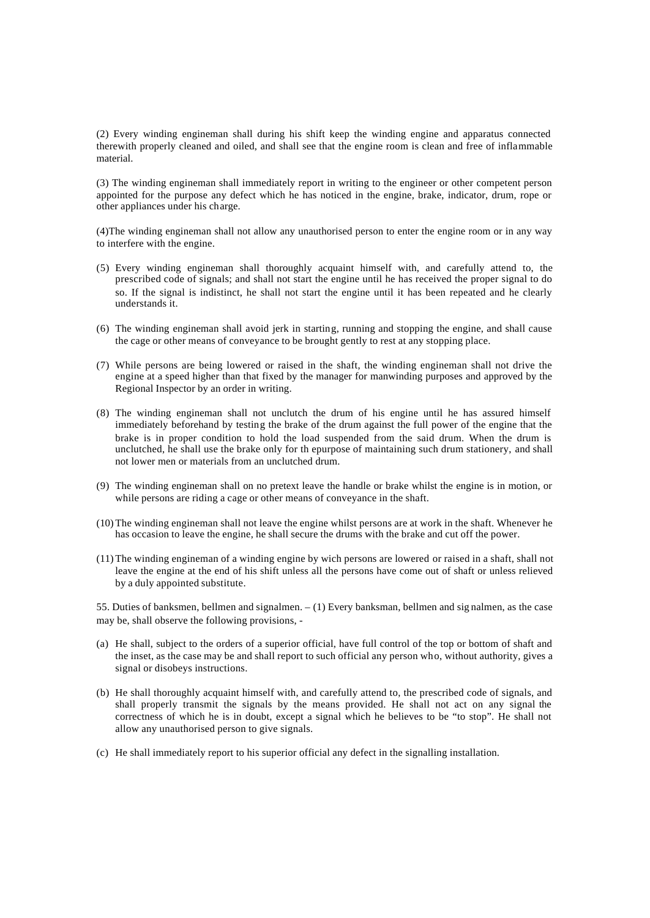(2) Every winding engineman shall during his shift keep the winding engine and apparatus connected therewith properly cleaned and oiled, and shall see that the engine room is clean and free of inflammable material.

(3) The winding engineman shall immediately report in writing to the engineer or other competent person appointed for the purpose any defect which he has noticed in the engine, brake, indicator, drum, rope or other appliances under his charge.

(4)The winding engineman shall not allow any unauthorised person to enter the engine room or in any way to interfere with the engine.

- (5) Every winding engineman shall thoroughly acquaint himself with, and carefully attend to, the prescribed code of signals; and shall not start the engine until he has received the proper signal to do so. If the signal is indistinct, he shall not start the engine until it has been repeated and he clearly understands it.
- (6) The winding engineman shall avoid jerk in starting, running and stopping the engine, and shall cause the cage or other means of conveyance to be brought gently to rest at any stopping place.
- (7) While persons are being lowered or raised in the shaft, the winding engineman shall not drive the engine at a speed higher than that fixed by the manager for manwinding purposes and approved by the Regional Inspector by an order in writing.
- (8) The winding engineman shall not unclutch the drum of his engine until he has assured himself immediately beforehand by testing the brake of the drum against the full power of the engine that the brake is in proper condition to hold the load suspended from the said drum. When the drum is unclutched, he shall use the brake only for th epurpose of maintaining such drum stationery, and shall not lower men or materials from an unclutched drum.
- (9) The winding engineman shall on no pretext leave the handle or brake whilst the engine is in motion, or while persons are riding a cage or other means of conveyance in the shaft.
- (10) The winding engineman shall not leave the engine whilst persons are at work in the shaft. Whenever he has occasion to leave the engine, he shall secure the drums with the brake and cut off the power.
- (11) The winding engineman of a winding engine by wich persons are lowered or raised in a shaft, shall not leave the engine at the end of his shift unless all the persons have come out of shaft or unless relieved by a duly appointed substitute.

55. Duties of banksmen, bellmen and signalmen. – (1) Every banksman, bellmen and sig nalmen, as the case may be, shall observe the following provisions, -

- (a) He shall, subject to the orders of a superior official, have full control of the top or bottom of shaft and the inset, as the case may be and shall report to such official any person who, without authority, gives a signal or disobeys instructions.
- (b) He shall thoroughly acquaint himself with, and carefully attend to, the prescribed code of signals, and shall properly transmit the signals by the means provided. He shall not act on any signal the correctness of which he is in doubt, except a signal which he believes to be "to stop". He shall not allow any unauthorised person to give signals.
- (c) He shall immediately report to his superior official any defect in the signalling installation.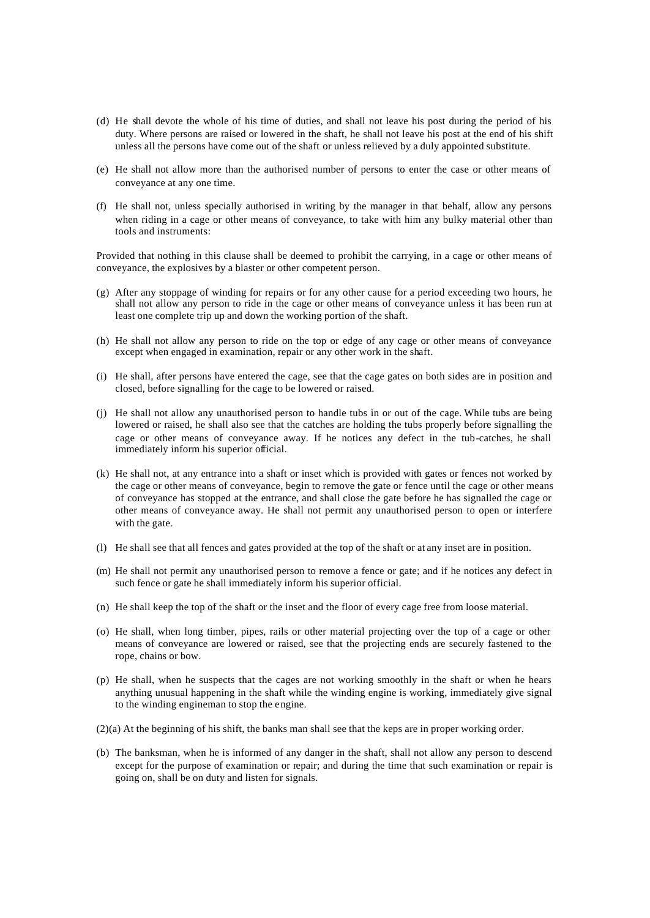- (d) He shall devote the whole of his time of duties, and shall not leave his post during the period of his duty. Where persons are raised or lowered in the shaft, he shall not leave his post at the end of his shift unless all the persons have come out of the shaft or unless relieved by a duly appointed substitute.
- (e) He shall not allow more than the authorised number of persons to enter the case or other means of conveyance at any one time.
- (f) He shall not, unless specially authorised in writing by the manager in that behalf, allow any persons when riding in a cage or other means of conveyance, to take with him any bulky material other than tools and instruments:

Provided that nothing in this clause shall be deemed to prohibit the carrying, in a cage or other means of conveyance, the explosives by a blaster or other competent person.

- (g) After any stoppage of winding for repairs or for any other cause for a period exceeding two hours, he shall not allow any person to ride in the cage or other means of conveyance unless it has been run at least one complete trip up and down the working portion of the shaft.
- (h) He shall not allow any person to ride on the top or edge of any cage or other means of conveyance except when engaged in examination, repair or any other work in the shaft.
- (i) He shall, after persons have entered the cage, see that the cage gates on both sides are in position and closed, before signalling for the cage to be lowered or raised.
- (j) He shall not allow any unauthorised person to handle tubs in or out of the cage. While tubs are being lowered or raised, he shall also see that the catches are holding the tubs properly before signalling the cage or other means of conveyance away. If he notices any defect in the tub-catches, he shall immediately inform his superior official.
- (k) He shall not, at any entrance into a shaft or inset which is provided with gates or fences not worked by the cage or other means of conveyance, begin to remove the gate or fence until the cage or other means of conveyance has stopped at the entrance, and shall close the gate before he has signalled the cage or other means of conveyance away. He shall not permit any unauthorised person to open or interfere with the gate.
- (l) He shall see that all fences and gates provided at the top of the shaft or at any inset are in position.
- (m) He shall not permit any unauthorised person to remove a fence or gate; and if he notices any defect in such fence or gate he shall immediately inform his superior official.
- (n) He shall keep the top of the shaft or the inset and the floor of every cage free from loose material.
- (o) He shall, when long timber, pipes, rails or other material projecting over the top of a cage or other means of conveyance are lowered or raised, see that the projecting ends are securely fastened to the rope, chains or bow.
- (p) He shall, when he suspects that the cages are not working smoothly in the shaft or when he hears anything unusual happening in the shaft while the winding engine is working, immediately give signal to the winding engineman to stop the engine.
- (2)(a) At the beginning of his shift, the banks man shall see that the keps are in proper working order.
- (b) The banksman, when he is informed of any danger in the shaft, shall not allow any person to descend except for the purpose of examination or repair; and during the time that such examination or repair is going on, shall be on duty and listen for signals.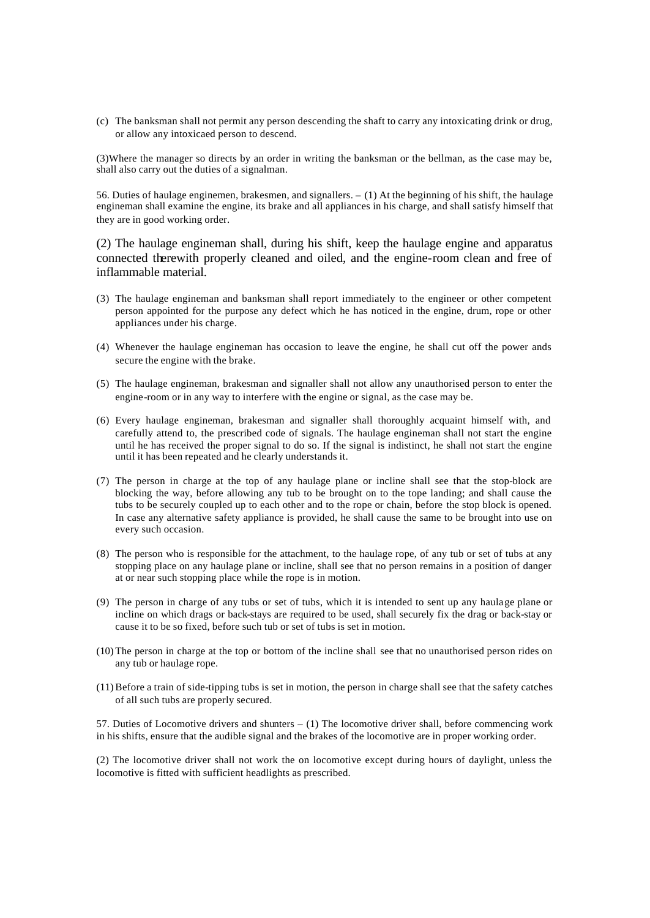(c) The banksman shall not permit any person descending the shaft to carry any intoxicating drink or drug, or allow any intoxicaed person to descend.

(3)Where the manager so directs by an order in writing the banksman or the bellman, as the case may be, shall also carry out the duties of a signalman.

56. Duties of haulage enginemen, brakesmen, and signallers. – (1) At the beginning of his shift, the haulage engineman shall examine the engine, its brake and all appliances in his charge, and shall satisfy himself that they are in good working order.

(2) The haulage engineman shall, during his shift, keep the haulage engine and apparatus connected therewith properly cleaned and oiled, and the engine-room clean and free of inflammable material.

- (3) The haulage engineman and banksman shall report immediately to the engineer or other competent person appointed for the purpose any defect which he has noticed in the engine, drum, rope or other appliances under his charge.
- (4) Whenever the haulage engineman has occasion to leave the engine, he shall cut off the power ands secure the engine with the brake.
- (5) The haulage engineman, brakesman and signaller shall not allow any unauthorised person to enter the engine-room or in any way to interfere with the engine or signal, as the case may be.
- (6) Every haulage engineman, brakesman and signaller shall thoroughly acquaint himself with, and carefully attend to, the prescribed code of signals. The haulage engineman shall not start the engine until he has received the proper signal to do so. If the signal is indistinct, he shall not start the engine until it has been repeated and he clearly understands it.
- (7) The person in charge at the top of any haulage plane or incline shall see that the stop-block are blocking the way, before allowing any tub to be brought on to the tope landing; and shall cause the tubs to be securely coupled up to each other and to the rope or chain, before the stop block is opened. In case any alternative safety appliance is provided, he shall cause the same to be brought into use on every such occasion.
- (8) The person who is responsible for the attachment, to the haulage rope, of any tub or set of tubs at any stopping place on any haulage plane or incline, shall see that no person remains in a position of danger at or near such stopping place while the rope is in motion.
- (9) The person in charge of any tubs or set of tubs, which it is intended to sent up any haulage plane or incline on which drags or back-stays are required to be used, shall securely fix the drag or back-stay or cause it to be so fixed, before such tub or set of tubs is set in motion.
- (10) The person in charge at the top or bottom of the incline shall see that no unauthorised person rides on any tub or haulage rope.
- (11)Before a train of side-tipping tubs is set in motion, the person in charge shall see that the safety catches of all such tubs are properly secured.

57. Duties of Locomotive drivers and shunters – (1) The locomotive driver shall, before commencing work in his shifts, ensure that the audible signal and the brakes of the locomotive are in proper working order.

(2) The locomotive driver shall not work the on locomotive except during hours of daylight, unless the locomotive is fitted with sufficient headlights as prescribed.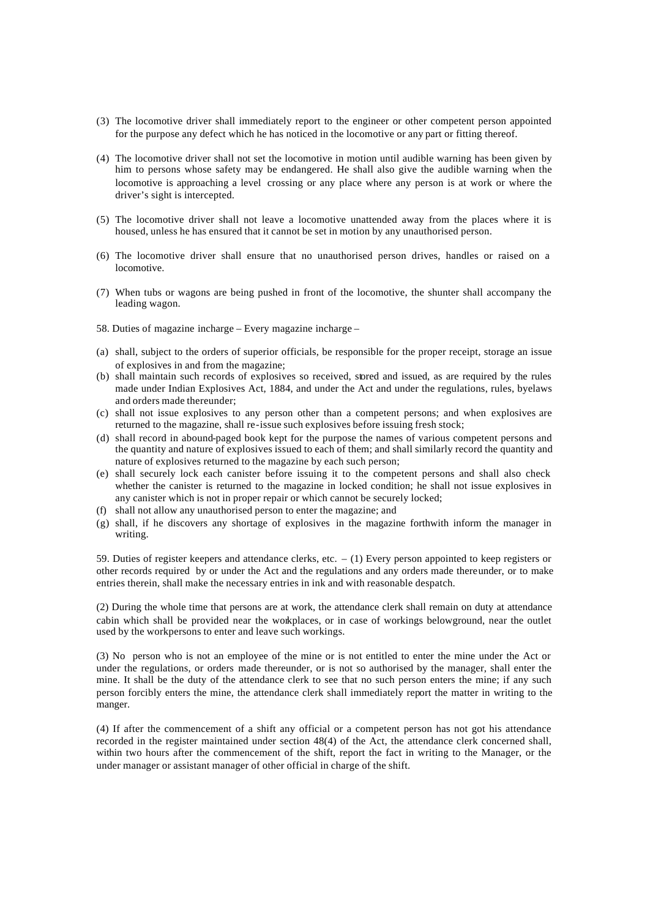- (3) The locomotive driver shall immediately report to the engineer or other competent person appointed for the purpose any defect which he has noticed in the locomotive or any part or fitting thereof.
- (4) The locomotive driver shall not set the locomotive in motion until audible warning has been given by him to persons whose safety may be endangered. He shall also give the audible warning when the locomotive is approaching a level crossing or any place where any person is at work or where the driver's sight is intercepted.
- (5) The locomotive driver shall not leave a locomotive unattended away from the places where it is housed, unless he has ensured that it cannot be set in motion by any unauthorised person.
- (6) The locomotive driver shall ensure that no unauthorised person drives, handles or raised on a locomotive.
- (7) When tubs or wagons are being pushed in front of the locomotive, the shunter shall accompany the leading wagon.
- 58. Duties of magazine incharge Every magazine incharge –
- (a) shall, subject to the orders of superior officials, be responsible for the proper receipt, storage an issue of explosives in and from the magazine;
- (b) shall maintain such records of explosives so received, stored and issued, as are required by the rules made under Indian Explosives Act, 1884, and under the Act and under the regulations, rules, byelaws and orders made thereunder;
- (c) shall not issue explosives to any person other than a competent persons; and when explosives are returned to the magazine, shall re-issue such explosives before issuing fresh stock;
- (d) shall record in abound-paged book kept for the purpose the names of various competent persons and the quantity and nature of explosives issued to each of them; and shall similarly record the quantity and nature of explosives returned to the magazine by each such person;
- (e) shall securely lock each canister before issuing it to the competent persons and shall also check whether the canister is returned to the magazine in locked condition; he shall not issue explosives in any canister which is not in proper repair or which cannot be securely locked;
- (f) shall not allow any unauthorised person to enter the magazine; and
- (g) shall, if he discovers any shortage of explosives in the magazine forthwith inform the manager in writing.

59. Duties of register keepers and attendance clerks, etc. – (1) Every person appointed to keep registers or other records required by or under the Act and the regulations and any orders made thereunder, or to make entries therein, shall make the necessary entries in ink and with reasonable despatch.

(2) During the whole time that persons are at work, the attendance clerk shall remain on duty at attendance cabin which shall be provided near the workplaces, or in case of workings belowground, near the outlet used by the workpersons to enter and leave such workings.

(3) No person who is not an employee of the mine or is not entitled to enter the mine under the Act or under the regulations, or orders made thereunder, or is not so authorised by the manager, shall enter the mine. It shall be the duty of the attendance clerk to see that no such person enters the mine; if any such person forcibly enters the mine, the attendance clerk shall immediately report the matter in writing to the manger.

(4) If after the commencement of a shift any official or a competent person has not got his attendance recorded in the register maintained under section 48(4) of the Act, the attendance clerk concerned shall, within two hours after the commencement of the shift, report the fact in writing to the Manager, or the under manager or assistant manager of other official in charge of the shift.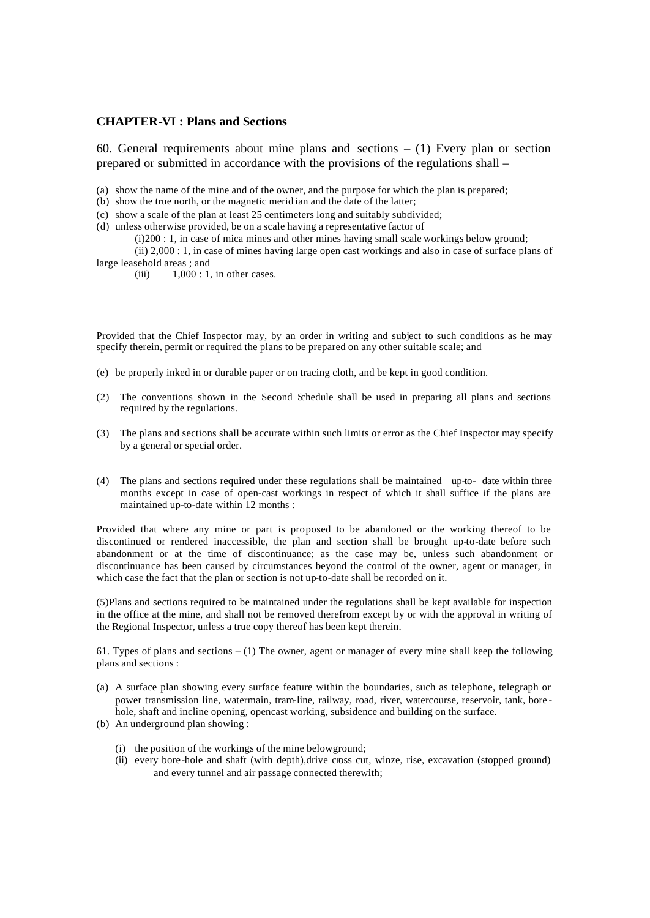#### **CHAPTER-VI : Plans and Sections**

60. General requirements about mine plans and sections  $- (1)$  Every plan or section prepared or submitted in accordance with the provisions of the regulations shall –

(a) show the name of the mine and of the owner, and the purpose for which the plan is prepared;

(b) show the true north, or the magnetic merid ian and the date of the latter;

(c) show a scale of the plan at least 25 centimeters long and suitably subdivided;

(d) unless otherwise provided, be on a scale having a representative factor of

(i)200 : 1, in case of mica mines and other mines having small scale workings below ground;

(ii) 2,000 : 1, in case of mines having large open cast workings and also in case of surface plans of large leasehold areas ; and

(iii)  $1,000 : 1$ , in other cases.

Provided that the Chief Inspector may, by an order in writing and subject to such conditions as he may specify therein, permit or required the plans to be prepared on any other suitable scale; and

- (e) be properly inked in or durable paper or on tracing cloth, and be kept in good condition.
- (2) The conventions shown in the Second Schedule shall be used in preparing all plans and sections required by the regulations.
- (3) The plans and sections shall be accurate within such limits or error as the Chief Inspector may specify by a general or special order.
- (4) The plans and sections required under these regulations shall be maintained up-to- date within three months except in case of open-cast workings in respect of which it shall suffice if the plans are maintained up-to-date within 12 months :

Provided that where any mine or part is proposed to be abandoned or the working thereof to be discontinued or rendered inaccessible, the plan and section shall be brought up-to-date before such abandonment or at the time of discontinuance; as the case may be, unless such abandonment or discontinuance has been caused by circumstances beyond the control of the owner, agent or manager, in which case the fact that the plan or section is not up-to-date shall be recorded on it.

(5)Plans and sections required to be maintained under the regulations shall be kept available for inspection in the office at the mine, and shall not be removed therefrom except by or with the approval in writing of the Regional Inspector, unless a true copy thereof has been kept therein.

61. Types of plans and sections  $- (1)$  The owner, agent or manager of every mine shall keep the following plans and sections :

- (a) A surface plan showing every surface feature within the boundaries, such as telephone, telegraph or power transmission line, watermain, tram-line, railway, road, river, watercourse, reservoir, tank, bore hole, shaft and incline opening, opencast working, subsidence and building on the surface.
- (b) An underground plan showing :
	- (i) the position of the workings of the mine belowground;
	- (ii) every bore-hole and shaft (with depth),drive cross cut, winze, rise, excavation (stopped ground) and every tunnel and air passage connected therewith;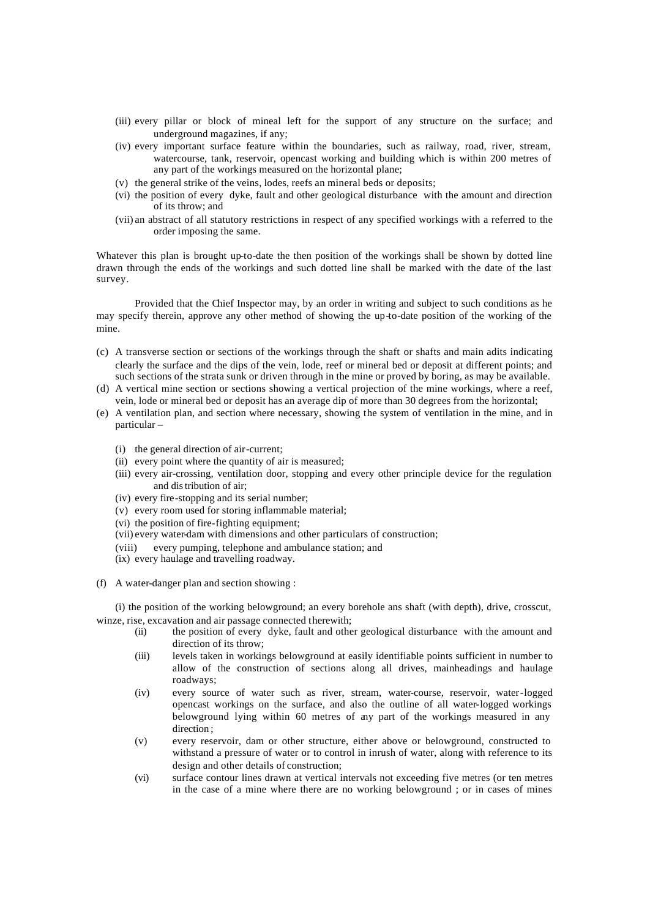- (iii) every pillar or block of mineal left for the support of any structure on the surface; and underground magazines, if any;
- (iv) every important surface feature within the boundaries, such as railway, road, river, stream, watercourse, tank, reservoir, opencast working and building which is within 200 metres of any part of the workings measured on the horizontal plane;
- (v) the general strike of the veins, lodes, reefs an mineral beds or deposits;
- (vi) the position of every dyke, fault and other geological disturbance with the amount and direction of its throw; and
- (vii) an abstract of all statutory restrictions in respect of any specified workings with a referred to the order imposing the same.

Whatever this plan is brought up-to-date the then position of the workings shall be shown by dotted line drawn through the ends of the workings and such dotted line shall be marked with the date of the last survey.

Provided that the Chief Inspector may, by an order in writing and subject to such conditions as he may specify therein, approve any other method of showing the up-to-date position of the working of the mine.

- (c) A transverse section or sections of the workings through the shaft or shafts and main adits indicating clearly the surface and the dips of the vein, lode, reef or mineral bed or deposit at different points; and such sections of the strata sunk or driven through in the mine or proved by boring, as may be available.
- (d) A vertical mine section or sections showing a vertical projection of the mine workings, where a reef, vein, lode or mineral bed or deposit has an average dip of more than 30 degrees from the horizontal;
- (e) A ventilation plan, and section where necessary, showing the system of ventilation in the mine, and in particular –
	- (i) the general direction of air-current;
	- (ii) every point where the quantity of air is measured;
	- (iii) every air-crossing, ventilation door, stopping and every other principle device for the regulation and distribution of air;
	- (iv) every fire-stopping and its serial number;
	- (v) every room used for storing inflammable material;
	- (vi) the position of fire-fighting equipment;
	- (vii) every water-dam with dimensions and other particulars of construction;
	- (viii) every pumping, telephone and ambulance station; and
	- (ix) every haulage and travelling roadway.
- (f) A water-danger plan and section showing :

(i) the position of the working belowground; an every borehole ans shaft (with depth), drive, crosscut, winze, rise, excavation and air passage connected therewith;

- (ii) the position of every dyke, fault and other geological disturbance with the amount and direction of its throw;
- (iii) levels taken in workings belowground at easily identifiable points sufficient in number to allow of the construction of sections along all drives, mainheadings and haulage roadways;
- (iv) every source of water such as river, stream, water-course, reservoir, water-logged opencast workings on the surface, and also the outline of all water-logged workings belowground lying within 60 metres of any part of the workings measured in any direction ;
- (v) every reservoir, dam or other structure, either above or belowground, constructed to withstand a pressure of water or to control in inrush of water, along with reference to its design and other details of construction;
- (vi) surface contour lines drawn at vertical intervals not exceeding five metres (or ten metres in the case of a mine where there are no working belowground ; or in cases of mines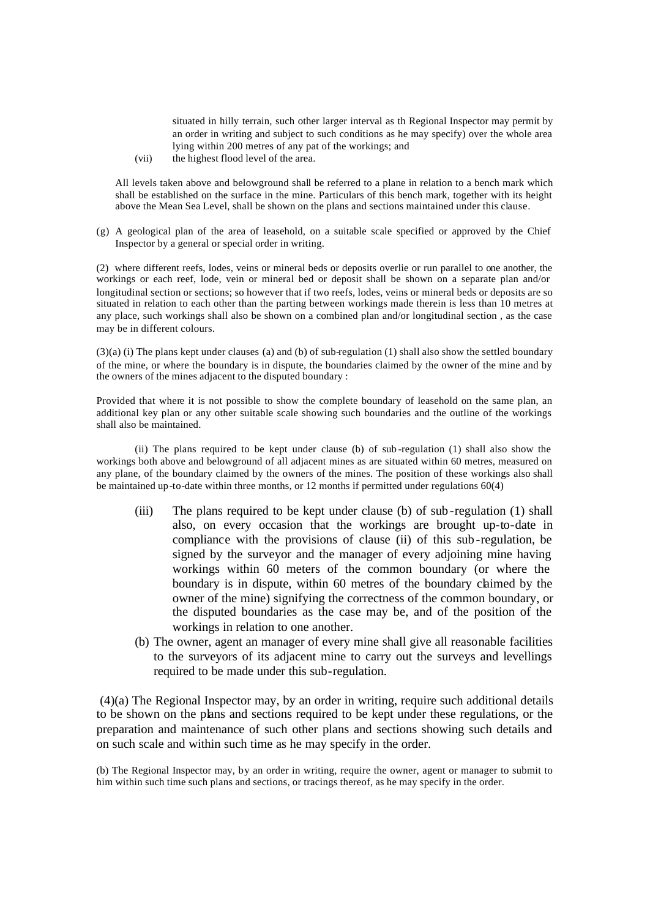situated in hilly terrain, such other larger interval as th Regional Inspector may permit by an order in writing and subject to such conditions as he may specify) over the whole area lying within 200 metres of any pat of the workings; and

(vii) the highest flood level of the area.

All levels taken above and belowground shall be referred to a plane in relation to a bench mark which shall be established on the surface in the mine. Particulars of this bench mark, together with its height above the Mean Sea Level, shall be shown on the plans and sections maintained under this clause.

(g) A geological plan of the area of leasehold, on a suitable scale specified or approved by the Chief Inspector by a general or special order in writing.

(2) where different reefs, lodes, veins or mineral beds or deposits overlie or run parallel to one another, the workings or each reef, lode, vein or mineral bed or deposit shall be shown on a separate plan and/or longitudinal section or sections; so however that if two reefs, lodes, veins or mineral beds or deposits are so situated in relation to each other than the parting between workings made therein is less than 10 metres at any place, such workings shall also be shown on a combined plan and/or longitudinal section , as the case may be in different colours.

(3)(a) (i) The plans kept under clauses (a) and (b) of sub-regulation (1) shall also show the settled boundary of the mine, or where the boundary is in dispute, the boundaries claimed by the owner of the mine and by the owners of the mines adjacent to the disputed boundary :

Provided that where it is not possible to show the complete boundary of leasehold on the same plan, an additional key plan or any other suitable scale showing such boundaries and the outline of the workings shall also be maintained.

(ii) The plans required to be kept under clause (b) of sub -regulation (1) shall also show the workings both above and belowground of all adjacent mines as are situated within 60 metres, measured on any plane, of the boundary claimed by the owners of the mines. The position of these workings also shall be maintained up-to-date within three months, or 12 months if permitted under regulations 60(4)

- (iii) The plans required to be kept under clause (b) of sub-regulation (1) shall also, on every occasion that the workings are brought up-to-date in compliance with the provisions of clause (ii) of this sub-regulation, be signed by the surveyor and the manager of every adjoining mine having workings within 60 meters of the common boundary (or where the boundary is in dispute, within 60 metres of the boundary claimed by the owner of the mine) signifying the correctness of the common boundary, or the disputed boundaries as the case may be, and of the position of the workings in relation to one another.
- (b) The owner, agent an manager of every mine shall give all reasonable facilities to the surveyors of its adjacent mine to carry out the surveys and levellings required to be made under this sub-regulation.

 (4)(a) The Regional Inspector may, by an order in writing, require such additional details to be shown on the plans and sections required to be kept under these regulations, or the preparation and maintenance of such other plans and sections showing such details and on such scale and within such time as he may specify in the order.

(b) The Regional Inspector may, by an order in writing, require the owner, agent or manager to submit to him within such time such plans and sections, or tracings thereof, as he may specify in the order.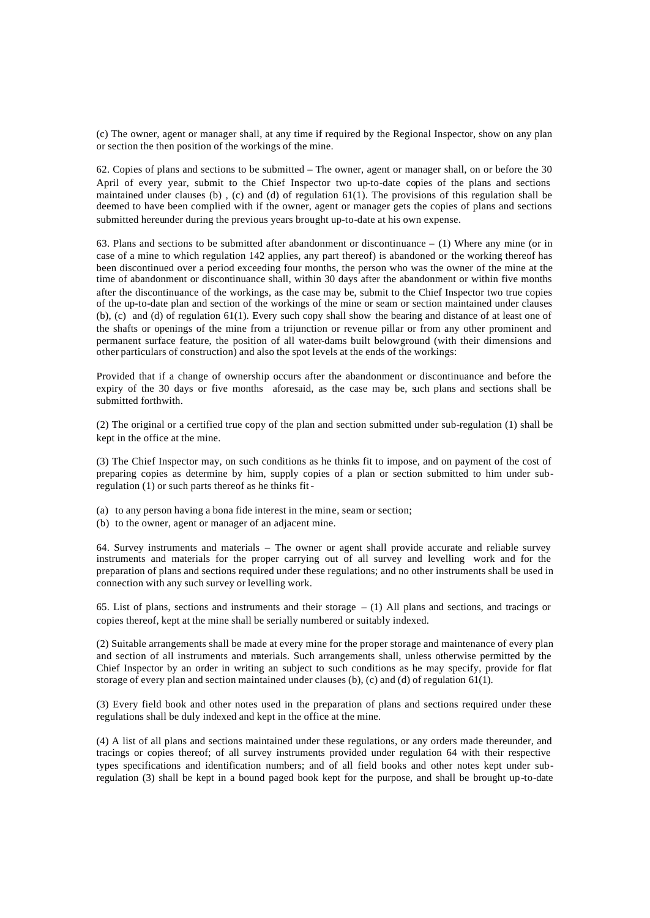(c) The owner, agent or manager shall, at any time if required by the Regional Inspector, show on any plan or section the then position of the workings of the mine.

62. Copies of plans and sections to be submitted – The owner, agent or manager shall, on or before the 30 April of every year, submit to the Chief Inspector two up-to-date copies of the plans and sections maintained under clauses (b) , (c) and (d) of regulation 61(1). The provisions of this regulation shall be deemed to have been complied with if the owner, agent or manager gets the copies of plans and sections submitted hereunder during the previous years brought up-to-date at his own expense.

63. Plans and sections to be submitted after abandonment or discontinuance – (1) Where any mine (or in case of a mine to which regulation 142 applies, any part thereof) is abandoned or the working thereof has been discontinued over a period exceeding four months, the person who was the owner of the mine at the time of abandonment or discontinuance shall, within 30 days after the abandonment or within five months after the discontinuance of the workings, as the case may be, submit to the Chief Inspector two true copies of the up-to-date plan and section of the workings of the mine or seam or section maintained under clauses (b), (c) and (d) of regulation 61(1). Every such copy shall show the bearing and distance of at least one of the shafts or openings of the mine from a trijunction or revenue pillar or from any other prominent and permanent surface feature, the position of all water-dams built belowground (with their dimensions and other particulars of construction) and also the spot levels at the ends of the workings:

Provided that if a change of ownership occurs after the abandonment or discontinuance and before the expiry of the 30 days or five months aforesaid, as the case may be, such plans and sections shall be submitted forthwith.

(2) The original or a certified true copy of the plan and section submitted under sub-regulation (1) shall be kept in the office at the mine.

(3) The Chief Inspector may, on such conditions as he thinks fit to impose, and on payment of the cost of preparing copies as determine by him, supply copies of a plan or section submitted to him under subregulation (1) or such parts thereof as he thinks fit -

- (a) to any person having a bona fide interest in the mine, seam or section;
- (b) to the owner, agent or manager of an adjacent mine.

64. Survey instruments and materials – The owner or agent shall provide accurate and reliable survey instruments and materials for the proper carrying out of all survey and levelling work and for the preparation of plans and sections required under these regulations; and no other instruments shall be used in connection with any such survey or levelling work.

65. List of plans, sections and instruments and their storage – (1) All plans and sections, and tracings or copies thereof, kept at the mine shall be serially numbered or suitably indexed.

(2) Suitable arrangements shall be made at every mine for the proper storage and maintenance of every plan and section of all instruments and materials. Such arrangements shall, unless otherwise permitted by the Chief Inspector by an order in writing an subject to such conditions as he may specify, provide for flat storage of every plan and section maintained under clauses (b), (c) and (d) of regulation 61(1).

(3) Every field book and other notes used in the preparation of plans and sections required under these regulations shall be duly indexed and kept in the office at the mine.

(4) A list of all plans and sections maintained under these regulations, or any orders made thereunder, and tracings or copies thereof; of all survey instruments provided under regulation 64 with their respective types specifications and identification numbers; and of all field books and other notes kept under subregulation (3) shall be kept in a bound paged book kept for the purpose, and shall be brought up-to-date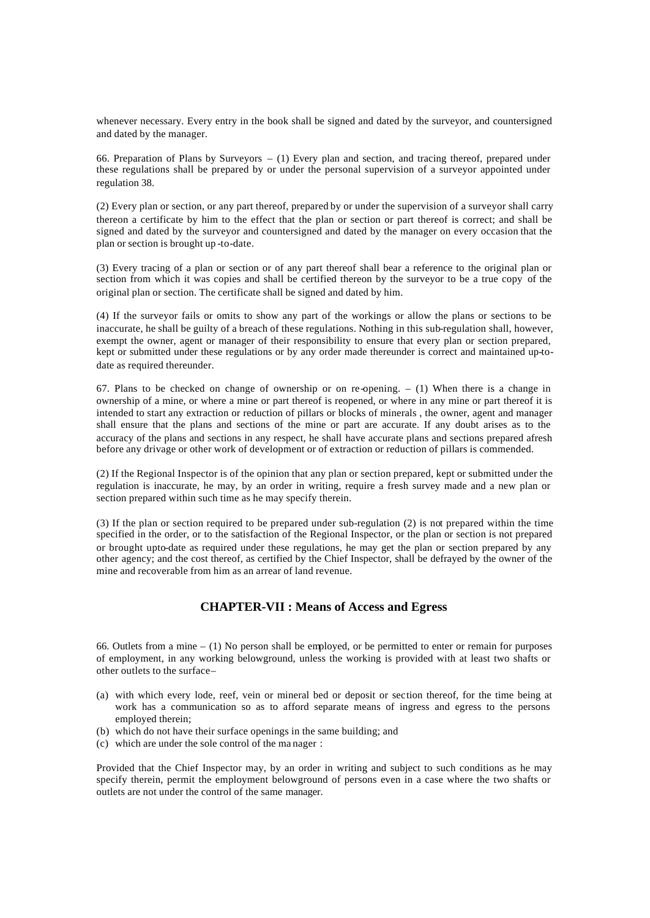whenever necessary. Every entry in the book shall be signed and dated by the surveyor, and countersigned and dated by the manager.

66. Preparation of Plans by Surveyors – (1) Every plan and section, and tracing thereof, prepared under these regulations shall be prepared by or under the personal supervision of a surveyor appointed under regulation 38.

(2) Every plan or section, or any part thereof, prepared by or under the supervision of a surveyor shall carry thereon a certificate by him to the effect that the plan or section or part thereof is correct; and shall be signed and dated by the surveyor and countersigned and dated by the manager on every occasion that the plan or section is brought up -to-date.

(3) Every tracing of a plan or section or of any part thereof shall bear a reference to the original plan or section from which it was copies and shall be certified thereon by the surveyor to be a true copy of the original plan or section. The certificate shall be signed and dated by him.

(4) If the surveyor fails or omits to show any part of the workings or allow the plans or sections to be inaccurate, he shall be guilty of a breach of these regulations. Nothing in this sub-regulation shall, however, exempt the owner, agent or manager of their responsibility to ensure that every plan or section prepared, kept or submitted under these regulations or by any order made thereunder is correct and maintained up-todate as required thereunder.

67. Plans to be checked on change of ownership or on re-opening.  $- (1)$  When there is a change in ownership of a mine, or where a mine or part thereof is reopened, or where in any mine or part thereof it is intended to start any extraction or reduction of pillars or blocks of minerals , the owner, agent and manager shall ensure that the plans and sections of the mine or part are accurate. If any doubt arises as to the accuracy of the plans and sections in any respect, he shall have accurate plans and sections prepared afresh before any drivage or other work of development or of extraction or reduction of pillars is commended.

(2) If the Regional Inspector is of the opinion that any plan or section prepared, kept or submitted under the regulation is inaccurate, he may, by an order in writing, require a fresh survey made and a new plan or section prepared within such time as he may specify therein.

(3) If the plan or section required to be prepared under sub-regulation (2) is not prepared within the time specified in the order, or to the satisfaction of the Regional Inspector, or the plan or section is not prepared or brought upto-date as required under these regulations, he may get the plan or section prepared by any other agency; and the cost thereof, as certified by the Chief Inspector, shall be defrayed by the owner of the mine and recoverable from him as an arrear of land revenue.

# **CHAPTER-VII : Means of Access and Egress**

66. Outlets from a mine – (1) No person shall be employed, or be permitted to enter or remain for purposes of employment, in any working belowground, unless the working is provided with at least two shafts or other outlets to the surface –

- (a) with which every lode, reef, vein or mineral bed or deposit or section thereof, for the time being at work has a communication so as to afford separate means of ingress and egress to the persons employed therein;
- (b) which do not have their surface openings in the same building; and
- (c) which are under the sole control of the ma nager :

Provided that the Chief Inspector may, by an order in writing and subject to such conditions as he may specify therein, permit the employment belowground of persons even in a case where the two shafts or outlets are not under the control of the same manager.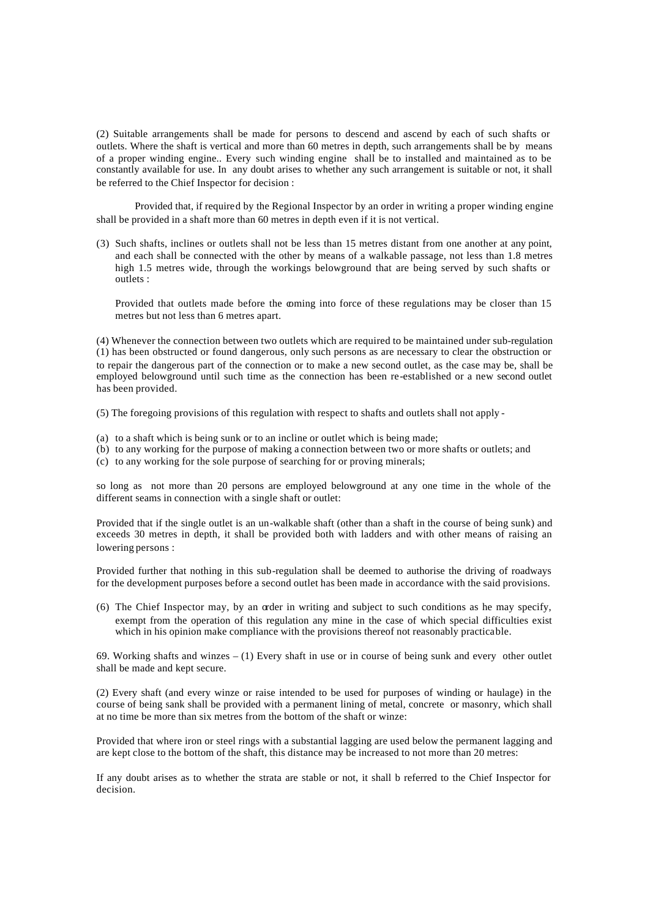(2) Suitable arrangements shall be made for persons to descend and ascend by each of such shafts or outlets. Where the shaft is vertical and more than 60 metres in depth, such arrangements shall be by means of a proper winding engine.. Every such winding engine shall be to installed and maintained as to be constantly available for use. In any doubt arises to whether any such arrangement is suitable or not, it shall be referred to the Chief Inspector for decision :

Provided that, if required by the Regional Inspector by an order in writing a proper winding engine shall be provided in a shaft more than 60 metres in depth even if it is not vertical.

(3) Such shafts, inclines or outlets shall not be less than 15 metres distant from one another at any point, and each shall be connected with the other by means of a walkable passage, not less than 1.8 metres high 1.5 metres wide, through the workings belowground that are being served by such shafts or outlets :

Provided that outlets made before the coming into force of these regulations may be closer than 15 metres but not less than 6 metres apart.

(4) Whenever the connection between two outlets which are required to be maintained under sub-regulation (1) has been obstructed or found dangerous, only such persons as are necessary to clear the obstruction or to repair the dangerous part of the connection or to make a new second outlet, as the case may be, shall be employed belowground until such time as the connection has been re-established or a new second outlet has been provided.

(5) The foregoing provisions of this regulation with respect to shafts and outlets shall not apply -

- (a) to a shaft which is being sunk or to an incline or outlet which is being made;
- (b) to any working for the purpose of making a connection between two or more shafts or outlets; and
- (c) to any working for the sole purpose of searching for or proving minerals;

so long as not more than 20 persons are employed belowground at any one time in the whole of the different seams in connection with a single shaft or outlet:

Provided that if the single outlet is an un-walkable shaft (other than a shaft in the course of being sunk) and exceeds 30 metres in depth, it shall be provided both with ladders and with other means of raising an lowering persons :

Provided further that nothing in this sub-regulation shall be deemed to authorise the driving of roadways for the development purposes before a second outlet has been made in accordance with the said provisions.

(6) The Chief Inspector may, by an order in writing and subject to such conditions as he may specify, exempt from the operation of this regulation any mine in the case of which special difficulties exist which in his opinion make compliance with the provisions thereof not reasonably practicable.

69. Working shafts and winzes – (1) Every shaft in use or in course of being sunk and every other outlet shall be made and kept secure.

(2) Every shaft (and every winze or raise intended to be used for purposes of winding or haulage) in the course of being sank shall be provided with a permanent lining of metal, concrete or masonry, which shall at no time be more than six metres from the bottom of the shaft or winze:

Provided that where iron or steel rings with a substantial lagging are used below the permanent lagging and are kept close to the bottom of the shaft, this distance may be increased to not more than 20 metres:

If any doubt arises as to whether the strata are stable or not, it shall b referred to the Chief Inspector for decision.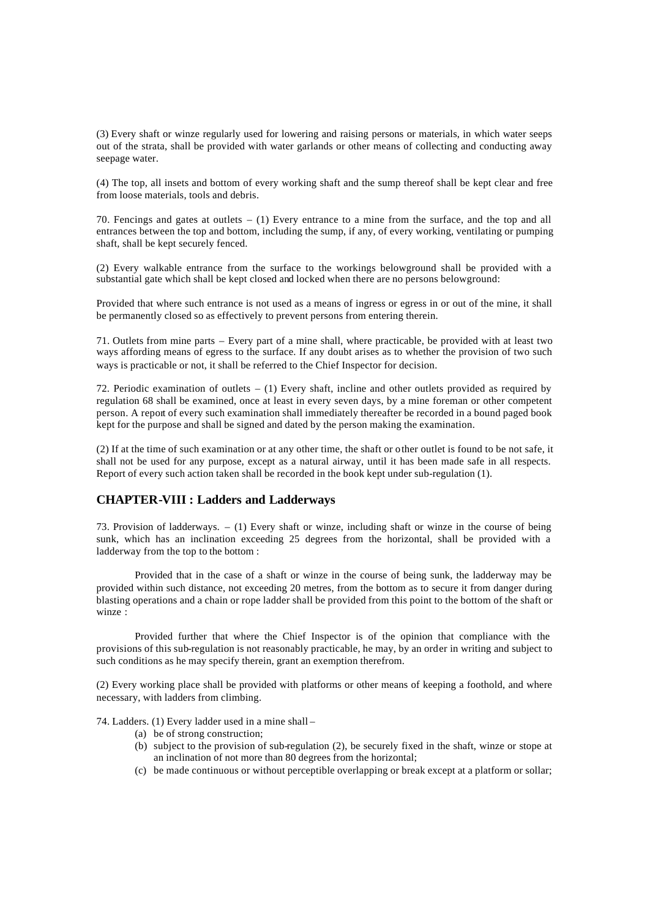(3) Every shaft or winze regularly used for lowering and raising persons or materials, in which water seeps out of the strata, shall be provided with water garlands or other means of collecting and conducting away seepage water.

(4) The top, all insets and bottom of every working shaft and the sump thereof shall be kept clear and free from loose materials, tools and debris.

70. Fencings and gates at outlets – (1) Every entrance to a mine from the surface, and the top and all entrances between the top and bottom, including the sump, if any, of every working, ventilating or pumping shaft, shall be kept securely fenced.

(2) Every walkable entrance from the surface to the workings belowground shall be provided with a substantial gate which shall be kept closed and locked when there are no persons belowground:

Provided that where such entrance is not used as a means of ingress or egress in or out of the mine, it shall be permanently closed so as effectively to prevent persons from entering therein.

71. Outlets from mine parts – Every part of a mine shall, where practicable, be provided with at least two ways affording means of egress to the surface. If any doubt arises as to whether the provision of two such ways is practicable or not, it shall be referred to the Chief Inspector for decision.

72. Periodic examination of outlets – (1) Every shaft, incline and other outlets provided as required by regulation 68 shall be examined, once at least in every seven days, by a mine foreman or other competent person. A report of every such examination shall immediately thereafter be recorded in a bound paged book kept for the purpose and shall be signed and dated by the person making the examination.

(2) If at the time of such examination or at any other time, the shaft or other outlet is found to be not safe, it shall not be used for any purpose, except as a natural airway, until it has been made safe in all respects. Report of every such action taken shall be recorded in the book kept under sub-regulation (1).

### **CHAPTER-VIII : Ladders and Ladderways**

73. Provision of ladderways. – (1) Every shaft or winze, including shaft or winze in the course of being sunk, which has an inclination exceeding 25 degrees from the horizontal, shall be provided with a ladderway from the top to the bottom :

Provided that in the case of a shaft or winze in the course of being sunk, the ladderway may be provided within such distance, not exceeding 20 metres, from the bottom as to secure it from danger during blasting operations and a chain or rope ladder shall be provided from this point to the bottom of the shaft or winze :

Provided further that where the Chief Inspector is of the opinion that compliance with the provisions of this sub-regulation is not reasonably practicable, he may, by an order in writing and subject to such conditions as he may specify therein, grant an exemption therefrom.

(2) Every working place shall be provided with platforms or other means of keeping a foothold, and where necessary, with ladders from climbing.

74. Ladders. (1) Every ladder used in a mine shall –

- (a) be of strong construction;
- (b) subject to the provision of sub-regulation (2), be securely fixed in the shaft, winze or stope at an inclination of not more than 80 degrees from the horizontal;
- (c) be made continuous or without perceptible overlapping or break except at a platform or sollar;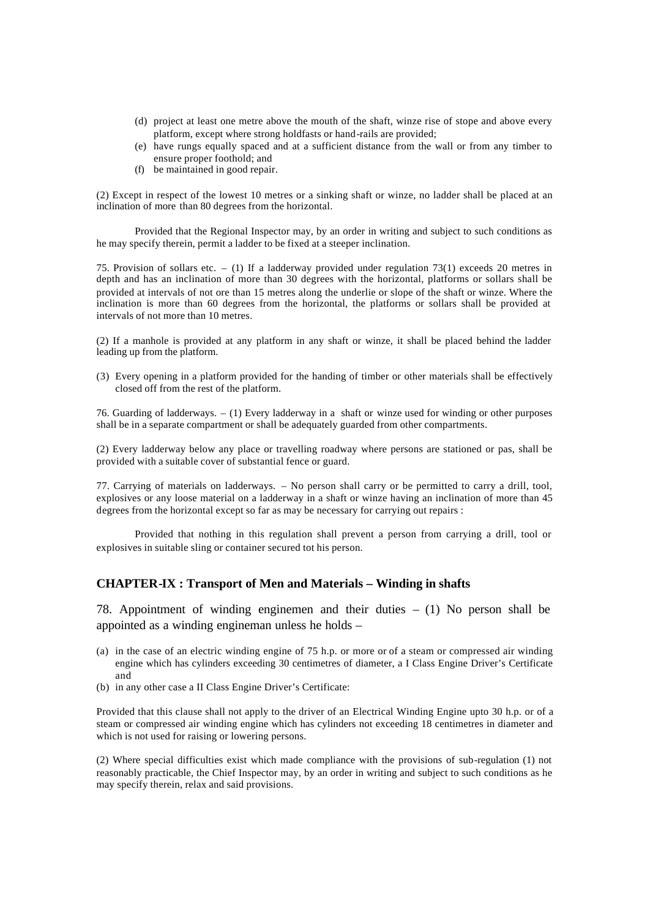- (d) project at least one metre above the mouth of the shaft, winze rise of stope and above every platform, except where strong holdfasts or hand-rails are provided;
- (e) have rungs equally spaced and at a sufficient distance from the wall or from any timber to ensure proper foothold; and
- (f) be maintained in good repair.

(2) Except in respect of the lowest 10 metres or a sinking shaft or winze, no ladder shall be placed at an inclination of more than 80 degrees from the horizontal.

Provided that the Regional Inspector may, by an order in writing and subject to such conditions as he may specify therein, permit a ladder to be fixed at a steeper inclination.

75. Provision of sollars etc. – (1) If a ladderway provided under regulation 73(1) exceeds 20 metres in depth and has an inclination of more than 30 degrees with the horizontal, platforms or sollars shall be provided at intervals of not ore than 15 metres along the underlie or slope of the shaft or winze. Where the inclination is more than 60 degrees from the horizontal, the platforms or sollars shall be provided at intervals of not more than 10 metres.

(2) If a manhole is provided at any platform in any shaft or winze, it shall be placed behind the ladder leading up from the platform.

(3) Every opening in a platform provided for the handing of timber or other materials shall be effectively closed off from the rest of the platform.

76. Guarding of ladderways. – (1) Every ladderway in a shaft or winze used for winding or other purposes shall be in a separate compartment or shall be adequately guarded from other compartments.

(2) Every ladderway below any place or travelling roadway where persons are stationed or pas, shall be provided with a suitable cover of substantial fence or guard.

77. Carrying of materials on ladderways. – No person shall carry or be permitted to carry a drill, tool, explosives or any loose material on a ladderway in a shaft or winze having an inclination of more than 45 degrees from the horizontal except so far as may be necessary for carrying out repairs :

Provided that nothing in this regulation shall prevent a person from carrying a drill, tool or explosives in suitable sling or container secured tot his person.

### **CHAPTER-IX : Transport of Men and Materials – Winding in shafts**

78. Appointment of winding enginemen and their duties – (1) No person shall be appointed as a winding engineman unless he holds –

- (a) in the case of an electric winding engine of 75 h.p. or more or of a steam or compressed air winding engine which has cylinders exceeding 30 centimetres of diameter, a I Class Engine Driver's Certificate and
- (b) in any other case a II Class Engine Driver's Certificate:

Provided that this clause shall not apply to the driver of an Electrical Winding Engine upto 30 h.p. or of a steam or compressed air winding engine which has cylinders not exceeding 18 centimetres in diameter and which is not used for raising or lowering persons.

(2) Where special difficulties exist which made compliance with the provisions of sub-regulation (1) not reasonably practicable, the Chief Inspector may, by an order in writing and subject to such conditions as he may specify therein, relax and said provisions.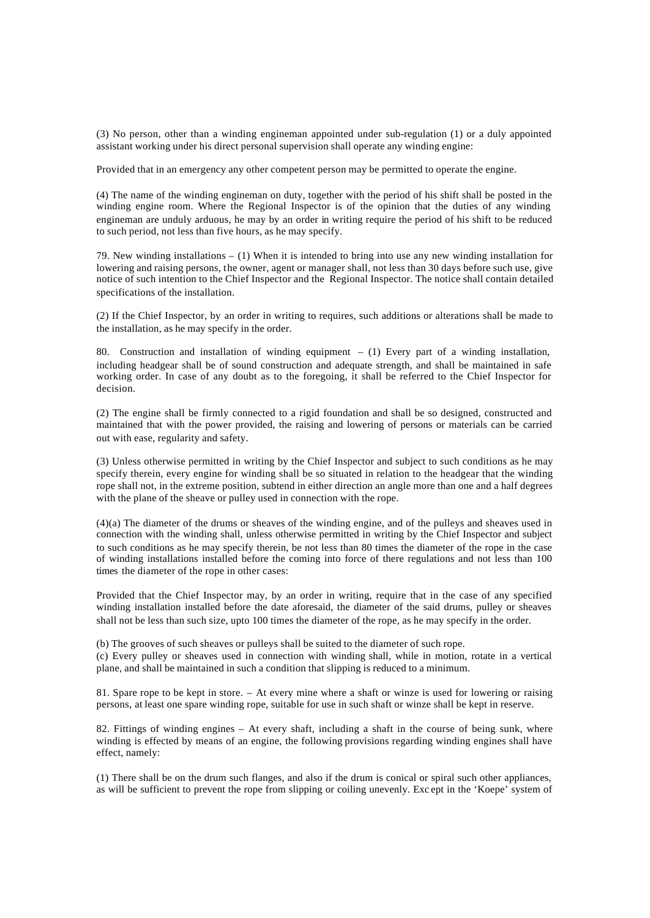(3) No person, other than a winding engineman appointed under sub-regulation (1) or a duly appointed assistant working under his direct personal supervision shall operate any winding engine:

Provided that in an emergency any other competent person may be permitted to operate the engine.

(4) The name of the winding engineman on duty, together with the period of his shift shall be posted in the winding engine room. Where the Regional Inspector is of the opinion that the duties of any winding engineman are unduly arduous, he may by an order in writing require the period of his shift to be reduced to such period, not less than five hours, as he may specify.

79. New winding installations  $- (1)$  When it is intended to bring into use any new winding installation for lowering and raising persons, the owner, agent or manager shall, not less than 30 days before such use, give notice of such intention to the Chief Inspector and the Regional Inspector. The notice shall contain detailed specifications of the installation.

(2) If the Chief Inspector, by an order in writing to requires, such additions or alterations shall be made to the installation, as he may specify in the order.

80. Construction and installation of winding equipment – (1) Every part of a winding installation, including headgear shall be of sound construction and adequate strength, and shall be maintained in safe working order. In case of any doubt as to the foregoing, it shall be referred to the Chief Inspector for decision.

(2) The engine shall be firmly connected to a rigid foundation and shall be so designed, constructed and maintained that with the power provided, the raising and lowering of persons or materials can be carried out with ease, regularity and safety.

(3) Unless otherwise permitted in writing by the Chief Inspector and subject to such conditions as he may specify therein, every engine for winding shall be so situated in relation to the headgear that the winding rope shall not, in the extreme position, subtend in either direction an angle more than one and a half degrees with the plane of the sheave or pulley used in connection with the rope.

(4)(a) The diameter of the drums or sheaves of the winding engine, and of the pulleys and sheaves used in connection with the winding shall, unless otherwise permitted in writing by the Chief Inspector and subject to such conditions as he may specify therein, be not less than 80 times the diameter of the rope in the case of winding installations installed before the coming into force of there regulations and not less than 100 times the diameter of the rope in other cases:

Provided that the Chief Inspector may, by an order in writing, require that in the case of any specified winding installation installed before the date aforesaid, the diameter of the said drums, pulley or sheaves shall not be less than such size, upto 100 times the diameter of the rope, as he may specify in the order.

(b) The grooves of such sheaves or pulleys shall be suited to the diameter of such rope. (c) Every pulley or sheaves used in connection with winding shall, while in motion, rotate in a vertical plane, and shall be maintained in such a condition that slipping is reduced to a minimum.

81. Spare rope to be kept in store. – At every mine where a shaft or winze is used for lowering or raising persons, at least one spare winding rope, suitable for use in such shaft or winze shall be kept in reserve.

82. Fittings of winding engines – At every shaft, including a shaft in the course of being sunk, where winding is effected by means of an engine, the following provisions regarding winding engines shall have effect, namely:

(1) There shall be on the drum such flanges, and also if the drum is conical or spiral such other appliances, as will be sufficient to prevent the rope from slipping or coiling unevenly. Exc ept in the 'Koepe' system of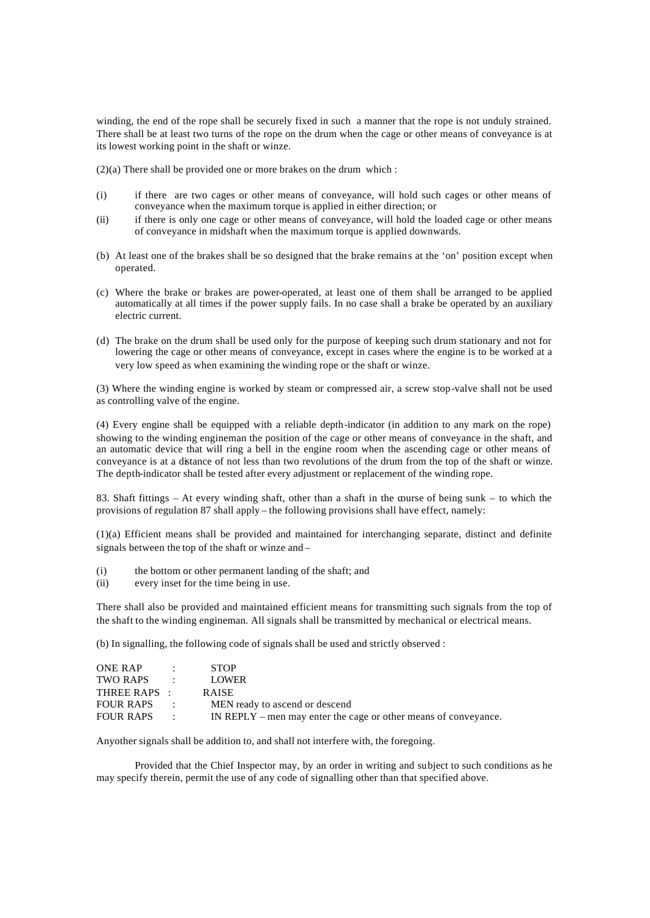winding, the end of the rope shall be securely fixed in such a manner that the rope is not unduly strained. There shall be at least two turns of the rope on the drum when the cage or other means of conveyance is at its lowest working point in the shaft or winze.

(2)(a) There shall be provided one or more brakes on the drum which :

- (i) if there are two cages or other means of conveyance, will hold such cages or other means of conveyance when the maximum torque is applied in either direction; or
- (ii) if there is only one cage or other means of conveyance, will hold the loaded cage or other means of conveyance in midshaft when the maximum torque is applied downwards.
- (b) At least one of the brakes shall be so designed that the brake remains at the 'on' position except when operated.
- (c) Where the brake or brakes are power-operated, at least one of them shall be arranged to be applied automatically at all times if the power supply fails. In no case shall a brake be operated by an auxiliary electric current.
- (d) The brake on the drum shall be used only for the purpose of keeping such drum stationary and not for lowering the cage or other means of conveyance, except in cases where the engine is to be worked at a very low speed as when examining the winding rope or the shaft or winze.

(3) Where the winding engine is worked by steam or compressed air, a screw stop-valve shall not be used as controlling valve of the engine.

(4) Every engine shall be equipped with a reliable depth-indicator (in addition to any mark on the rope) showing to the winding engineman the position of the cage or other means of conveyance in the shaft, and an automatic device that will ring a bell in the engine room when the ascending cage or other means of conveyance is at a distance of not less than two revolutions of the drum from the top of the shaft or winze. The depth-indicator shall be tested after every adjustment or replacement of the winding rope.

83. Shaft fittings – At every winding shaft, other than a shaft in the course of being sunk – to which the provisions of regulation 87 shall apply – the following provisions shall have effect, namely:

(1)(a) Efficient means shall be provided and maintained for interchanging separate, distinct and definite signals between the top of the shaft or winze and –

- (i) the bottom or other permanent landing of the shaft; and
- (ii) every inset for the time being in use.

There shall also be provided and maintained efficient means for transmitting such signals from the top of the shaft to the winding engineman. All signals shall be transmitted by mechanical or electrical means.

(b) In signalling, the following code of signals shall be used and strictly observed :

| ONE RAP          |                          | <b>STOP</b>                                                     |
|------------------|--------------------------|-----------------------------------------------------------------|
| TWO RAPS         | <b>Contractor</b>        | <b>LOWER</b>                                                    |
| THREE RAPS :     |                          | <b>RAISE</b>                                                    |
| <b>FOUR RAPS</b> | $\mathcal{L}$            | MEN ready to ascend or descend                                  |
| FOUR RAPS        | <b>Contract Contract</b> | IN REPLY – men may enter the cage or other means of conveyance. |

Anyother signals shall be addition to, and shall not interfere with, the foregoing.

Provided that the Chief Inspector may, by an order in writing and subject to such conditions as he may specify therein, permit the use of any code of signalling other than that specified above.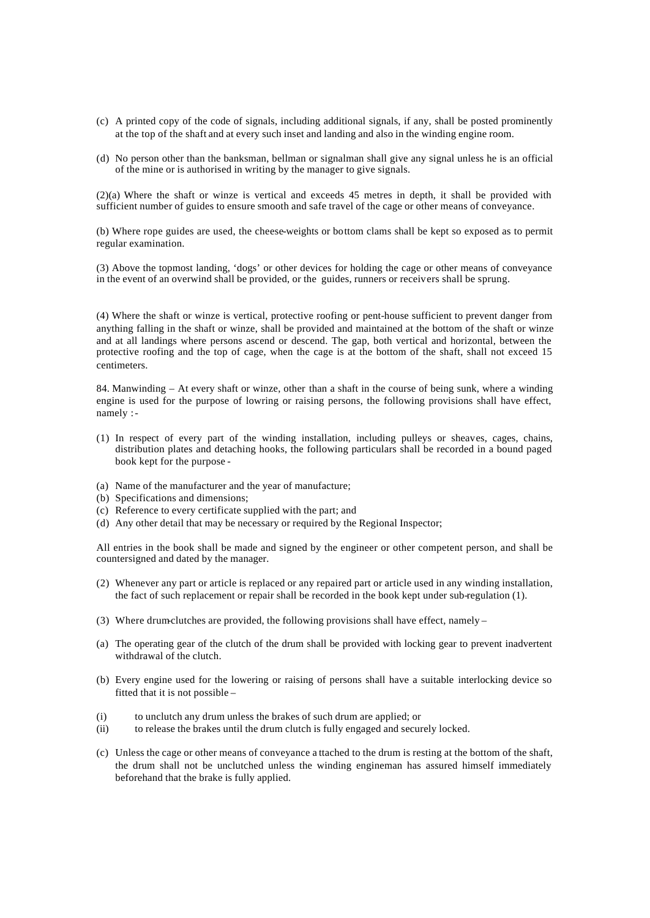- (c) A printed copy of the code of signals, including additional signals, if any, shall be posted prominently at the top of the shaft and at every such inset and landing and also in the winding engine room.
- (d) No person other than the banksman, bellman or signalman shall give any signal unless he is an official of the mine or is authorised in writing by the manager to give signals.

(2)(a) Where the shaft or winze is vertical and exceeds 45 metres in depth, it shall be provided with sufficient number of guides to ensure smooth and safe travel of the cage or other means of conveyance.

(b) Where rope guides are used, the cheese-weights or bottom clams shall be kept so exposed as to permit regular examination.

(3) Above the topmost landing, 'dogs' or other devices for holding the cage or other means of conveyance in the event of an overwind shall be provided, or the guides, runners or receivers shall be sprung.

(4) Where the shaft or winze is vertical, protective roofing or pent-house sufficient to prevent danger from anything falling in the shaft or winze, shall be provided and maintained at the bottom of the shaft or winze and at all landings where persons ascend or descend. The gap, both vertical and horizontal, between the protective roofing and the top of cage, when the cage is at the bottom of the shaft, shall not exceed 15 centimeters.

84. Manwinding – At every shaft or winze, other than a shaft in the course of being sunk, where a winding engine is used for the purpose of lowring or raising persons, the following provisions shall have effect, namely : -

- (1) In respect of every part of the winding installation, including pulleys or sheaves, cages, chains, distribution plates and detaching hooks, the following particulars shall be recorded in a bound paged book kept for the purpose -
- (a) Name of the manufacturer and the year of manufacture;
- (b) Specifications and dimensions;
- (c) Reference to every certificate supplied with the part; and
- (d) Any other detail that may be necessary or required by the Regional Inspector;

All entries in the book shall be made and signed by the engineer or other competent person, and shall be countersigned and dated by the manager.

- (2) Whenever any part or article is replaced or any repaired part or article used in any winding installation, the fact of such replacement or repair shall be recorded in the book kept under sub-regulation (1).
- (3) Where drum-clutches are provided, the following provisions shall have effect, namely –
- (a) The operating gear of the clutch of the drum shall be provided with locking gear to prevent inadvertent withdrawal of the clutch.
- (b) Every engine used for the lowering or raising of persons shall have a suitable interlocking device so fitted that it is not possible –
- (i) to unclutch any drum unless the brakes of such drum are applied; or
- (ii) to release the brakes until the drum clutch is fully engaged and securely locked.
- (c) Unless the cage or other means of conveyance a ttached to the drum is resting at the bottom of the shaft, the drum shall not be unclutched unless the winding engineman has assured himself immediately beforehand that the brake is fully applied.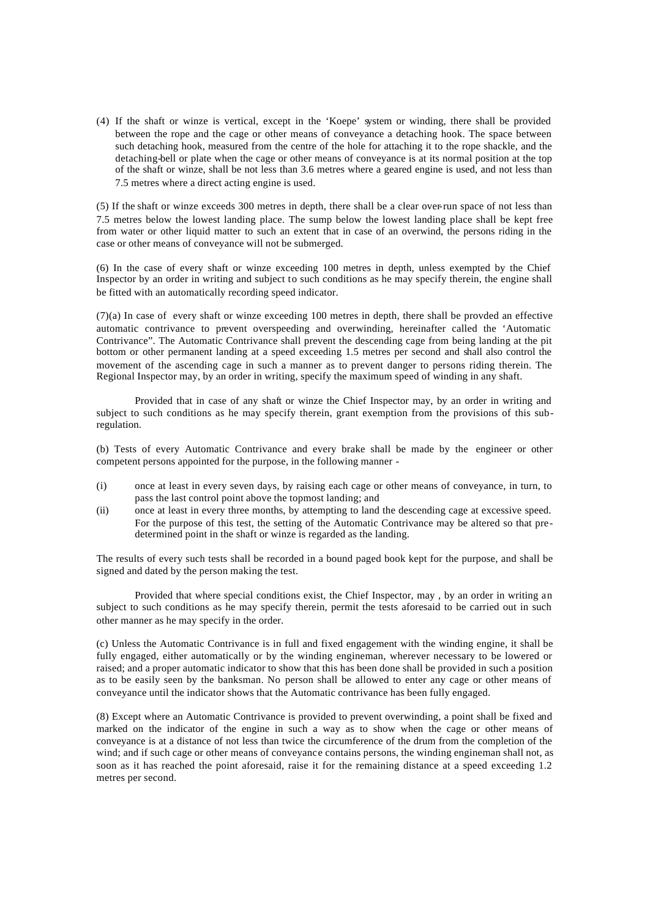(4) If the shaft or winze is vertical, except in the 'Koepe' system or winding, there shall be provided between the rope and the cage or other means of conveyance a detaching hook. The space between such detaching hook, measured from the centre of the hole for attaching it to the rope shackle, and the detaching-bell or plate when the cage or other means of conveyance is at its normal position at the top of the shaft or winze, shall be not less than 3.6 metres where a geared engine is used, and not less than 7.5 metres where a direct acting engine is used.

(5) If the shaft or winze exceeds 300 metres in depth, there shall be a clear over-run space of not less than 7.5 metres below the lowest landing place. The sump below the lowest landing place shall be kept free from water or other liquid matter to such an extent that in case of an overwind, the persons riding in the case or other means of conveyance will not be submerged.

(6) In the case of every shaft or winze exceeding 100 metres in depth, unless exempted by the Chief Inspector by an order in writing and subject to such conditions as he may specify therein, the engine shall be fitted with an automatically recording speed indicator.

(7)(a) In case of every shaft or winze exceeding 100 metres in depth, there shall be provded an effective automatic contrivance to prevent overspeeding and overwinding, hereinafter called the 'Automatic Contrivance". The Automatic Contrivance shall prevent the descending cage from being landing at the pit bottom or other permanent landing at a speed exceeding 1.5 metres per second and shall also control the movement of the ascending cage in such a manner as to prevent danger to persons riding therein. The Regional Inspector may, by an order in writing, specify the maximum speed of winding in any shaft.

Provided that in case of any shaft or winze the Chief Inspector may, by an order in writing and subject to such conditions as he may specify therein, grant exemption from the provisions of this subregulation.

(b) Tests of every Automatic Contrivance and every brake shall be made by the engineer or other competent persons appointed for the purpose, in the following manner -

- (i) once at least in every seven days, by raising each cage or other means of conveyance, in turn, to pass the last control point above the topmost landing; and
- (ii) once at least in every three months, by attempting to land the descending cage at excessive speed. For the purpose of this test, the setting of the Automatic Contrivance may be altered so that predetermined point in the shaft or winze is regarded as the landing.

The results of every such tests shall be recorded in a bound paged book kept for the purpose, and shall be signed and dated by the person making the test.

Provided that where special conditions exist, the Chief Inspector, may , by an order in writing an subject to such conditions as he may specify therein, permit the tests aforesaid to be carried out in such other manner as he may specify in the order.

(c) Unless the Automatic Contrivance is in full and fixed engagement with the winding engine, it shall be fully engaged, either automatically or by the winding engineman, wherever necessary to be lowered or raised; and a proper automatic indicator to show that this has been done shall be provided in such a position as to be easily seen by the banksman. No person shall be allowed to enter any cage or other means of conveyance until the indicator shows that the Automatic contrivance has been fully engaged.

(8) Except where an Automatic Contrivance is provided to prevent overwinding, a point shall be fixed and marked on the indicator of the engine in such a way as to show when the cage or other means of conveyance is at a distance of not less than twice the circumference of the drum from the completion of the wind; and if such cage or other means of conveyance contains persons, the winding engineman shall not, as soon as it has reached the point aforesaid, raise it for the remaining distance at a speed exceeding 1.2 metres per second.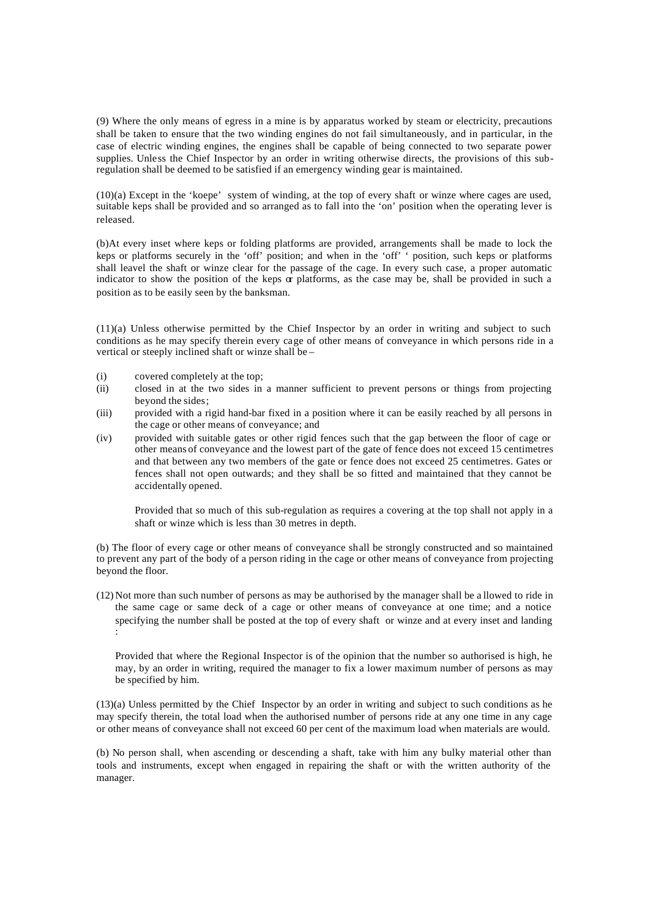(9) Where the only means of egress in a mine is by apparatus worked by steam or electricity, precautions shall be taken to ensure that the two winding engines do not fail simultaneously, and in particular, in the case of electric winding engines, the engines shall be capable of being connected to two separate power supplies. Unless the Chief Inspector by an order in writing otherwise directs, the provisions of this subregulation shall be deemed to be satisfied if an emergency winding gear is maintained.

(10)(a) Except in the 'koepe' system of winding, at the top of every shaft or winze where cages are used, suitable keps shall be provided and so arranged as to fall into the 'on' position when the operating lever is released.

(b)At every inset where keps or folding platforms are provided, arrangements shall be made to lock the keps or platforms securely in the 'off' position; and when in the 'off' ' position, such keps or platforms shall leavel the shaft or winze clear for the passage of the cage. In every such case, a proper automatic indicator to show the position of the keps  $\alpha$  platforms, as the case may be, shall be provided in such a position as to be easily seen by the banksman.

(11)(a) Unless otherwise permitted by the Chief Inspector by an order in writing and subject to such conditions as he may specify therein every cage of other means of conveyance in which persons ride in a vertical or steeply inclined shaft or winze shall be –

- (i) covered completely at the top;
- (ii) closed in at the two sides in a manner sufficient to prevent persons or things from projecting beyond the sides;
- (iii) provided with a rigid hand-bar fixed in a position where it can be easily reached by all persons in the cage or other means of conveyance; and
- (iv) provided with suitable gates or other rigid fences such that the gap between the floor of cage or other means of conveyance and the lowest part of the gate of fence does not exceed 15 centimetres and that between any two members of the gate or fence does not exceed 25 centimetres. Gates or fences shall not open outwards; and they shall be so fitted and maintained that they cannot be accidentally opened.

Provided that so much of this sub-regulation as requires a covering at the top shall not apply in a shaft or winze which is less than 30 metres in depth.

(b) The floor of every cage or other means of conveyance shall be strongly constructed and so maintained to prevent any part of the body of a person riding in the cage or other means of conveyance from projecting beyond the floor.

(12) Not more than such number of persons as may be authorised by the manager shall be a llowed to ride in the same cage or same deck of a cage or other means of conveyance at one time; and a notice specifying the number shall be posted at the top of every shaft or winze and at every inset and landing :

Provided that where the Regional Inspector is of the opinion that the number so authorised is high, he may, by an order in writing, required the manager to fix a lower maximum number of persons as may be specified by him.

(13)(a) Unless permitted by the Chief Inspector by an order in writing and subject to such conditions as he may specify therein, the total load when the authorised number of persons ride at any one time in any cage or other means of conveyance shall not exceed 60 per cent of the maximum load when materials are would.

(b) No person shall, when ascending or descending a shaft, take with him any bulky material other than tools and instruments, except when engaged in repairing the shaft or with the written authority of the manager.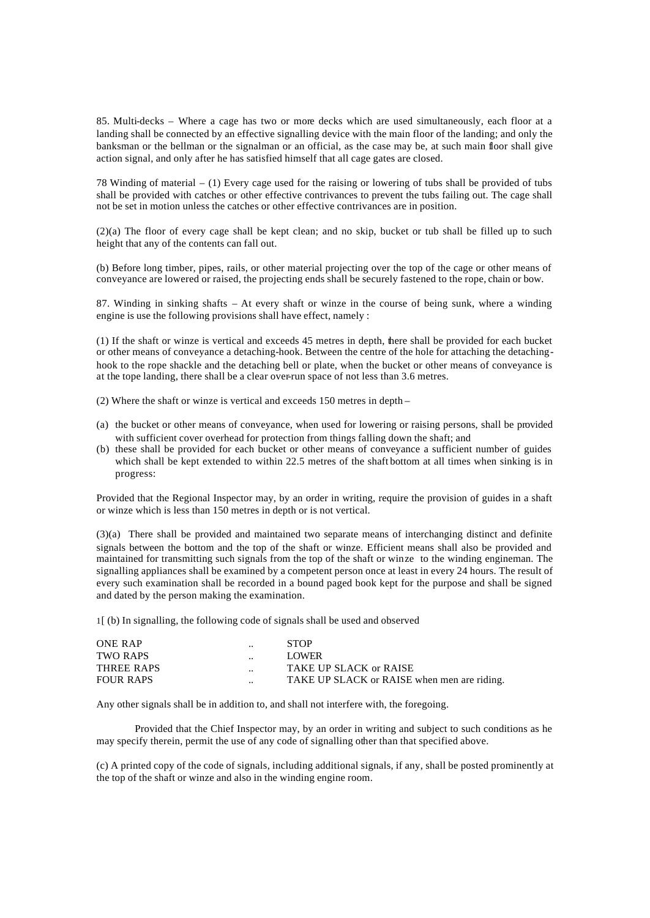85. Multi-decks – Where a cage has two or more decks which are used simultaneously, each floor at a landing shall be connected by an effective signalling device with the main floor of the landing; and only the banksman or the bellman or the signalman or an official, as the case may be, at such main floor shall give action signal, and only after he has satisfied himself that all cage gates are closed.

78 Winding of material – (1) Every cage used for the raising or lowering of tubs shall be provided of tubs shall be provided with catches or other effective contrivances to prevent the tubs failing out. The cage shall not be set in motion unless the catches or other effective contrivances are in position.

(2)(a) The floor of every cage shall be kept clean; and no skip, bucket or tub shall be filled up to such height that any of the contents can fall out.

(b) Before long timber, pipes, rails, or other material projecting over the top of the cage or other means of conveyance are lowered or raised, the projecting ends shall be securely fastened to the rope, chain or bow.

87. Winding in sinking shafts – At every shaft or winze in the course of being sunk, where a winding engine is use the following provisions shall have effect, namely :

(1) If the shaft or winze is vertical and exceeds 45 metres in depth, there shall be provided for each bucket or other means of conveyance a detaching-hook. Between the centre of the hole for attaching the detachinghook to the rope shackle and the detaching bell or plate, when the bucket or other means of conveyance is at the tope landing, there shall be a clear over-run space of not less than 3.6 metres.

(2) Where the shaft or winze is vertical and exceeds 150 metres in depth –

- (a) the bucket or other means of conveyance, when used for lowering or raising persons, shall be provided with sufficient cover overhead for protection from things falling down the shaft; and
- (b) these shall be provided for each bucket or other means of conveyance a sufficient number of guides which shall be kept extended to within 22.5 metres of the shaft bottom at all times when sinking is in progress:

Provided that the Regional Inspector may, by an order in writing, require the provision of guides in a shaft or winze which is less than 150 metres in depth or is not vertical.

(3)(a) There shall be provided and maintained two separate means of interchanging distinct and definite signals between the bottom and the top of the shaft or winze. Efficient means shall also be provided and maintained for transmitting such signals from the top of the shaft or winze to the winding engineman. The signalling appliances shall be examined by a competent person once at least in every 24 hours. The result of every such examination shall be recorded in a bound paged book kept for the purpose and shall be signed and dated by the person making the examination.

1[ (b) In signalling, the following code of signals shall be used and observed

| <b>ONE RAP</b>   |                      | <b>STOP</b>                                 |
|------------------|----------------------|---------------------------------------------|
| TWO RAPS         | $\ddot{\phantom{a}}$ | <b>LOWER</b>                                |
| THREE RAPS       |                      | TAKE UP SLACK or RAISE                      |
| <b>FOUR RAPS</b> | $\ddot{\phantom{0}}$ | TAKE UP SLACK or RAISE when men are riding. |
|                  |                      |                                             |

Any other signals shall be in addition to, and shall not interfere with, the foregoing.

Provided that the Chief Inspector may, by an order in writing and subject to such conditions as he may specify therein, permit the use of any code of signalling other than that specified above.

(c) A printed copy of the code of signals, including additional signals, if any, shall be posted prominently at the top of the shaft or winze and also in the winding engine room.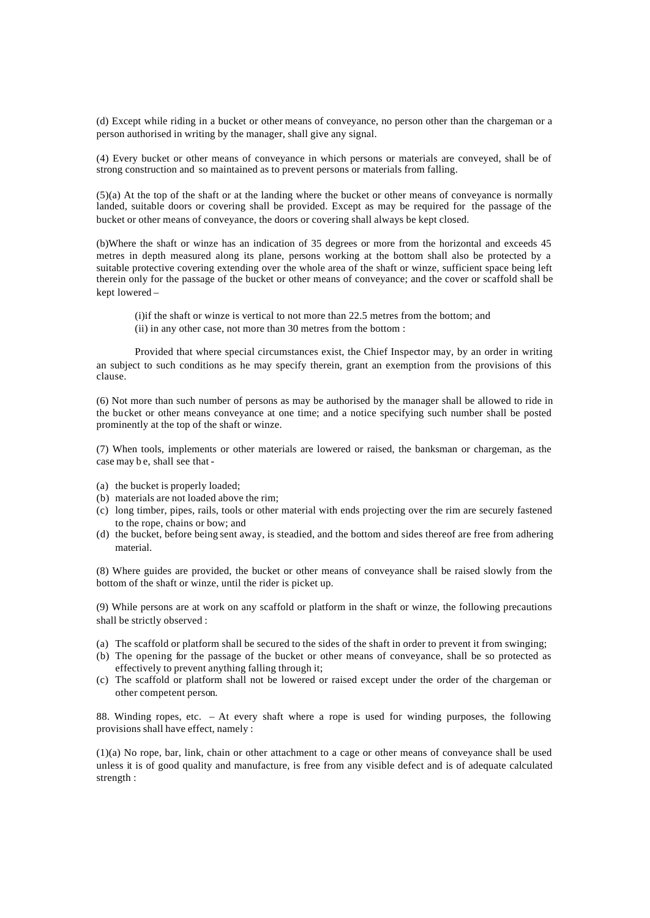(d) Except while riding in a bucket or other means of conveyance, no person other than the chargeman or a person authorised in writing by the manager, shall give any signal.

(4) Every bucket or other means of conveyance in which persons or materials are conveyed, shall be of strong construction and so maintained as to prevent persons or materials from falling.

(5)(a) At the top of the shaft or at the landing where the bucket or other means of conveyance is normally landed, suitable doors or covering shall be provided. Except as may be required for the passage of the bucket or other means of conveyance, the doors or covering shall always be kept closed.

(b)Where the shaft or winze has an indication of 35 degrees or more from the horizontal and exceeds 45 metres in depth measured along its plane, persons working at the bottom shall also be protected by a suitable protective covering extending over the whole area of the shaft or winze, sufficient space being left therein only for the passage of the bucket or other means of conveyance; and the cover or scaffold shall be kept lowered –

(i)if the shaft or winze is vertical to not more than 22.5 metres from the bottom; and (ii) in any other case, not more than 30 metres from the bottom :

Provided that where special circumstances exist, the Chief Inspector may, by an order in writing an subject to such conditions as he may specify therein, grant an exemption from the provisions of this clause.

(6) Not more than such number of persons as may be authorised by the manager shall be allowed to ride in the bucket or other means conveyance at one time; and a notice specifying such number shall be posted prominently at the top of the shaft or winze.

(7) When tools, implements or other materials are lowered or raised, the banksman or chargeman, as the case may be, shall see that -

- (a) the bucket is properly loaded;
- (b) materials are not loaded above the rim;
- (c) long timber, pipes, rails, tools or other material with ends projecting over the rim are securely fastened to the rope, chains or bow; and
- (d) the bucket, before being sent away, is steadied, and the bottom and sides thereof are free from adhering material.

(8) Where guides are provided, the bucket or other means of conveyance shall be raised slowly from the bottom of the shaft or winze, until the rider is picket up.

(9) While persons are at work on any scaffold or platform in the shaft or winze, the following precautions shall be strictly observed :

- (a) The scaffold or platform shall be secured to the sides of the shaft in order to prevent it from swinging;
- (b) The opening for the passage of the bucket or other means of conveyance, shall be so protected as effectively to prevent anything falling through it;
- (c) The scaffold or platform shall not be lowered or raised except under the order of the chargeman or other competent person.

88. Winding ropes, etc. – At every shaft where a rope is used for winding purposes, the following provisions shall have effect, namely :

(1)(a) No rope, bar, link, chain or other attachment to a cage or other means of conveyance shall be used unless it is of good quality and manufacture, is free from any visible defect and is of adequate calculated strength :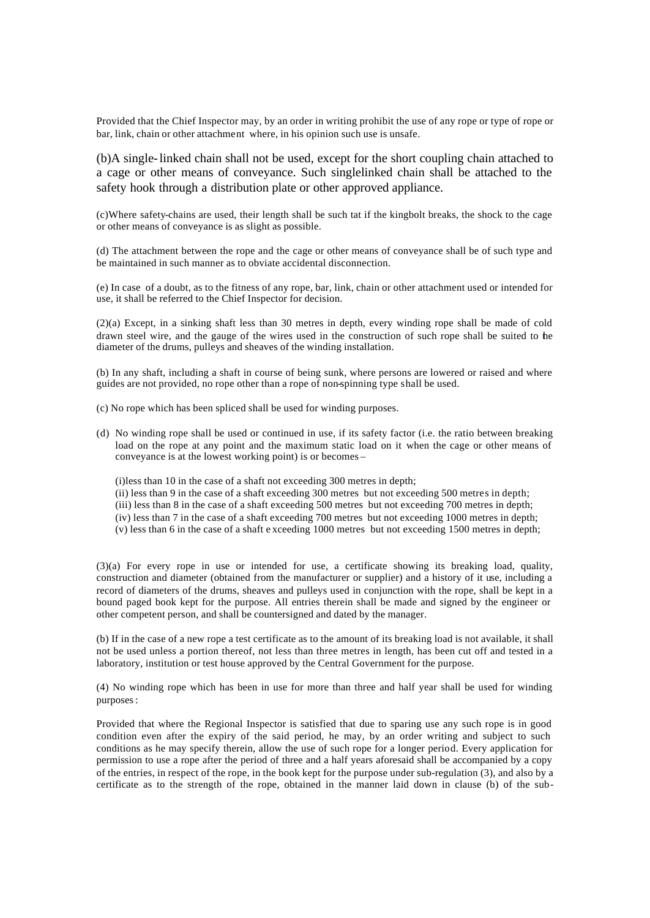Provided that the Chief Inspector may, by an order in writing prohibit the use of any rope or type of rope or bar, link, chain or other attachment where, in his opinion such use is unsafe.

(b)A single-linked chain shall not be used, except for the short coupling chain attached to a cage or other means of conveyance. Such singlelinked chain shall be attached to the safety hook through a distribution plate or other approved appliance.

(c)Where safety-chains are used, their length shall be such tat if the kingbolt breaks, the shock to the cage or other means of conveyance is as slight as possible.

(d) The attachment between the rope and the cage or other means of conveyance shall be of such type and be maintained in such manner as to obviate accidental disconnection.

(e) In case of a doubt, as to the fitness of any rope, bar, link, chain or other attachment used or intended for use, it shall be referred to the Chief Inspector for decision.

(2)(a) Except, in a sinking shaft less than 30 metres in depth, every winding rope shall be made of cold drawn steel wire, and the gauge of the wires used in the construction of such rope shall be suited to the diameter of the drums, pulleys and sheaves of the winding installation.

(b) In any shaft, including a shaft in course of being sunk, where persons are lowered or raised and where guides are not provided, no rope other than a rope of non-spinning type shall be used.

- (c) No rope which has been spliced shall be used for winding purposes.
- (d) No winding rope shall be used or continued in use, if its safety factor (i.e. the ratio between breaking load on the rope at any point and the maximum static load on it when the cage or other means of conveyance is at the lowest working point) is or becomes –

(i)less than 10 in the case of a shaft not exceeding 300 metres in depth;

(ii) less than 9 in the case of a shaft exceeding 300 metres but not exceeding 500 metres in depth;

- (iii) less than 8 in the case of a shaft exceeding 500 metres but not exceeding 700 metres in depth;
- (iv) less than 7 in the case of a shaft exceeding 700 metres but not exceeding 1000 metres in depth;
- (v) less than 6 in the case of a shaft e xceeding 1000 metres but not exceeding 1500 metres in depth;

(3)(a) For every rope in use or intended for use, a certificate showing its breaking load, quality, construction and diameter (obtained from the manufacturer or supplier) and a history of it use, including a record of diameters of the drums, sheaves and pulleys used in conjunction with the rope, shall be kept in a bound paged book kept for the purpose. All entries therein shall be made and signed by the engineer or other competent person, and shall be countersigned and dated by the manager.

(b) If in the case of a new rope a test certificate as to the amount of its breaking load is not available, it shall not be used unless a portion thereof, not less than three metres in length, has been cut off and tested in a laboratory, institution or test house approved by the Central Government for the purpose.

(4) No winding rope which has been in use for more than three and half year shall be used for winding purposes :

Provided that where the Regional Inspector is satisfied that due to sparing use any such rope is in good condition even after the expiry of the said period, he may, by an order writing and subject to such conditions as he may specify therein, allow the use of such rope for a longer period. Every application for permission to use a rope after the period of three and a half years aforesaid shall be accompanied by a copy of the entries, in respect of the rope, in the book kept for the purpose under sub-regulation (3), and also by a certificate as to the strength of the rope, obtained in the manner laid down in clause (b) of the sub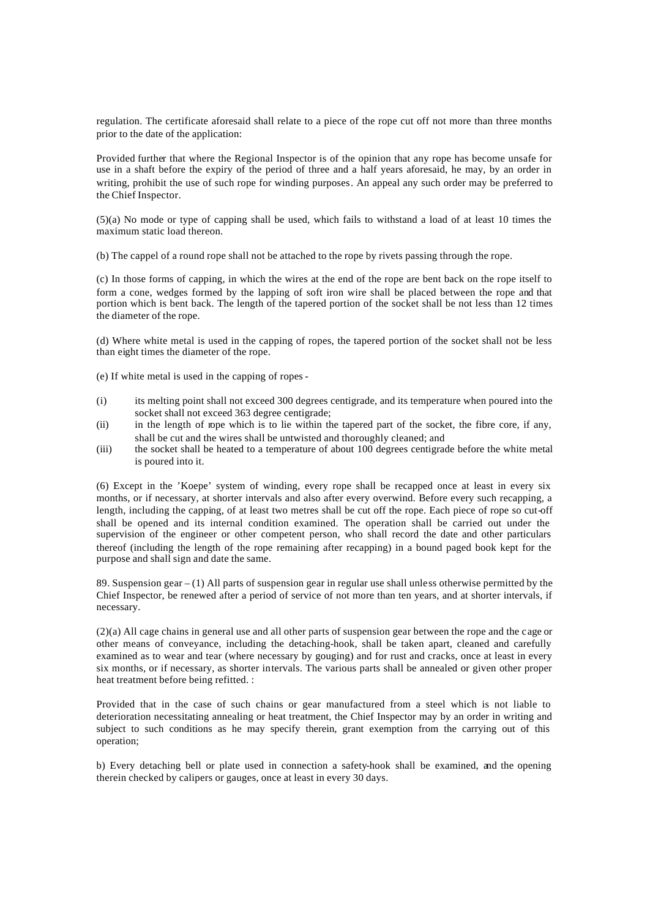regulation. The certificate aforesaid shall relate to a piece of the rope cut off not more than three months prior to the date of the application:

Provided further that where the Regional Inspector is of the opinion that any rope has become unsafe for use in a shaft before the expiry of the period of three and a half years aforesaid, he may, by an order in writing, prohibit the use of such rope for winding purposes. An appeal any such order may be preferred to the Chief Inspector.

(5)(a) No mode or type of capping shall be used, which fails to withstand a load of at least 10 times the maximum static load thereon.

(b) The cappel of a round rope shall not be attached to the rope by rivets passing through the rope.

(c) In those forms of capping, in which the wires at the end of the rope are bent back on the rope itself to form a cone, wedges formed by the lapping of soft iron wire shall be placed between the rope and that portion which is bent back. The length of the tapered portion of the socket shall be not less than 12 times the diameter of the rope.

(d) Where white metal is used in the capping of ropes, the tapered portion of the socket shall not be less than eight times the diameter of the rope.

- (e) If white metal is used in the capping of ropes -
- (i) its melting point shall not exceed 300 degrees centigrade, and its temperature when poured into the socket shall not exceed 363 degree centigrade;
- (ii) in the length of rope which is to lie within the tapered part of the socket, the fibre core, if any, shall be cut and the wires shall be untwisted and thoroughly cleaned; and
- (iii) the socket shall be heated to a temperature of about 100 degrees centigrade before the white metal is poured into it.

(6) Except in the 'Koepe' system of winding, every rope shall be recapped once at least in every six months, or if necessary, at shorter intervals and also after every overwind. Before every such recapping, a length, including the capping, of at least two metres shall be cut off the rope. Each piece of rope so cut-off shall be opened and its internal condition examined. The operation shall be carried out under the supervision of the engineer or other competent person, who shall record the date and other particulars thereof (including the length of the rope remaining after recapping) in a bound paged book kept for the purpose and shall sign and date the same.

89. Suspension gear – (1) All parts of suspension gear in regular use shall unless otherwise permitted by the Chief Inspector, be renewed after a period of service of not more than ten years, and at shorter intervals, if necessary.

(2)(a) All cage chains in general use and all other parts of suspension gear between the rope and the cage or other means of conveyance, including the detaching-hook, shall be taken apart, cleaned and carefully examined as to wear and tear (where necessary by gouging) and for rust and cracks, once at least in every six months, or if necessary, as shorter intervals. The various parts shall be annealed or given other proper heat treatment before being refitted. :

Provided that in the case of such chains or gear manufactured from a steel which is not liable to deterioration necessitating annealing or heat treatment, the Chief Inspector may by an order in writing and subject to such conditions as he may specify therein, grant exemption from the carrying out of this operation;

b) Every detaching bell or plate used in connection a safety-hook shall be examined, and the opening therein checked by calipers or gauges, once at least in every 30 days.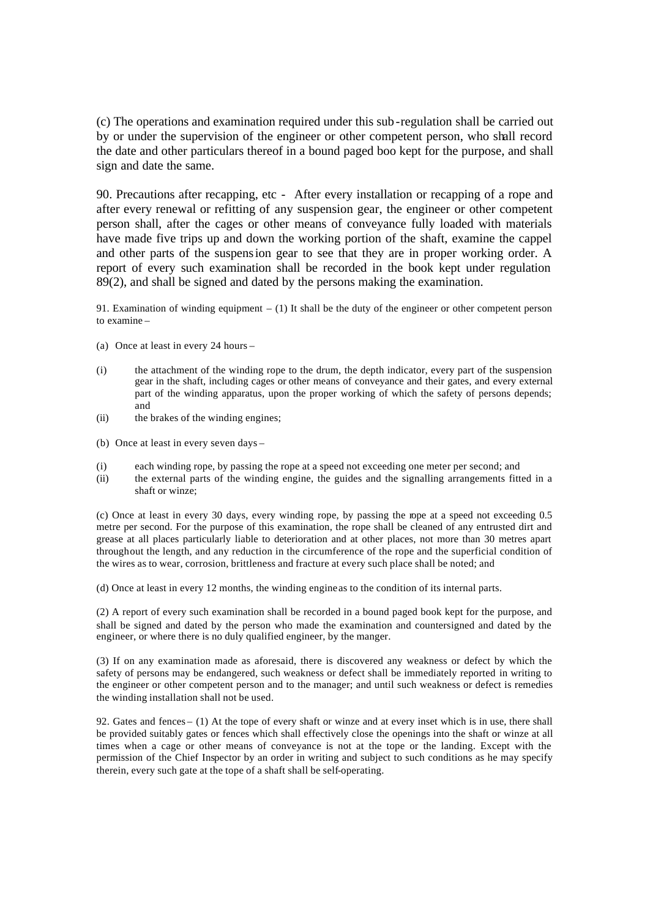(c) The operations and examination required under this sub -regulation shall be carried out by or under the supervision of the engineer or other competent person, who shall record the date and other particulars thereof in a bound paged boo kept for the purpose, and shall sign and date the same.

90. Precautions after recapping, etc - After every installation or recapping of a rope and after every renewal or refitting of any suspension gear, the engineer or other competent person shall, after the cages or other means of conveyance fully loaded with materials have made five trips up and down the working portion of the shaft, examine the cappel and other parts of the suspension gear to see that they are in proper working order. A report of every such examination shall be recorded in the book kept under regulation 89(2), and shall be signed and dated by the persons making the examination.

91. Examination of winding equipment – (1) It shall be the duty of the engineer or other competent person to examine –

- (a) Once at least in every 24 hours –
- (i) the attachment of the winding rope to the drum, the depth indicator, every part of the suspension gear in the shaft, including cages or other means of conveyance and their gates, and every external part of the winding apparatus, upon the proper working of which the safety of persons depends; and
- (ii) the brakes of the winding engines;
- (b) Once at least in every seven days –
- (i) each winding rope, by passing the rope at a speed not exceeding one meter per second; and
- (ii) the external parts of the winding engine, the guides and the signalling arrangements fitted in a shaft or winze;

(c) Once at least in every 30 days, every winding rope, by passing the rope at a speed not exceeding 0.5 metre per second. For the purpose of this examination, the rope shall be cleaned of any entrusted dirt and grease at all places particularly liable to deterioration and at other places, not more than 30 metres apart throughout the length, and any reduction in the circumference of the rope and the superficial condition of the wires as to wear, corrosion, brittleness and fracture at every such place shall be noted; and

(d) Once at least in every 12 months, the winding engine as to the condition of its internal parts.

(2) A report of every such examination shall be recorded in a bound paged book kept for the purpose, and shall be signed and dated by the person who made the examination and countersigned and dated by the engineer, or where there is no duly qualified engineer, by the manger.

(3) If on any examination made as aforesaid, there is discovered any weakness or defect by which the safety of persons may be endangered, such weakness or defect shall be immediately reported in writing to the engineer or other competent person and to the manager; and until such weakness or defect is remedies the winding installation shall not be used.

92. Gates and fences – (1) At the tope of every shaft or winze and at every inset which is in use, there shall be provided suitably gates or fences which shall effectively close the openings into the shaft or winze at all times when a cage or other means of conveyance is not at the tope or the landing. Except with the permission of the Chief Inspector by an order in writing and subject to such conditions as he may specify therein, every such gate at the tope of a shaft shall be self-operating.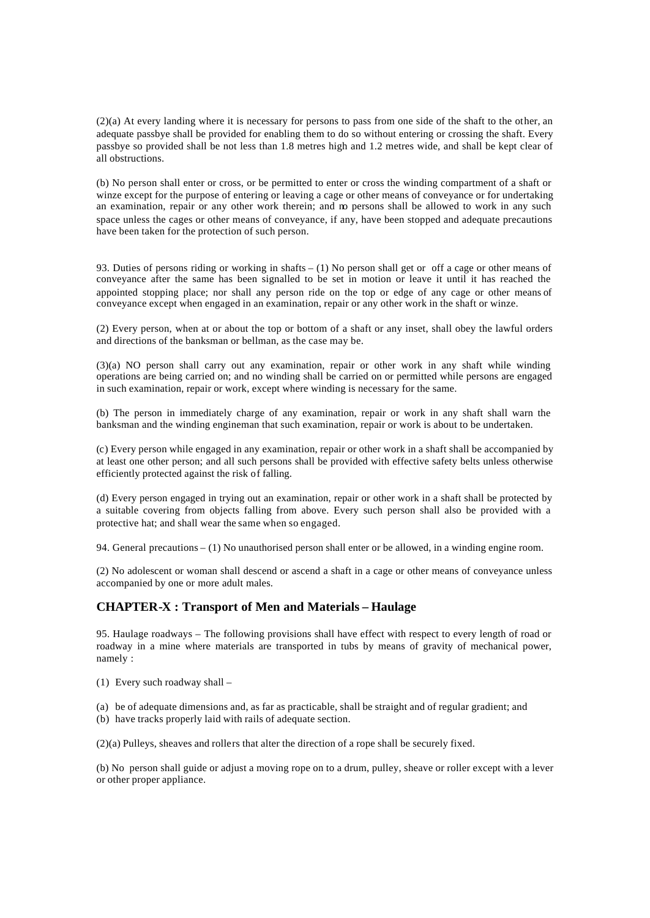(2)(a) At every landing where it is necessary for persons to pass from one side of the shaft to the other, an adequate passbye shall be provided for enabling them to do so without entering or crossing the shaft. Every passbye so provided shall be not less than 1.8 metres high and 1.2 metres wide, and shall be kept clear of all obstructions.

(b) No person shall enter or cross, or be permitted to enter or cross the winding compartment of a shaft or winze except for the purpose of entering or leaving a cage or other means of conveyance or for undertaking an examination, repair or any other work therein; and no persons shall be allowed to work in any such space unless the cages or other means of conveyance, if any, have been stopped and adequate precautions have been taken for the protection of such person.

93. Duties of persons riding or working in shafts – (1) No person shall get or off a cage or other means of conveyance after the same has been signalled to be set in motion or leave it until it has reached the appointed stopping place; nor shall any person ride on the top or edge of any cage or other means of conveyance except when engaged in an examination, repair or any other work in the shaft or winze.

(2) Every person, when at or about the top or bottom of a shaft or any inset, shall obey the lawful orders and directions of the banksman or bellman, as the case may be.

(3)(a) NO person shall carry out any examination, repair or other work in any shaft while winding operations are being carried on; and no winding shall be carried on or permitted while persons are engaged in such examination, repair or work, except where winding is necessary for the same.

(b) The person in immediately charge of any examination, repair or work in any shaft shall warn the banksman and the winding engineman that such examination, repair or work is about to be undertaken.

(c) Every person while engaged in any examination, repair or other work in a shaft shall be accompanied by at least one other person; and all such persons shall be provided with effective safety belts unless otherwise efficiently protected against the risk of falling.

(d) Every person engaged in trying out an examination, repair or other work in a shaft shall be protected by a suitable covering from objects falling from above. Every such person shall also be provided with a protective hat; and shall wear the same when so engaged.

94. General precautions – (1) No unauthorised person shall enter or be allowed, in a winding engine room.

(2) No adolescent or woman shall descend or ascend a shaft in a cage or other means of conveyance unless accompanied by one or more adult males.

### **CHAPTER-X : Transport of Men and Materials – Haulage**

95. Haulage roadways – The following provisions shall have effect with respect to every length of road or roadway in a mine where materials are transported in tubs by means of gravity of mechanical power, namely :

(1) Every such roadway shall –

(a) be of adequate dimensions and, as far as practicable, shall be straight and of regular gradient; and

(b) have tracks properly laid with rails of adequate section.

(2)(a) Pulleys, sheaves and rollers that alter the direction of a rope shall be securely fixed.

(b) No person shall guide or adjust a moving rope on to a drum, pulley, sheave or roller except with a lever or other proper appliance.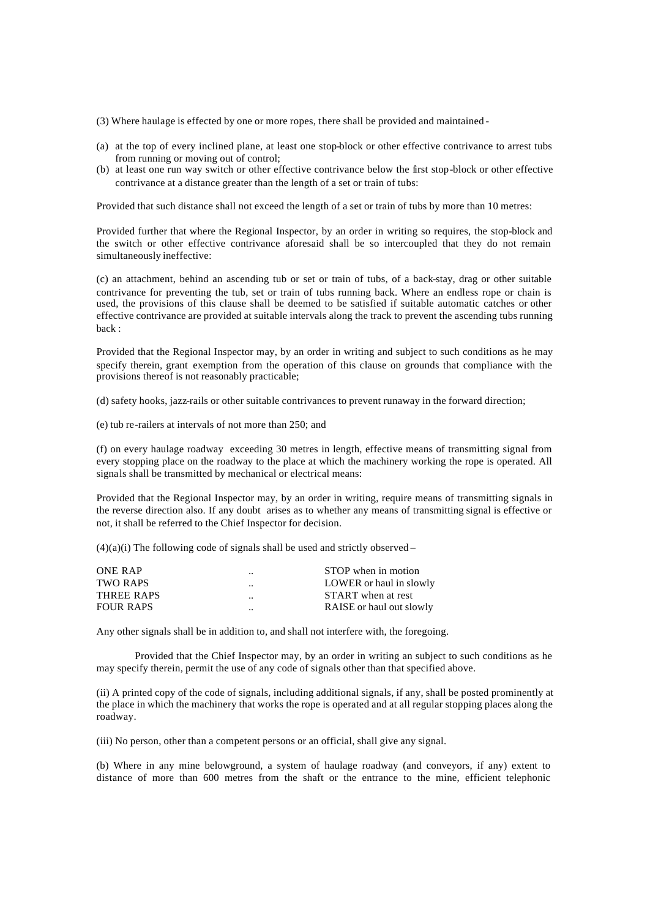- (3) Where haulage is effected by one or more ropes, there shall be provided and maintained -
- (a) at the top of every inclined plane, at least one stop-block or other effective contrivance to arrest tubs from running or moving out of control;
- (b) at least one run way switch or other effective contrivance below the first stop-block or other effective contrivance at a distance greater than the length of a set or train of tubs:

Provided that such distance shall not exceed the length of a set or train of tubs by more than 10 metres:

Provided further that where the Regional Inspector, by an order in writing so requires, the stop-block and the switch or other effective contrivance aforesaid shall be so intercoupled that they do not remain simultaneously ineffective:

(c) an attachment, behind an ascending tub or set or train of tubs, of a back-stay, drag or other suitable contrivance for preventing the tub, set or train of tubs running back. Where an endless rope or chain is used, the provisions of this clause shall be deemed to be satisfied if suitable automatic catches or other effective contrivance are provided at suitable intervals along the track to prevent the ascending tubs running back :

Provided that the Regional Inspector may, by an order in writing and subject to such conditions as he may specify therein, grant exemption from the operation of this clause on grounds that compliance with the provisions thereof is not reasonably practicable;

(d) safety hooks, jazz-rails or other suitable contrivances to prevent runaway in the forward direction;

(e) tub re-railers at intervals of not more than 250; and

(f) on every haulage roadway exceeding 30 metres in length, effective means of transmitting signal from every stopping place on the roadway to the place at which the machinery working the rope is operated. All signals shall be transmitted by mechanical or electrical means:

Provided that the Regional Inspector may, by an order in writing, require means of transmitting signals in the reverse direction also. If any doubt arises as to whether any means of transmitting signal is effective or not, it shall be referred to the Chief Inspector for decision.

 $(4)(a)(i)$  The following code of signals shall be used and strictly observed –

| $\cdot$ | STOP when in motion      |
|---------|--------------------------|
| $\cdot$ | LOWER or haul in slowly  |
| $\cdot$ | START when at rest       |
| $\cdot$ | RAISE or haul out slowly |
|         |                          |

Any other signals shall be in addition to, and shall not interfere with, the foregoing.

Provided that the Chief Inspector may, by an order in writing an subject to such conditions as he may specify therein, permit the use of any code of signals other than that specified above.

(ii) A printed copy of the code of signals, including additional signals, if any, shall be posted prominently at the place in which the machinery that works the rope is operated and at all regular stopping places along the roadway.

(iii) No person, other than a competent persons or an official, shall give any signal.

(b) Where in any mine belowground, a system of haulage roadway (and conveyors, if any) extent to distance of more than 600 metres from the shaft or the entrance to the mine, efficient telephonic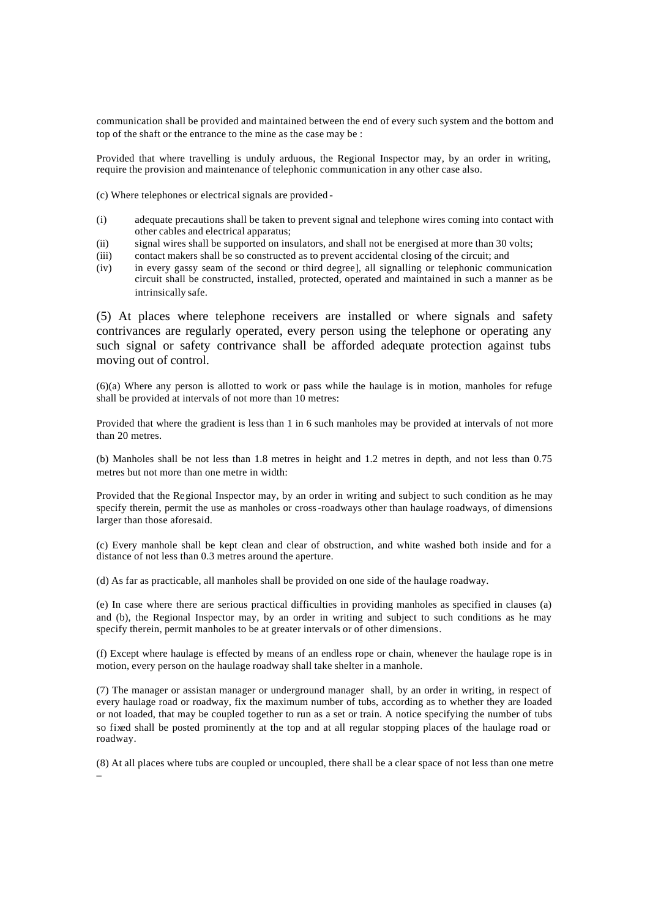communication shall be provided and maintained between the end of every such system and the bottom and top of the shaft or the entrance to the mine as the case may be :

Provided that where travelling is unduly arduous, the Regional Inspector may, by an order in writing, require the provision and maintenance of telephonic communication in any other case also.

(c) Where telephones or electrical signals are provided -

- (i) adequate precautions shall be taken to prevent signal and telephone wires coming into contact with other cables and electrical apparatus;
- (ii) signal wires shall be supported on insulators, and shall not be energised at more than 30 volts;
- (iii) contact makers shall be so constructed as to prevent accidental closing of the circuit; and
- (iv) in every gassy seam of the second or third degree], all signalling or telephonic communication circuit shall be constructed, installed, protected, operated and maintained in such a manner as be intrinsically safe.

(5) At places where telephone receivers are installed or where signals and safety contrivances are regularly operated, every person using the telephone or operating any such signal or safety contrivance shall be afforded adequate protection against tubs moving out of control.

(6)(a) Where any person is allotted to work or pass while the haulage is in motion, manholes for refuge shall be provided at intervals of not more than 10 metres:

Provided that where the gradient is less than 1 in 6 such manholes may be provided at intervals of not more than 20 metres.

(b) Manholes shall be not less than 1.8 metres in height and 1.2 metres in depth, and not less than 0.75 metres but not more than one metre in width:

Provided that the Regional Inspector may, by an order in writing and subject to such condition as he may specify therein, permit the use as manholes or cross-roadways other than haulage roadways, of dimensions larger than those aforesaid.

(c) Every manhole shall be kept clean and clear of obstruction, and white washed both inside and for a distance of not less than 0.3 metres around the aperture.

(d) As far as practicable, all manholes shall be provided on one side of the haulage roadway.

(e) In case where there are serious practical difficulties in providing manholes as specified in clauses (a) and (b), the Regional Inspector may, by an order in writing and subject to such conditions as he may specify therein, permit manholes to be at greater intervals or of other dimensions.

(f) Except where haulage is effected by means of an endless rope or chain, whenever the haulage rope is in motion, every person on the haulage roadway shall take shelter in a manhole.

(7) The manager or assistan manager or underground manager shall, by an order in writing, in respect of every haulage road or roadway, fix the maximum number of tubs, according as to whether they are loaded or not loaded, that may be coupled together to run as a set or train. A notice specifying the number of tubs so fixed shall be posted prominently at the top and at all regular stopping places of the haulage road or roadway.

(8) At all places where tubs are coupled or uncoupled, there shall be a clear space of not less than one metre –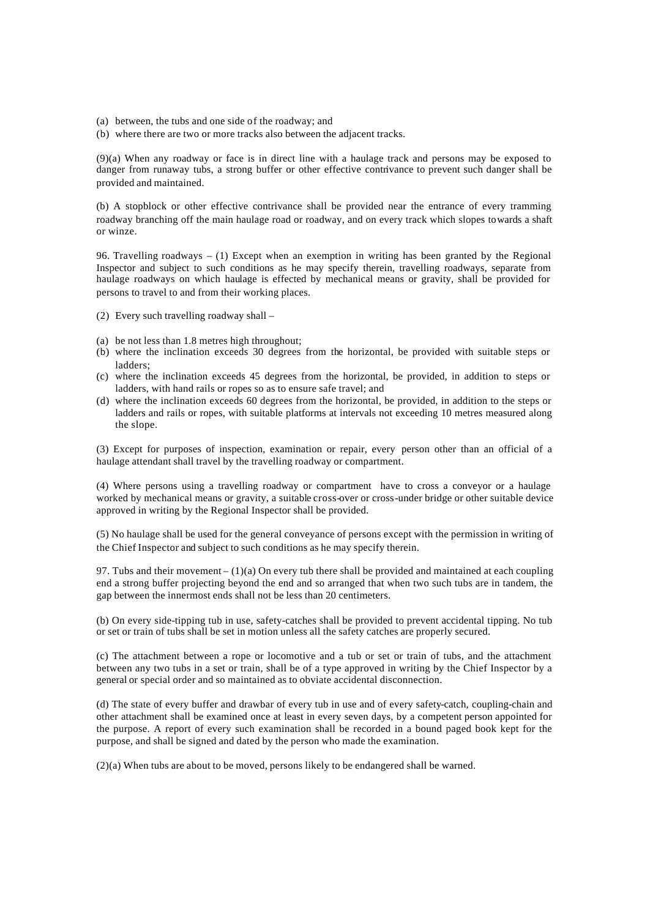- (a) between, the tubs and one side of the roadway; and
- (b) where there are two or more tracks also between the adjacent tracks.

(9)(a) When any roadway or face is in direct line with a haulage track and persons may be exposed to danger from runaway tubs, a strong buffer or other effective contrivance to prevent such danger shall be provided and maintained.

(b) A stopblock or other effective contrivance shall be provided near the entrance of every tramming roadway branching off the main haulage road or roadway, and on every track which slopes towards a shaft or winze.

96. Travelling roadways – (1) Except when an exemption in writing has been granted by the Regional Inspector and subject to such conditions as he may specify therein, travelling roadways, separate from haulage roadways on which haulage is effected by mechanical means or gravity, shall be provided for persons to travel to and from their working places.

- (2) Every such travelling roadway shall –
- (a) be not less than 1.8 metres high throughout;
- (b) where the inclination exceeds 30 degrees from the horizontal, be provided with suitable steps or ladders;
- (c) where the inclination exceeds 45 degrees from the horizontal, be provided, in addition to steps or ladders, with hand rails or ropes so as to ensure safe travel; and
- (d) where the inclination exceeds 60 degrees from the horizontal, be provided, in addition to the steps or ladders and rails or ropes, with suitable platforms at intervals not exceeding 10 metres measured along the slope.

(3) Except for purposes of inspection, examination or repair, every person other than an official of a haulage attendant shall travel by the travelling roadway or compartment.

(4) Where persons using a travelling roadway or compartment have to cross a conveyor or a haulage worked by mechanical means or gravity, a suitable cross-over or cross-under bridge or other suitable device approved in writing by the Regional Inspector shall be provided.

(5) No haulage shall be used for the general conveyance of persons except with the permission in writing of the Chief Inspector and subject to such conditions as he may specify therein.

97. Tubs and their movement  $- (1)(a)$  On every tub there shall be provided and maintained at each coupling end a strong buffer projecting beyond the end and so arranged that when two such tubs are in tandem, the gap between the innermost ends shall not be less than 20 centimeters.

(b) On every side-tipping tub in use, safety-catches shall be provided to prevent accidental tipping. No tub or set or train of tubs shall be set in motion unless all the safety catches are properly secured.

(c) The attachment between a rope or locomotive and a tub or set or train of tubs, and the attachment between any two tubs in a set or train, shall be of a type approved in writing by the Chief Inspector by a general or special order and so maintained as to obviate accidental disconnection.

(d) The state of every buffer and drawbar of every tub in use and of every safety-catch, coupling-chain and other attachment shall be examined once at least in every seven days, by a competent person appointed for the purpose. A report of every such examination shall be recorded in a bound paged book kept for the purpose, and shall be signed and dated by the person who made the examination.

(2)(a) When tubs are about to be moved, persons likely to be endangered shall be warned.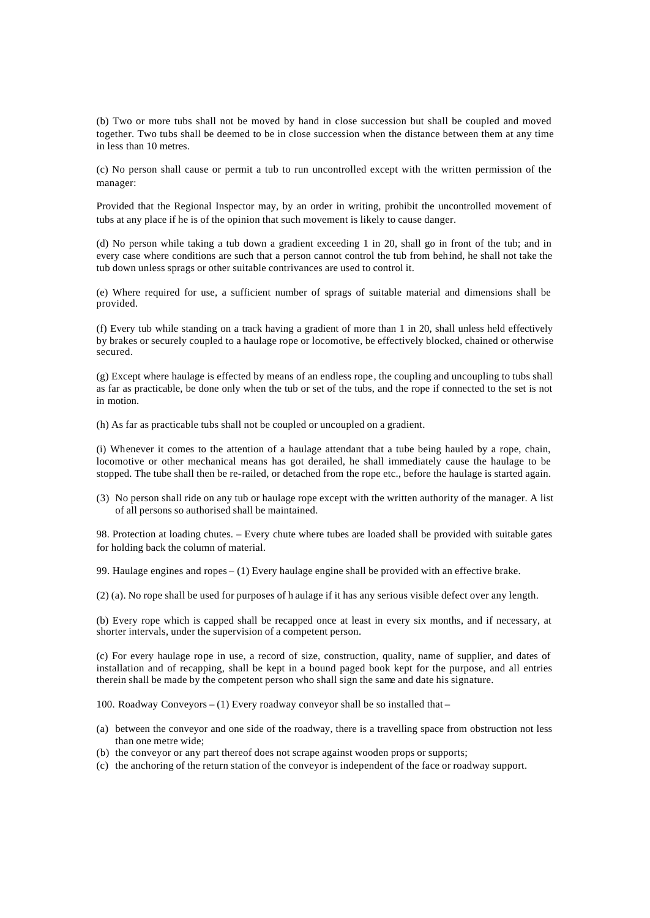(b) Two or more tubs shall not be moved by hand in close succession but shall be coupled and moved together. Two tubs shall be deemed to be in close succession when the distance between them at any time in less than 10 metres.

(c) No person shall cause or permit a tub to run uncontrolled except with the written permission of the manager:

Provided that the Regional Inspector may, by an order in writing, prohibit the uncontrolled movement of tubs at any place if he is of the opinion that such movement is likely to cause danger.

(d) No person while taking a tub down a gradient exceeding 1 in 20, shall go in front of the tub; and in every case where conditions are such that a person cannot control the tub from behind, he shall not take the tub down unless sprags or other suitable contrivances are used to control it.

(e) Where required for use, a sufficient number of sprags of suitable material and dimensions shall be provided.

(f) Every tub while standing on a track having a gradient of more than 1 in 20, shall unless held effectively by brakes or securely coupled to a haulage rope or locomotive, be effectively blocked, chained or otherwise secured.

(g) Except where haulage is effected by means of an endless rope, the coupling and uncoupling to tubs shall as far as practicable, be done only when the tub or set of the tubs, and the rope if connected to the set is not in motion.

(h) As far as practicable tubs shall not be coupled or uncoupled on a gradient.

(i) Whenever it comes to the attention of a haulage attendant that a tube being hauled by a rope, chain, locomotive or other mechanical means has got derailed, he shall immediately cause the haulage to be stopped. The tube shall then be re-railed, or detached from the rope etc., before the haulage is started again.

(3) No person shall ride on any tub or haulage rope except with the written authority of the manager. A list of all persons so authorised shall be maintained.

98. Protection at loading chutes. – Every chute where tubes are loaded shall be provided with suitable gates for holding back the column of material.

99. Haulage engines and ropes – (1) Every haulage engine shall be provided with an effective brake.

(2) (a). No rope shall be used for purposes of h aulage if it has any serious visible defect over any length.

(b) Every rope which is capped shall be recapped once at least in every six months, and if necessary, at shorter intervals, under the supervision of a competent person.

(c) For every haulage rope in use, a record of size, construction, quality, name of supplier, and dates of installation and of recapping, shall be kept in a bound paged book kept for the purpose, and all entries therein shall be made by the competent person who shall sign the same and date his signature.

100. Roadway Conveyors – (1) Every roadway conveyor shall be so installed that –

- (a) between the conveyor and one side of the roadway, there is a travelling space from obstruction not less than one metre wide;
- (b) the conveyor or any part thereof does not scrape against wooden props or supports;
- (c) the anchoring of the return station of the conveyor is independent of the face or roadway support.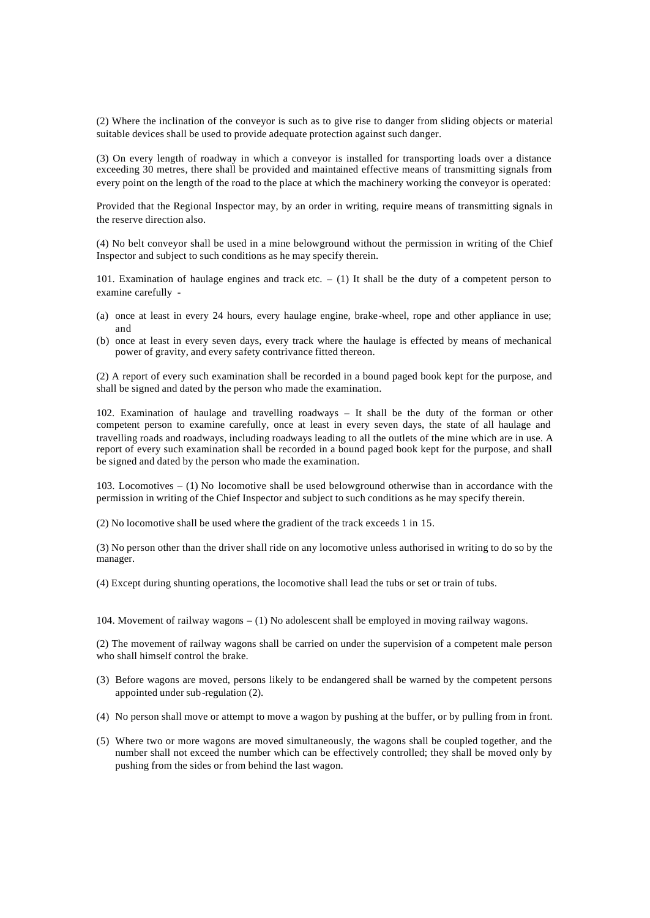(2) Where the inclination of the conveyor is such as to give rise to danger from sliding objects or material suitable devices shall be used to provide adequate protection against such danger.

(3) On every length of roadway in which a conveyor is installed for transporting loads over a distance exceeding 30 metres, there shall be provided and maintained effective means of transmitting signals from every point on the length of the road to the place at which the machinery working the conveyor is operated:

Provided that the Regional Inspector may, by an order in writing, require means of transmitting signals in the reserve direction also.

(4) No belt conveyor shall be used in a mine belowground without the permission in writing of the Chief Inspector and subject to such conditions as he may specify therein.

101. Examination of haulage engines and track etc. – (1) It shall be the duty of a competent person to examine carefully -

- (a) once at least in every 24 hours, every haulage engine, brake-wheel, rope and other appliance in use; and
- (b) once at least in every seven days, every track where the haulage is effected by means of mechanical power of gravity, and every safety contrivance fitted thereon.

(2) A report of every such examination shall be recorded in a bound paged book kept for the purpose, and shall be signed and dated by the person who made the examination.

102. Examination of haulage and travelling roadways – It shall be the duty of the forman or other competent person to examine carefully, once at least in every seven days, the state of all haulage and travelling roads and roadways, including roadways leading to all the outlets of the mine which are in use. A report of every such examination shall be recorded in a bound paged book kept for the purpose, and shall be signed and dated by the person who made the examination.

103. Locomotives – (1) No locomotive shall be used belowground otherwise than in accordance with the permission in writing of the Chief Inspector and subject to such conditions as he may specify therein.

(2) No locomotive shall be used where the gradient of the track exceeds 1 in 15.

(3) No person other than the driver shall ride on any locomotive unless authorised in writing to do so by the manager.

(4) Except during shunting operations, the locomotive shall lead the tubs or set or train of tubs.

104. Movement of railway wagons – (1) No adolescent shall be employed in moving railway wagons.

(2) The movement of railway wagons shall be carried on under the supervision of a competent male person who shall himself control the brake.

- (3) Before wagons are moved, persons likely to be endangered shall be warned by the competent persons appointed under sub-regulation (2).
- (4) No person shall move or attempt to move a wagon by pushing at the buffer, or by pulling from in front.
- (5) Where two or more wagons are moved simultaneously, the wagons shall be coupled together, and the number shall not exceed the number which can be effectively controlled; they shall be moved only by pushing from the sides or from behind the last wagon.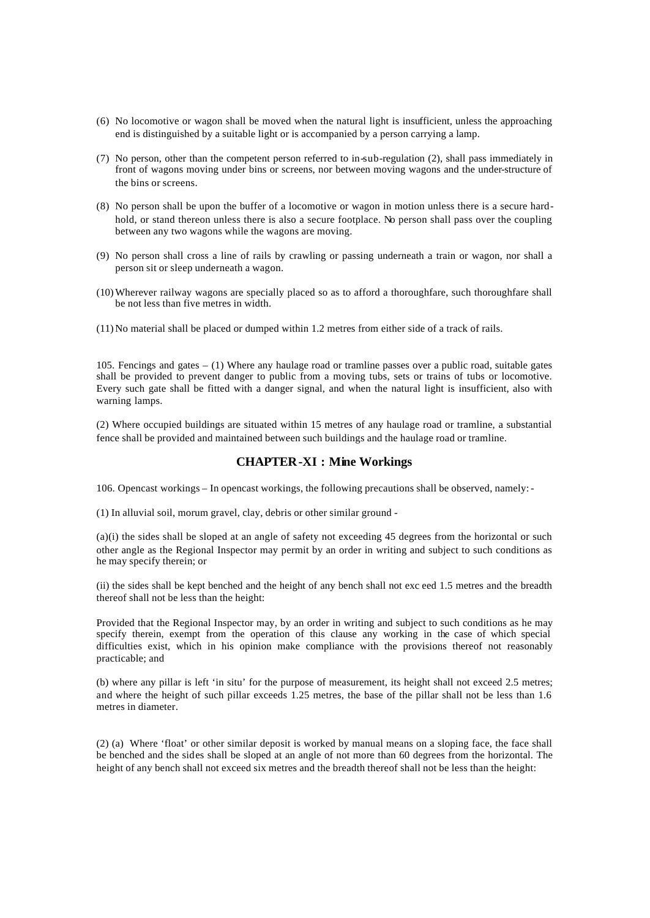- (6) No locomotive or wagon shall be moved when the natural light is insufficient, unless the approaching end is distinguished by a suitable light or is accompanied by a person carrying a lamp.
- (7) No person, other than the competent person referred to in-sub-regulation (2), shall pass immediately in front of wagons moving under bins or screens, nor between moving wagons and the under-structure of the bins or screens.
- (8) No person shall be upon the buffer of a locomotive or wagon in motion unless there is a secure hardhold, or stand thereon unless there is also a secure footplace. No person shall pass over the coupling between any two wagons while the wagons are moving.
- (9) No person shall cross a line of rails by crawling or passing underneath a train or wagon, nor shall a person sit or sleep underneath a wagon.
- (10) Wherever railway wagons are specially placed so as to afford a thoroughfare, such thoroughfare shall be not less than five metres in width.
- (11) No material shall be placed or dumped within 1.2 metres from either side of a track of rails.

105. Fencings and gates – (1) Where any haulage road or tramline passes over a public road, suitable gates shall be provided to prevent danger to public from a moving tubs, sets or trains of tubs or locomotive. Every such gate shall be fitted with a danger signal, and when the natural light is insufficient, also with warning lamps.

(2) Where occupied buildings are situated within 15 metres of any haulage road or tramline, a substantial fence shall be provided and maintained between such buildings and the haulage road or tramline.

## **CHAPTER-XI : Mine Workings**

106. Opencast workings – In opencast workings, the following precautions shall be observed, namely: -

(1) In alluvial soil, morum gravel, clay, debris or other similar ground -

(a)(i) the sides shall be sloped at an angle of safety not exceeding 45 degrees from the horizontal or such other angle as the Regional Inspector may permit by an order in writing and subject to such conditions as he may specify therein; or

(ii) the sides shall be kept benched and the height of any bench shall not exc eed 1.5 metres and the breadth thereof shall not be less than the height:

Provided that the Regional Inspector may, by an order in writing and subject to such conditions as he may specify therein, exempt from the operation of this clause any working in the case of which special difficulties exist, which in his opinion make compliance with the provisions thereof not reasonably practicable; and

(b) where any pillar is left 'in situ' for the purpose of measurement, its height shall not exceed 2.5 metres; and where the height of such pillar exceeds 1.25 metres, the base of the pillar shall not be less than 1.6 metres in diameter.

(2) (a) Where 'float' or other similar deposit is worked by manual means on a sloping face, the face shall be benched and the sides shall be sloped at an angle of not more than 60 degrees from the horizontal. The height of any bench shall not exceed six metres and the breadth thereof shall not be less than the height: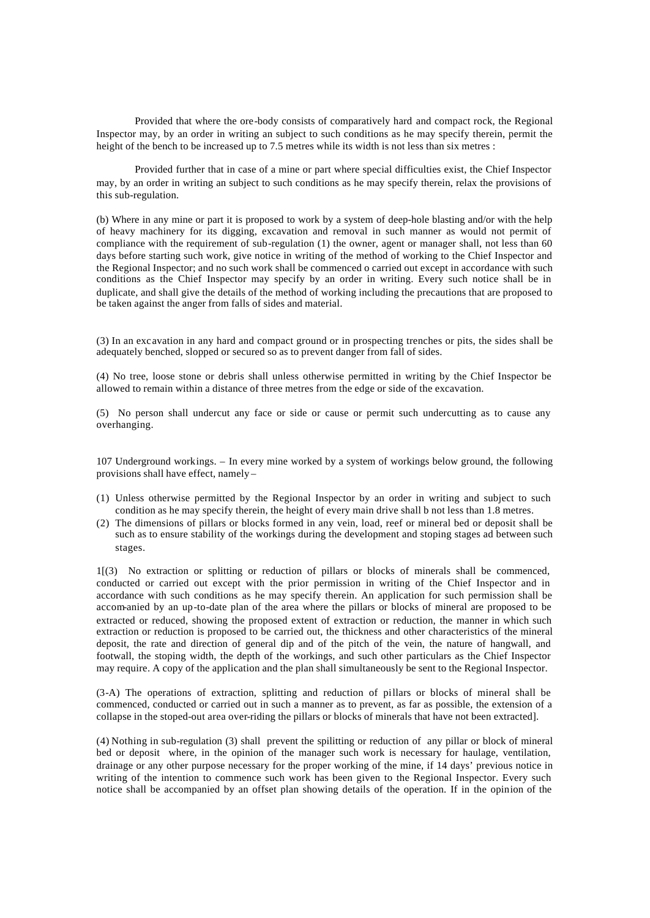Provided that where the ore-body consists of comparatively hard and compact rock, the Regional Inspector may, by an order in writing an subject to such conditions as he may specify therein, permit the height of the bench to be increased up to 7.5 metres while its width is not less than six metres :

Provided further that in case of a mine or part where special difficulties exist, the Chief Inspector may, by an order in writing an subject to such conditions as he may specify therein, relax the provisions of this sub-regulation.

(b) Where in any mine or part it is proposed to work by a system of deep-hole blasting and/or with the help of heavy machinery for its digging, excavation and removal in such manner as would not permit of compliance with the requirement of sub-regulation (1) the owner, agent or manager shall, not less than 60 days before starting such work, give notice in writing of the method of working to the Chief Inspector and the Regional Inspector; and no such work shall be commenced o carried out except in accordance with such conditions as the Chief Inspector may specify by an order in writing. Every such notice shall be in duplicate, and shall give the details of the method of working including the precautions that are proposed to be taken against the anger from falls of sides and material.

(3) In an excavation in any hard and compact ground or in prospecting trenches or pits, the sides shall be adequately benched, slopped or secured so as to prevent danger from fall of sides.

(4) No tree, loose stone or debris shall unless otherwise permitted in writing by the Chief Inspector be allowed to remain within a distance of three metres from the edge or side of the excavation.

(5) No person shall undercut any face or side or cause or permit such undercutting as to cause any overhanging.

107 Underground workings. – In every mine worked by a system of workings below ground, the following provisions shall have effect, namely –

- (1) Unless otherwise permitted by the Regional Inspector by an order in writing and subject to such condition as he may specify therein, the height of every main drive shall b not less than 1.8 metres.
- (2) The dimensions of pillars or blocks formed in any vein, load, reef or mineral bed or deposit shall be such as to ensure stability of the workings during the development and stoping stages ad between such stages.

1[(3) No extraction or splitting or reduction of pillars or blocks of minerals shall be commenced, conducted or carried out except with the prior permission in writing of the Chief Inspector and in accordance with such conditions as he may specify therein. An application for such permission shall be accom-anied by an up-to-date plan of the area where the pillars or blocks of mineral are proposed to be extracted or reduced, showing the proposed extent of extraction or reduction, the manner in which such extraction or reduction is proposed to be carried out, the thickness and other characteristics of the mineral deposit, the rate and direction of general dip and of the pitch of the vein, the nature of hangwall, and footwall, the stoping width, the depth of the workings, and such other particulars as the Chief Inspector may require. A copy of the application and the plan shall simultaneously be sent to the Regional Inspector.

(3-A) The operations of extraction, splitting and reduction of pillars or blocks of mineral shall be commenced, conducted or carried out in such a manner as to prevent, as far as possible, the extension of a collapse in the stoped-out area over-riding the pillars or blocks of minerals that have not been extracted].

(4) Nothing in sub-regulation (3) shall prevent the spilitting or reduction of any pillar or block of mineral bed or deposit where, in the opinion of the manager such work is necessary for haulage, ventilation, drainage or any other purpose necessary for the proper working of the mine, if 14 days' previous notice in writing of the intention to commence such work has been given to the Regional Inspector. Every such notice shall be accompanied by an offset plan showing details of the operation. If in the opinion of the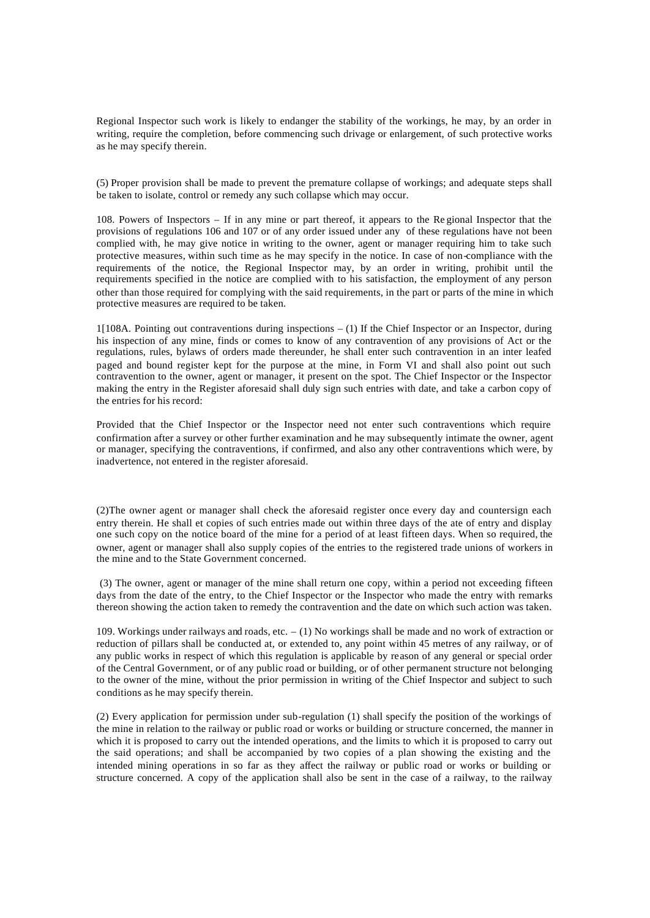Regional Inspector such work is likely to endanger the stability of the workings, he may, by an order in writing, require the completion, before commencing such drivage or enlargement, of such protective works as he may specify therein.

(5) Proper provision shall be made to prevent the premature collapse of workings; and adequate steps shall be taken to isolate, control or remedy any such collapse which may occur.

108. Powers of Inspectors – If in any mine or part thereof, it appears to the Re gional Inspector that the provisions of regulations 106 and 107 or of any order issued under any of these regulations have not been complied with, he may give notice in writing to the owner, agent or manager requiring him to take such protective measures, within such time as he may specify in the notice. In case of non-compliance with the requirements of the notice, the Regional Inspector may, by an order in writing, prohibit until the requirements specified in the notice are complied with to his satisfaction, the employment of any person other than those required for complying with the said requirements, in the part or parts of the mine in which protective measures are required to be taken.

1[108A. Pointing out contraventions during inspections – (1) If the Chief Inspector or an Inspector, during his inspection of any mine, finds or comes to know of any contravention of any provisions of Act or the regulations, rules, bylaws of orders made thereunder, he shall enter such contravention in an inter leafed paged and bound register kept for the purpose at the mine, in Form VI and shall also point out such contravention to the owner, agent or manager, it present on the spot. The Chief Inspector or the Inspector making the entry in the Register aforesaid shall duly sign such entries with date, and take a carbon copy of the entries for his record:

Provided that the Chief Inspector or the Inspector need not enter such contraventions which require confirmation after a survey or other further examination and he may subsequently intimate the owner, agent or manager, specifying the contraventions, if confirmed, and also any other contraventions which were, by inadvertence, not entered in the register aforesaid.

(2)The owner agent or manager shall check the aforesaid register once every day and countersign each entry therein. He shall et copies of such entries made out within three days of the ate of entry and display one such copy on the notice board of the mine for a period of at least fifteen days. When so required, the owner, agent or manager shall also supply copies of the entries to the registered trade unions of workers in the mine and to the State Government concerned.

 (3) The owner, agent or manager of the mine shall return one copy, within a period not exceeding fifteen days from the date of the entry, to the Chief Inspector or the Inspector who made the entry with remarks thereon showing the action taken to remedy the contravention and the date on which such action was taken.

109. Workings under railways and roads, etc. – (1) No workings shall be made and no work of extraction or reduction of pillars shall be conducted at, or extended to, any point within 45 metres of any railway, or of any public works in respect of which this regulation is applicable by reason of any general or special order of the Central Government, or of any public road or building, or of other permanent structure not belonging to the owner of the mine, without the prior permission in writing of the Chief Inspector and subject to such conditions as he may specify therein.

(2) Every application for permission under sub-regulation (1) shall specify the position of the workings of the mine in relation to the railway or public road or works or building or structure concerned, the manner in which it is proposed to carry out the intended operations, and the limits to which it is proposed to carry out the said operations; and shall be accompanied by two copies of a plan showing the existing and the intended mining operations in so far as they affect the railway or public road or works or building or structure concerned. A copy of the application shall also be sent in the case of a railway, to the railway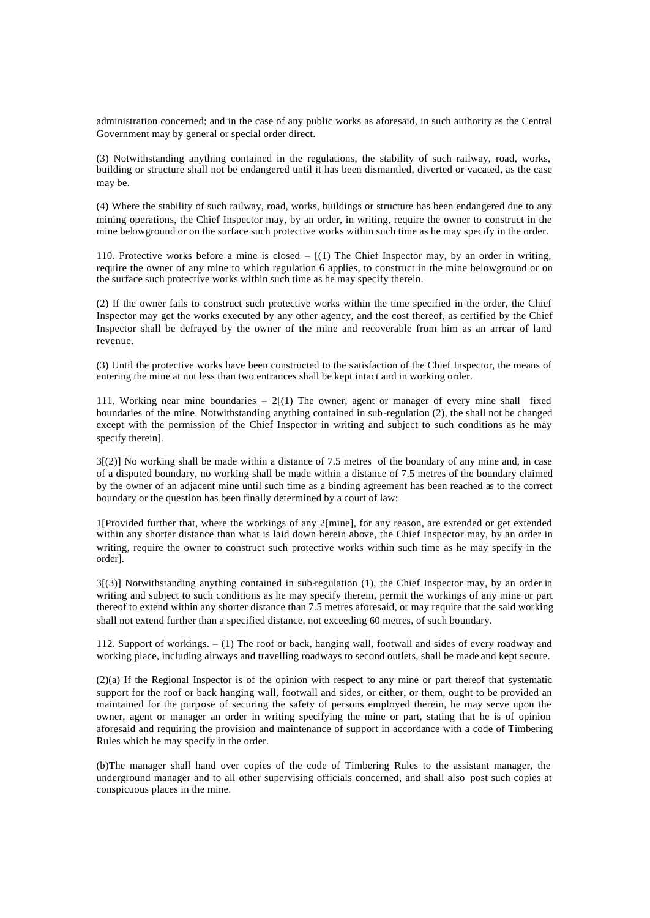administration concerned; and in the case of any public works as aforesaid, in such authority as the Central Government may by general or special order direct.

(3) Notwithstanding anything contained in the regulations, the stability of such railway, road, works, building or structure shall not be endangered until it has been dismantled, diverted or vacated, as the case may be.

(4) Where the stability of such railway, road, works, buildings or structure has been endangered due to any mining operations, the Chief Inspector may, by an order, in writing, require the owner to construct in the mine belowground or on the surface such protective works within such time as he may specify in the order.

110. Protective works before a mine is closed  $(1)$  The Chief Inspector may, by an order in writing, require the owner of any mine to which regulation 6 applies, to construct in the mine belowground or on the surface such protective works within such time as he may specify therein.

(2) If the owner fails to construct such protective works within the time specified in the order, the Chief Inspector may get the works executed by any other agency, and the cost thereof, as certified by the Chief Inspector shall be defrayed by the owner of the mine and recoverable from him as an arrear of land revenue.

(3) Until the protective works have been constructed to the satisfaction of the Chief Inspector, the means of entering the mine at not less than two entrances shall be kept intact and in working order.

111. Working near mine boundaries  $-2[(1)$  The owner, agent or manager of every mine shall fixed boundaries of the mine. Notwithstanding anything contained in sub-regulation (2), the shall not be changed except with the permission of the Chief Inspector in writing and subject to such conditions as he may specify therein].

3[(2)] No working shall be made within a distance of 7.5 metres of the boundary of any mine and, in case of a disputed boundary, no working shall be made within a distance of 7.5 metres of the boundary claimed by the owner of an adjacent mine until such time as a binding agreement has been reached as to the correct boundary or the question has been finally determined by a court of law:

1[Provided further that, where the workings of any 2[mine], for any reason, are extended or get extended within any shorter distance than what is laid down herein above, the Chief Inspector may, by an order in writing, require the owner to construct such protective works within such time as he may specify in the order].

3[(3)] Notwithstanding anything contained in sub-regulation (1), the Chief Inspector may, by an order in writing and subject to such conditions as he may specify therein, permit the workings of any mine or part thereof to extend within any shorter distance than 7.5 metres aforesaid, or may require that the said working shall not extend further than a specified distance, not exceeding 60 metres, of such boundary.

112. Support of workings. – (1) The roof or back, hanging wall, footwall and sides of every roadway and working place, including airways and travelling roadways to second outlets, shall be made and kept secure.

(2)(a) If the Regional Inspector is of the opinion with respect to any mine or part thereof that systematic support for the roof or back hanging wall, footwall and sides, or either, or them, ought to be provided an maintained for the purpose of securing the safety of persons employed therein, he may serve upon the owner, agent or manager an order in writing specifying the mine or part, stating that he is of opinion aforesaid and requiring the provision and maintenance of support in accordance with a code of Timbering Rules which he may specify in the order.

(b)The manager shall hand over copies of the code of Timbering Rules to the assistant manager, the underground manager and to all other supervising officials concerned, and shall also post such copies at conspicuous places in the mine.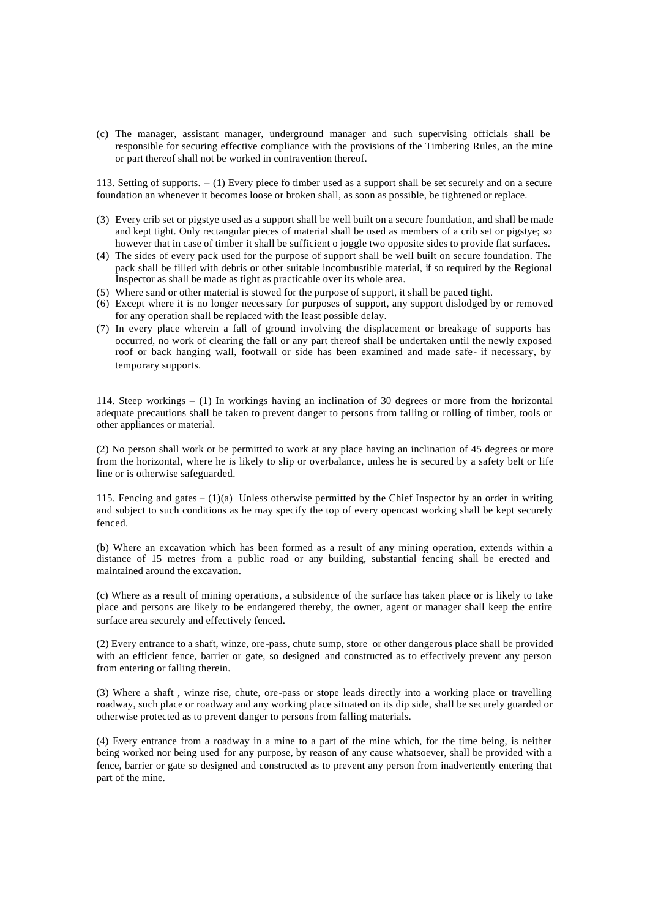(c) The manager, assistant manager, underground manager and such supervising officials shall be responsible for securing effective compliance with the provisions of the Timbering Rules, an the mine or part thereof shall not be worked in contravention thereof.

113. Setting of supports. – (1) Every piece fo timber used as a support shall be set securely and on a secure foundation an whenever it becomes loose or broken shall, as soon as possible, be tightened or replace.

- (3) Every crib set or pigstye used as a support shall be well built on a secure foundation, and shall be made and kept tight. Only rectangular pieces of material shall be used as members of a crib set or pigstye; so however that in case of timber it shall be sufficient o joggle two opposite sides to provide flat surfaces.
- (4) The sides of every pack used for the purpose of support shall be well built on secure foundation. The pack shall be filled with debris or other suitable incombustible material, if so required by the Regional Inspector as shall be made as tight as practicable over its whole area.
- (5) Where sand or other material is stowed for the purpose of support, it shall be paced tight.
- (6) Except where it is no longer necessary for purposes of support, any support dislodged by or removed for any operation shall be replaced with the least possible delay.
- (7) In every place wherein a fall of ground involving the displacement or breakage of supports has occurred, no work of clearing the fall or any part thereof shall be undertaken until the newly exposed roof or back hanging wall, footwall or side has been examined and made safe- if necessary, by temporary supports.

114. Steep workings – (1) In workings having an inclination of 30 degrees or more from the horizontal adequate precautions shall be taken to prevent danger to persons from falling or rolling of timber, tools or other appliances or material.

(2) No person shall work or be permitted to work at any place having an inclination of 45 degrees or more from the horizontal, where he is likely to slip or overbalance, unless he is secured by a safety belt or life line or is otherwise safeguarded.

115. Fencing and gates –  $(1)(a)$  Unless otherwise permitted by the Chief Inspector by an order in writing and subject to such conditions as he may specify the top of every opencast working shall be kept securely fenced.

(b) Where an excavation which has been formed as a result of any mining operation, extends within a distance of 15 metres from a public road or any building, substantial fencing shall be erected and maintained around the excavation.

(c) Where as a result of mining operations, a subsidence of the surface has taken place or is likely to take place and persons are likely to be endangered thereby, the owner, agent or manager shall keep the entire surface area securely and effectively fenced.

(2) Every entrance to a shaft, winze, ore-pass, chute sump, store or other dangerous place shall be provided with an efficient fence, barrier or gate, so designed and constructed as to effectively prevent any person from entering or falling therein.

(3) Where a shaft , winze rise, chute, ore-pass or stope leads directly into a working place or travelling roadway, such place or roadway and any working place situated on its dip side, shall be securely guarded or otherwise protected as to prevent danger to persons from falling materials.

(4) Every entrance from a roadway in a mine to a part of the mine which, for the time being, is neither being worked nor being used for any purpose, by reason of any cause whatsoever, shall be provided with a fence, barrier or gate so designed and constructed as to prevent any person from inadvertently entering that part of the mine.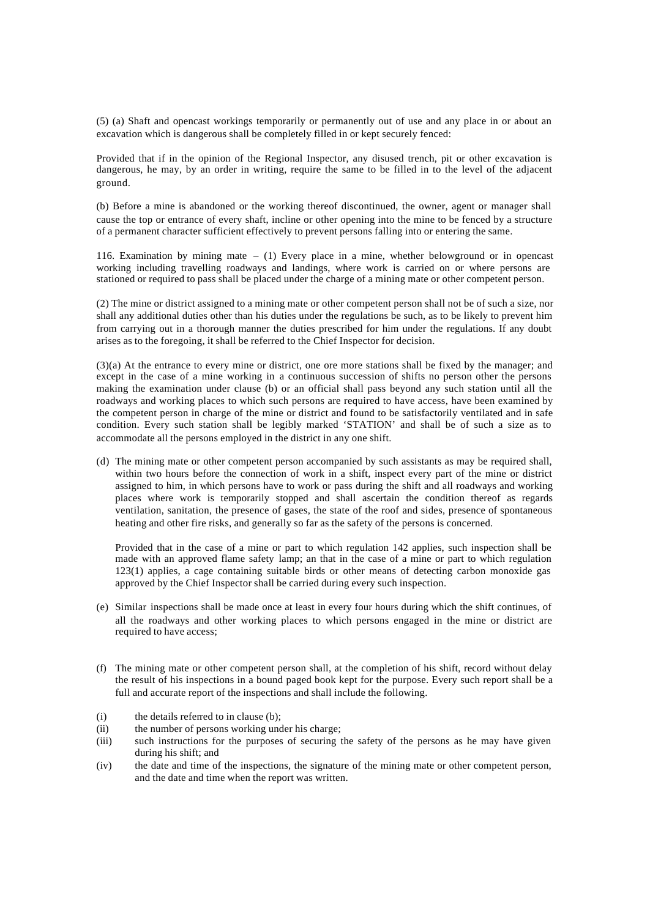(5) (a) Shaft and opencast workings temporarily or permanently out of use and any place in or about an excavation which is dangerous shall be completely filled in or kept securely fenced:

Provided that if in the opinion of the Regional Inspector, any disused trench, pit or other excavation is dangerous, he may, by an order in writing, require the same to be filled in to the level of the adjacent ground.

(b) Before a mine is abandoned or the working thereof discontinued, the owner, agent or manager shall cause the top or entrance of every shaft, incline or other opening into the mine to be fenced by a structure of a permanent character sufficient effectively to prevent persons falling into or entering the same.

116. Examination by mining mate – (1) Every place in a mine, whether belowground or in opencast working including travelling roadways and landings, where work is carried on or where persons are stationed or required to pass shall be placed under the charge of a mining mate or other competent person.

(2) The mine or district assigned to a mining mate or other competent person shall not be of such a size, nor shall any additional duties other than his duties under the regulations be such, as to be likely to prevent him from carrying out in a thorough manner the duties prescribed for him under the regulations. If any doubt arises as to the foregoing, it shall be referred to the Chief Inspector for decision.

(3)(a) At the entrance to every mine or district, one ore more stations shall be fixed by the manager; and except in the case of a mine working in a continuous succession of shifts no person other the persons making the examination under clause (b) or an official shall pass beyond any such station until all the roadways and working places to which such persons are required to have access, have been examined by the competent person in charge of the mine or district and found to be satisfactorily ventilated and in safe condition. Every such station shall be legibly marked 'STATION' and shall be of such a size as to accommodate all the persons employed in the district in any one shift.

(d) The mining mate or other competent person accompanied by such assistants as may be required shall, within two hours before the connection of work in a shift, inspect every part of the mine or district assigned to him, in which persons have to work or pass during the shift and all roadways and working places where work is temporarily stopped and shall ascertain the condition thereof as regards ventilation, sanitation, the presence of gases, the state of the roof and sides, presence of spontaneous heating and other fire risks, and generally so far as the safety of the persons is concerned.

Provided that in the case of a mine or part to which regulation 142 applies, such inspection shall be made with an approved flame safety lamp; an that in the case of a mine or part to which regulation 123(1) applies, a cage containing suitable birds or other means of detecting carbon monoxide gas approved by the Chief Inspector shall be carried during every such inspection.

- (e) Similar inspections shall be made once at least in every four hours during which the shift continues, of all the roadways and other working places to which persons engaged in the mine or district are required to have access;
- (f) The mining mate or other competent person shall, at the completion of his shift, record without delay the result of his inspections in a bound paged book kept for the purpose. Every such report shall be a full and accurate report of the inspections and shall include the following.
- (i) the details referred to in clause (b);
- (ii) the number of persons working under his charge;
- (iii) such instructions for the purposes of securing the safety of the persons as he may have given during his shift; and
- (iv) the date and time of the inspections, the signature of the mining mate or other competent person, and the date and time when the report was written.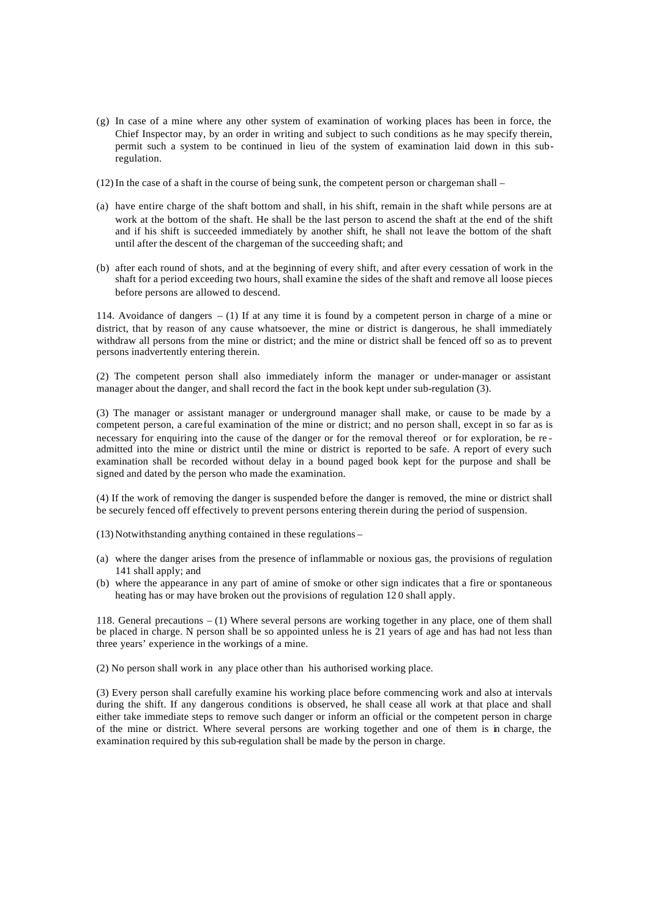- (g) In case of a mine where any other system of examination of working places has been in force, the Chief Inspector may, by an order in writing and subject to such conditions as he may specify therein, permit such a system to be continued in lieu of the system of examination laid down in this subregulation.
- (12)In the case of a shaft in the course of being sunk, the competent person or chargeman shall –
- (a) have entire charge of the shaft bottom and shall, in his shift, remain in the shaft while persons are at work at the bottom of the shaft. He shall be the last person to ascend the shaft at the end of the shift and if his shift is succeeded immediately by another shift, he shall not leave the bottom of the shaft until after the descent of the chargeman of the succeeding shaft; and
- (b) after each round of shots, and at the beginning of every shift, and after every cessation of work in the shaft for a period exceeding two hours, shall examine the sides of the shaft and remove all loose pieces before persons are allowed to descend.

114. Avoidance of dangers – (1) If at any time it is found by a competent person in charge of a mine or district, that by reason of any cause whatsoever, the mine or district is dangerous, he shall immediately withdraw all persons from the mine or district; and the mine or district shall be fenced off so as to prevent persons inadvertently entering therein.

(2) The competent person shall also immediately inform the manager or under-manager or assistant manager about the danger, and shall record the fact in the book kept under sub-regulation (3).

(3) The manager or assistant manager or underground manager shall make, or cause to be made by a competent person, a careful examination of the mine or district; and no person shall, except in so far as is necessary for enquiring into the cause of the danger or for the removal thereof or for exploration, be re admitted into the mine or district until the mine or district is reported to be safe. A report of every such examination shall be recorded without delay in a bound paged book kept for the purpose and shall be signed and dated by the person who made the examination.

(4) If the work of removing the danger is suspended before the danger is removed, the mine or district shall be securely fenced off effectively to prevent persons entering therein during the period of suspension.

(13) Notwithstanding anything contained in these regulations –

- (a) where the danger arises from the presence of inflammable or noxious gas, the provisions of regulation 141 shall apply; and
- (b) where the appearance in any part of amine of smoke or other sign indicates that a fire or spontaneous heating has or may have broken out the provisions of regulation 12 0 shall apply.

118. General precautions – (1) Where several persons are working together in any place, one of them shall be placed in charge. N person shall be so appointed unless he is 21 years of age and has had not less than three years' experience in the workings of a mine.

(2) No person shall work in any place other than his authorised working place.

(3) Every person shall carefully examine his working place before commencing work and also at intervals during the shift. If any dangerous conditions is observed, he shall cease all work at that place and shall either take immediate steps to remove such danger or inform an official or the competent person in charge of the mine or district. Where several persons are working together and one of them is in charge, the examination required by this sub-regulation shall be made by the person in charge.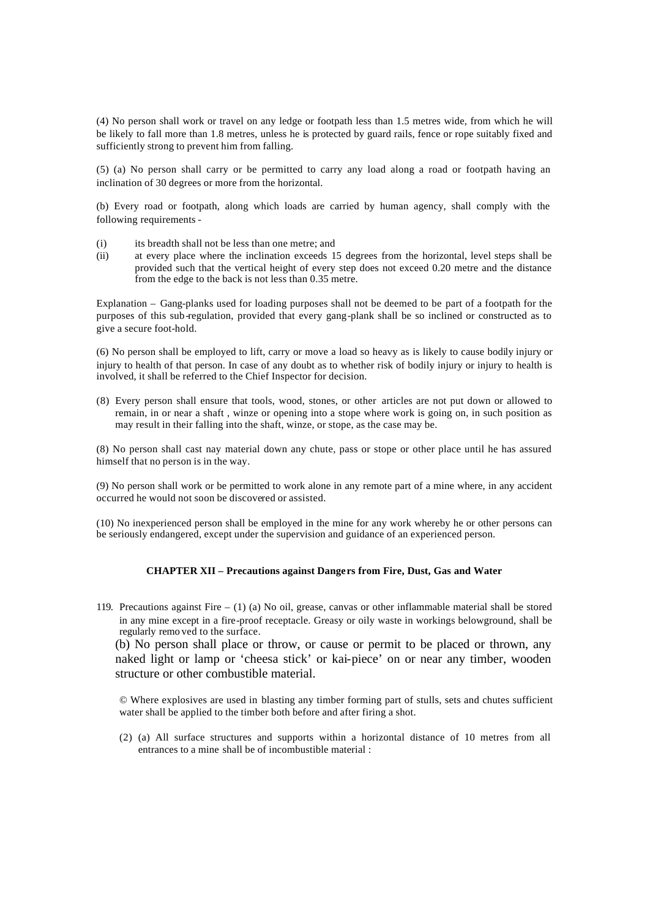(4) No person shall work or travel on any ledge or footpath less than 1.5 metres wide, from which he will be likely to fall more than 1.8 metres, unless he is protected by guard rails, fence or rope suitably fixed and sufficiently strong to prevent him from falling.

(5) (a) No person shall carry or be permitted to carry any load along a road or footpath having an inclination of 30 degrees or more from the horizontal.

(b) Every road or footpath, along which loads are carried by human agency, shall comply with the following requirements -

- (i) its breadth shall not be less than one metre; and
- (ii) at every place where the inclination exceeds 15 degrees from the horizontal, level steps shall be provided such that the vertical height of every step does not exceed 0.20 metre and the distance from the edge to the back is not less than 0.35 metre.

Explanation – Gang-planks used for loading purposes shall not be deemed to be part of a footpath for the purposes of this sub-regulation, provided that every gang-plank shall be so inclined or constructed as to give a secure foot-hold.

(6) No person shall be employed to lift, carry or move a load so heavy as is likely to cause bodily injury or injury to health of that person. In case of any doubt as to whether risk of bodily injury or injury to health is involved, it shall be referred to the Chief Inspector for decision.

(8) Every person shall ensure that tools, wood, stones, or other articles are not put down or allowed to remain, in or near a shaft , winze or opening into a stope where work is going on, in such position as may result in their falling into the shaft, winze, or stope, as the case may be.

(8) No person shall cast nay material down any chute, pass or stope or other place until he has assured himself that no person is in the way.

(9) No person shall work or be permitted to work alone in any remote part of a mine where, in any accident occurred he would not soon be discovered or assisted.

(10) No inexperienced person shall be employed in the mine for any work whereby he or other persons can be seriously endangered, except under the supervision and guidance of an experienced person.

#### **CHAPTER XII – Precautions against Dangers from Fire, Dust, Gas and Water**

119. Precautions against Fire – (1) (a) No oil, grease, canvas or other inflammable material shall be stored in any mine except in a fire-proof receptacle. Greasy or oily waste in workings belowground, shall be regularly remo ved to the surface.

(b) No person shall place or throw, or cause or permit to be placed or thrown, any naked light or lamp or 'cheesa stick' or kai-piece' on or near any timber, wooden structure or other combustible material.

© Where explosives are used in blasting any timber forming part of stulls, sets and chutes sufficient water shall be applied to the timber both before and after firing a shot.

(2) (a) All surface structures and supports within a horizontal distance of 10 metres from all entrances to a mine shall be of incombustible material :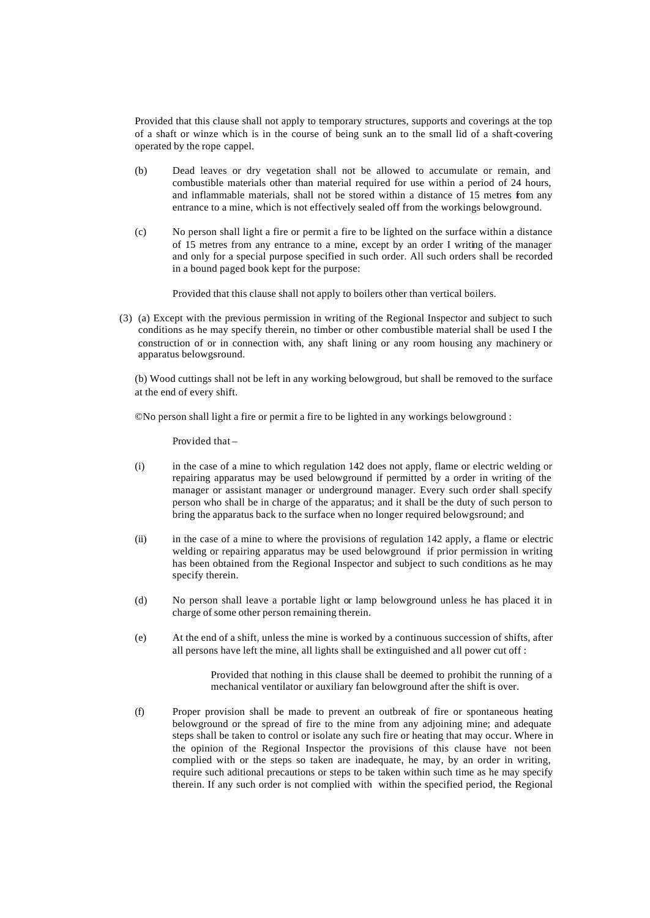Provided that this clause shall not apply to temporary structures, supports and coverings at the top of a shaft or winze which is in the course of being sunk an to the small lid of a shaft-covering operated by the rope cappel.

- (b) Dead leaves or dry vegetation shall not be allowed to accumulate or remain, and combustible materials other than material required for use within a period of 24 hours, and inflammable materials, shall not be stored within a distance of 15 metres from any entrance to a mine, which is not effectively sealed off from the workings belowground.
- (c) No person shall light a fire or permit a fire to be lighted on the surface within a distance of 15 metres from any entrance to a mine, except by an order I writing of the manager and only for a special purpose specified in such order. All such orders shall be recorded in a bound paged book kept for the purpose:

Provided that this clause shall not apply to boilers other than vertical boilers.

(3) (a) Except with the previous permission in writing of the Regional Inspector and subject to such conditions as he may specify therein, no timber or other combustible material shall be used I the construction of or in connection with, any shaft lining or any room housing any machinery or apparatus belowgsround.

(b) Wood cuttings shall not be left in any working belowgroud, but shall be removed to the surface at the end of every shift.

©No person shall light a fire or permit a fire to be lighted in any workings belowground :

Provided that –

- (i) in the case of a mine to which regulation 142 does not apply, flame or electric welding or repairing apparatus may be used belowground if permitted by a order in writing of the manager or assistant manager or underground manager. Every such order shall specify person who shall be in charge of the apparatus; and it shall be the duty of such person to bring the apparatus back to the surface when no longer required belowgsround; and
- (ii) in the case of a mine to where the provisions of regulation 142 apply, a flame or electric welding or repairing apparatus may be used belowground if prior permission in writing has been obtained from the Regional Inspector and subject to such conditions as he may specify therein.
- (d) No person shall leave a portable light or lamp belowground unless he has placed it in charge of some other person remaining therein.
- (e) At the end of a shift, unless the mine is worked by a continuous succession of shifts, after all persons have left the mine, all lights shall be extinguished and all power cut off :

Provided that nothing in this clause shall be deemed to prohibit the running of a mechanical ventilator or auxiliary fan belowground after the shift is over.

(f) Proper provision shall be made to prevent an outbreak of fire or spontaneous heating belowground or the spread of fire to the mine from any adjoining mine; and adequate steps shall be taken to control or isolate any such fire or heating that may occur. Where in the opinion of the Regional Inspector the provisions of this clause have not been complied with or the steps so taken are inadequate, he may, by an order in writing, require such aditional precautions or steps to be taken within such time as he may specify therein. If any such order is not complied with within the specified period, the Regional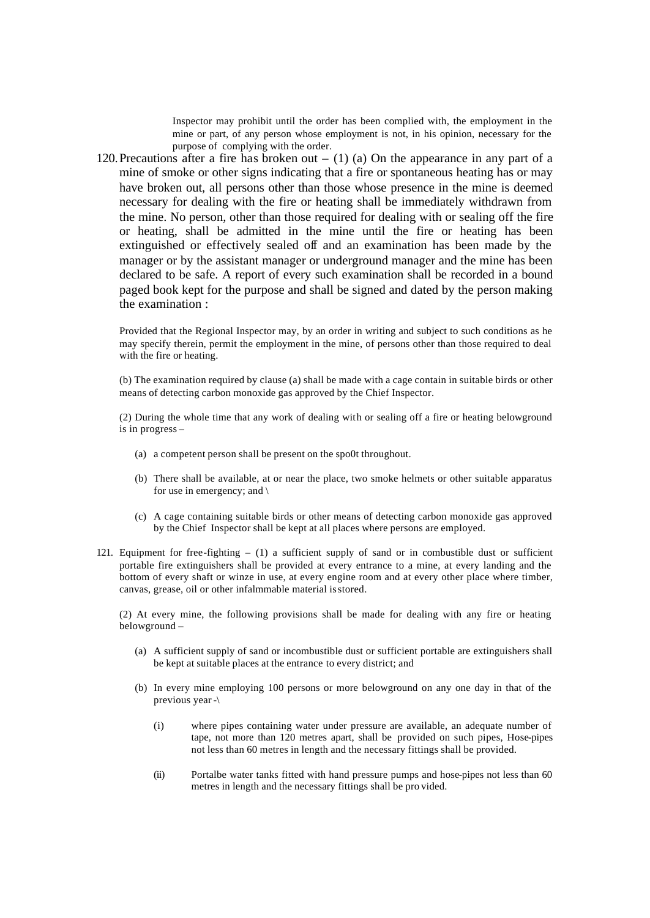Inspector may prohibit until the order has been complied with, the employment in the mine or part, of any person whose employment is not, in his opinion, necessary for the purpose of complying with the order.

120. Precautions after a fire has broken out  $-$  (1) (a) On the appearance in any part of a mine of smoke or other signs indicating that a fire or spontaneous heating has or may have broken out, all persons other than those whose presence in the mine is deemed necessary for dealing with the fire or heating shall be immediately withdrawn from the mine. No person, other than those required for dealing with or sealing off the fire or heating, shall be admitted in the mine until the fire or heating has been extinguished or effectively sealed off and an examination has been made by the manager or by the assistant manager or underground manager and the mine has been declared to be safe. A report of every such examination shall be recorded in a bound paged book kept for the purpose and shall be signed and dated by the person making the examination :

Provided that the Regional Inspector may, by an order in writing and subject to such conditions as he may specify therein, permit the employment in the mine, of persons other than those required to deal with the fire or heating.

(b) The examination required by clause (a) shall be made with a cage contain in suitable birds or other means of detecting carbon monoxide gas approved by the Chief Inspector.

(2) During the whole time that any work of dealing with or sealing off a fire or heating belowground is in progress –

- (a) a competent person shall be present on the spo0t throughout.
- (b) There shall be available, at or near the place, two smoke helmets or other suitable apparatus for use in emergency; and  $\langle$
- (c) A cage containing suitable birds or other means of detecting carbon monoxide gas approved by the Chief Inspector shall be kept at all places where persons are employed.
- 121. Equipment for free-fighting (1) a sufficient supply of sand or in combustible dust or sufficient portable fire extinguishers shall be provided at every entrance to a mine, at every landing and the bottom of every shaft or winze in use, at every engine room and at every other place where timber, canvas, grease, oil or other infalmmable material is stored.

(2) At every mine, the following provisions shall be made for dealing with any fire or heating belowground –

- (a) A sufficient supply of sand or incombustible dust or sufficient portable are extinguishers shall be kept at suitable places at the entrance to every district; and
- (b) In every mine employing 100 persons or more belowground on any one day in that of the previous year -\
	- (i) where pipes containing water under pressure are available, an adequate number of tape, not more than 120 metres apart, shall be provided on such pipes, Hose-pipes not less than 60 metres in length and the necessary fittings shall be provided.
	- (ii) Portalbe water tanks fitted with hand pressure pumps and hose-pipes not less than 60 metres in length and the necessary fittings shall be pro vided.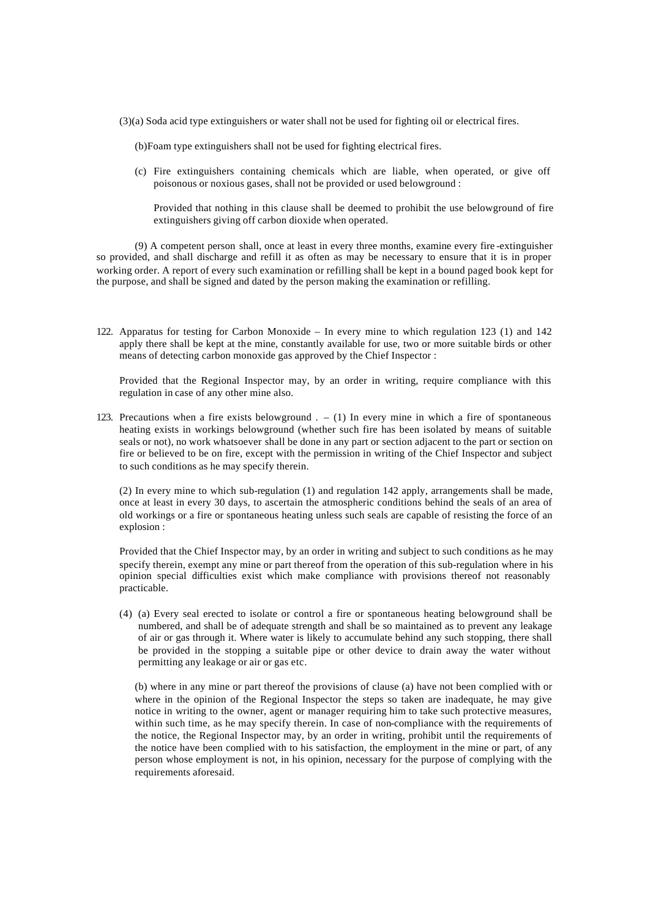- (3)(a) Soda acid type extinguishers or water shall not be used for fighting oil or electrical fires.
	- (b)Foam type extinguishers shall not be used for fighting electrical fires.
	- (c) Fire extinguishers containing chemicals which are liable, when operated, or give off poisonous or noxious gases, shall not be provided or used belowground :

Provided that nothing in this clause shall be deemed to prohibit the use belowground of fire extinguishers giving off carbon dioxide when operated.

(9) A competent person shall, once at least in every three months, examine every fire -extinguisher so provided, and shall discharge and refill it as often as may be necessary to ensure that it is in proper working order. A report of every such examination or refilling shall be kept in a bound paged book kept for the purpose, and shall be signed and dated by the person making the examination or refilling.

122. Apparatus for testing for Carbon Monoxide – In every mine to which regulation 123 (1) and 142 apply there shall be kept at the mine, constantly available for use, two or more suitable birds or other means of detecting carbon monoxide gas approved by the Chief Inspector :

Provided that the Regional Inspector may, by an order in writing, require compliance with this regulation in case of any other mine also.

123. Precautions when a fire exists belowground  $. - (1)$  In every mine in which a fire of spontaneous heating exists in workings belowground (whether such fire has been isolated by means of suitable seals or not), no work whatsoever shall be done in any part or section adjacent to the part or section on fire or believed to be on fire, except with the permission in writing of the Chief Inspector and subject to such conditions as he may specify therein.

(2) In every mine to which sub-regulation (1) and regulation 142 apply, arrangements shall be made, once at least in every 30 days, to ascertain the atmospheric conditions behind the seals of an area of old workings or a fire or spontaneous heating unless such seals are capable of resisting the force of an explosion :

Provided that the Chief Inspector may, by an order in writing and subject to such conditions as he may specify therein, exempt any mine or part thereof from the operation of this sub-regulation where in his opinion special difficulties exist which make compliance with provisions thereof not reasonably practicable.

(4) (a) Every seal erected to isolate or control a fire or spontaneous heating belowground shall be numbered, and shall be of adequate strength and shall be so maintained as to prevent any leakage of air or gas through it. Where water is likely to accumulate behind any such stopping, there shall be provided in the stopping a suitable pipe or other device to drain away the water without permitting any leakage or air or gas etc.

(b) where in any mine or part thereof the provisions of clause (a) have not been complied with or where in the opinion of the Regional Inspector the steps so taken are inadequate, he may give notice in writing to the owner, agent or manager requiring him to take such protective measures, within such time, as he may specify therein. In case of non-compliance with the requirements of the notice, the Regional Inspector may, by an order in writing, prohibit until the requirements of the notice have been complied with to his satisfaction, the employment in the mine or part, of any person whose employment is not, in his opinion, necessary for the purpose of complying with the requirements aforesaid.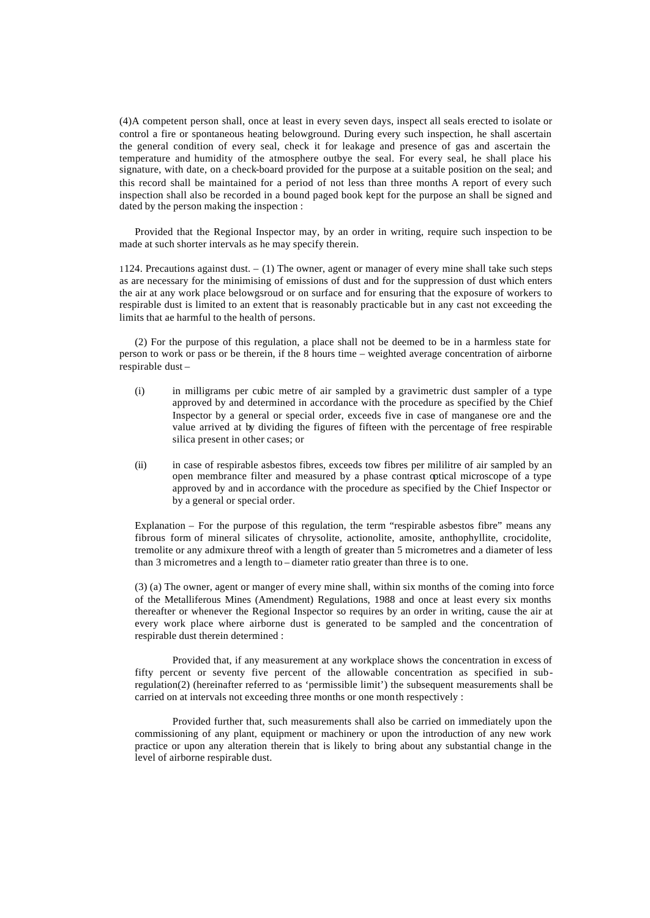(4)A competent person shall, once at least in every seven days, inspect all seals erected to isolate or control a fire or spontaneous heating belowground. During every such inspection, he shall ascertain the general condition of every seal, check it for leakage and presence of gas and ascertain the temperature and humidity of the atmosphere outbye the seal. For every seal, he shall place his signature, with date, on a check-board provided for the purpose at a suitable position on the seal; and this record shall be maintained for a period of not less than three months A report of every such inspection shall also be recorded in a bound paged book kept for the purpose an shall be signed and dated by the person making the inspection :

Provided that the Regional Inspector may, by an order in writing, require such inspection to be made at such shorter intervals as he may specify therein.

1124. Precautions against dust. – (1) The owner, agent or manager of every mine shall take such steps as are necessary for the minimising of emissions of dust and for the suppression of dust which enters the air at any work place belowgsroud or on surface and for ensuring that the exposure of workers to respirable dust is limited to an extent that is reasonably practicable but in any cast not exceeding the limits that ae harmful to the health of persons.

(2) For the purpose of this regulation, a place shall not be deemed to be in a harmless state for person to work or pass or be therein, if the 8 hours time – weighted average concentration of airborne respirable dust –

- (i) in milligrams per cubic metre of air sampled by a gravimetric dust sampler of a type approved by and determined in accordance with the procedure as specified by the Chief Inspector by a general or special order, exceeds five in case of manganese ore and the value arrived at by dividing the figures of fifteen with the percentage of free respirable silica present in other cases; or
- (ii) in case of respirable asbestos fibres, exceeds tow fibres per mililitre of air sampled by an open membrance filter and measured by a phase contrast optical microscope of a type approved by and in accordance with the procedure as specified by the Chief Inspector or by a general or special order.

Explanation – For the purpose of this regulation, the term "respirable asbestos fibre" means any fibrous form of mineral silicates of chrysolite, actionolite, amosite, anthophyllite, crocidolite, tremolite or any admixure threof with a length of greater than 5 micrometres and a diameter of less than 3 micrometres and a length to – diameter ratio greater than three is to one.

(3) (a) The owner, agent or manger of every mine shall, within six months of the coming into force of the Metalliferous Mines (Amendment) Regulations, 1988 and once at least every six months thereafter or whenever the Regional Inspector so requires by an order in writing, cause the air at every work place where airborne dust is generated to be sampled and the concentration of respirable dust therein determined :

Provided that, if any measurement at any workplace shows the concentration in excess of fifty percent or seventy five percent of the allowable concentration as specified in subregulation(2) (hereinafter referred to as 'permissible limit') the subsequent measurements shall be carried on at intervals not exceeding three months or one month respectively :

Provided further that, such measurements shall also be carried on immediately upon the commissioning of any plant, equipment or machinery or upon the introduction of any new work practice or upon any alteration therein that is likely to bring about any substantial change in the level of airborne respirable dust.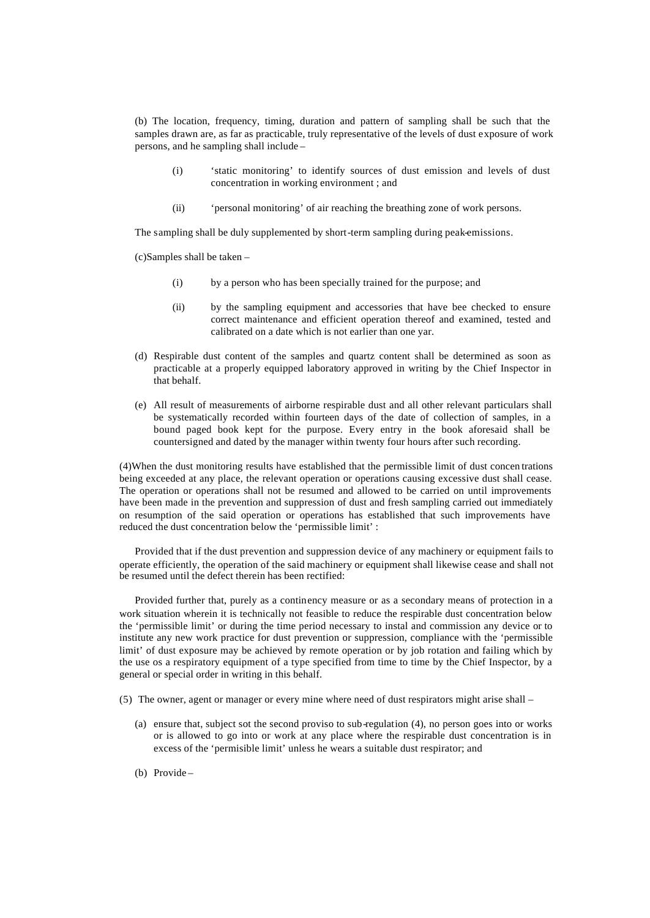(b) The location, frequency, timing, duration and pattern of sampling shall be such that the samples drawn are, as far as practicable, truly representative of the levels of dust exposure of work persons, and he sampling shall include –

- (i) 'static monitoring' to identify sources of dust emission and levels of dust concentration in working environment ; and
- (ii) 'personal monitoring' of air reaching the breathing zone of work persons.

The sampling shall be duly supplemented by short-term sampling during peak-emissions.

(c)Samples shall be taken –

- (i) by a person who has been specially trained for the purpose; and
- (ii) by the sampling equipment and accessories that have bee checked to ensure correct maintenance and efficient operation thereof and examined, tested and calibrated on a date which is not earlier than one yar.
- (d) Respirable dust content of the samples and quartz content shall be determined as soon as practicable at a properly equipped laboratory approved in writing by the Chief Inspector in that behalf.
- (e) All result of measurements of airborne respirable dust and all other relevant particulars shall be systematically recorded within fourteen days of the date of collection of samples, in a bound paged book kept for the purpose. Every entry in the book aforesaid shall be countersigned and dated by the manager within twenty four hours after such recording.

(4)When the dust monitoring results have established that the permissible limit of dust concen trations being exceeded at any place, the relevant operation or operations causing excessive dust shall cease. The operation or operations shall not be resumed and allowed to be carried on until improvements have been made in the prevention and suppression of dust and fresh sampling carried out immediately on resumption of the said operation or operations has established that such improvements have reduced the dust concentration below the 'permissible limit' :

Provided that if the dust prevention and suppression device of any machinery or equipment fails to operate efficiently, the operation of the said machinery or equipment shall likewise cease and shall not be resumed until the defect therein has been rectified:

Provided further that, purely as a continency measure or as a secondary means of protection in a work situation wherein it is technically not feasible to reduce the respirable dust concentration below the 'permissible limit' or during the time period necessary to instal and commission any device or to institute any new work practice for dust prevention or suppression, compliance with the 'permissible limit' of dust exposure may be achieved by remote operation or by job rotation and failing which by the use os a respiratory equipment of a type specified from time to time by the Chief Inspector, by a general or special order in writing in this behalf.

(5) The owner, agent or manager or every mine where need of dust respirators might arise shall –

- (a) ensure that, subject sot the second proviso to sub-regulation (4), no person goes into or works or is allowed to go into or work at any place where the respirable dust concentration is in excess of the 'permisible limit' unless he wears a suitable dust respirator; and
- (b) Provide –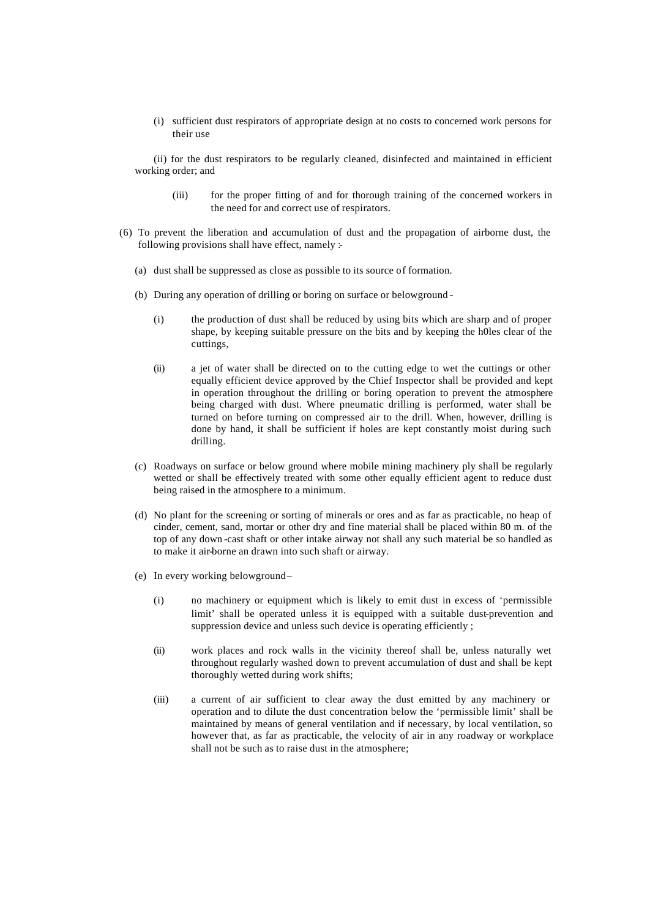(i) sufficient dust respirators of appropriate design at no costs to concerned work persons for their use

(ii) for the dust respirators to be regularly cleaned, disinfected and maintained in efficient working order; and

- (iii) for the proper fitting of and for thorough training of the concerned workers in the need for and correct use of respirators.
- (6) To prevent the liberation and accumulation of dust and the propagation of airborne dust, the following provisions shall have effect, namely :-
	- (a) dust shall be suppressed as close as possible to its source of formation.
	- (b) During any operation of drilling or boring on surface or belowground
		- (i) the production of dust shall be reduced by using bits which are sharp and of proper shape, by keeping suitable pressure on the bits and by keeping the h0les clear of the cuttings,
		- (ii) a jet of water shall be directed on to the cutting edge to wet the cuttings or other equally efficient device approved by the Chief Inspector shall be provided and kept in operation throughout the drilling or boring operation to prevent the atmosphere being charged with dust. Where pneumatic drilling is performed, water shall be turned on before turning on compressed air to the drill. When, however, drilling is done by hand, it shall be sufficient if holes are kept constantly moist during such drilling.
	- (c) Roadways on surface or below ground where mobile mining machinery ply shall be regularly wetted or shall be effectively treated with some other equally efficient agent to reduce dust being raised in the atmosphere to a minimum.
	- (d) No plant for the screening or sorting of minerals or ores and as far as practicable, no heap of cinder, cement, sand, mortar or other dry and fine material shall be placed within 80 m. of the top of any down -cast shaft or other intake airway not shall any such material be so handled as to make it air-borne an drawn into such shaft or airway.
	- (e) In every working belowground
		- (i) no machinery or equipment which is likely to emit dust in excess of 'permissible limit' shall be operated unless it is equipped with a suitable dust-prevention and suppression device and unless such device is operating efficiently ;
		- (ii) work places and rock walls in the vicinity thereof shall be, unless naturally wet throughout regularly washed down to prevent accumulation of dust and shall be kept thoroughly wetted during work shifts;
		- (iii) a current of air sufficient to clear away the dust emitted by any machinery or operation and to dilute the dust concentration below the 'permissible limit' shall be maintained by means of general ventilation and if necessary, by local ventilation, so however that, as far as practicable, the velocity of air in any roadway or workplace shall not be such as to raise dust in the atmosphere;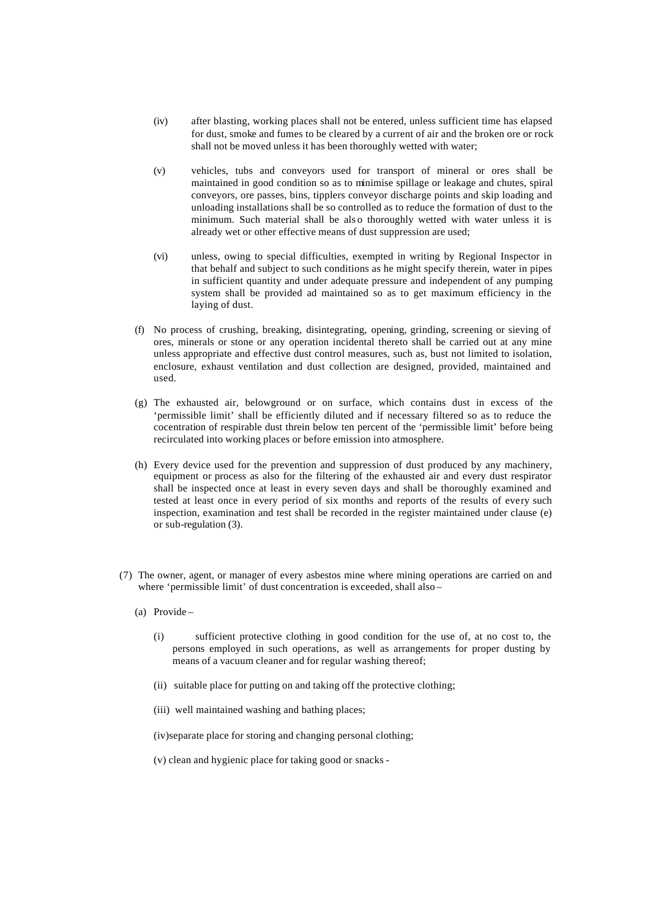- (iv) after blasting, working places shall not be entered, unless sufficient time has elapsed for dust, smoke and fumes to be cleared by a current of air and the broken ore or rock shall not be moved unless it has been thoroughly wetted with water;
- (v) vehicles, tubs and conveyors used for transport of mineral or ores shall be maintained in good condition so as to minimise spillage or leakage and chutes, spiral conveyors, ore passes, bins, tipplers conveyor discharge points and skip loading and unloading installations shall be so controlled as to reduce the formation of dust to the minimum. Such material shall be als o thoroughly wetted with water unless it is already wet or other effective means of dust suppression are used;
- (vi) unless, owing to special difficulties, exempted in writing by Regional Inspector in that behalf and subject to such conditions as he might specify therein, water in pipes in sufficient quantity and under adequate pressure and independent of any pumping system shall be provided ad maintained so as to get maximum efficiency in the laying of dust.
- (f) No process of crushing, breaking, disintegrating, opening, grinding, screening or sieving of ores, minerals or stone or any operation incidental thereto shall be carried out at any mine unless appropriate and effective dust control measures, such as, bust not limited to isolation, enclosure, exhaust ventilation and dust collection are designed, provided, maintained and used.
- (g) The exhausted air, belowground or on surface, which contains dust in excess of the 'permissible limit' shall be efficiently diluted and if necessary filtered so as to reduce the cocentration of respirable dust threin below ten percent of the 'permissible limit' before being recirculated into working places or before emission into atmosphere.
- (h) Every device used for the prevention and suppression of dust produced by any machinery, equipment or process as also for the filtering of the exhausted air and every dust respirator shall be inspected once at least in every seven days and shall be thoroughly examined and tested at least once in every period of six months and reports of the results of every such inspection, examination and test shall be recorded in the register maintained under clause (e) or sub-regulation (3).
- (7) The owner, agent, or manager of every asbestos mine where mining operations are carried on and where 'permissible limit' of dust concentration is exceeded, shall also –
	- (a) Provide
		- (i) sufficient protective clothing in good condition for the use of, at no cost to, the persons employed in such operations, as well as arrangements for proper dusting by means of a vacuum cleaner and for regular washing thereof;
		- (ii) suitable place for putting on and taking off the protective clothing;
		- (iii) well maintained washing and bathing places;
		- (iv)separate place for storing and changing personal clothing;
		- (v) clean and hygienic place for taking good or snacks -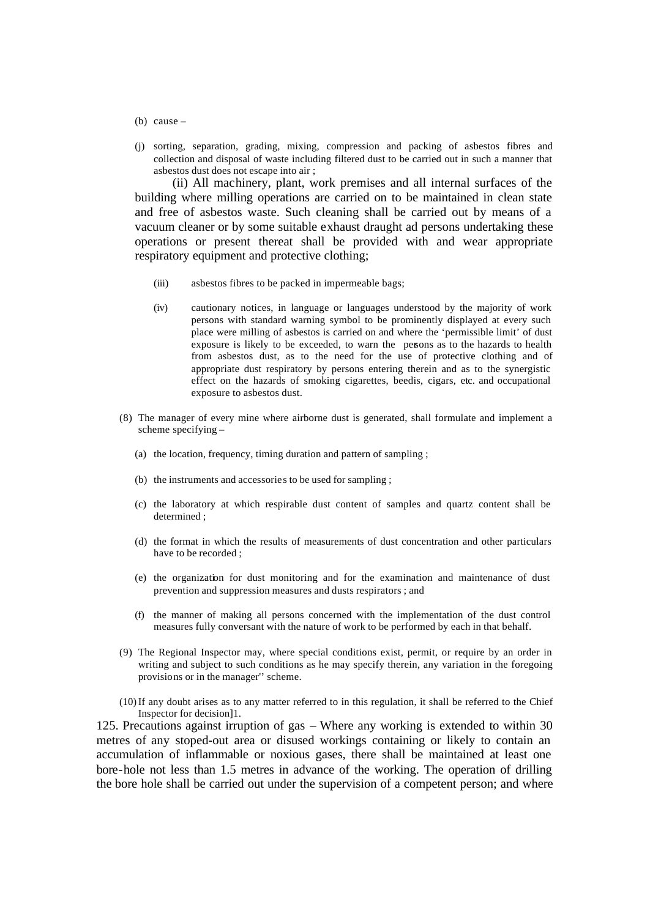- (b) cause  $-$
- (j) sorting, separation, grading, mixing, compression and packing of asbestos fibres and collection and disposal of waste including filtered dust to be carried out in such a manner that asbestos dust does not escape into air ;

(ii) All machinery, plant, work premises and all internal surfaces of the building where milling operations are carried on to be maintained in clean state and free of asbestos waste. Such cleaning shall be carried out by means of a vacuum cleaner or by some suitable exhaust draught ad persons undertaking these operations or present thereat shall be provided with and wear appropriate respiratory equipment and protective clothing;

- (iii) asbestos fibres to be packed in impermeable bags;
- (iv) cautionary notices, in language or languages understood by the majority of work persons with standard warning symbol to be prominently displayed at every such place were milling of asbestos is carried on and where the 'permissible limit' of dust exposure is likely to be exceeded, to warn the persons as to the hazards to health from asbestos dust, as to the need for the use of protective clothing and of appropriate dust respiratory by persons entering therein and as to the synergistic effect on the hazards of smoking cigarettes, beedis, cigars, etc. and occupational exposure to asbestos dust.
- (8) The manager of every mine where airborne dust is generated, shall formulate and implement a scheme specifying –
	- (a) the location, frequency, timing duration and pattern of sampling ;
	- (b) the instruments and accessories to be used for sampling ;
	- (c) the laboratory at which respirable dust content of samples and quartz content shall be determined ;
	- (d) the format in which the results of measurements of dust concentration and other particulars have to be recorded ;
	- (e) the organization for dust monitoring and for the examination and maintenance of dust prevention and suppression measures and dusts respirators ; and
	- (f) the manner of making all persons concerned with the implementation of the dust control measures fully conversant with the nature of work to be performed by each in that behalf.
- (9) The Regional Inspector may, where special conditions exist, permit, or require by an order in writing and subject to such conditions as he may specify therein, any variation in the foregoing provisions or in the manager'' scheme.
- (10)If any doubt arises as to any matter referred to in this regulation, it shall be referred to the Chief Inspector for decision]1.

125. Precautions against irruption of gas – Where any working is extended to within 30 metres of any stoped-out area or disused workings containing or likely to contain an accumulation of inflammable or noxious gases, there shall be maintained at least one bore-hole not less than 1.5 metres in advance of the working. The operation of drilling the bore hole shall be carried out under the supervision of a competent person; and where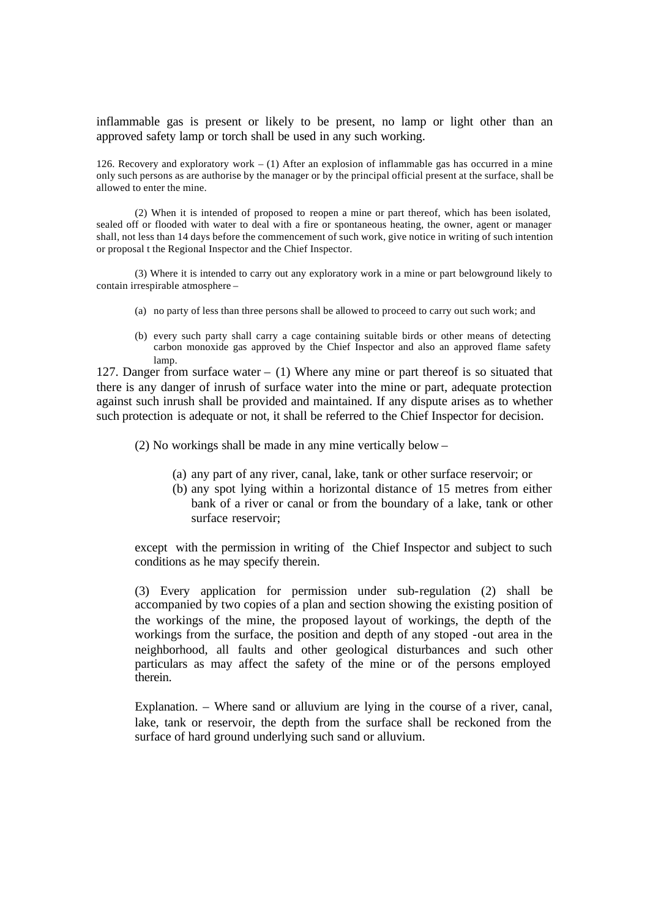inflammable gas is present or likely to be present, no lamp or light other than an approved safety lamp or torch shall be used in any such working.

126. Recovery and exploratory work – (1) After an explosion of inflammable gas has occurred in a mine only such persons as are authorise by the manager or by the principal official present at the surface, shall be allowed to enter the mine.

(2) When it is intended of proposed to reopen a mine or part thereof, which has been isolated, sealed off or flooded with water to deal with a fire or spontaneous heating, the owner, agent or manager shall, not less than 14 days before the commencement of such work, give notice in writing of such intention or proposal t the Regional Inspector and the Chief Inspector.

(3) Where it is intended to carry out any exploratory work in a mine or part belowground likely to contain irrespirable atmosphere –

- (a) no party of less than three persons shall be allowed to proceed to carry out such work; and
- (b) every such party shall carry a cage containing suitable birds or other means of detecting carbon monoxide gas approved by the Chief Inspector and also an approved flame safety lamp.

127. Danger from surface water  $-$  (1) Where any mine or part thereof is so situated that there is any danger of inrush of surface water into the mine or part, adequate protection against such inrush shall be provided and maintained. If any dispute arises as to whether such protection is adequate or not, it shall be referred to the Chief Inspector for decision.

(2) No workings shall be made in any mine vertically below –

- (a) any part of any river, canal, lake, tank or other surface reservoir; or
- (b) any spot lying within a horizontal distance of 15 metres from either bank of a river or canal or from the boundary of a lake, tank or other surface reservoir;

except with the permission in writing of the Chief Inspector and subject to such conditions as he may specify therein.

(3) Every application for permission under sub-regulation (2) shall be accompanied by two copies of a plan and section showing the existing position of the workings of the mine, the proposed layout of workings, the depth of the workings from the surface, the position and depth of any stoped -out area in the neighborhood, all faults and other geological disturbances and such other particulars as may affect the safety of the mine or of the persons employed therein.

Explanation. – Where sand or alluvium are lying in the course of a river, canal, lake, tank or reservoir, the depth from the surface shall be reckoned from the surface of hard ground underlying such sand or alluvium.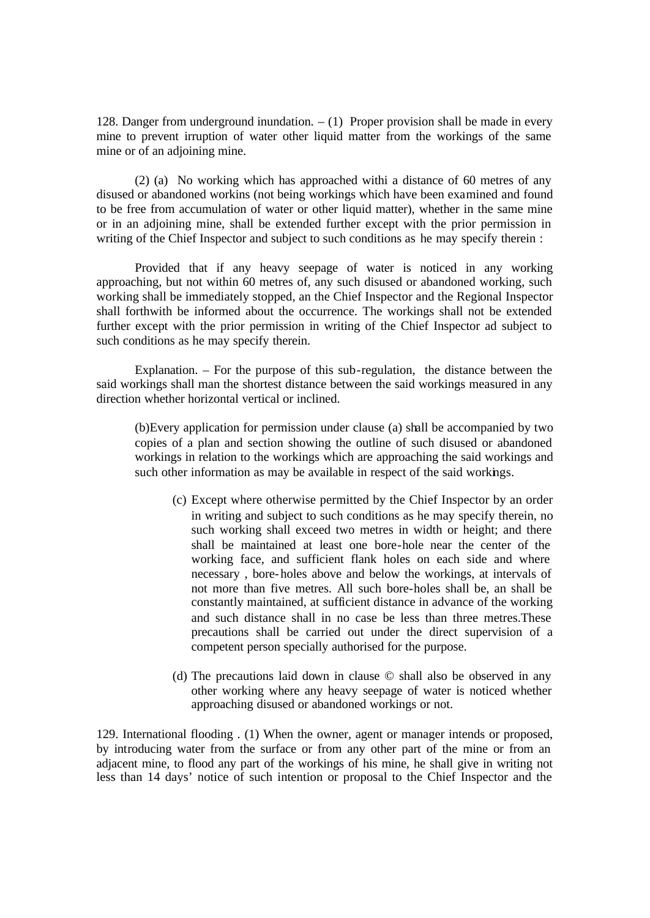128. Danger from underground inundation.  $- (1)$  Proper provision shall be made in every mine to prevent irruption of water other liquid matter from the workings of the same mine or of an adjoining mine.

(2) (a) No working which has approached withi a distance of 60 metres of any disused or abandoned workins (not being workings which have been examined and found to be free from accumulation of water or other liquid matter), whether in the same mine or in an adjoining mine, shall be extended further except with the prior permission in writing of the Chief Inspector and subject to such conditions as he may specify therein :

Provided that if any heavy seepage of water is noticed in any working approaching, but not within 60 metres of, any such disused or abandoned working, such working shall be immediately stopped, an the Chief Inspector and the Regional Inspector shall forthwith be informed about the occurrence. The workings shall not be extended further except with the prior permission in writing of the Chief Inspector ad subject to such conditions as he may specify therein.

Explanation. – For the purpose of this sub-regulation, the distance between the said workings shall man the shortest distance between the said workings measured in any direction whether horizontal vertical or inclined.

(b)Every application for permission under clause (a) shall be accompanied by two copies of a plan and section showing the outline of such disused or abandoned workings in relation to the workings which are approaching the said workings and such other information as may be available in respect of the said workings.

- (c) Except where otherwise permitted by the Chief Inspector by an order in writing and subject to such conditions as he may specify therein, no such working shall exceed two metres in width or height; and there shall be maintained at least one bore-hole near the center of the working face, and sufficient flank holes on each side and where necessary , bore-holes above and below the workings, at intervals of not more than five metres. All such bore-holes shall be, an shall be constantly maintained, at sufficient distance in advance of the working and such distance shall in no case be less than three metres.These precautions shall be carried out under the direct supervision of a competent person specially authorised for the purpose.
- (d) The precautions laid down in clause © shall also be observed in any other working where any heavy seepage of water is noticed whether approaching disused or abandoned workings or not.

129. International flooding . (1) When the owner, agent or manager intends or proposed, by introducing water from the surface or from any other part of the mine or from an adjacent mine, to flood any part of the workings of his mine, he shall give in writing not less than 14 days' notice of such intention or proposal to the Chief Inspector and the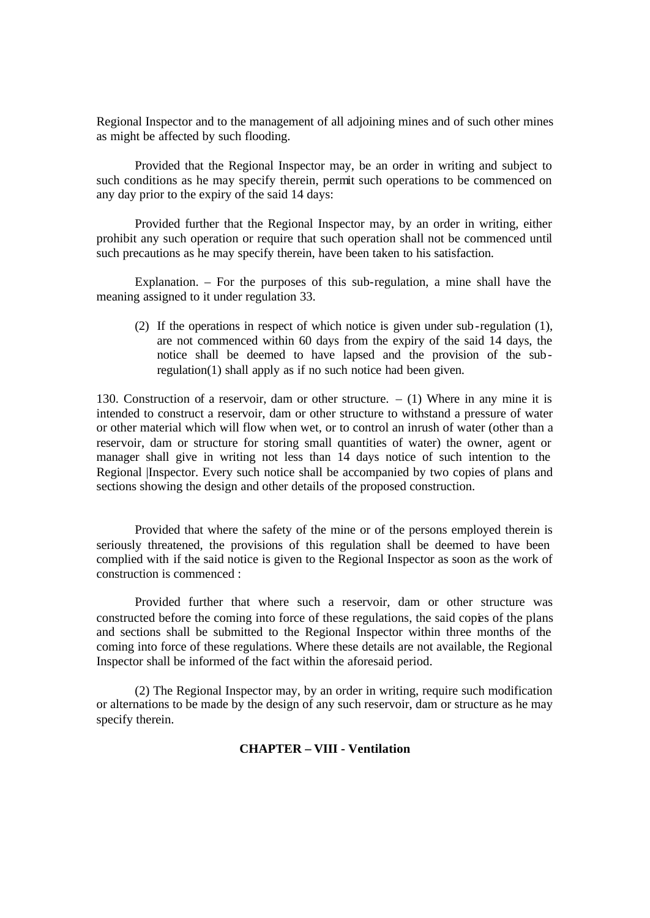Regional Inspector and to the management of all adjoining mines and of such other mines as might be affected by such flooding.

Provided that the Regional Inspector may, be an order in writing and subject to such conditions as he may specify therein, permit such operations to be commenced on any day prior to the expiry of the said 14 days:

Provided further that the Regional Inspector may, by an order in writing, either prohibit any such operation or require that such operation shall not be commenced until such precautions as he may specify therein, have been taken to his satisfaction.

Explanation. – For the purposes of this sub-regulation, a mine shall have the meaning assigned to it under regulation 33.

(2) If the operations in respect of which notice is given under sub-regulation (1), are not commenced within 60 days from the expiry of the said 14 days, the notice shall be deemed to have lapsed and the provision of the subregulation(1) shall apply as if no such notice had been given.

130. Construction of a reservoir, dam or other structure.  $- (1)$  Where in any mine it is intended to construct a reservoir, dam or other structure to withstand a pressure of water or other material which will flow when wet, or to control an inrush of water (other than a reservoir, dam or structure for storing small quantities of water) the owner, agent or manager shall give in writing not less than 14 days notice of such intention to the Regional Inspector. Every such notice shall be accompanied by two copies of plans and sections showing the design and other details of the proposed construction.

Provided that where the safety of the mine or of the persons employed therein is seriously threatened, the provisions of this regulation shall be deemed to have been complied with if the said notice is given to the Regional Inspector as soon as the work of construction is commenced :

Provided further that where such a reservoir, dam or other structure was constructed before the coming into force of these regulations, the said copies of the plans and sections shall be submitted to the Regional Inspector within three months of the coming into force of these regulations. Where these details are not available, the Regional Inspector shall be informed of the fact within the aforesaid period.

(2) The Regional Inspector may, by an order in writing, require such modification or alternations to be made by the design of any such reservoir, dam or structure as he may specify therein.

## **CHAPTER – VIII - Ventilation**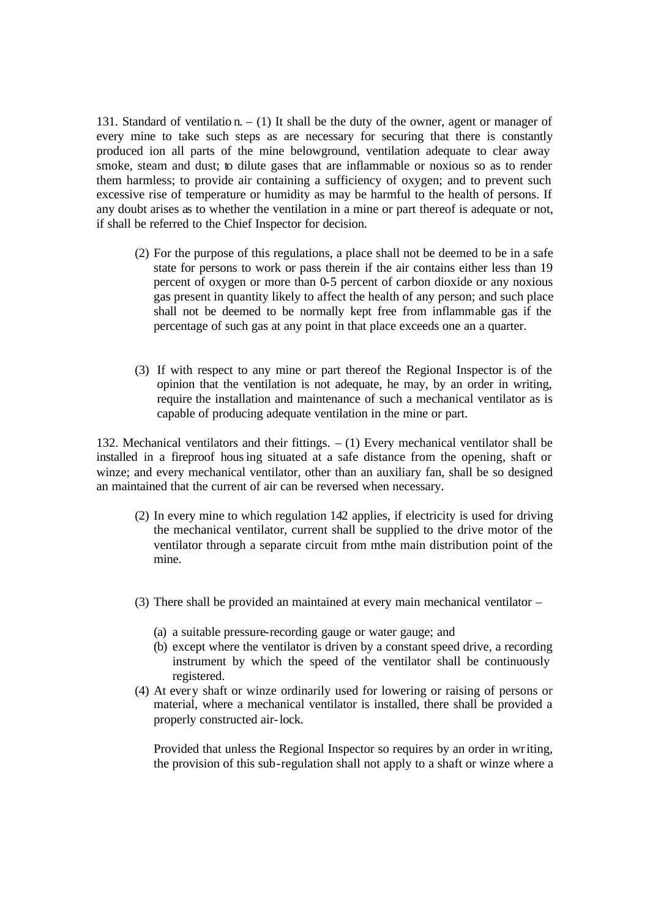131. Standard of ventilatio n. – (1) It shall be the duty of the owner, agent or manager of every mine to take such steps as are necessary for securing that there is constantly produced ion all parts of the mine belowground, ventilation adequate to clear away smoke, steam and dust; to dilute gases that are inflammable or noxious so as to render them harmless; to provide air containing a sufficiency of oxygen; and to prevent such excessive rise of temperature or humidity as may be harmful to the health of persons. If any doubt arises as to whether the ventilation in a mine or part thereof is adequate or not, if shall be referred to the Chief Inspector for decision.

- (2) For the purpose of this regulations, a place shall not be deemed to be in a safe state for persons to work or pass therein if the air contains either less than 19 percent of oxygen or more than 0-5 percent of carbon dioxide or any noxious gas present in quantity likely to affect the health of any person; and such place shall not be deemed to be normally kept free from inflammable gas if the percentage of such gas at any point in that place exceeds one an a quarter.
- (3) If with respect to any mine or part thereof the Regional Inspector is of the opinion that the ventilation is not adequate, he may, by an order in writing, require the installation and maintenance of such a mechanical ventilator as is capable of producing adequate ventilation in the mine or part.

132. Mechanical ventilators and their fittings. – (1) Every mechanical ventilator shall be installed in a fireproof housing situated at a safe distance from the opening, shaft or winze; and every mechanical ventilator, other than an auxiliary fan, shall be so designed an maintained that the current of air can be reversed when necessary.

- (2) In every mine to which regulation 142 applies, if electricity is used for driving the mechanical ventilator, current shall be supplied to the drive motor of the ventilator through a separate circuit from mthe main distribution point of the mine.
- (3) There shall be provided an maintained at every main mechanical ventilator
	- (a) a suitable pressure-recording gauge or water gauge; and
	- (b) except where the ventilator is driven by a constant speed drive, a recording instrument by which the speed of the ventilator shall be continuously registered.
- (4) At every shaft or winze ordinarily used for lowering or raising of persons or material, where a mechanical ventilator is installed, there shall be provided a properly constructed air-lock.

Provided that unless the Regional Inspector so requires by an order in writing, the provision of this sub-regulation shall not apply to a shaft or winze where a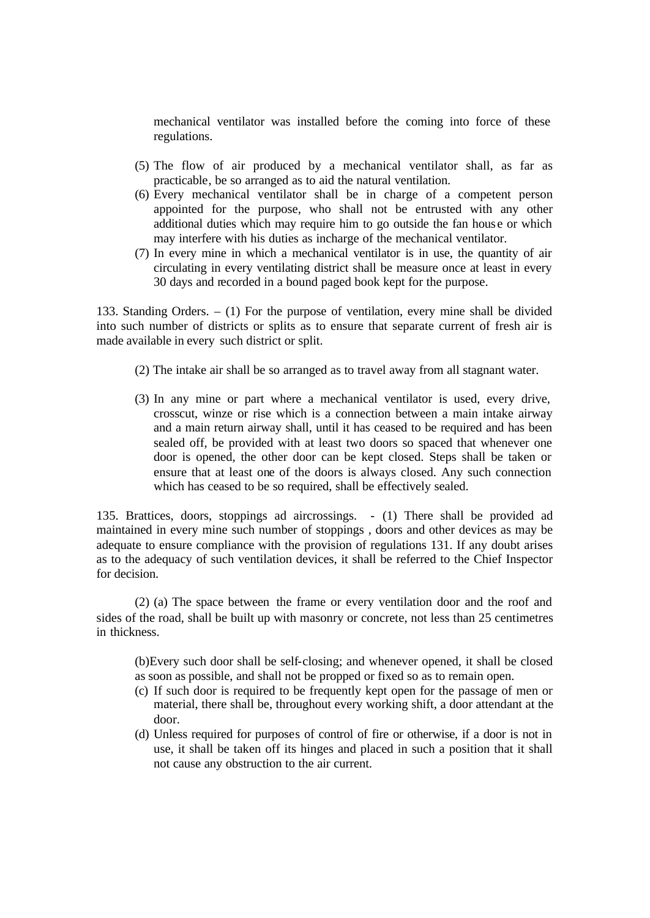mechanical ventilator was installed before the coming into force of these regulations.

- (5) The flow of air produced by a mechanical ventilator shall, as far as practicable, be so arranged as to aid the natural ventilation.
- (6) Every mechanical ventilator shall be in charge of a competent person appointed for the purpose, who shall not be entrusted with any other additional duties which may require him to go outside the fan hous e or which may interfere with his duties as incharge of the mechanical ventilator.
- (7) In every mine in which a mechanical ventilator is in use, the quantity of air circulating in every ventilating district shall be measure once at least in every 30 days and recorded in a bound paged book kept for the purpose.

133. Standing Orders. – (1) For the purpose of ventilation, every mine shall be divided into such number of districts or splits as to ensure that separate current of fresh air is made available in every such district or split.

- (2) The intake air shall be so arranged as to travel away from all stagnant water.
- (3) In any mine or part where a mechanical ventilator is used, every drive, crosscut, winze or rise which is a connection between a main intake airway and a main return airway shall, until it has ceased to be required and has been sealed off, be provided with at least two doors so spaced that whenever one door is opened, the other door can be kept closed. Steps shall be taken or ensure that at least one of the doors is always closed. Any such connection which has ceased to be so required, shall be effectively sealed.

135. Brattices, doors, stoppings ad aircrossings. - (1) There shall be provided ad maintained in every mine such number of stoppings , doors and other devices as may be adequate to ensure compliance with the provision of regulations 131. If any doubt arises as to the adequacy of such ventilation devices, it shall be referred to the Chief Inspector for decision.

(2) (a) The space between the frame or every ventilation door and the roof and sides of the road, shall be built up with masonry or concrete, not less than 25 centimetres in thickness.

(b)Every such door shall be self-closing; and whenever opened, it shall be closed as soon as possible, and shall not be propped or fixed so as to remain open.

- (c) If such door is required to be frequently kept open for the passage of men or material, there shall be, throughout every working shift, a door attendant at the door.
- (d) Unless required for purposes of control of fire or otherwise, if a door is not in use, it shall be taken off its hinges and placed in such a position that it shall not cause any obstruction to the air current.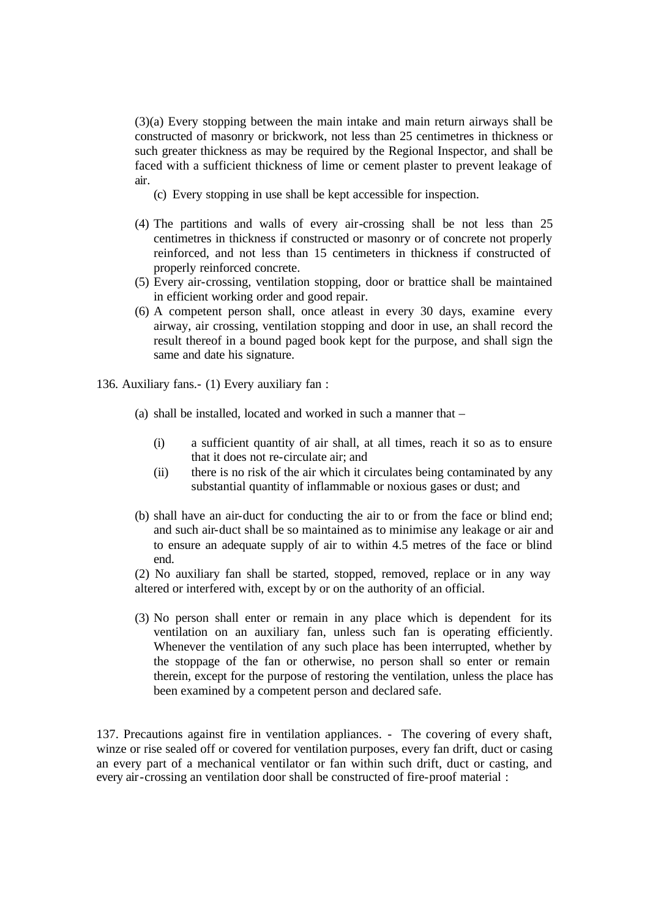(3)(a) Every stopping between the main intake and main return airways shall be constructed of masonry or brickwork, not less than 25 centimetres in thickness or such greater thickness as may be required by the Regional Inspector, and shall be faced with a sufficient thickness of lime or cement plaster to prevent leakage of air.

(c) Every stopping in use shall be kept accessible for inspection.

- (4) The partitions and walls of every air-crossing shall be not less than 25 centimetres in thickness if constructed or masonry or of concrete not properly reinforced, and not less than 15 centimeters in thickness if constructed of properly reinforced concrete.
- (5) Every air-crossing, ventilation stopping, door or brattice shall be maintained in efficient working order and good repair.
- (6) A competent person shall, once atleast in every 30 days, examine every airway, air crossing, ventilation stopping and door in use, an shall record the result thereof in a bound paged book kept for the purpose, and shall sign the same and date his signature.

136. Auxiliary fans.- (1) Every auxiliary fan :

- (a) shall be installed, located and worked in such a manner that
	- (i) a sufficient quantity of air shall, at all times, reach it so as to ensure that it does not re-circulate air; and
	- (ii) there is no risk of the air which it circulates being contaminated by any substantial quantity of inflammable or noxious gases or dust; and
- (b) shall have an air-duct for conducting the air to or from the face or blind end; and such air-duct shall be so maintained as to minimise any leakage or air and to ensure an adequate supply of air to within 4.5 metres of the face or blind end.

(2) No auxiliary fan shall be started, stopped, removed, replace or in any way altered or interfered with, except by or on the authority of an official.

(3) No person shall enter or remain in any place which is dependent for its ventilation on an auxiliary fan, unless such fan is operating efficiently. Whenever the ventilation of any such place has been interrupted, whether by the stoppage of the fan or otherwise, no person shall so enter or remain therein, except for the purpose of restoring the ventilation, unless the place has been examined by a competent person and declared safe.

137. Precautions against fire in ventilation appliances. - The covering of every shaft, winze or rise sealed off or covered for ventilation purposes, every fan drift, duct or casing an every part of a mechanical ventilator or fan within such drift, duct or casting, and every air-crossing an ventilation door shall be constructed of fire-proof material :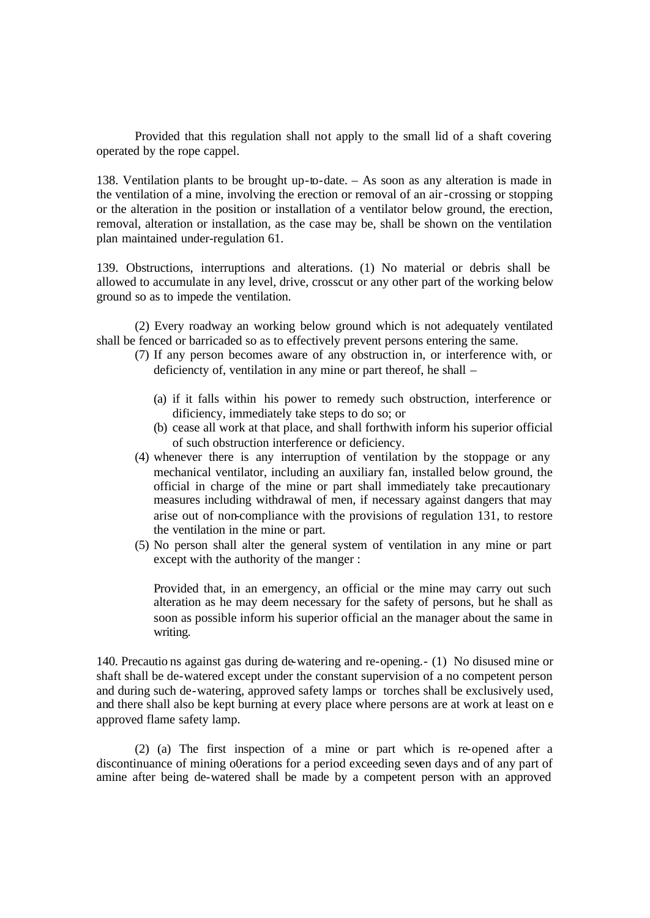Provided that this regulation shall not apply to the small lid of a shaft covering operated by the rope cappel.

138. Ventilation plants to be brought up-to-date. – As soon as any alteration is made in the ventilation of a mine, involving the erection or removal of an air-crossing or stopping or the alteration in the position or installation of a ventilator below ground, the erection, removal, alteration or installation, as the case may be, shall be shown on the ventilation plan maintained under-regulation 61.

139. Obstructions, interruptions and alterations. (1) No material or debris shall be allowed to accumulate in any level, drive, crosscut or any other part of the working below ground so as to impede the ventilation.

(2) Every roadway an working below ground which is not adequately ventilated shall be fenced or barricaded so as to effectively prevent persons entering the same.

- (7) If any person becomes aware of any obstruction in, or interference with, or deficiencty of, ventilation in any mine or part thereof, he shall –
	- (a) if it falls within his power to remedy such obstruction, interference or dificiency, immediately take steps to do so; or
	- (b) cease all work at that place, and shall forthwith inform his superior official of such obstruction interference or deficiency.
- (4) whenever there is any interruption of ventilation by the stoppage or any mechanical ventilator, including an auxiliary fan, installed below ground, the official in charge of the mine or part shall immediately take precautionary measures including withdrawal of men, if necessary against dangers that may arise out of non-compliance with the provisions of regulation 131, to restore the ventilation in the mine or part.
- (5) No person shall alter the general system of ventilation in any mine or part except with the authority of the manger :

Provided that, in an emergency, an official or the mine may carry out such alteration as he may deem necessary for the safety of persons, but he shall as soon as possible inform his superior official an the manager about the same in writing.

140. Precautio ns against gas during de-watering and re-opening.- (1) No disused mine or shaft shall be de-watered except under the constant supervision of a no competent person and during such de-watering, approved safety lamps or torches shall be exclusively used, and there shall also be kept burning at every place where persons are at work at least on e approved flame safety lamp.

(2) (a) The first inspection of a mine or part which is re-opened after a discontinuance of mining o0erations for a period exceeding seven days and of any part of amine after being de-watered shall be made by a competent person with an approved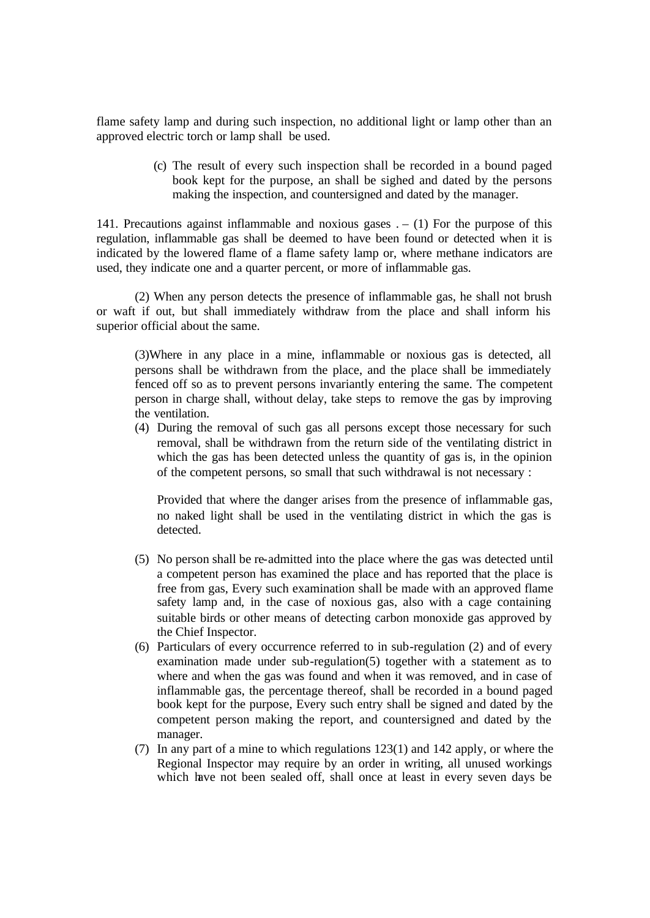flame safety lamp and during such inspection, no additional light or lamp other than an approved electric torch or lamp shall be used.

> (c) The result of every such inspection shall be recorded in a bound paged book kept for the purpose, an shall be sighed and dated by the persons making the inspection, and countersigned and dated by the manager.

141. Precautions against inflammable and noxious gases  $. - (1)$  For the purpose of this regulation, inflammable gas shall be deemed to have been found or detected when it is indicated by the lowered flame of a flame safety lamp or, where methane indicators are used, they indicate one and a quarter percent, or more of inflammable gas.

(2) When any person detects the presence of inflammable gas, he shall not brush or waft if out, but shall immediately withdraw from the place and shall inform his superior official about the same.

(3)Where in any place in a mine, inflammable or noxious gas is detected, all persons shall be withdrawn from the place, and the place shall be immediately fenced off so as to prevent persons invariantly entering the same. The competent person in charge shall, without delay, take steps to remove the gas by improving the ventilation.

(4) During the removal of such gas all persons except those necessary for such removal, shall be withdrawn from the return side of the ventilating district in which the gas has been detected unless the quantity of gas is, in the opinion of the competent persons, so small that such withdrawal is not necessary :

Provided that where the danger arises from the presence of inflammable gas, no naked light shall be used in the ventilating district in which the gas is detected.

- (5) No person shall be re-admitted into the place where the gas was detected until a competent person has examined the place and has reported that the place is free from gas, Every such examination shall be made with an approved flame safety lamp and, in the case of noxious gas, also with a cage containing suitable birds or other means of detecting carbon monoxide gas approved by the Chief Inspector.
- (6) Particulars of every occurrence referred to in sub-regulation (2) and of every examination made under sub-regulation(5) together with a statement as to where and when the gas was found and when it was removed, and in case of inflammable gas, the percentage thereof, shall be recorded in a bound paged book kept for the purpose, Every such entry shall be signed and dated by the competent person making the report, and countersigned and dated by the manager.
- (7) In any part of a mine to which regulations 123(1) and 142 apply, or where the Regional Inspector may require by an order in writing, all unused workings which have not been sealed off, shall once at least in every seven days be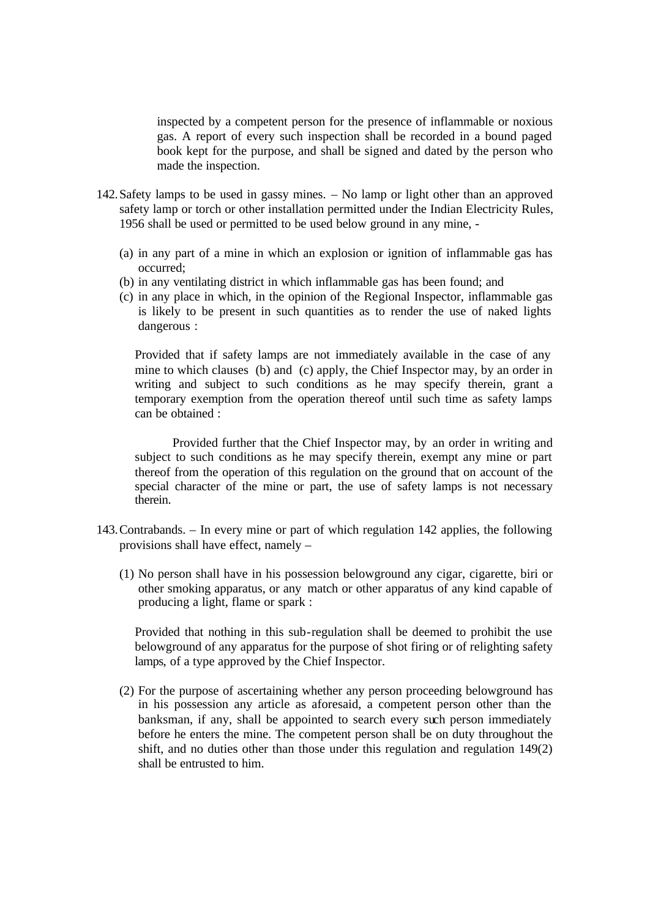inspected by a competent person for the presence of inflammable or noxious gas. A report of every such inspection shall be recorded in a bound paged book kept for the purpose, and shall be signed and dated by the person who made the inspection.

- 142.Safety lamps to be used in gassy mines. No lamp or light other than an approved safety lamp or torch or other installation permitted under the Indian Electricity Rules, 1956 shall be used or permitted to be used below ground in any mine, -
	- (a) in any part of a mine in which an explosion or ignition of inflammable gas has occurred;
	- (b) in any ventilating district in which inflammable gas has been found; and
	- (c) in any place in which, in the opinion of the Regional Inspector, inflammable gas is likely to be present in such quantities as to render the use of naked lights dangerous :

Provided that if safety lamps are not immediately available in the case of any mine to which clauses (b) and (c) apply, the Chief Inspector may, by an order in writing and subject to such conditions as he may specify therein, grant a temporary exemption from the operation thereof until such time as safety lamps can be obtained :

Provided further that the Chief Inspector may, by an order in writing and subject to such conditions as he may specify therein, exempt any mine or part thereof from the operation of this regulation on the ground that on account of the special character of the mine or part, the use of safety lamps is not necessary therein.

- 143.Contrabands. In every mine or part of which regulation 142 applies, the following provisions shall have effect, namely –
	- (1) No person shall have in his possession belowground any cigar, cigarette, biri or other smoking apparatus, or any match or other apparatus of any kind capable of producing a light, flame or spark :

Provided that nothing in this sub-regulation shall be deemed to prohibit the use belowground of any apparatus for the purpose of shot firing or of relighting safety lamps, of a type approved by the Chief Inspector.

(2) For the purpose of ascertaining whether any person proceeding belowground has in his possession any article as aforesaid, a competent person other than the banksman, if any, shall be appointed to search every such person immediately before he enters the mine. The competent person shall be on duty throughout the shift, and no duties other than those under this regulation and regulation 149(2) shall be entrusted to him.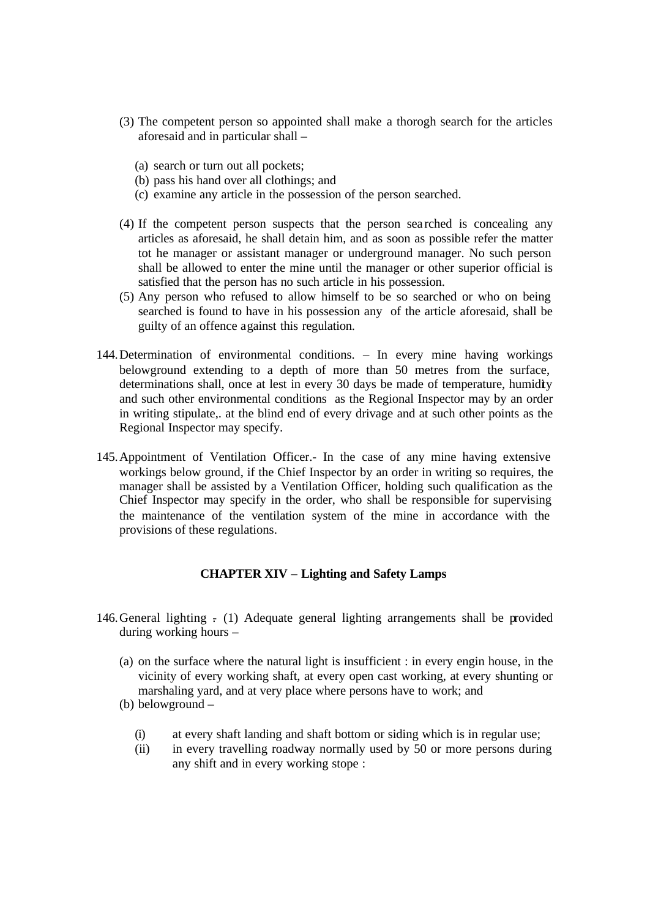- (3) The competent person so appointed shall make a thorogh search for the articles aforesaid and in particular shall –
	- (a) search or turn out all pockets;
	- (b) pass his hand over all clothings; and
	- (c) examine any article in the possession of the person searched.
- (4) If the competent person suspects that the person sea rched is concealing any articles as aforesaid, he shall detain him, and as soon as possible refer the matter tot he manager or assistant manager or underground manager. No such person shall be allowed to enter the mine until the manager or other superior official is satisfied that the person has no such article in his possession.
- (5) Any person who refused to allow himself to be so searched or who on being searched is found to have in his possession any of the article aforesaid, shall be guilty of an offence against this regulation.
- 144.Determination of environmental conditions. In every mine having workings belowground extending to a depth of more than 50 metres from the surface, determinations shall, once at lest in every 30 days be made of temperature, humidity and such other environmental conditions as the Regional Inspector may by an order in writing stipulate,. at the blind end of every drivage and at such other points as the Regional Inspector may specify.
- 145.Appointment of Ventilation Officer.- In the case of any mine having extensive workings below ground, if the Chief Inspector by an order in writing so requires, the manager shall be assisted by a Ventilation Officer, holding such qualification as the Chief Inspector may specify in the order, who shall be responsible for supervising the maintenance of the ventilation system of the mine in accordance with the provisions of these regulations.

# **CHAPTER XIV – Lighting and Safety Lamps**

- 146. General lighting  $\frac{1}{2}$  (1) Adequate general lighting arrangements shall be provided during working hours –
	- (a) on the surface where the natural light is insufficient : in every engin house, in the vicinity of every working shaft, at every open cast working, at every shunting or marshaling yard, and at very place where persons have to work; and
	- (b) belowground
		- (i) at every shaft landing and shaft bottom or siding which is in regular use;
		- (ii) in every travelling roadway normally used by 50 or more persons during any shift and in every working stope :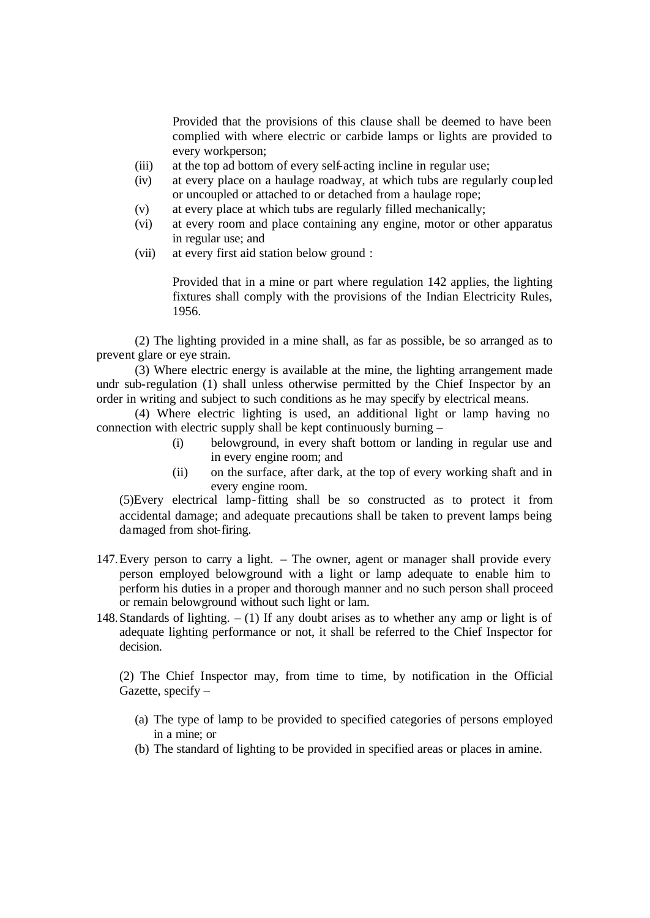Provided that the provisions of this clause shall be deemed to have been complied with where electric or carbide lamps or lights are provided to every workperson;

- (iii) at the top ad bottom of every self-acting incline in regular use;
- (iv) at every place on a haulage roadway, at which tubs are regularly coup led or uncoupled or attached to or detached from a haulage rope;
- (v) at every place at which tubs are regularly filled mechanically;
- (vi) at every room and place containing any engine, motor or other apparatus in regular use; and
- (vii) at every first aid station below ground :

Provided that in a mine or part where regulation 142 applies, the lighting fixtures shall comply with the provisions of the Indian Electricity Rules, 1956.

(2) The lighting provided in a mine shall, as far as possible, be so arranged as to prevent glare or eye strain.

(3) Where electric energy is available at the mine, the lighting arrangement made undr sub-regulation (1) shall unless otherwise permitted by the Chief Inspector by an order in writing and subject to such conditions as he may specify by electrical means.

(4) Where electric lighting is used, an additional light or lamp having no connection with electric supply shall be kept continuously burning –

- (i) belowground, in every shaft bottom or landing in regular use and in every engine room; and
- (ii) on the surface, after dark, at the top of every working shaft and in every engine room.

(5)Every electrical lamp-fitting shall be so constructed as to protect it from accidental damage; and adequate precautions shall be taken to prevent lamps being damaged from shot-firing.

- 147.Every person to carry a light. The owner, agent or manager shall provide every person employed belowground with a light or lamp adequate to enable him to perform his duties in a proper and thorough manner and no such person shall proceed or remain belowground without such light or lam.
- 148. Standards of lighting.  $(1)$  If any doubt arises as to whether any amp or light is of adequate lighting performance or not, it shall be referred to the Chief Inspector for decision.

(2) The Chief Inspector may, from time to time, by notification in the Official Gazette, specify –

- (a) The type of lamp to be provided to specified categories of persons employed in a mine; or
- (b) The standard of lighting to be provided in specified areas or places in amine.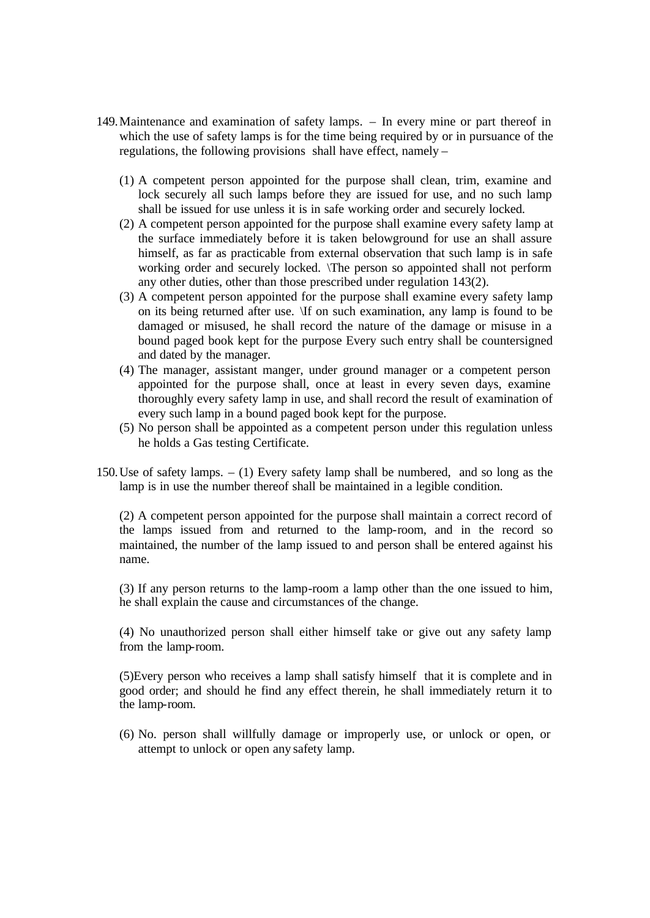- 149.Maintenance and examination of safety lamps. In every mine or part thereof in which the use of safety lamps is for the time being required by or in pursuance of the regulations, the following provisions shall have effect, namely –
	- (1) A competent person appointed for the purpose shall clean, trim, examine and lock securely all such lamps before they are issued for use, and no such lamp shall be issued for use unless it is in safe working order and securely locked.
	- (2) A competent person appointed for the purpose shall examine every safety lamp at the surface immediately before it is taken belowground for use an shall assure himself, as far as practicable from external observation that such lamp is in safe working order and securely locked. \The person so appointed shall not perform any other duties, other than those prescribed under regulation 143(2).
	- (3) A competent person appointed for the purpose shall examine every safety lamp on its being returned after use. \If on such examination, any lamp is found to be damaged or misused, he shall record the nature of the damage or misuse in a bound paged book kept for the purpose Every such entry shall be countersigned and dated by the manager.
	- (4) The manager, assistant manger, under ground manager or a competent person appointed for the purpose shall, once at least in every seven days, examine thoroughly every safety lamp in use, and shall record the result of examination of every such lamp in a bound paged book kept for the purpose.
	- (5) No person shall be appointed as a competent person under this regulation unless he holds a Gas testing Certificate.
- 150.Use of safety lamps. (1) Every safety lamp shall be numbered, and so long as the lamp is in use the number thereof shall be maintained in a legible condition.

(2) A competent person appointed for the purpose shall maintain a correct record of the lamps issued from and returned to the lamp-room, and in the record so maintained, the number of the lamp issued to and person shall be entered against his name.

(3) If any person returns to the lamp-room a lamp other than the one issued to him, he shall explain the cause and circumstances of the change.

(4) No unauthorized person shall either himself take or give out any safety lamp from the lamp-room.

(5)Every person who receives a lamp shall satisfy himself that it is complete and in good order; and should he find any effect therein, he shall immediately return it to the lamp-room.

(6) No. person shall willfully damage or improperly use, or unlock or open, or attempt to unlock or open any safety lamp.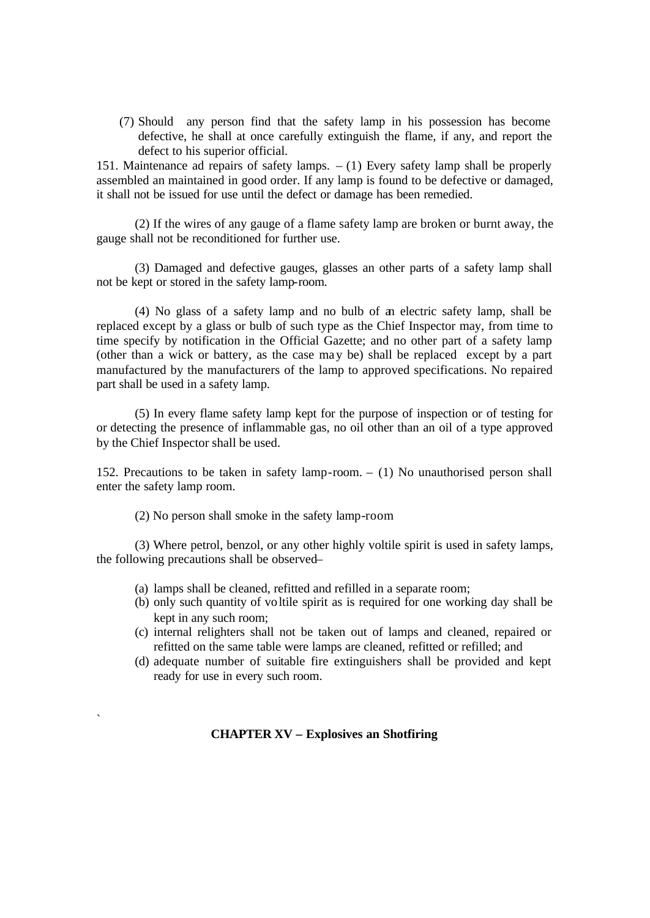(7) Should any person find that the safety lamp in his possession has become defective, he shall at once carefully extinguish the flame, if any, and report the defect to his superior official.

151. Maintenance ad repairs of safety lamps.  $- (1)$  Every safety lamp shall be properly assembled an maintained in good order. If any lamp is found to be defective or damaged, it shall not be issued for use until the defect or damage has been remedied.

(2) If the wires of any gauge of a flame safety lamp are broken or burnt away, the gauge shall not be reconditioned for further use.

(3) Damaged and defective gauges, glasses an other parts of a safety lamp shall not be kept or stored in the safety lamp-room.

(4) No glass of a safety lamp and no bulb of an electric safety lamp, shall be replaced except by a glass or bulb of such type as the Chief Inspector may, from time to time specify by notification in the Official Gazette; and no other part of a safety lamp (other than a wick or battery, as the case ma y be) shall be replaced except by a part manufactured by the manufacturers of the lamp to approved specifications. No repaired part shall be used in a safety lamp.

(5) In every flame safety lamp kept for the purpose of inspection or of testing for or detecting the presence of inflammable gas, no oil other than an oil of a type approved by the Chief Inspector shall be used.

152. Precautions to be taken in safety lamp-room. – (1) No unauthorised person shall enter the safety lamp room.

(2) No person shall smoke in the safety lamp-room

`

(3) Where petrol, benzol, or any other highly voltile spirit is used in safety lamps, the following precautions shall be observed–

- (a) lamps shall be cleaned, refitted and refilled in a separate room;
- (b) only such quantity of voltile spirit as is required for one working day shall be kept in any such room;
- (c) internal relighters shall not be taken out of lamps and cleaned, repaired or refitted on the same table were lamps are cleaned, refitted or refilled; and
- (d) adequate number of suitable fire extinguishers shall be provided and kept ready for use in every such room.

## **CHAPTER XV – Explosives an Shotfiring**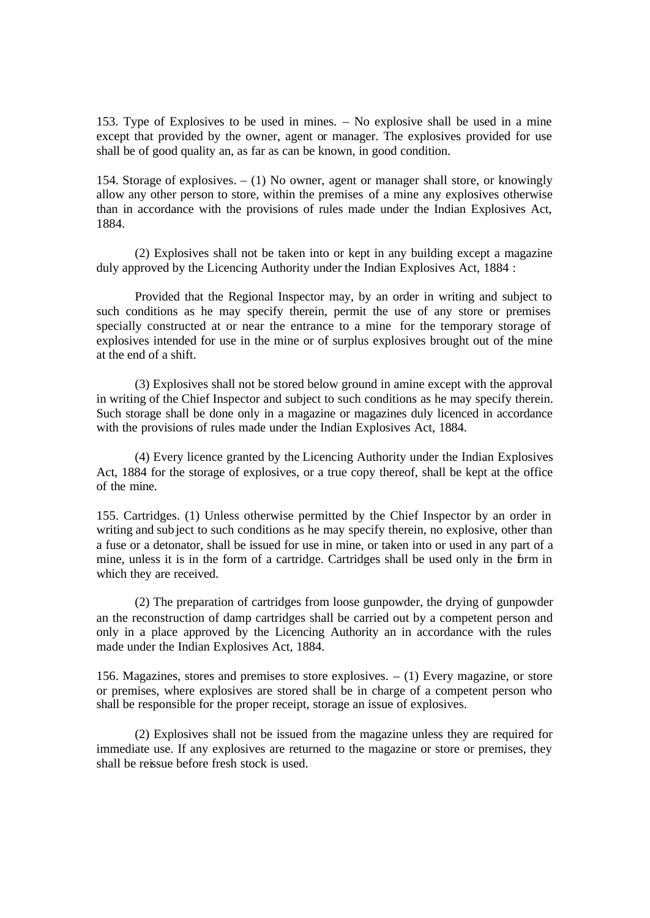153. Type of Explosives to be used in mines. – No explosive shall be used in a mine except that provided by the owner, agent or manager. The explosives provided for use shall be of good quality an, as far as can be known, in good condition.

154. Storage of explosives. – (1) No owner, agent or manager shall store, or knowingly allow any other person to store, within the premises of a mine any explosives otherwise than in accordance with the provisions of rules made under the Indian Explosives Act, 1884.

(2) Explosives shall not be taken into or kept in any building except a magazine duly approved by the Licencing Authority under the Indian Explosives Act, 1884 :

Provided that the Regional Inspector may, by an order in writing and subject to such conditions as he may specify therein, permit the use of any store or premises specially constructed at or near the entrance to a mine for the temporary storage of explosives intended for use in the mine or of surplus explosives brought out of the mine at the end of a shift.

(3) Explosives shall not be stored below ground in amine except with the approval in writing of the Chief Inspector and subject to such conditions as he may specify therein. Such storage shall be done only in a magazine or magazines duly licenced in accordance with the provisions of rules made under the Indian Explosives Act, 1884.

(4) Every licence granted by the Licencing Authority under the Indian Explosives Act, 1884 for the storage of explosives, or a true copy thereof, shall be kept at the office of the mine.

155. Cartridges. (1) Unless otherwise permitted by the Chief Inspector by an order in writing and sub ject to such conditions as he may specify therein, no explosive, other than a fuse or a detonator, shall be issued for use in mine, or taken into or used in any part of a mine, unless it is in the form of a cartridge. Cartridges shall be used only in the form in which they are received.

(2) The preparation of cartridges from loose gunpowder, the drying of gunpowder an the reconstruction of damp cartridges shall be carried out by a competent person and only in a place approved by the Licencing Authority an in accordance with the rules made under the Indian Explosives Act, 1884.

156. Magazines, stores and premises to store explosives. – (1) Every magazine, or store or premises, where explosives are stored shall be in charge of a competent person who shall be responsible for the proper receipt, storage an issue of explosives.

(2) Explosives shall not be issued from the magazine unless they are required for immediate use. If any explosives are returned to the magazine or store or premises, they shall be reissue before fresh stock is used.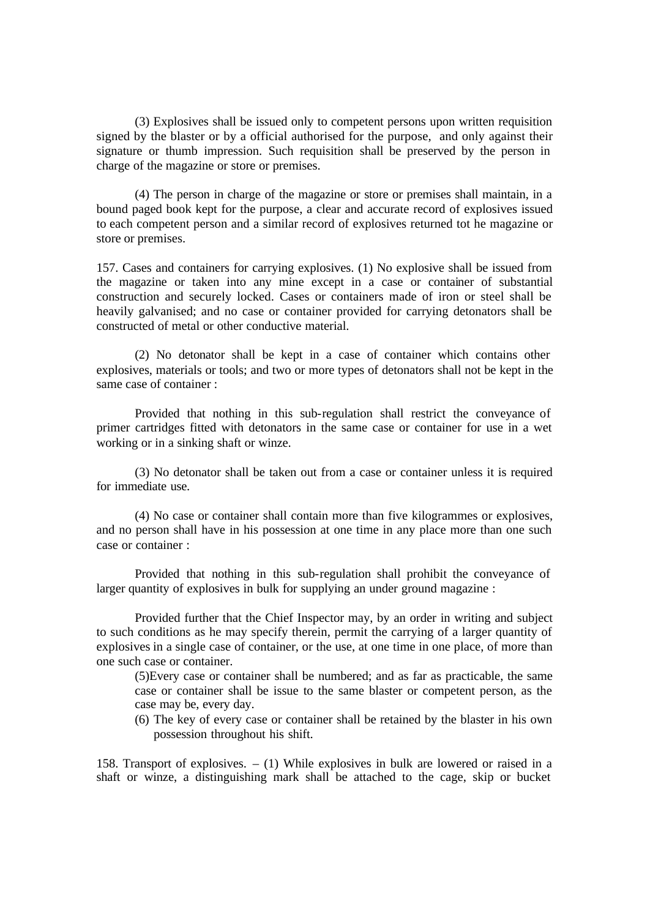(3) Explosives shall be issued only to competent persons upon written requisition signed by the blaster or by a official authorised for the purpose, and only against their signature or thumb impression. Such requisition shall be preserved by the person in charge of the magazine or store or premises.

(4) The person in charge of the magazine or store or premises shall maintain, in a bound paged book kept for the purpose, a clear and accurate record of explosives issued to each competent person and a similar record of explosives returned tot he magazine or store or premises.

157. Cases and containers for carrying explosives. (1) No explosive shall be issued from the magazine or taken into any mine except in a case or container of substantial construction and securely locked. Cases or containers made of iron or steel shall be heavily galvanised; and no case or container provided for carrying detonators shall be constructed of metal or other conductive material.

(2) No detonator shall be kept in a case of container which contains other explosives, materials or tools; and two or more types of detonators shall not be kept in the same case of container :

Provided that nothing in this sub-regulation shall restrict the conveyance of primer cartridges fitted with detonators in the same case or container for use in a wet working or in a sinking shaft or winze.

(3) No detonator shall be taken out from a case or container unless it is required for immediate use.

(4) No case or container shall contain more than five kilogrammes or explosives, and no person shall have in his possession at one time in any place more than one such case or container :

Provided that nothing in this sub-regulation shall prohibit the conveyance of larger quantity of explosives in bulk for supplying an under ground magazine :

Provided further that the Chief Inspector may, by an order in writing and subject to such conditions as he may specify therein, permit the carrying of a larger quantity of explosives in a single case of container, or the use, at one time in one place, of more than one such case or container.

(5)Every case or container shall be numbered; and as far as practicable, the same case or container shall be issue to the same blaster or competent person, as the case may be, every day.

(6) The key of every case or container shall be retained by the blaster in his own possession throughout his shift.

158. Transport of explosives. – (1) While explosives in bulk are lowered or raised in a shaft or winze, a distinguishing mark shall be attached to the cage, skip or bucket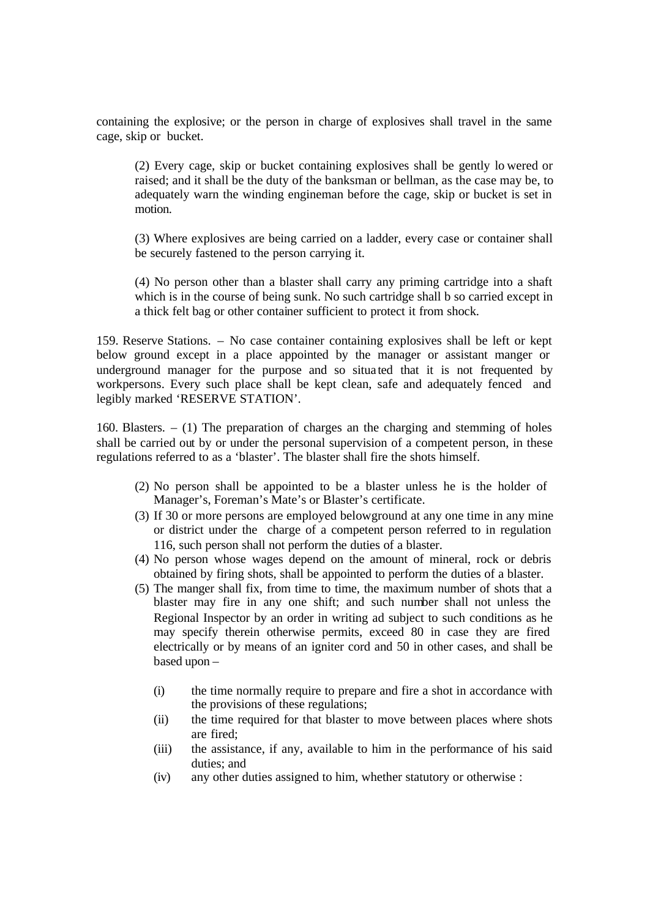containing the explosive; or the person in charge of explosives shall travel in the same cage, skip or bucket.

(2) Every cage, skip or bucket containing explosives shall be gently lo wered or raised; and it shall be the duty of the banksman or bellman, as the case may be, to adequately warn the winding engineman before the cage, skip or bucket is set in motion.

(3) Where explosives are being carried on a ladder, every case or container shall be securely fastened to the person carrying it.

(4) No person other than a blaster shall carry any priming cartridge into a shaft which is in the course of being sunk. No such cartridge shall b so carried except in a thick felt bag or other container sufficient to protect it from shock.

159. Reserve Stations. – No case container containing explosives shall be left or kept below ground except in a place appointed by the manager or assistant manger or underground manager for the purpose and so situa ted that it is not frequented by workpersons. Every such place shall be kept clean, safe and adequately fenced and legibly marked 'RESERVE STATION'.

160. Blasters.  $- (1)$  The preparation of charges an the charging and stemming of holes shall be carried out by or under the personal supervision of a competent person, in these regulations referred to as a 'blaster'. The blaster shall fire the shots himself.

- (2) No person shall be appointed to be a blaster unless he is the holder of Manager's, Foreman's Mate's or Blaster's certificate.
- (3) If 30 or more persons are employed belowground at any one time in any mine or district under the charge of a competent person referred to in regulation 116, such person shall not perform the duties of a blaster.
- (4) No person whose wages depend on the amount of mineral, rock or debris obtained by firing shots, shall be appointed to perform the duties of a blaster.
- (5) The manger shall fix, from time to time, the maximum number of shots that a blaster may fire in any one shift; and such number shall not unless the Regional Inspector by an order in writing ad subject to such conditions as he may specify therein otherwise permits, exceed 80 in case they are fired electrically or by means of an igniter cord and 50 in other cases, and shall be based upon –
	- (i) the time normally require to prepare and fire a shot in accordance with the provisions of these regulations;
	- (ii) the time required for that blaster to move between places where shots are fired;
	- (iii) the assistance, if any, available to him in the performance of his said duties; and
	- (iv) any other duties assigned to him, whether statutory or otherwise :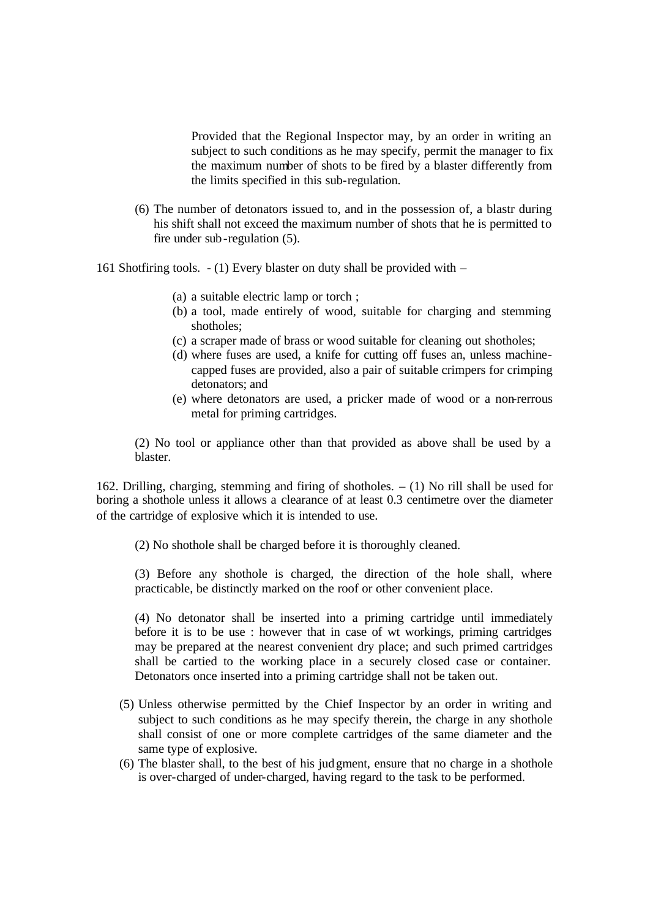Provided that the Regional Inspector may, by an order in writing an subject to such conditions as he may specify, permit the manager to fix the maximum number of shots to be fired by a blaster differently from the limits specified in this sub-regulation.

(6) The number of detonators issued to, and in the possession of, a blastr during his shift shall not exceed the maximum number of shots that he is permitted to fire under sub-regulation (5).

161 Shotfiring tools. - (1) Every blaster on duty shall be provided with –

- (a) a suitable electric lamp or torch ;
- (b) a tool, made entirely of wood, suitable for charging and stemming shotholes;
- (c) a scraper made of brass or wood suitable for cleaning out shotholes;
- (d) where fuses are used, a knife for cutting off fuses an, unless machinecapped fuses are provided, also a pair of suitable crimpers for crimping detonators; and
- (e) where detonators are used, a pricker made of wood or a non-rerrous metal for priming cartridges.

(2) No tool or appliance other than that provided as above shall be used by a blaster.

162. Drilling, charging, stemming and firing of shotholes. – (1) No rill shall be used for boring a shothole unless it allows a clearance of at least 0.3 centimetre over the diameter of the cartridge of explosive which it is intended to use.

(2) No shothole shall be charged before it is thoroughly cleaned.

(3) Before any shothole is charged, the direction of the hole shall, where practicable, be distinctly marked on the roof or other convenient place.

(4) No detonator shall be inserted into a priming cartridge until immediately before it is to be use : however that in case of wt workings, priming cartridges may be prepared at the nearest convenient dry place; and such primed cartridges shall be cartied to the working place in a securely closed case or container. Detonators once inserted into a priming cartridge shall not be taken out.

- (5) Unless otherwise permitted by the Chief Inspector by an order in writing and subject to such conditions as he may specify therein, the charge in any shothole shall consist of one or more complete cartridges of the same diameter and the same type of explosive.
- (6) The blaster shall, to the best of his judgment, ensure that no charge in a shothole is over-charged of under-charged, having regard to the task to be performed.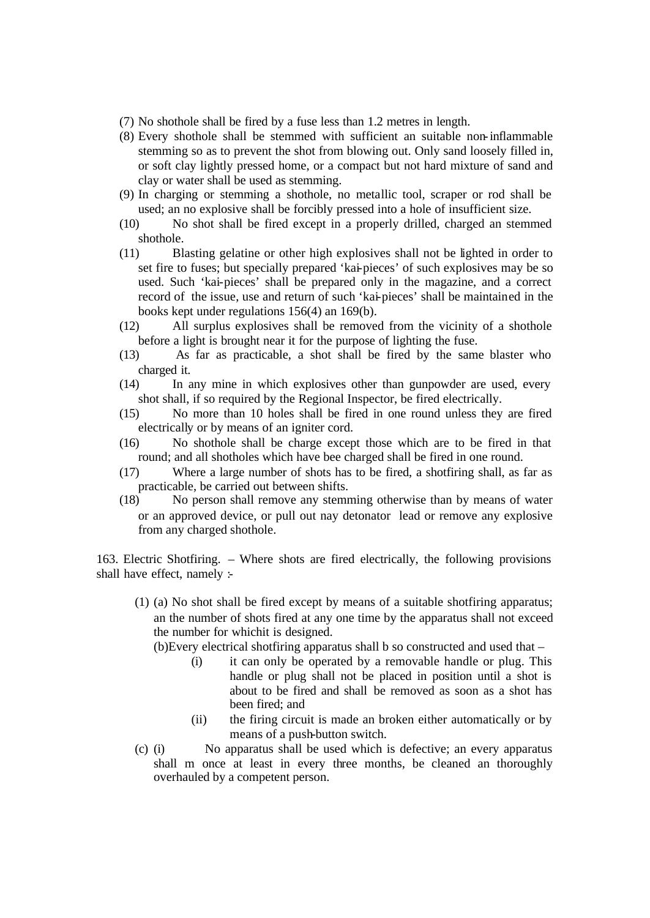- (7) No shothole shall be fired by a fuse less than 1.2 metres in length.
- (8) Every shothole shall be stemmed with sufficient an suitable non-inflammable stemming so as to prevent the shot from blowing out. Only sand loosely filled in, or soft clay lightly pressed home, or a compact but not hard mixture of sand and clay or water shall be used as stemming.
- (9) In charging or stemming a shothole, no metallic tool, scraper or rod shall be used; an no explosive shall be forcibly pressed into a hole of insufficient size.
- (10) No shot shall be fired except in a properly drilled, charged an stemmed shothole.
- (11) Blasting gelatine or other high explosives shall not be lighted in order to set fire to fuses; but specially prepared 'kai-pieces' of such explosives may be so used. Such 'kai-pieces' shall be prepared only in the magazine, and a correct record of the issue, use and return of such 'kai-pieces' shall be maintained in the books kept under regulations 156(4) an 169(b).
- (12) All surplus explosives shall be removed from the vicinity of a shothole before a light is brought near it for the purpose of lighting the fuse.
- (13) As far as practicable, a shot shall be fired by the same blaster who charged it.
- (14) In any mine in which explosives other than gunpowder are used, every shot shall, if so required by the Regional Inspector, be fired electrically.
- (15) No more than 10 holes shall be fired in one round unless they are fired electrically or by means of an igniter cord.
- (16) No shothole shall be charge except those which are to be fired in that round; and all shotholes which have bee charged shall be fired in one round.
- (17) Where a large number of shots has to be fired, a shotfiring shall, as far as practicable, be carried out between shifts.
- (18) No person shall remove any stemming otherwise than by means of water or an approved device, or pull out nay detonator lead or remove any explosive from any charged shothole.

163. Electric Shotfiring. – Where shots are fired electrically, the following provisions shall have effect, namely :-

(1) (a) No shot shall be fired except by means of a suitable shotfiring apparatus; an the number of shots fired at any one time by the apparatus shall not exceed the number for whichit is designed.

(b)Every electrical shotfiring apparatus shall b so constructed and used that –

- (i) it can only be operated by a removable handle or plug. This handle or plug shall not be placed in position until a shot is about to be fired and shall be removed as soon as a shot has been fired; and
- (ii) the firing circuit is made an broken either automatically or by means of a push-button switch.
- (c) (i) No apparatus shall be used which is defective; an every apparatus shall m once at least in every three months, be cleaned an thoroughly overhauled by a competent person.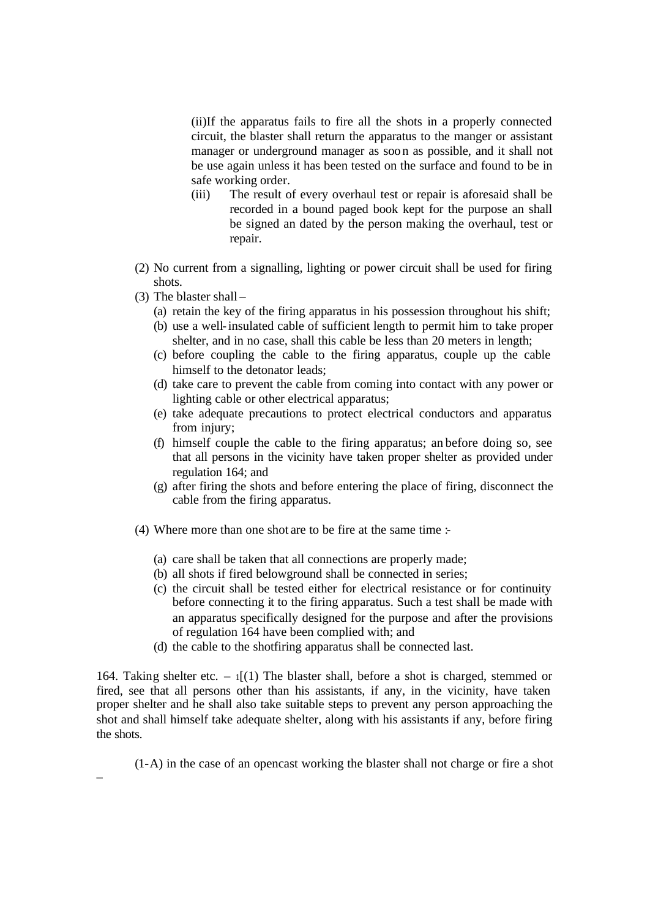(ii)If the apparatus fails to fire all the shots in a properly connected circuit, the blaster shall return the apparatus to the manger or assistant manager or underground manager as soon as possible, and it shall not be use again unless it has been tested on the surface and found to be in safe working order.

- (iii) The result of every overhaul test or repair is aforesaid shall be recorded in a bound paged book kept for the purpose an shall be signed an dated by the person making the overhaul, test or repair.
- (2) No current from a signalling, lighting or power circuit shall be used for firing shots.
- (3) The blaster shall –

–

- (a) retain the key of the firing apparatus in his possession throughout his shift;
- (b) use a well-insulated cable of sufficient length to permit him to take proper shelter, and in no case, shall this cable be less than 20 meters in length;
- (c) before coupling the cable to the firing apparatus, couple up the cable himself to the detonator leads;
- (d) take care to prevent the cable from coming into contact with any power or lighting cable or other electrical apparatus;
- (e) take adequate precautions to protect electrical conductors and apparatus from injury;
- (f) himself couple the cable to the firing apparatus; an before doing so, see that all persons in the vicinity have taken proper shelter as provided under regulation 164; and
- (g) after firing the shots and before entering the place of firing, disconnect the cable from the firing apparatus.
- (4) Where more than one shot are to be fire at the same time :-
	- (a) care shall be taken that all connections are properly made;
	- (b) all shots if fired belowground shall be connected in series;
	- (c) the circuit shall be tested either for electrical resistance or for continuity before connecting it to the firing apparatus. Such a test shall be made with an apparatus specifically designed for the purpose and after the provisions of regulation 164 have been complied with; and
	- (d) the cable to the shotfiring apparatus shall be connected last.

164. Taking shelter etc.  $-1$ [(1) The blaster shall, before a shot is charged, stemmed or fired, see that all persons other than his assistants, if any, in the vicinity, have taken proper shelter and he shall also take suitable steps to prevent any person approaching the shot and shall himself take adequate shelter, along with his assistants if any, before firing the shots.

(1-A) in the case of an opencast working the blaster shall not charge or fire a shot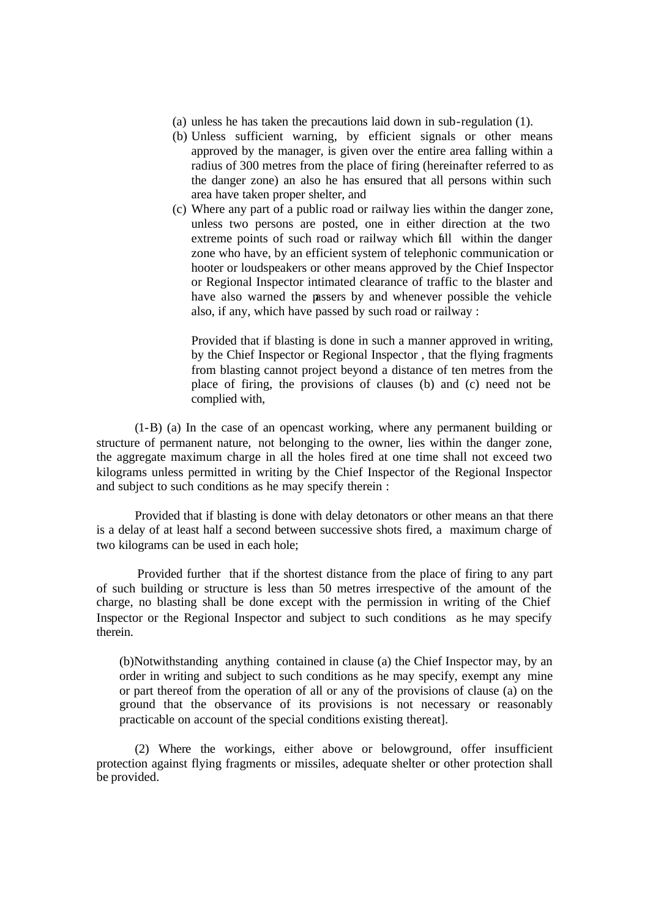- (a) unless he has taken the precautions laid down in sub-regulation (1).
- (b) Unless sufficient warning, by efficient signals or other means approved by the manager, is given over the entire area falling within a radius of 300 metres from the place of firing (hereinafter referred to as the danger zone) an also he has ensured that all persons within such area have taken proper shelter, and
- (c) Where any part of a public road or railway lies within the danger zone, unless two persons are posted, one in either direction at the two extreme points of such road or railway which fall within the danger zone who have, by an efficient system of telephonic communication or hooter or loudspeakers or other means approved by the Chief Inspector or Regional Inspector intimated clearance of traffic to the blaster and have also warned the passers by and whenever possible the vehicle also, if any, which have passed by such road or railway :

Provided that if blasting is done in such a manner approved in writing, by the Chief Inspector or Regional Inspector , that the flying fragments from blasting cannot project beyond a distance of ten metres from the place of firing, the provisions of clauses (b) and (c) need not be complied with,

(1-B) (a) In the case of an opencast working, where any permanent building or structure of permanent nature, not belonging to the owner, lies within the danger zone, the aggregate maximum charge in all the holes fired at one time shall not exceed two kilograms unless permitted in writing by the Chief Inspector of the Regional Inspector and subject to such conditions as he may specify therein :

Provided that if blasting is done with delay detonators or other means an that there is a delay of at least half a second between successive shots fired, a maximum charge of two kilograms can be used in each hole;

 Provided further that if the shortest distance from the place of firing to any part of such building or structure is less than 50 metres irrespective of the amount of the charge, no blasting shall be done except with the permission in writing of the Chief Inspector or the Regional Inspector and subject to such conditions as he may specify therein.

(b)Notwithstanding anything contained in clause (a) the Chief Inspector may, by an order in writing and subject to such conditions as he may specify, exempt any mine or part thereof from the operation of all or any of the provisions of clause (a) on the ground that the observance of its provisions is not necessary or reasonably practicable on account of the special conditions existing thereat].

(2) Where the workings, either above or belowground, offer insufficient protection against flying fragments or missiles, adequate shelter or other protection shall be provided.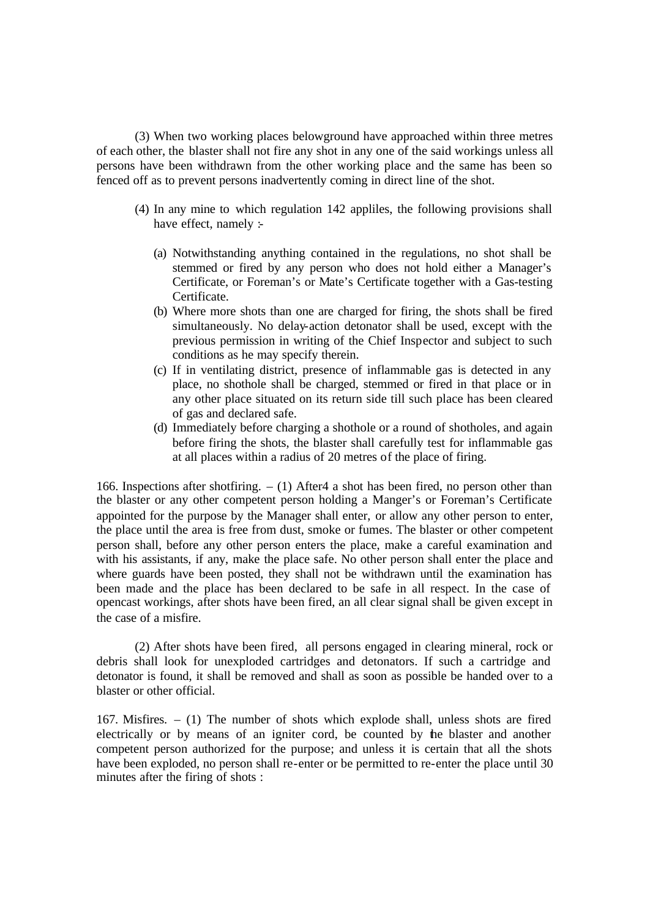(3) When two working places belowground have approached within three metres of each other, the blaster shall not fire any shot in any one of the said workings unless all persons have been withdrawn from the other working place and the same has been so fenced off as to prevent persons inadvertently coming in direct line of the shot.

- (4) In any mine to which regulation 142 appliles, the following provisions shall have effect, namely :-
	- (a) Notwithstanding anything contained in the regulations, no shot shall be stemmed or fired by any person who does not hold either a Manager's Certificate, or Foreman's or Mate's Certificate together with a Gas-testing Certificate.
	- (b) Where more shots than one are charged for firing, the shots shall be fired simultaneously. No delay-action detonator shall be used, except with the previous permission in writing of the Chief Inspector and subject to such conditions as he may specify therein.
	- (c) If in ventilating district, presence of inflammable gas is detected in any place, no shothole shall be charged, stemmed or fired in that place or in any other place situated on its return side till such place has been cleared of gas and declared safe.
	- (d) Immediately before charging a shothole or a round of shotholes, and again before firing the shots, the blaster shall carefully test for inflammable gas at all places within a radius of 20 metres of the place of firing.

166. Inspections after shotfiring.  $- (1)$  After 4 a shot has been fired, no person other than the blaster or any other competent person holding a Manger's or Foreman's Certificate appointed for the purpose by the Manager shall enter, or allow any other person to enter, the place until the area is free from dust, smoke or fumes. The blaster or other competent person shall, before any other person enters the place, make a careful examination and with his assistants, if any, make the place safe. No other person shall enter the place and where guards have been posted, they shall not be withdrawn until the examination has been made and the place has been declared to be safe in all respect. In the case of opencast workings, after shots have been fired, an all clear signal shall be given except in the case of a misfire.

(2) After shots have been fired, all persons engaged in clearing mineral, rock or debris shall look for unexploded cartridges and detonators. If such a cartridge and detonator is found, it shall be removed and shall as soon as possible be handed over to a blaster or other official.

167. Misfires. – (1) The number of shots which explode shall, unless shots are fired electrically or by means of an igniter cord, be counted by the blaster and another competent person authorized for the purpose; and unless it is certain that all the shots have been exploded, no person shall re-enter or be permitted to re-enter the place until 30 minutes after the firing of shots :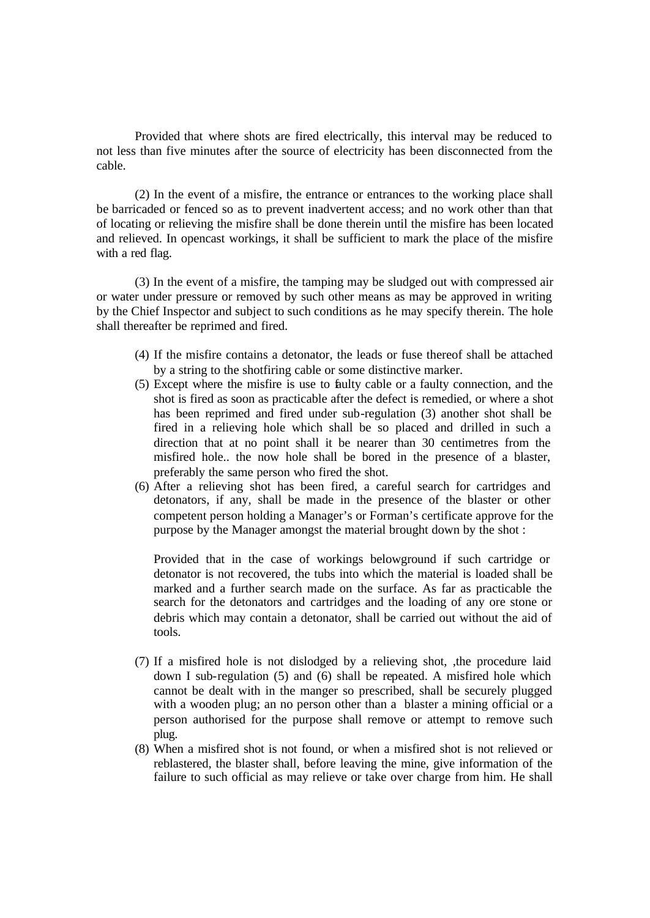Provided that where shots are fired electrically, this interval may be reduced to not less than five minutes after the source of electricity has been disconnected from the cable.

(2) In the event of a misfire, the entrance or entrances to the working place shall be barricaded or fenced so as to prevent inadvertent access; and no work other than that of locating or relieving the misfire shall be done therein until the misfire has been located and relieved. In opencast workings, it shall be sufficient to mark the place of the misfire with a red flag.

(3) In the event of a misfire, the tamping may be sludged out with compressed air or water under pressure or removed by such other means as may be approved in writing by the Chief Inspector and subject to such conditions as he may specify therein. The hole shall thereafter be reprimed and fired.

- (4) If the misfire contains a detonator, the leads or fuse thereof shall be attached by a string to the shotfiring cable or some distinctive marker.
- (5) Except where the misfire is use to faulty cable or a faulty connection, and the shot is fired as soon as practicable after the defect is remedied, or where a shot has been reprimed and fired under sub-regulation (3) another shot shall be fired in a relieving hole which shall be so placed and drilled in such a direction that at no point shall it be nearer than 30 centimetres from the misfired hole.. the now hole shall be bored in the presence of a blaster, preferably the same person who fired the shot.
- (6) After a relieving shot has been fired, a careful search for cartridges and detonators, if any, shall be made in the presence of the blaster or other competent person holding a Manager's or Forman's certificate approve for the purpose by the Manager amongst the material brought down by the shot :

Provided that in the case of workings belowground if such cartridge or detonator is not recovered, the tubs into which the material is loaded shall be marked and a further search made on the surface. As far as practicable the search for the detonators and cartridges and the loading of any ore stone or debris which may contain a detonator, shall be carried out without the aid of tools.

- (7) If a misfired hole is not dislodged by a relieving shot, ,the procedure laid down I sub-regulation (5) and (6) shall be repeated. A misfired hole which cannot be dealt with in the manger so prescribed, shall be securely plugged with a wooden plug; an no person other than a blaster a mining official or a person authorised for the purpose shall remove or attempt to remove such plug.
- (8) When a misfired shot is not found, or when a misfired shot is not relieved or reblastered, the blaster shall, before leaving the mine, give information of the failure to such official as may relieve or take over charge from him. He shall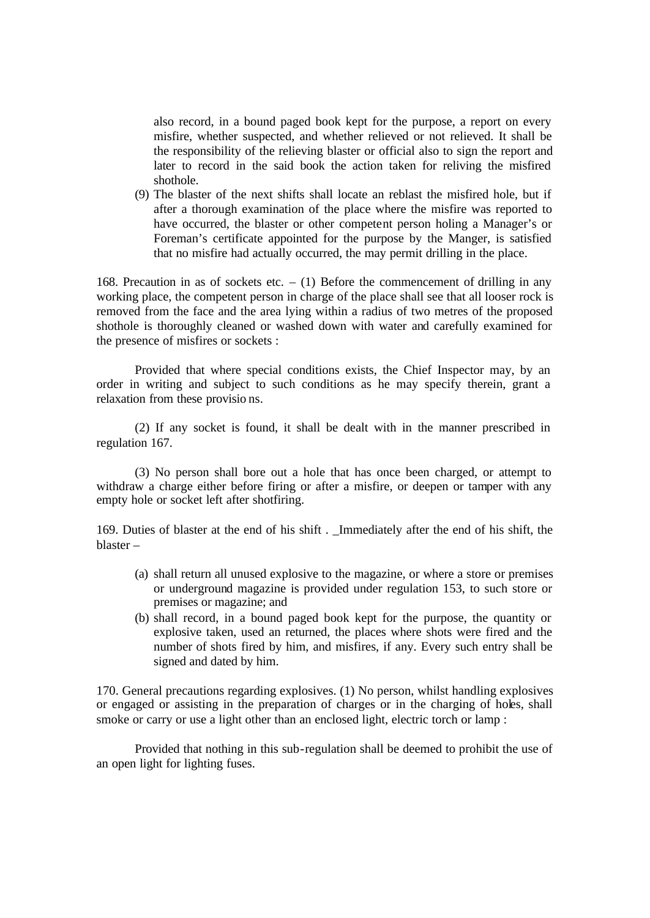also record, in a bound paged book kept for the purpose, a report on every misfire, whether suspected, and whether relieved or not relieved. It shall be the responsibility of the relieving blaster or official also to sign the report and later to record in the said book the action taken for reliving the misfired shothole.

(9) The blaster of the next shifts shall locate an reblast the misfired hole, but if after a thorough examination of the place where the misfire was reported to have occurred, the blaster or other competent person holing a Manager's or Foreman's certificate appointed for the purpose by the Manger, is satisfied that no misfire had actually occurred, the may permit drilling in the place.

168. Precaution in as of sockets etc.  $- (1)$  Before the commencement of drilling in any working place, the competent person in charge of the place shall see that all looser rock is removed from the face and the area lying within a radius of two metres of the proposed shothole is thoroughly cleaned or washed down with water and carefully examined for the presence of misfires or sockets :

Provided that where special conditions exists, the Chief Inspector may, by an order in writing and subject to such conditions as he may specify therein, grant a relaxation from these provisio ns.

(2) If any socket is found, it shall be dealt with in the manner prescribed in regulation 167.

(3) No person shall bore out a hole that has once been charged, or attempt to withdraw a charge either before firing or after a misfire, or deepen or tamper with any empty hole or socket left after shotfiring.

169. Duties of blaster at the end of his shift . \_Immediately after the end of his shift, the blaster –

- (a) shall return all unused explosive to the magazine, or where a store or premises or underground magazine is provided under regulation 153, to such store or premises or magazine; and
- (b) shall record, in a bound paged book kept for the purpose, the quantity or explosive taken, used an returned, the places where shots were fired and the number of shots fired by him, and misfires, if any. Every such entry shall be signed and dated by him.

170. General precautions regarding explosives. (1) No person, whilst handling explosives or engaged or assisting in the preparation of charges or in the charging of holes, shall smoke or carry or use a light other than an enclosed light, electric torch or lamp :

Provided that nothing in this sub-regulation shall be deemed to prohibit the use of an open light for lighting fuses.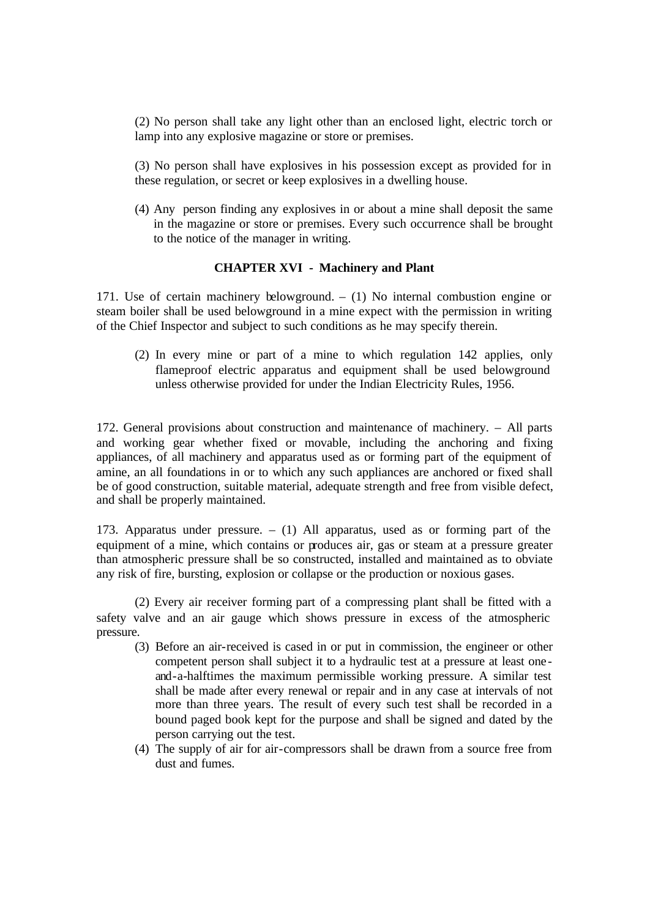(2) No person shall take any light other than an enclosed light, electric torch or lamp into any explosive magazine or store or premises.

(3) No person shall have explosives in his possession except as provided for in these regulation, or secret or keep explosives in a dwelling house.

(4) Any person finding any explosives in or about a mine shall deposit the same in the magazine or store or premises. Every such occurrence shall be brought to the notice of the manager in writing.

# **CHAPTER XVI - Machinery and Plant**

171. Use of certain machinery belowground. – (1) No internal combustion engine or steam boiler shall be used belowground in a mine expect with the permission in writing of the Chief Inspector and subject to such conditions as he may specify therein.

(2) In every mine or part of a mine to which regulation 142 applies, only flameproof electric apparatus and equipment shall be used belowground unless otherwise provided for under the Indian Electricity Rules, 1956.

172. General provisions about construction and maintenance of machinery. – All parts and working gear whether fixed or movable, including the anchoring and fixing appliances, of all machinery and apparatus used as or forming part of the equipment of amine, an all foundations in or to which any such appliances are anchored or fixed shall be of good construction, suitable material, adequate strength and free from visible defect, and shall be properly maintained.

173. Apparatus under pressure. – (1) All apparatus, used as or forming part of the equipment of a mine, which contains or produces air, gas or steam at a pressure greater than atmospheric pressure shall be so constructed, installed and maintained as to obviate any risk of fire, bursting, explosion or collapse or the production or noxious gases.

(2) Every air receiver forming part of a compressing plant shall be fitted with a safety valve and an air gauge which shows pressure in excess of the atmospheric pressure.

- (3) Before an air-received is cased in or put in commission, the engineer or other competent person shall subject it to a hydraulic test at a pressure at least one and-a-halftimes the maximum permissible working pressure. A similar test shall be made after every renewal or repair and in any case at intervals of not more than three years. The result of every such test shall be recorded in a bound paged book kept for the purpose and shall be signed and dated by the person carrying out the test.
- (4) The supply of air for air-compressors shall be drawn from a source free from dust and fumes.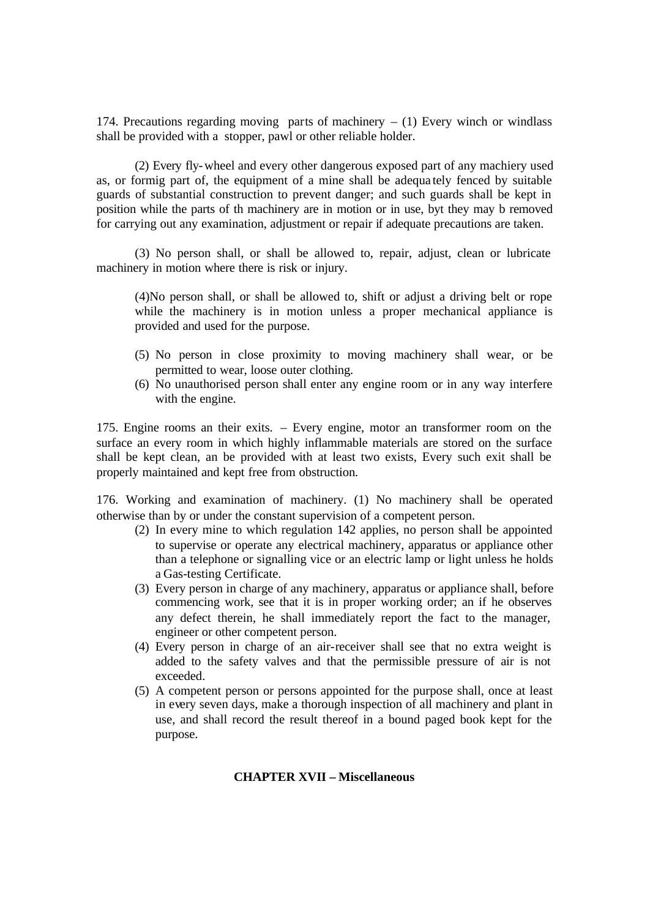174. Precautions regarding moving parts of machinery  $- (1)$  Every winch or windlass shall be provided with a stopper, pawl or other reliable holder.

(2) Every fly-wheel and every other dangerous exposed part of any machiery used as, or formig part of, the equipment of a mine shall be adequa tely fenced by suitable guards of substantial construction to prevent danger; and such guards shall be kept in position while the parts of th machinery are in motion or in use, byt they may b removed for carrying out any examination, adjustment or repair if adequate precautions are taken.

(3) No person shall, or shall be allowed to, repair, adjust, clean or lubricate machinery in motion where there is risk or injury.

(4)No person shall, or shall be allowed to, shift or adjust a driving belt or rope while the machinery is in motion unless a proper mechanical appliance is provided and used for the purpose.

- (5) No person in close proximity to moving machinery shall wear, or be permitted to wear, loose outer clothing.
- (6) No unauthorised person shall enter any engine room or in any way interfere with the engine.

175. Engine rooms an their exits. – Every engine, motor an transformer room on the surface an every room in which highly inflammable materials are stored on the surface shall be kept clean, an be provided with at least two exists, Every such exit shall be properly maintained and kept free from obstruction.

176. Working and examination of machinery. (1) No machinery shall be operated otherwise than by or under the constant supervision of a competent person.

- (2) In every mine to which regulation 142 applies, no person shall be appointed to supervise or operate any electrical machinery, apparatus or appliance other than a telephone or signalling vice or an electric lamp or light unless he holds a Gas-testing Certificate.
- (3) Every person in charge of any machinery, apparatus or appliance shall, before commencing work, see that it is in proper working order; an if he observes any defect therein, he shall immediately report the fact to the manager, engineer or other competent person.
- (4) Every person in charge of an air-receiver shall see that no extra weight is added to the safety valves and that the permissible pressure of air is not exceeded.
- (5) A competent person or persons appointed for the purpose shall, once at least in every seven days, make a thorough inspection of all machinery and plant in use, and shall record the result thereof in a bound paged book kept for the purpose.

#### **CHAPTER XVII – Miscellaneous**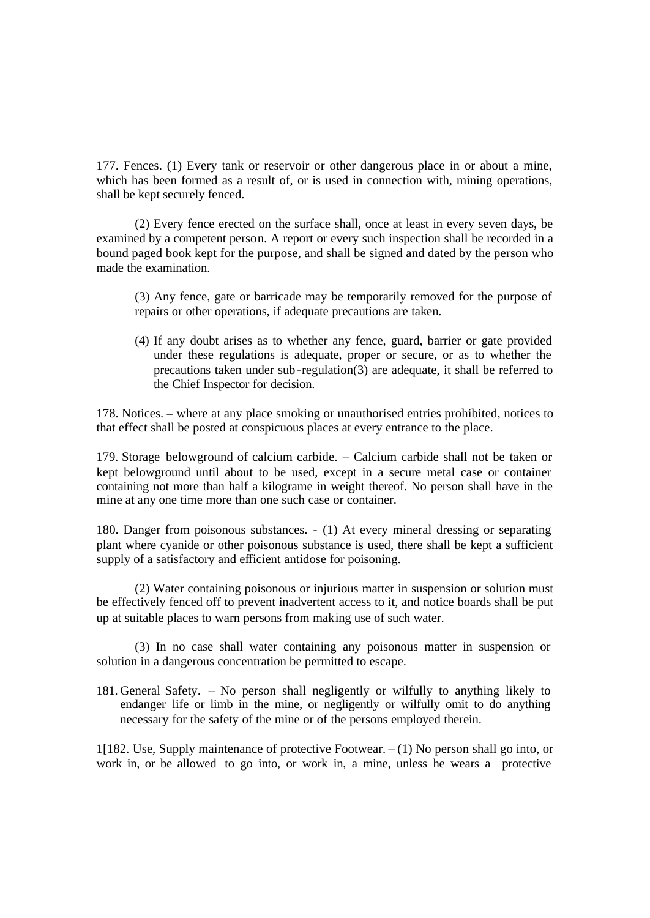177. Fences. (1) Every tank or reservoir or other dangerous place in or about a mine, which has been formed as a result of, or is used in connection with, mining operations, shall be kept securely fenced.

(2) Every fence erected on the surface shall, once at least in every seven days, be examined by a competent person. A report or every such inspection shall be recorded in a bound paged book kept for the purpose, and shall be signed and dated by the person who made the examination.

(3) Any fence, gate or barricade may be temporarily removed for the purpose of repairs or other operations, if adequate precautions are taken.

(4) If any doubt arises as to whether any fence, guard, barrier or gate provided under these regulations is adequate, proper or secure, or as to whether the precautions taken under sub-regulation(3) are adequate, it shall be referred to the Chief Inspector for decision.

178. Notices. – where at any place smoking or unauthorised entries prohibited, notices to that effect shall be posted at conspicuous places at every entrance to the place.

179. Storage belowground of calcium carbide. – Calcium carbide shall not be taken or kept belowground until about to be used, except in a secure metal case or container containing not more than half a kilograme in weight thereof. No person shall have in the mine at any one time more than one such case or container.

180. Danger from poisonous substances. - (1) At every mineral dressing or separating plant where cyanide or other poisonous substance is used, there shall be kept a sufficient supply of a satisfactory and efficient antidose for poisoning.

(2) Water containing poisonous or injurious matter in suspension or solution must be effectively fenced off to prevent inadvertent access to it, and notice boards shall be put up at suitable places to warn persons from making use of such water.

(3) In no case shall water containing any poisonous matter in suspension or solution in a dangerous concentration be permitted to escape.

181. General Safety. – No person shall negligently or wilfully to anything likely to endanger life or limb in the mine, or negligently or wilfully omit to do anything necessary for the safety of the mine or of the persons employed therein.

1[182. Use, Supply maintenance of protective Footwear. – (1) No person shall go into, or work in, or be allowed to go into, or work in, a mine, unless he wears a protective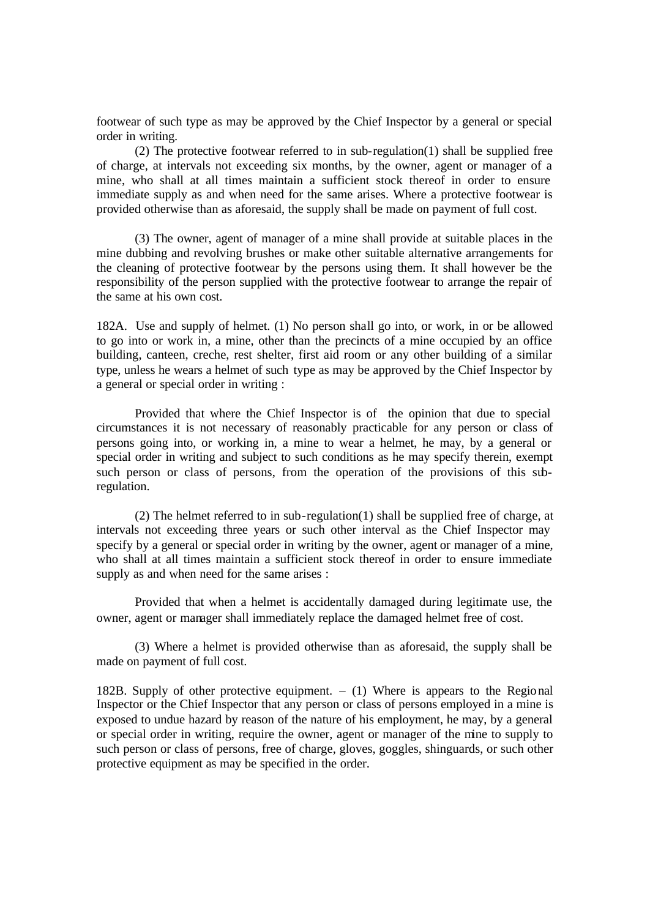footwear of such type as may be approved by the Chief Inspector by a general or special order in writing.

(2) The protective footwear referred to in sub-regulation(1) shall be supplied free of charge, at intervals not exceeding six months, by the owner, agent or manager of a mine, who shall at all times maintain a sufficient stock thereof in order to ensure immediate supply as and when need for the same arises. Where a protective footwear is provided otherwise than as aforesaid, the supply shall be made on payment of full cost.

(3) The owner, agent of manager of a mine shall provide at suitable places in the mine dubbing and revolving brushes or make other suitable alternative arrangements for the cleaning of protective footwear by the persons using them. It shall however be the responsibility of the person supplied with the protective footwear to arrange the repair of the same at his own cost.

182A. Use and supply of helmet. (1) No person shall go into, or work, in or be allowed to go into or work in, a mine, other than the precincts of a mine occupied by an office building, canteen, creche, rest shelter, first aid room or any other building of a similar type, unless he wears a helmet of such type as may be approved by the Chief Inspector by a general or special order in writing :

Provided that where the Chief Inspector is of the opinion that due to special circumstances it is not necessary of reasonably practicable for any person or class of persons going into, or working in, a mine to wear a helmet, he may, by a general or special order in writing and subject to such conditions as he may specify therein, exempt such person or class of persons, from the operation of the provisions of this subregulation.

(2) The helmet referred to in sub-regulation(1) shall be supplied free of charge, at intervals not exceeding three years or such other interval as the Chief Inspector may specify by a general or special order in writing by the owner, agent or manager of a mine, who shall at all times maintain a sufficient stock thereof in order to ensure immediate supply as and when need for the same arises :

Provided that when a helmet is accidentally damaged during legitimate use, the owner, agent or manager shall immediately replace the damaged helmet free of cost.

(3) Where a helmet is provided otherwise than as aforesaid, the supply shall be made on payment of full cost.

182B. Supply of other protective equipment. – (1) Where is appears to the Regional Inspector or the Chief Inspector that any person or class of persons employed in a mine is exposed to undue hazard by reason of the nature of his employment, he may, by a general or special order in writing, require the owner, agent or manager of the mine to supply to such person or class of persons, free of charge, gloves, goggles, shinguards, or such other protective equipment as may be specified in the order.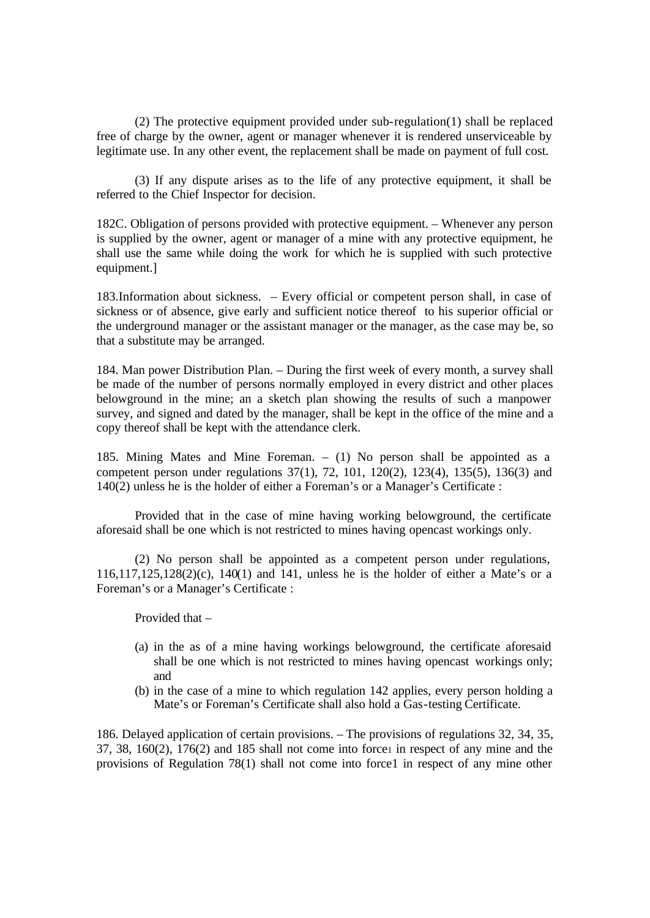(2) The protective equipment provided under sub-regulation(1) shall be replaced free of charge by the owner, agent or manager whenever it is rendered unserviceable by legitimate use. In any other event, the replacement shall be made on payment of full cost.

(3) If any dispute arises as to the life of any protective equipment, it shall be referred to the Chief Inspector for decision.

182C. Obligation of persons provided with protective equipment. – Whenever any person is supplied by the owner, agent or manager of a mine with any protective equipment, he shall use the same while doing the work for which he is supplied with such protective equipment.]

183.Information about sickness. – Every official or competent person shall, in case of sickness or of absence, give early and sufficient notice thereof to his superior official or the underground manager or the assistant manager or the manager, as the case may be, so that a substitute may be arranged.

184. Man power Distribution Plan. – During the first week of every month, a survey shall be made of the number of persons normally employed in every district and other places belowground in the mine; an a sketch plan showing the results of such a manpower survey, and signed and dated by the manager, shall be kept in the office of the mine and a copy thereof shall be kept with the attendance clerk.

185. Mining Mates and Mine Foreman. – (1) No person shall be appointed as a competent person under regulations 37(1), 72, 101, 120(2), 123(4), 135(5), 136(3) and 140(2) unless he is the holder of either a Foreman's or a Manager's Certificate :

Provided that in the case of mine having working belowground, the certificate aforesaid shall be one which is not restricted to mines having opencast workings only.

(2) No person shall be appointed as a competent person under regulations, 116,117,125,128(2)(c), 140(1) and 141, unless he is the holder of either a Mate's or a Foreman's or a Manager's Certificate :

Provided that –

- (a) in the as of a mine having workings belowground, the certificate aforesaid shall be one which is not restricted to mines having opencast workings only; and
- (b) in the case of a mine to which regulation 142 applies, every person holding a Mate's or Foreman's Certificate shall also hold a Gas-testing Certificate.

186. Delayed application of certain provisions. – The provisions of regulations 32, 34, 35,  $37, 38, 160(2), 176(2)$  and  $185$  shall not come into force in respect of any mine and the provisions of Regulation 78(1) shall not come into force1 in respect of any mine other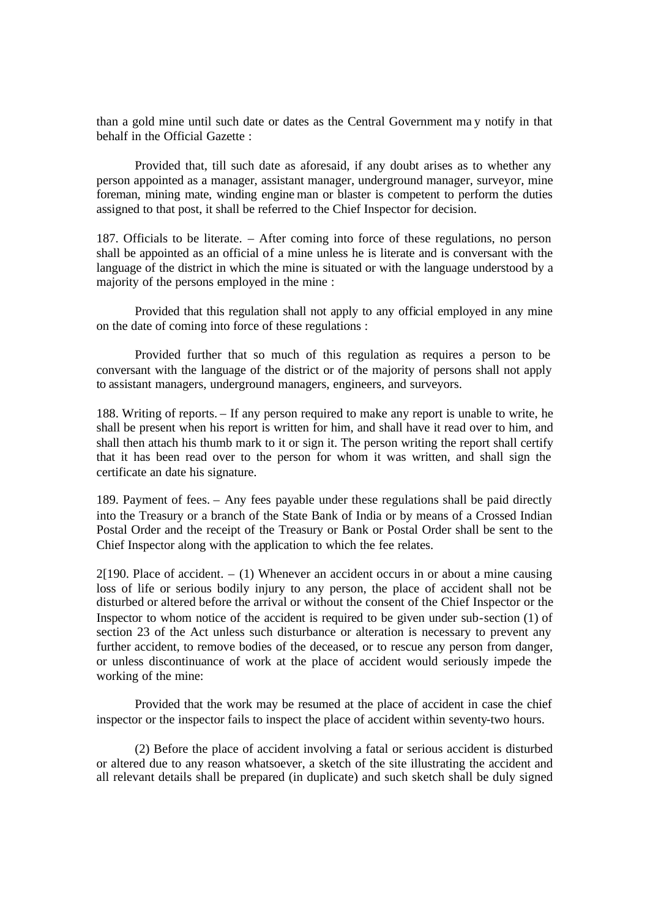than a gold mine until such date or dates as the Central Government ma y notify in that behalf in the Official Gazette :

Provided that, till such date as aforesaid, if any doubt arises as to whether any person appointed as a manager, assistant manager, underground manager, surveyor, mine foreman, mining mate, winding engine man or blaster is competent to perform the duties assigned to that post, it shall be referred to the Chief Inspector for decision.

187. Officials to be literate. – After coming into force of these regulations, no person shall be appointed as an official of a mine unless he is literate and is conversant with the language of the district in which the mine is situated or with the language understood by a majority of the persons employed in the mine :

Provided that this regulation shall not apply to any official employed in any mine on the date of coming into force of these regulations :

Provided further that so much of this regulation as requires a person to be conversant with the language of the district or of the majority of persons shall not apply to assistant managers, underground managers, engineers, and surveyors.

188. Writing of reports. – If any person required to make any report is unable to write, he shall be present when his report is written for him, and shall have it read over to him, and shall then attach his thumb mark to it or sign it. The person writing the report shall certify that it has been read over to the person for whom it was written, and shall sign the certificate an date his signature.

189. Payment of fees. – Any fees payable under these regulations shall be paid directly into the Treasury or a branch of the State Bank of India or by means of a Crossed Indian Postal Order and the receipt of the Treasury or Bank or Postal Order shall be sent to the Chief Inspector along with the application to which the fee relates.

 $2[190.$  Place of accident.  $- (1)$  Whenever an accident occurs in or about a mine causing loss of life or serious bodily injury to any person, the place of accident shall not be disturbed or altered before the arrival or without the consent of the Chief Inspector or the Inspector to whom notice of the accident is required to be given under sub-section (1) of section 23 of the Act unless such disturbance or alteration is necessary to prevent any further accident, to remove bodies of the deceased, or to rescue any person from danger, or unless discontinuance of work at the place of accident would seriously impede the working of the mine:

Provided that the work may be resumed at the place of accident in case the chief inspector or the inspector fails to inspect the place of accident within seventy-two hours.

(2) Before the place of accident involving a fatal or serious accident is disturbed or altered due to any reason whatsoever, a sketch of the site illustrating the accident and all relevant details shall be prepared (in duplicate) and such sketch shall be duly signed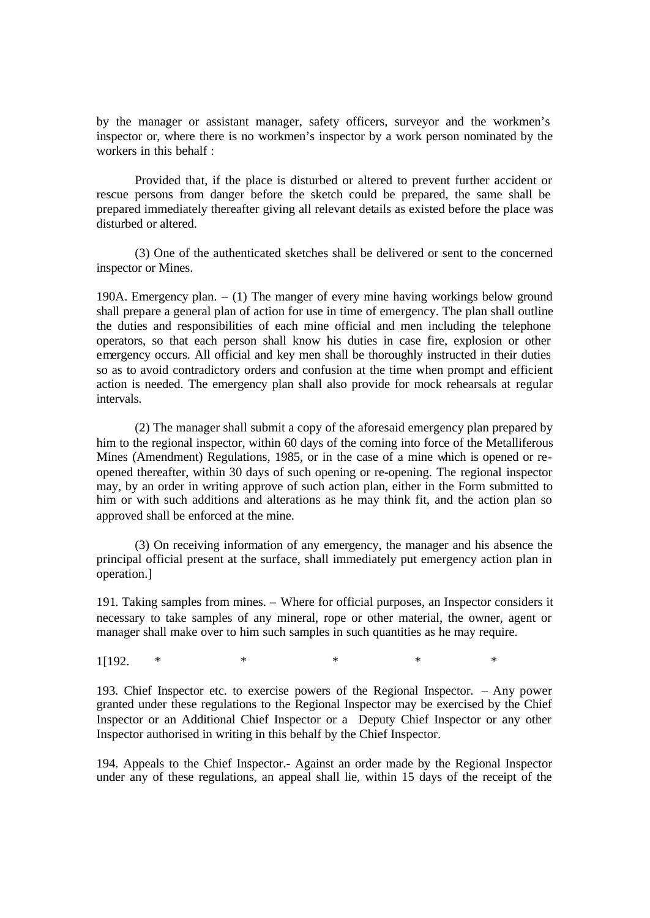by the manager or assistant manager, safety officers, surveyor and the workmen's inspector or, where there is no workmen's inspector by a work person nominated by the workers in this behalf :

Provided that, if the place is disturbed or altered to prevent further accident or rescue persons from danger before the sketch could be prepared, the same shall be prepared immediately thereafter giving all relevant details as existed before the place was disturbed or altered.

(3) One of the authenticated sketches shall be delivered or sent to the concerned inspector or Mines.

190A. Emergency plan. – (1) The manger of every mine having workings below ground shall prepare a general plan of action for use in time of emergency. The plan shall outline the duties and responsibilities of each mine official and men including the telephone operators, so that each person shall know his duties in case fire, explosion or other emergency occurs. All official and key men shall be thoroughly instructed in their duties so as to avoid contradictory orders and confusion at the time when prompt and efficient action is needed. The emergency plan shall also provide for mock rehearsals at regular intervals.

(2) The manager shall submit a copy of the aforesaid emergency plan prepared by him to the regional inspector, within 60 days of the coming into force of the Metalliferous Mines (Amendment) Regulations, 1985, or in the case of a mine which is opened or reopened thereafter, within 30 days of such opening or re-opening. The regional inspector may, by an order in writing approve of such action plan, either in the Form submitted to him or with such additions and alterations as he may think fit, and the action plan so approved shall be enforced at the mine.

(3) On receiving information of any emergency, the manager and his absence the principal official present at the surface, shall immediately put emergency action plan in operation.]

191. Taking samples from mines. – Where for official purposes, an Inspector considers it necessary to take samples of any mineral, rope or other material, the owner, agent or manager shall make over to him such samples in such quantities as he may require.

1[192. \* \* \* \* \*

193. Chief Inspector etc. to exercise powers of the Regional Inspector. – Any power granted under these regulations to the Regional Inspector may be exercised by the Chief Inspector or an Additional Chief Inspector or a Deputy Chief Inspector or any other Inspector authorised in writing in this behalf by the Chief Inspector.

194. Appeals to the Chief Inspector.- Against an order made by the Regional Inspector under any of these regulations, an appeal shall lie, within 15 days of the receipt of the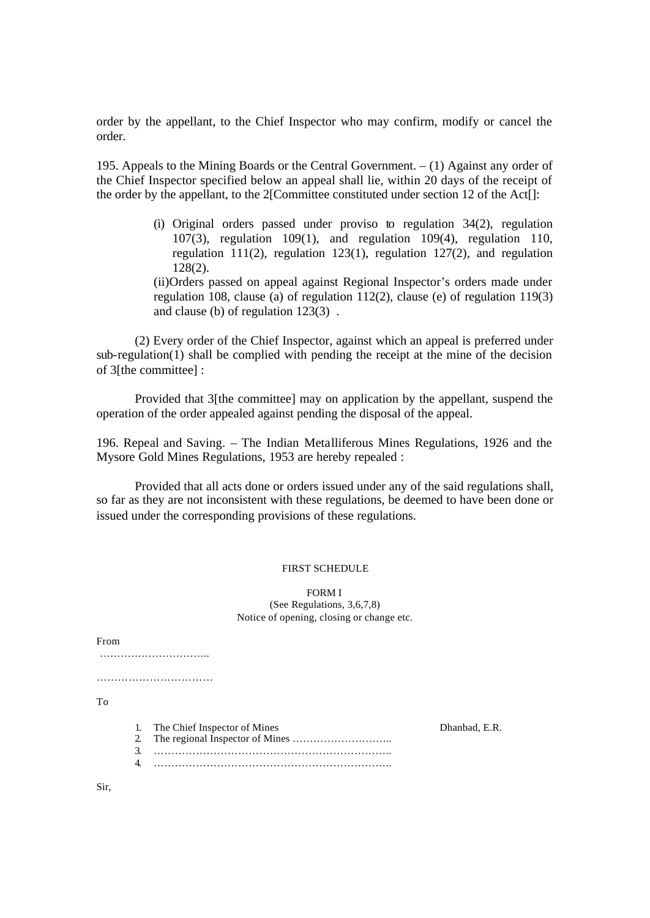order by the appellant, to the Chief Inspector who may confirm, modify or cancel the order.

195. Appeals to the Mining Boards or the Central Government.  $- (1)$  Against any order of the Chief Inspector specified below an appeal shall lie, within 20 days of the receipt of the order by the appellant, to the 2[Committee constituted under section 12 of the Act[]:

> (i) Original orders passed under proviso to regulation 34(2), regulation 107(3), regulation 109(1), and regulation 109(4), regulation 110, regulation 111(2), regulation 123(1), regulation 127(2), and regulation 128(2).

> (ii)Orders passed on appeal against Regional Inspector's orders made under regulation 108, clause (a) of regulation 112(2), clause (e) of regulation 119(3) and clause (b) of regulation 123(3) .

(2) Every order of the Chief Inspector, against which an appeal is preferred under sub-regulation(1) shall be complied with pending the receipt at the mine of the decision of 3[the committee] :

Provided that 3[the committee] may on application by the appellant, suspend the operation of the order appealed against pending the disposal of the appeal.

196. Repeal and Saving. – The Indian Metalliferous Mines Regulations, 1926 and the Mysore Gold Mines Regulations, 1953 are hereby repealed :

Provided that all acts done or orders issued under any of the said regulations shall, so far as they are not inconsistent with these regulations, be deemed to have been done or issued under the corresponding provisions of these regulations.

## FIRST SCHEDULE

FORM I (See Regulations, 3,6,7,8) Notice of opening, closing or change etc.

From ………………………….. …………………………… To 1. The Chief Inspector of Mines Dhanbad, E.R. 2. The regional Inspector of Mines ……………………….. 3. ………………………………………………………….. 4. …………………………………………………………..

Sir,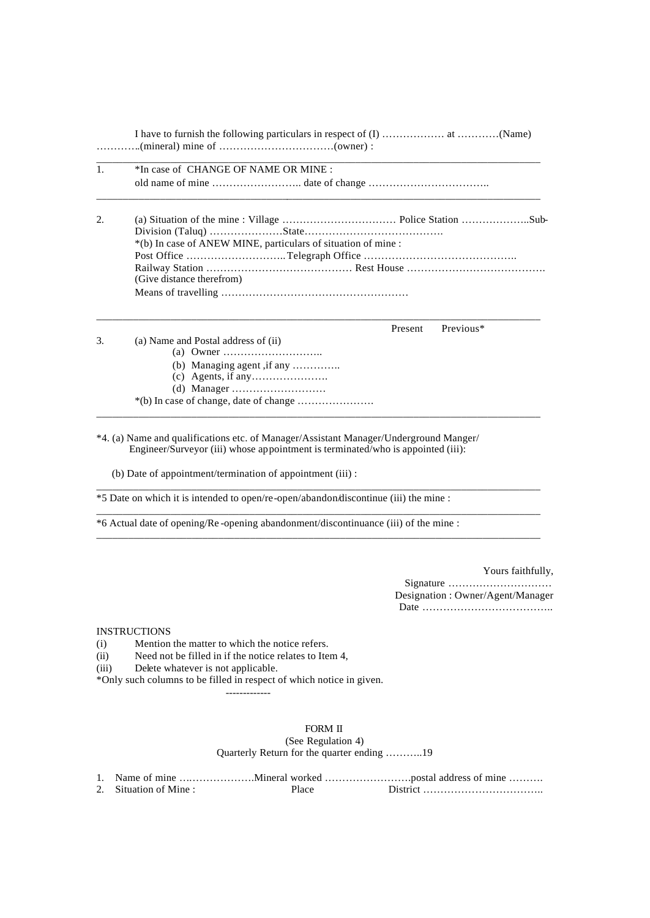| 1. | *In case of CHANGE OF NAME OR MINE :                                                                                                                                     |  |
|----|--------------------------------------------------------------------------------------------------------------------------------------------------------------------------|--|
|    |                                                                                                                                                                          |  |
| 2. |                                                                                                                                                                          |  |
|    | *(b) In case of ANEW MINE, particulars of situation of mine :                                                                                                            |  |
|    |                                                                                                                                                                          |  |
|    | (Give distance therefrom)                                                                                                                                                |  |
|    |                                                                                                                                                                          |  |
|    | Previous*<br>Present                                                                                                                                                     |  |
| 3. | (a) Name and Postal address of (ii)                                                                                                                                      |  |
|    |                                                                                                                                                                          |  |
|    | (b) Managing agent, if any                                                                                                                                               |  |
|    |                                                                                                                                                                          |  |
|    |                                                                                                                                                                          |  |
|    |                                                                                                                                                                          |  |
|    | *4. (a) Name and qualifications etc. of Manager/Assistant Manager/Underground Manger/<br>Engineer/Surveyor (iii) whose appointment is terminated/who is appointed (iii): |  |
|    | (b) Date of appointment/termination of appointment (iii) :                                                                                                               |  |
|    | *5 Date on which it is intended to open/re-open/abandon/discontinue (iii) the mine :                                                                                     |  |
|    | *6 Actual date of opening/Re-opening abandonment/discontinuance (iii) of the mine :                                                                                      |  |
|    |                                                                                                                                                                          |  |

Yours faithfully,

Signature ………………………… Designation : Owner/Agent/Manager Date ………………………………..

#### **INSTRUCTIONS**

(i) Mention the matter to which the notice refers.

(ii) Need not be filled in if the notice relates to Item 4,

(iii) Delete whatever is not applicable.

\*Only such columns to be filled in respect of which notice in given.

-------------

#### FORM II (See Regulation 4) Quarterly Return for the quarter ending ………..19

| 2. Situation of Mine: | Place |  |
|-----------------------|-------|--|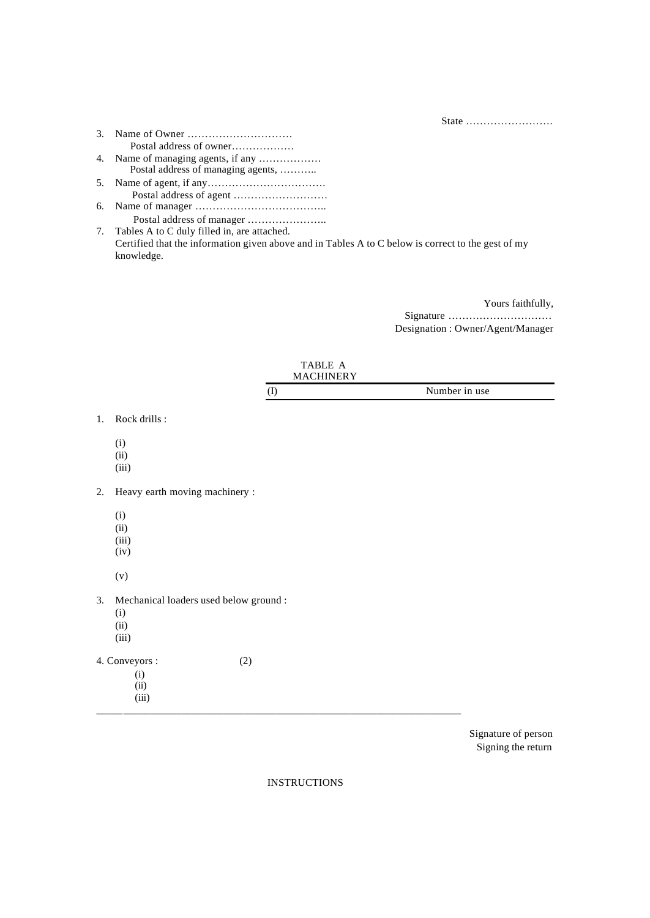State …………………….

- 3. Name of Owner ………………………… Postal address of owner……………… 4. Name of managing agents, if any ……………… Postal address of managing agents, ……….. 5. Name of agent, if any……………………………. Postal address of agent ……………………… 6. Name of manager ………………………………..
- Postal address of manager ………………….. 7. Tables A to C duly filled in, are attached. Certified that the information given above and in Tables A to C below is correct to the gest of my knowledge.

Yours faithfully,

Signature ………………………… Designation : Owner/Agent/Manager

|    |                                                                | TABLE A<br><b>MACHINERY</b> |               |
|----|----------------------------------------------------------------|-----------------------------|---------------|
|    |                                                                | $\left( \mathrm{I}\right)$  | Number in use |
| 1. | Rock drills :                                                  |                             |               |
|    | (i)<br>(ii)<br>(iii)                                           |                             |               |
| 2. | Heavy earth moving machinery :                                 |                             |               |
|    | (i)<br>(ii)<br>(iii)<br>(iv)                                   |                             |               |
|    | (v)                                                            |                             |               |
| 3. | Mechanical loaders used below ground :<br>(i)<br>(ii)<br>(iii) |                             |               |
|    | 4. Conveyors :<br>(i)<br>(ii)<br>(iii)                         | (2)                         |               |

Signature of person Signing the return

INSTRUCTIONS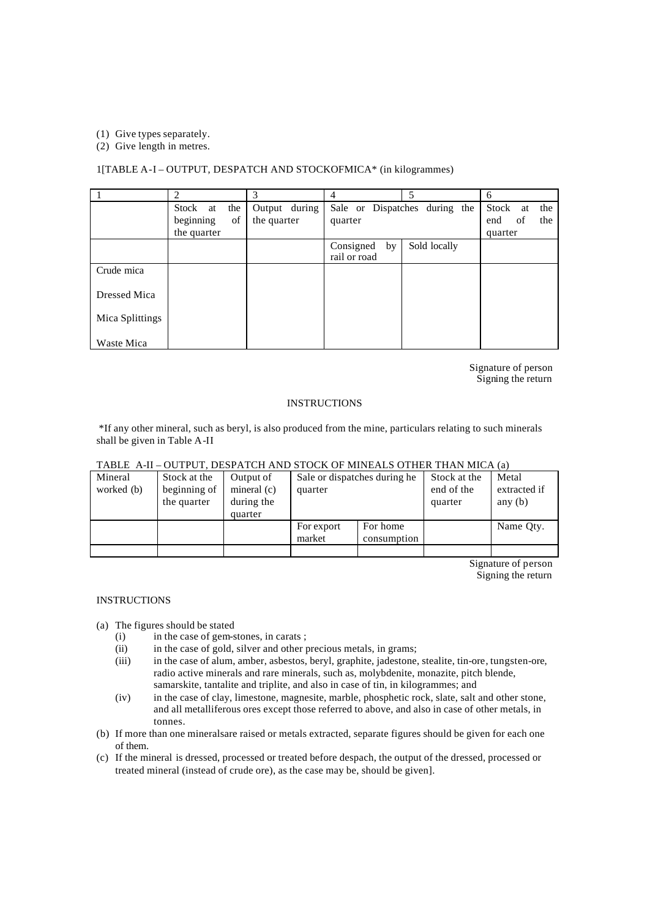(1) Give types separately.

(2) Give length in metres.

#### 1[TABLE A-I – OUTPUT, DESPATCH AND STOCKOFMICA\* (in kilogrammes)

|                 |                 | 3             | 4               |                               | 6                  |
|-----------------|-----------------|---------------|-----------------|-------------------------------|--------------------|
|                 | the<br>Stock at | Output during |                 | Sale or Dispatches during the | Stock<br>the<br>at |
|                 | beginning<br>of | the quarter   | quarter         |                               | of<br>end<br>the   |
|                 | the quarter     |               |                 |                               | quarter            |
|                 |                 |               | Consigned<br>by | Sold locally                  |                    |
|                 |                 |               | rail or road    |                               |                    |
| Crude mica      |                 |               |                 |                               |                    |
| Dressed Mica    |                 |               |                 |                               |                    |
| Mica Splittings |                 |               |                 |                               |                    |
| Waste Mica      |                 |               |                 |                               |                    |

Signature of person Signing the return

#### **INSTRUCTIONS**

 \*If any other mineral, such as beryl, is also produced from the mine, particulars relating to such minerals shall be given in Table A-II

## TABLE A-II – OUTPUT, DESPATCH AND STOCK OF MINEALS OTHER THAN MICA (a)

| Mineral    | Stock at the | Output of     | Sale or dispatches during he |             | Stock at the | Metal        |
|------------|--------------|---------------|------------------------------|-------------|--------------|--------------|
| worked (b) | beginning of | mineral $(c)$ | quarter                      |             | end of the   | extracted if |
|            | the quarter  | during the    |                              |             | quarter      | any $(b)$    |
|            |              | quarter       |                              |             |              |              |
|            |              |               | For export                   | For home    |              | Name Oty.    |
|            |              |               | market                       | consumption |              |              |
|            |              |               |                              |             |              |              |

Signature of person Signing the return

### INSTRUCTIONS

(a) The figures should be stated

- (i) in the case of gem-stones, in carats ;
- (ii) in the case of gold, silver and other precious metals, in grams;
- (iii) in the case of alum, amber, asbestos, beryl, graphite, jadestone, stealite, tin-ore, tungsten-ore, radio active minerals and rare minerals, such as, molybdenite, monazite, pitch blende, samarskite, tantalite and triplite, and also in case of tin, in kilogrammes; and
- (iv) in the case of clay, limestone, magnesite, marble, phosphetic rock, slate, salt and other stone, and all metalliferous ores except those referred to above, and also in case of other metals, in tonnes.
- (b) If more than one mineralsare raised or metals extracted, separate figures should be given for each one of them.
- (c) If the mineral is dressed, processed or treated before despach, the output of the dressed, processed or treated mineral (instead of crude ore), as the case may be, should be given].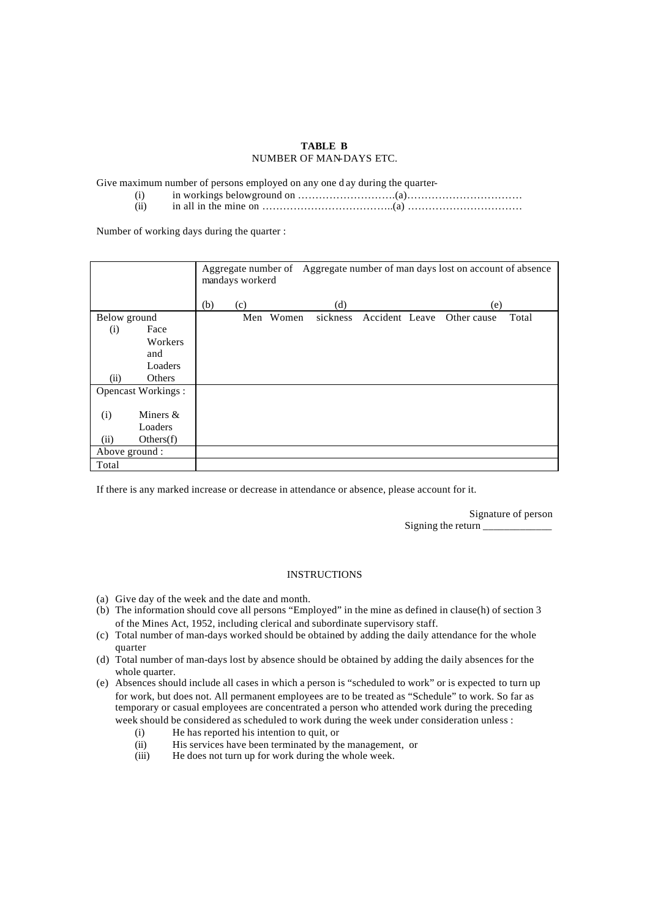#### **TABLE B** NUMBER OF MAN-DAYS ETC.

Give maximum number of persons employed on any one d ay during the quarter-

- (i) in workings belowground on ……………………….(a)……………………………
- (ii) in all in the mine on  $\ldots$   $\ldots$   $\ldots$   $\ldots$   $\ldots$   $\ldots$   $\ldots$   $\ldots$   $\ldots$   $\ldots$   $\ldots$   $\ldots$   $\ldots$   $\ldots$

Number of working days during the quarter :

|                |                           |     | Aggregate number of Aggregate number of man days lost on account of absence<br>mandays workerd |       |          |  |  |                            |       |
|----------------|---------------------------|-----|------------------------------------------------------------------------------------------------|-------|----------|--|--|----------------------------|-------|
|                |                           | (b) | (c)                                                                                            |       | (d)      |  |  | (e)                        |       |
| Below ground   |                           |     | Men                                                                                            | Women | sickness |  |  | Accident Leave Other cause | Total |
| (i)            | Face                      |     |                                                                                                |       |          |  |  |                            |       |
|                | Workers                   |     |                                                                                                |       |          |  |  |                            |       |
|                | and                       |     |                                                                                                |       |          |  |  |                            |       |
|                | Loaders                   |     |                                                                                                |       |          |  |  |                            |       |
| (ii)           | Others                    |     |                                                                                                |       |          |  |  |                            |       |
|                | <b>Opencast Workings:</b> |     |                                                                                                |       |          |  |  |                            |       |
|                |                           |     |                                                                                                |       |          |  |  |                            |       |
| (i)            | Miners $\&$               |     |                                                                                                |       |          |  |  |                            |       |
|                | Loaders                   |     |                                                                                                |       |          |  |  |                            |       |
| (ii)           | Others(f)                 |     |                                                                                                |       |          |  |  |                            |       |
| Above ground : |                           |     |                                                                                                |       |          |  |  |                            |       |
| Total          |                           |     |                                                                                                |       |          |  |  |                            |       |

If there is any marked increase or decrease in attendance or absence, please account for it.

Signature of person Signing the return \_\_\_\_\_\_\_\_\_\_\_\_\_

#### **INSTRUCTIONS**

- (a) Give day of the week and the date and month.
- (b) The information should cove all persons "Employed" in the mine as defined in clause(h) of section 3 of the Mines Act, 1952, including clerical and subordinate supervisory staff.
- (c) Total number of man-days worked should be obtained by adding the daily attendance for the whole quarter
- (d) Total number of man-days lost by absence should be obtained by adding the daily absences for the whole quarter.
- (e) Absences should include all cases in which a person is "scheduled to work" or is expected to turn up for work, but does not. All permanent employees are to be treated as "Schedule" to work. So far as temporary or casual employees are concentrated a person who attended work during the preceding week should be considered as scheduled to work during the week under consideration unless :
	- (i) He has reported his intention to quit, or
	- (ii) His services have been terminated by the management, or (iii) He does not turn up for work during the whole week.
	- He does not turn up for work during the whole week.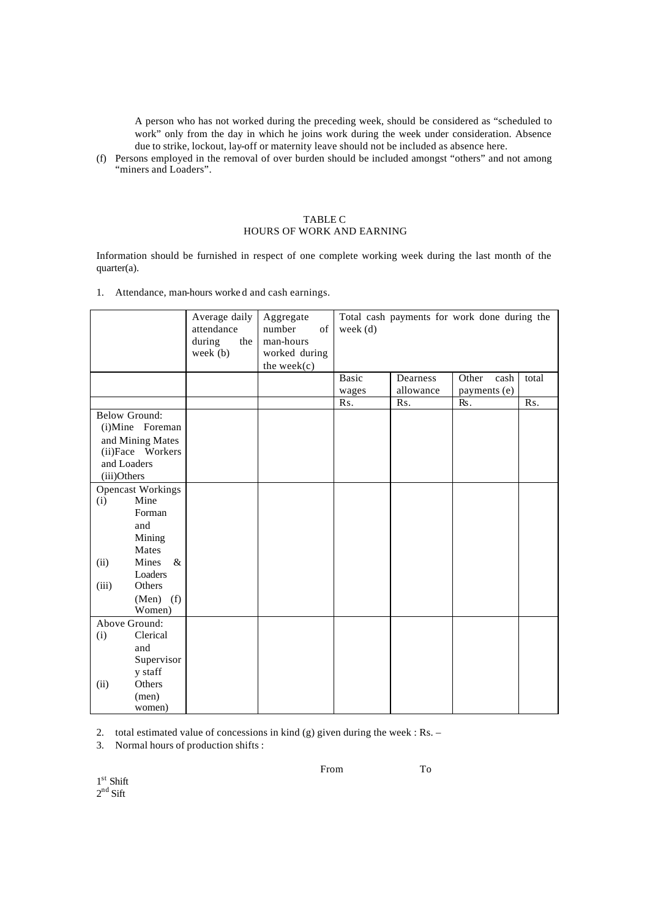A person who has not worked during the preceding week, should be considered as "scheduled to work" only from the day in which he joins work during the week under consideration. Absence due to strike, lockout, lay-off or maternity leave should not be included as absence here.

(f) Persons employed in the removal of over burden should be included amongst "others" and not among "miners and Loaders".

#### TABLE C HOURS OF WORK AND EARNING

Information should be furnished in respect of one complete working week during the last month of the quarter(a).

1. Attendance, man-hours worke d and cash earnings.

|                                                                                                                  |                          | Average daily<br>attendance<br>during<br>the<br>week $(b)$ | Aggregate<br>number<br>of<br>man-hours<br>worked during<br>the week $(c)$ | Total cash payments for work done during the<br>week $(d)$ |           |               |       |  |
|------------------------------------------------------------------------------------------------------------------|--------------------------|------------------------------------------------------------|---------------------------------------------------------------------------|------------------------------------------------------------|-----------|---------------|-------|--|
|                                                                                                                  |                          |                                                            |                                                                           | <b>Basic</b>                                               | Dearness  | Other<br>cash | total |  |
|                                                                                                                  |                          |                                                            |                                                                           | wages                                                      | allowance | payments (e)  |       |  |
|                                                                                                                  |                          |                                                            |                                                                           | Rs.                                                        | Rs.       | Rs.           | Rs.   |  |
| <b>Below Ground:</b><br>(i)Mine Foreman<br>and Mining Mates<br>(ii)Face Workers<br>and Loaders<br>$(iii)$ Others |                          |                                                            |                                                                           |                                                            |           |               |       |  |
|                                                                                                                  | <b>Opencast Workings</b> |                                                            |                                                                           |                                                            |           |               |       |  |
| (i)                                                                                                              | Mine                     |                                                            |                                                                           |                                                            |           |               |       |  |
|                                                                                                                  | Forman                   |                                                            |                                                                           |                                                            |           |               |       |  |
|                                                                                                                  | and                      |                                                            |                                                                           |                                                            |           |               |       |  |
|                                                                                                                  | Mining                   |                                                            |                                                                           |                                                            |           |               |       |  |
|                                                                                                                  | Mates                    |                                                            |                                                                           |                                                            |           |               |       |  |
| (ii)                                                                                                             | Mines<br>$\&$            |                                                            |                                                                           |                                                            |           |               |       |  |
|                                                                                                                  | Loaders                  |                                                            |                                                                           |                                                            |           |               |       |  |
| (iii)                                                                                                            | Others                   |                                                            |                                                                           |                                                            |           |               |       |  |
|                                                                                                                  | $(Men)$ (f)              |                                                            |                                                                           |                                                            |           |               |       |  |
|                                                                                                                  | Women)                   |                                                            |                                                                           |                                                            |           |               |       |  |
|                                                                                                                  | Above Ground:            |                                                            |                                                                           |                                                            |           |               |       |  |
| (i)                                                                                                              | Clerical                 |                                                            |                                                                           |                                                            |           |               |       |  |
|                                                                                                                  | and                      |                                                            |                                                                           |                                                            |           |               |       |  |
|                                                                                                                  | Supervisor               |                                                            |                                                                           |                                                            |           |               |       |  |
|                                                                                                                  | y staff                  |                                                            |                                                                           |                                                            |           |               |       |  |
| (ii)                                                                                                             | Others                   |                                                            |                                                                           |                                                            |           |               |       |  |
|                                                                                                                  | (men)                    |                                                            |                                                                           |                                                            |           |               |       |  |
|                                                                                                                  | women)                   |                                                            |                                                                           |                                                            |           |               |       |  |

2. total estimated value of concessions in kind (g) given during the week : Rs. –

3. Normal hours of production shifts :

From To

1 st Shift  $2<sup>nd</sup>$  Sift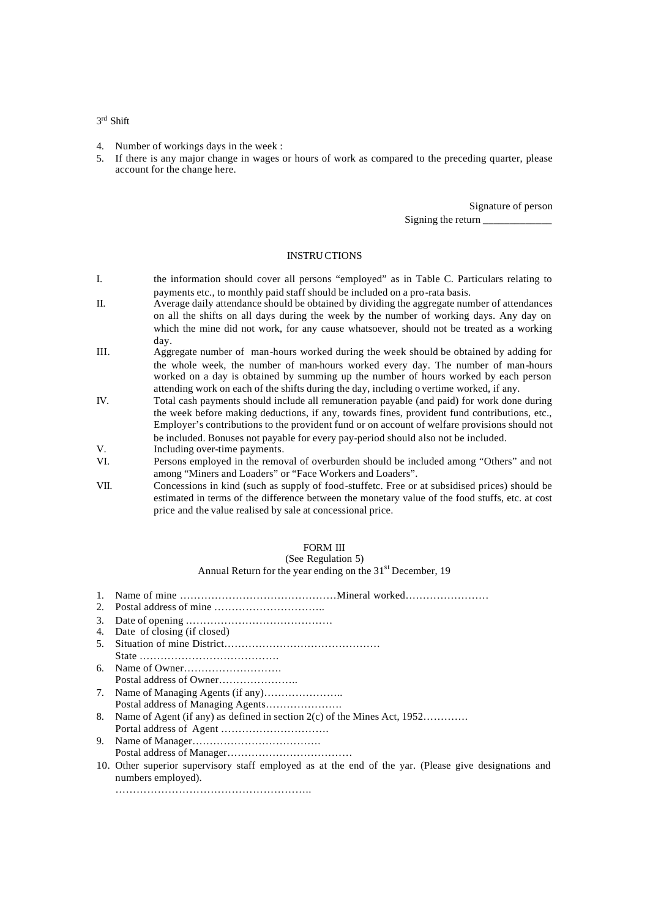3 rd Shift

- 4. Number of workings days in the week :
- 5. If there is any major change in wages or hours of work as compared to the preceding quarter, please account for the change here.

Signature of person Signing the return \_\_\_\_\_\_\_\_\_\_\_\_\_

#### INSTRUCTIONS

- I. the information should cover all persons "employed" as in Table C. Particulars relating to payments etc., to monthly paid staff should be included on a pro-rata basis.
- II. Average daily attendance should be obtained by dividing the aggregate number of attendances on all the shifts on all days during the week by the number of working days. Any day on which the mine did not work, for any cause whatsoever, should not be treated as a working day.
- III. Aggregate number of man-hours worked during the week should be obtained by adding for the whole week, the number of man-hours worked every day. The number of man-hours worked on a day is obtained by summing up the number of hours worked by each person attending work on each of the shifts during the day, including o vertime worked, if any.
- IV. Total cash payments should include all remuneration payable (and paid) for work done during the week before making deductions, if any, towards fines, provident fund contributions, etc., Employer's contributions to the provident fund or on account of welfare provisions should not be included. Bonuses not payable for every pay-period should also not be included.
- V. Including over-time payments.
- VI. Persons employed in the removal of overburden should be included among "Others" and not among "Miners and Loaders" or "Face Workers and Loaders".
- VII. Concessions in kind (such as supply of food-stuffetc. Free or at subsidised prices) should be estimated in terms of the difference between the monetary value of the food stuffs, etc. at cost price and the value realised by sale at concessional price.

## FORM III

#### (See Regulation 5) Annual Return for the year ending on the  $31<sup>st</sup>$  December, 19

- 1. Name of mine ………………………………………Mineral worked……………………
- 2. Postal address of mine …………………………..
- 3. Date of opening ……………………………………
- 4. Date of closing (if closed)
- 5. Situation of mine District……………………………………… State …………………………………. 6. Name of Owner………………………. Postal address of Owner…………………..
- 7. Name of Managing Agents (if any)………………….. Postal address of Managing Agents………………….
- 8. Name of Agent (if any) as defined in section 2(c) of the Mines Act, 1952…………. Portal address of Agent ………………………….
- 9. Name of Manager……………………………….
- Postal address of Manager………………………………
- 10. Other superior supervisory staff employed as at the end of the yar. (Please give designations and numbers employed).

………………………………………………..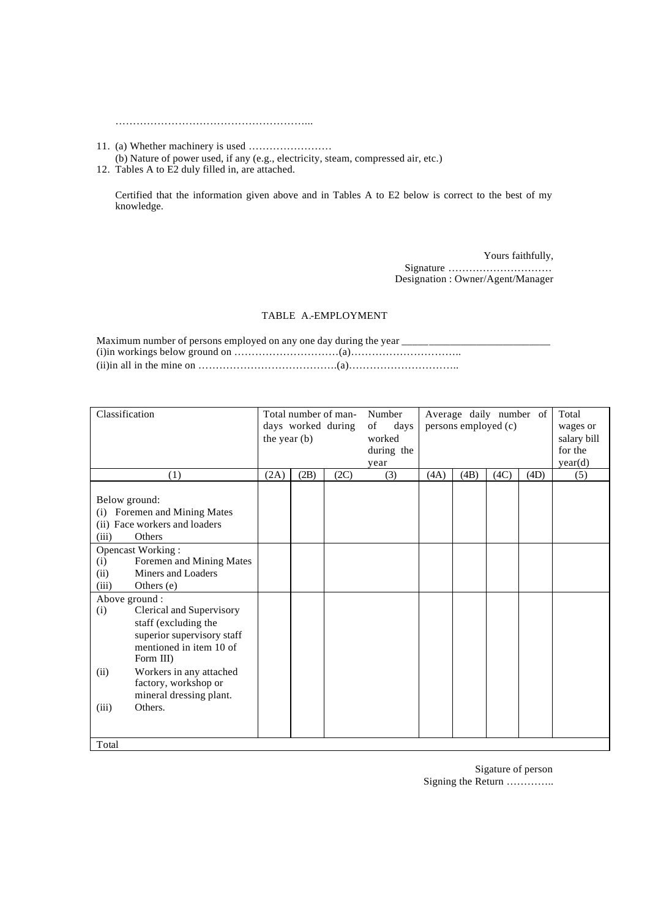………………………………………………...

- 11. (a) Whether machinery is used …………………… (b) Nature of power used, if any (e.g., electricity, steam, compressed air, etc.)
- 12. Tables A to E2 duly filled in, are attached.

Certified that the information given above and in Tables A to E2 below is correct to the best of my knowledge.

> Yours faithfully, Signature ………………………… Designation : Owner/Agent/Manager

### TABLE A.-EMPLOYMENT

Maximum number of persons employed on any one day during the year  $\equiv$ (i)in workings below ground on …………………………(a)…………………………..  $(ii)$  in all in the mine on  $\ldots$   $\ldots$   $\ldots$   $\ldots$   $\ldots$   $\ldots$   $\ldots$   $\ldots$   $\ldots$   $\ldots$   $\ldots$   $\ldots$   $\ldots$   $\ldots$   $\ldots$ 

| Classification                                                                                       |              | Total number of man-<br>days worked during |      | Number<br>of<br>days |      | Average daily number of<br>persons employed (c) |      |      | Total<br>wages or |
|------------------------------------------------------------------------------------------------------|--------------|--------------------------------------------|------|----------------------|------|-------------------------------------------------|------|------|-------------------|
|                                                                                                      | the year (b) |                                            |      | worked               |      |                                                 |      |      | salary bill       |
|                                                                                                      |              |                                            |      | during the           |      |                                                 |      |      | for the           |
|                                                                                                      |              |                                            |      | year                 |      |                                                 |      |      | year(d)           |
| (1)                                                                                                  | (2A)         | (2B)                                       | (2C) | (3)                  | (4A) | (4B)                                            | (4C) | (4D) | (5)               |
| Below ground:<br>Foremen and Mining Mates<br>(i)<br>(ii) Face workers and loaders<br>Others<br>(iii) |              |                                            |      |                      |      |                                                 |      |      |                   |
| <b>Opencast Working:</b>                                                                             |              |                                            |      |                      |      |                                                 |      |      |                   |
| Foremen and Mining Mates<br>(i)                                                                      |              |                                            |      |                      |      |                                                 |      |      |                   |
| Miners and Loaders<br>(ii)                                                                           |              |                                            |      |                      |      |                                                 |      |      |                   |
| (iii)<br>Others (e)                                                                                  |              |                                            |      |                      |      |                                                 |      |      |                   |
| Above ground :                                                                                       |              |                                            |      |                      |      |                                                 |      |      |                   |
| Clerical and Supervisory<br>(i)<br>staff (excluding the                                              |              |                                            |      |                      |      |                                                 |      |      |                   |
| superior supervisory staff                                                                           |              |                                            |      |                      |      |                                                 |      |      |                   |
| mentioned in item 10 of                                                                              |              |                                            |      |                      |      |                                                 |      |      |                   |
| Form III)                                                                                            |              |                                            |      |                      |      |                                                 |      |      |                   |
| Workers in any attached<br>(ii)<br>factory, workshop or<br>mineral dressing plant.                   |              |                                            |      |                      |      |                                                 |      |      |                   |
| Others.<br>(iii)                                                                                     |              |                                            |      |                      |      |                                                 |      |      |                   |
|                                                                                                      |              |                                            |      |                      |      |                                                 |      |      |                   |
| Total                                                                                                |              |                                            |      |                      |      |                                                 |      |      |                   |

Sigature of person Signing the Return …………..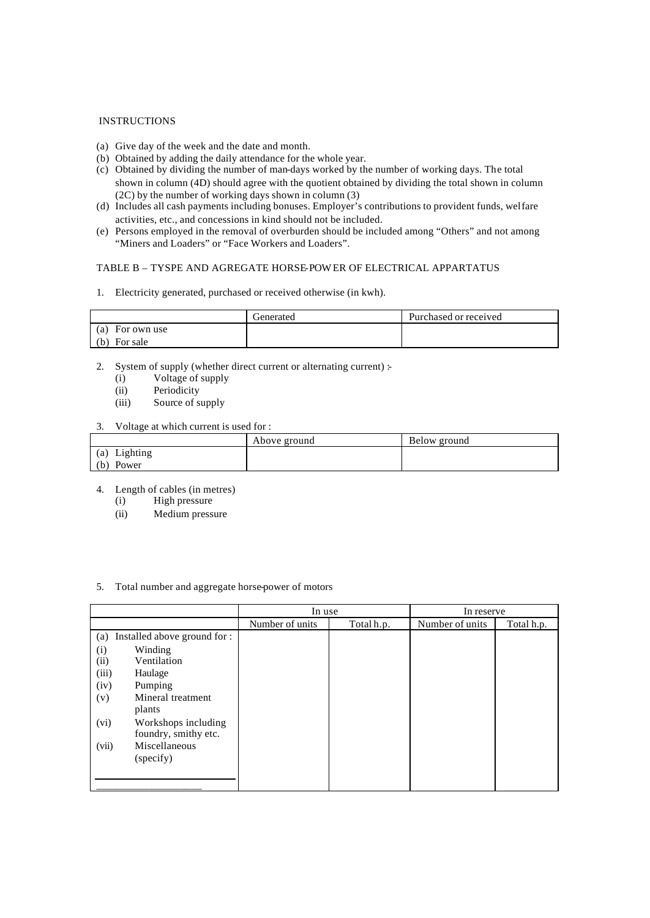#### INSTRUCTIONS

- (a) Give day of the week and the date and month.
- (b) Obtained by adding the daily attendance for the whole year.
- (c) Obtained by dividing the number of man-days worked by the number of working days. The total shown in column (4D) should agree with the quotient obtained by dividing the total shown in column (2C) by the number of working days shown in column (3)
- (d) Includes all cash payments including bonuses. Employer's contributions to provident funds, welfare activities, etc., and concessions in kind should not be included.
- (e) Persons employed in the removal of overburden should be included among "Others" and not among "Miners and Loaders" or "Face Workers and Loaders".

## TABLE B – TYSPE AND AGREGATE HORSE-POWER OF ELECTRICAL APPARTATUS

1. Electricity generated, purchased or received otherwise (in kwh).

|                 | l ienerated | Purchased or received |
|-----------------|-------------|-----------------------|
| (a) For own use |             |                       |
| For sale<br>(b) |             |                       |

- 2. System of supply (whether direct current or alternating current) :-
	- (i) Voltage of supply
	- (ii) Periodicity
	- (iii) Source of supply

#### 3. Voltage at which current is used for :

|                 | Above ground | Below ground |
|-----------------|--------------|--------------|
| Lighting<br>(a) |              |              |
| (b) Power       |              |              |

- 4. Length of cables (in metres)
	- (i) High pressure
	- (ii) Medium pressure

#### 5. Total number and aggregate horse-power of motors

|                                     | In use          |            | In reserve      |            |
|-------------------------------------|-----------------|------------|-----------------|------------|
|                                     | Number of units | Total h.p. | Number of units | Total h.p. |
| Installed above ground for :<br>(a) |                 |            |                 |            |
| Winding<br>(i)                      |                 |            |                 |            |
| (ii)<br>Ventilation                 |                 |            |                 |            |
| (iii)<br>Haulage                    |                 |            |                 |            |
| (iv)<br>Pumping                     |                 |            |                 |            |
| Mineral treatment<br>(v)            |                 |            |                 |            |
| plants                              |                 |            |                 |            |
| (vi)<br>Workshops including         |                 |            |                 |            |
| foundry, smithy etc.                |                 |            |                 |            |
| Miscellaneous<br>(vii)              |                 |            |                 |            |
| (specify)                           |                 |            |                 |            |
|                                     |                 |            |                 |            |
|                                     |                 |            |                 |            |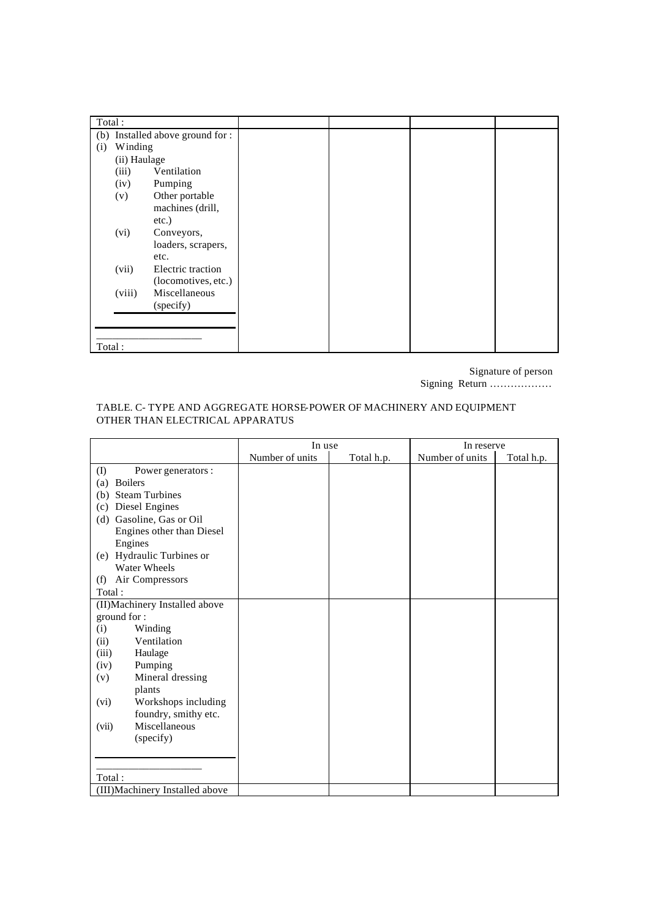| Total: |              |                              |  |  |
|--------|--------------|------------------------------|--|--|
| (b)    |              | Installed above ground for : |  |  |
| (i)    | Winding      |                              |  |  |
|        | (ii) Haulage |                              |  |  |
|        | (iii)        | Ventilation                  |  |  |
|        | (iv)         | Pumping                      |  |  |
|        | (v)          | Other portable               |  |  |
|        |              | machines (drill,             |  |  |
|        |              | $etc.$ )                     |  |  |
|        | (vi)         | Conveyors,                   |  |  |
|        |              | loaders, scrapers,           |  |  |
|        |              | etc.                         |  |  |
|        | (vii)        | Electric traction            |  |  |
|        |              | (locomotives, etc.)          |  |  |
|        | (viii)       | Miscellaneous                |  |  |
|        |              | (specify)                    |  |  |
|        |              |                              |  |  |
|        |              |                              |  |  |
| Total: |              |                              |  |  |

Signature of person

Signing Return ………………

## TABLE. C- TYPE AND AGGREGATE HORSE-POWER OF MACHINERY AND EQUIPMENT OTHER THAN ELECTRICAL APPARATUS

|                                                      | In use          |            |                 | In reserve |  |  |
|------------------------------------------------------|-----------------|------------|-----------------|------------|--|--|
|                                                      | Number of units | Total h.p. | Number of units | Total h.p. |  |  |
| $\textcircled{\scriptsize{1}}$<br>Power generators : |                 |            |                 |            |  |  |
| <b>Boilers</b><br>(a)                                |                 |            |                 |            |  |  |
| <b>Steam Turbines</b><br>(b)                         |                 |            |                 |            |  |  |
| Diesel Engines<br>(c)                                |                 |            |                 |            |  |  |
| Gasoline, Gas or Oil<br>(d)                          |                 |            |                 |            |  |  |
| Engines other than Diesel                            |                 |            |                 |            |  |  |
| Engines                                              |                 |            |                 |            |  |  |
| (e) Hydraulic Turbines or                            |                 |            |                 |            |  |  |
| <b>Water Wheels</b>                                  |                 |            |                 |            |  |  |
| Air Compressors<br>(f)                               |                 |            |                 |            |  |  |
| Total:                                               |                 |            |                 |            |  |  |
| (II) Machinery Installed above                       |                 |            |                 |            |  |  |
| ground for:                                          |                 |            |                 |            |  |  |
| (i)<br>Winding                                       |                 |            |                 |            |  |  |
| Ventilation<br>(ii)                                  |                 |            |                 |            |  |  |
| (iii)<br>Haulage                                     |                 |            |                 |            |  |  |
| Pumping<br>(iv)                                      |                 |            |                 |            |  |  |
| Mineral dressing<br>(v)                              |                 |            |                 |            |  |  |
| plants                                               |                 |            |                 |            |  |  |
| Workshops including<br>(vi)                          |                 |            |                 |            |  |  |
| foundry, smithy etc.                                 |                 |            |                 |            |  |  |
| Miscellaneous<br>(vii)                               |                 |            |                 |            |  |  |
| (specify)                                            |                 |            |                 |            |  |  |
|                                                      |                 |            |                 |            |  |  |
|                                                      |                 |            |                 |            |  |  |
| Total:                                               |                 |            |                 |            |  |  |
| (III) Machinery Installed above                      |                 |            |                 |            |  |  |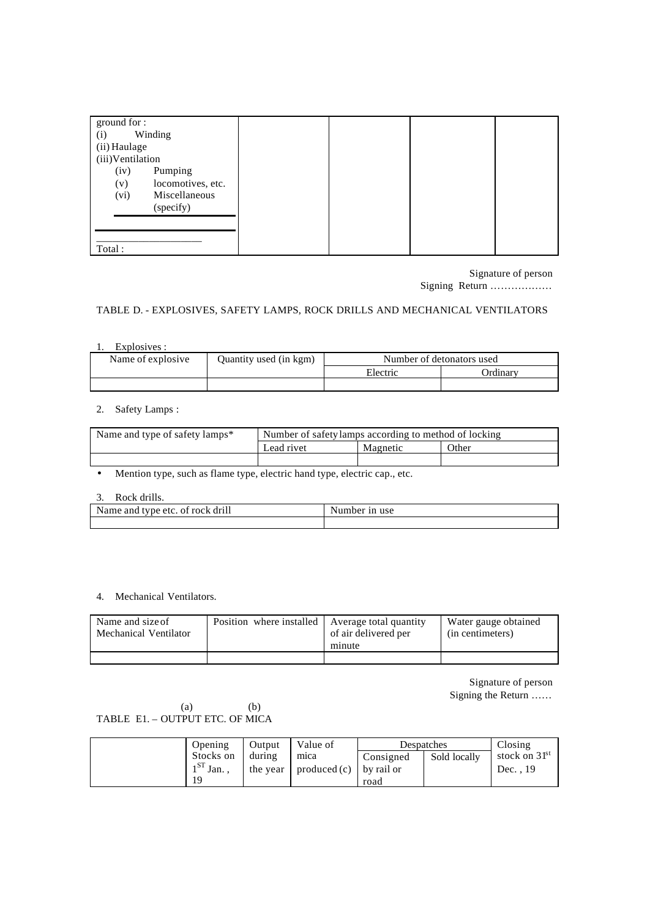|                  | ground for:       |  |
|------------------|-------------------|--|
| (i)              | Winding           |  |
| (ii) Haulage     |                   |  |
| (iii)Ventilation |                   |  |
| (iv)             | Pumping           |  |
| (v)              | locomotives, etc. |  |
| (vi)             | Miscellaneous     |  |
|                  | (specify)         |  |
|                  |                   |  |
|                  |                   |  |
|                  |                   |  |
| Total:           |                   |  |

Signature of person Signing Return ………………

## TABLE D. - EXPLOSIVES, SAFETY LAMPS, ROCK DRILLS AND MECHANICAL VENTILATORS

1. Explosives :

| Name of explosive | Quantity used (in kgm) | Number of detonators used |          |
|-------------------|------------------------|---------------------------|----------|
|                   |                        | Electric                  | Ordinarv |
|                   |                        |                           |          |

## 2. Safety Lamps :

| Name and type of safety lamps* | Number of safety lamps according to method of locking |          |       |
|--------------------------------|-------------------------------------------------------|----------|-------|
|                                | Lead rivet                                            | Magnetic | Other |
|                                |                                                       |          |       |

• Mention type, such as flame type, electric hand type, electric cap., etc.

## 3. Rock drills.

| Name and type etc. of rock drill | Number in use |
|----------------------------------|---------------|
|                                  |               |

## 4. Mechanical Ventilators.

| Name and size of      | Position where installed Average total quantity | of air delivered per | Water gauge obtained |
|-----------------------|-------------------------------------------------|----------------------|----------------------|
| Mechanical Ventilator |                                                 | minute               | (in centimeters)     |
|                       |                                                 |                      |                      |

Signature of person

Signing the Return ……

 $(a)$  (b) TABLE E1. – OUTPUT ETC. OF MICA

| Opening        | Output | Value of                                         | Despatches |              | Closing         |
|----------------|--------|--------------------------------------------------|------------|--------------|-----------------|
| Stocks on      | during | mica                                             | Consigned  | Sold locally | stock on $31st$ |
| $1^{ST}$ Jan., |        | the year $\vert$ produced (c) $\vert$ by rail or |            |              | Dec. . 19       |
| 19             |        |                                                  | road       |              |                 |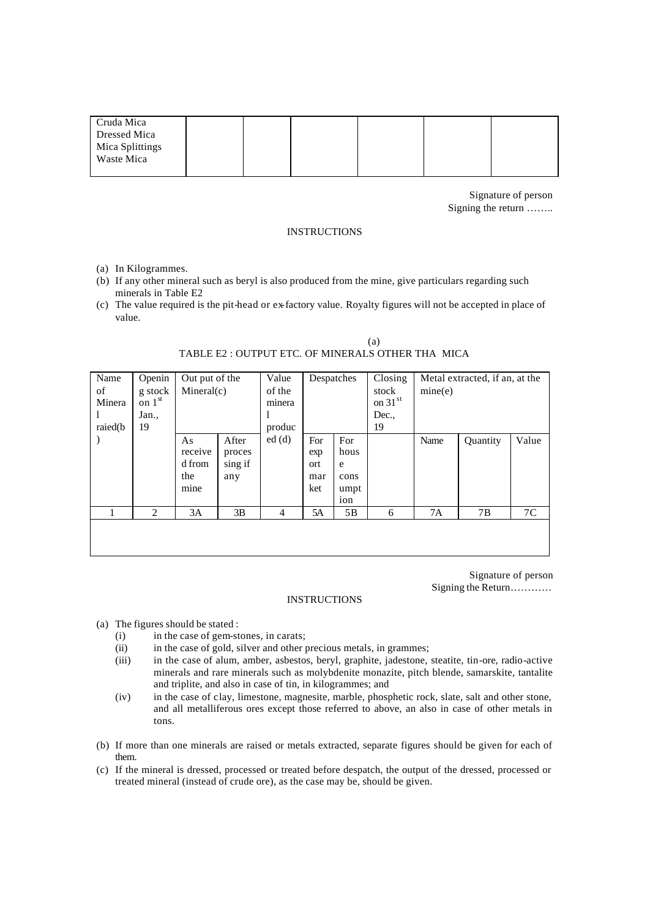| Cruda Mica      |  |  |  |
|-----------------|--|--|--|
| Dressed Mica    |  |  |  |
| Mica Splittings |  |  |  |
| Waste Mica      |  |  |  |
|                 |  |  |  |

Signature of person Signing the return ……..

#### **INSTRUCTIONS**

- (a) In Kilogrammes.
- (b) If any other mineral such as beryl is also produced from the mine, give particulars regarding such minerals in Table E2
- (c) The value required is the pit-head or ex-factory value. Royalty figures will not be accepted in place of value.

| Name<br>of<br>Minera<br>raied(b) | Openin<br>g stock<br>on $1st$<br>Jan.,<br>19 | Out put of the<br>Mineral(c)           |                                   | Value<br>of the<br>minera<br>-<br>produc | Despatches                      |                                         | Closing<br>stock<br>on 31st<br>Dec.,<br>19 | mine(e) | Metal extracted, if an, at the |       |
|----------------------------------|----------------------------------------------|----------------------------------------|-----------------------------------|------------------------------------------|---------------------------------|-----------------------------------------|--------------------------------------------|---------|--------------------------------|-------|
|                                  |                                              | As<br>receive<br>d from<br>the<br>mine | After<br>proces<br>sing if<br>any | ed(d)                                    | For<br>exp<br>ort<br>mar<br>ket | For<br>hous<br>e<br>cons<br>umpt<br>ion |                                            | Name    | Quantity                       | Value |
|                                  | 2                                            | 3A                                     | 3B                                | 4                                        | 5A                              | 5B                                      | 6                                          | 7A      | 7B                             | 7C    |
|                                  |                                              |                                        |                                   |                                          |                                 |                                         |                                            |         |                                |       |

 (a) TABLE E2 : OUTPUT ETC. OF MINERALS OTHER THA MICA

> Signature of person Signing the Return…………

#### INSTRUCTIONS

- (a) The figures should be stated :
	- (i) in the case of gem-stones, in carats;
	- (ii) in the case of gold, silver and other precious metals, in grammes;
	- (iii) in the case of alum, amber, asbestos, beryl, graphite, jadestone, steatite, tin-ore, radio-active minerals and rare minerals such as molybdenite monazite, pitch blende, samarskite, tantalite and triplite, and also in case of tin, in kilogrammes; and
	- (iv) in the case of clay, limestone, magnesite, marble, phosphetic rock, slate, salt and other stone, and all metalliferous ores except those referred to above, an also in case of other metals in tons.
- (b) If more than one minerals are raised or metals extracted, separate figures should be given for each of them.
- (c) If the mineral is dressed, processed or treated before despatch, the output of the dressed, processed or treated mineral (instead of crude ore), as the case may be, should be given.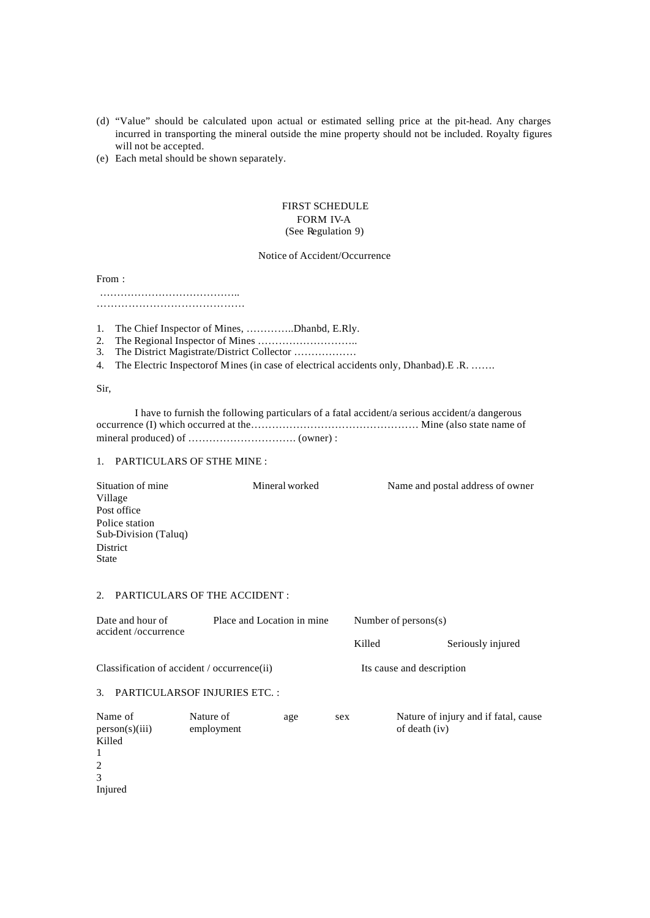- (d) "Value" should be calculated upon actual or estimated selling price at the pit-head. Any charges incurred in transporting the mineral outside the mine property should not be included. Royalty figures will not be accepted.
- (e) Each metal should be shown separately.

#### FIRST SCHEDULE FORM IV-A (See Regulation 9)

#### Notice of Accident/Occurrence

From :

…………………………………..

……………………………………

- 1. The Chief Inspector of Mines, …………..Dhanbd, E.Rly.
- 2. The Regional Inspector of Mines ………………………..
- 3. The District Magistrate/District Collector ………………
- 4. The Electric Inspectorof Mines (in case of electrical accidents only, Dhanbad).E .R. …….

Sir,

I have to furnish the following particulars of a fatal accident/a serious accident/a dangerous occurrence (I) which occurred at the………………………………………… Mine (also state name of mineral produced) of …………………………. (owner) :

### 1. PARTICULARS OF STHE MINE :

| Situation of mine    | Mineral worked | Name and postal address of owner |
|----------------------|----------------|----------------------------------|
| Village              |                |                                  |
| Post office          |                |                                  |
| Police station       |                |                                  |
| Sub-Division (Taluq) |                |                                  |
| District             |                |                                  |
| <b>State</b>         |                |                                  |

#### 2. PARTICULARS OF THE ACCIDENT :

| Date and hour of<br>accident/occurrence                                         | Place and Location in mine          |  | Number of persons $(s)$ |                           |                                      |
|---------------------------------------------------------------------------------|-------------------------------------|--|-------------------------|---------------------------|--------------------------------------|
|                                                                                 |                                     |  |                         | Killed                    | Seriously injured                    |
| Classification of accident / occurrence(ii)                                     |                                     |  |                         | Its cause and description |                                      |
| $\mathcal{F}$                                                                   | <b>PARTICULARSOF INJURIES ETC.:</b> |  |                         |                           |                                      |
| Name of<br>Nature of<br>age<br>person(s)(iii)<br>employment<br>Killed<br>1<br>2 |                                     |  | sex                     | of death (iv)             | Nature of injury and if fatal, cause |

- 3
- Injured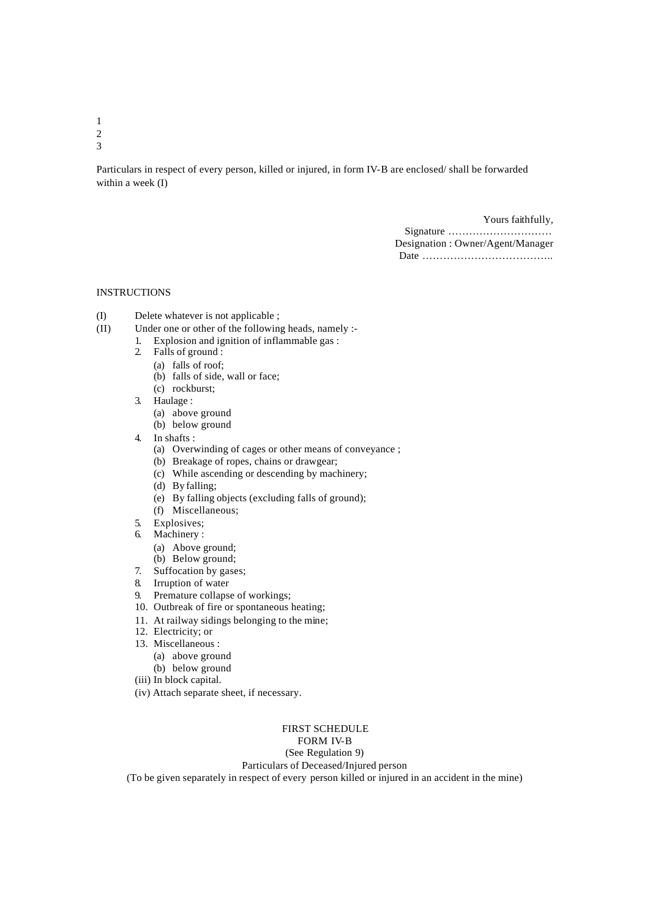1 2

3

Particulars in respect of every person, killed or injured, in form IV-B are enclosed/ shall be forwarded within a week (I)

> Yours faithfully, Signature ………………………… Designation : Owner/Agent/Manager Date ………………………………..

## INSTRUCTIONS

- (I) Delete whatever is not applicable ;
- $(II)$  Under one or other of the following heads, namely :-
	- 1. Explosion and ignition of inflammable gas :
		- 2. Falls of ground :
			- (a) falls of roof;
			- (b) falls of side, wall or face;
			- (c) rockburst;
		- 3. Haulage :
			- (a) above ground
			- (b) below ground
		- 4. In shafts :
			- (a) Overwinding of cages or other means of conveyance ;
			- (b) Breakage of ropes, chains or drawgear;
			- (c) While ascending or descending by machinery;
			- (d) By falling;
			- (e) By falling objects (excluding falls of ground);
			- (f) Miscellaneous;
		- 5. Explosives;
		- 6. Machinery :
			- (a) Above ground;
			- (b) Below ground;
		- 7. Suffocation by gases;
		- 8. Irruption of water
		- 9. Premature collapse of workings;
		- 10. Outbreak of fire or spontaneous heating;
		- 11. At railway sidings belonging to the mine;
		- 12. Electricity; or
		- 13. Miscellaneous :
			- (a) above ground
			- (b) below ground
		- (iii) In block capital.
		- (iv) Attach separate sheet, if necessary.

FIRST SCHEDULE FORM IV-B

(See Regulation 9)

Particulars of Deceased/Injured person

(To be given separately in respect of every person killed or injured in an accident in the mine)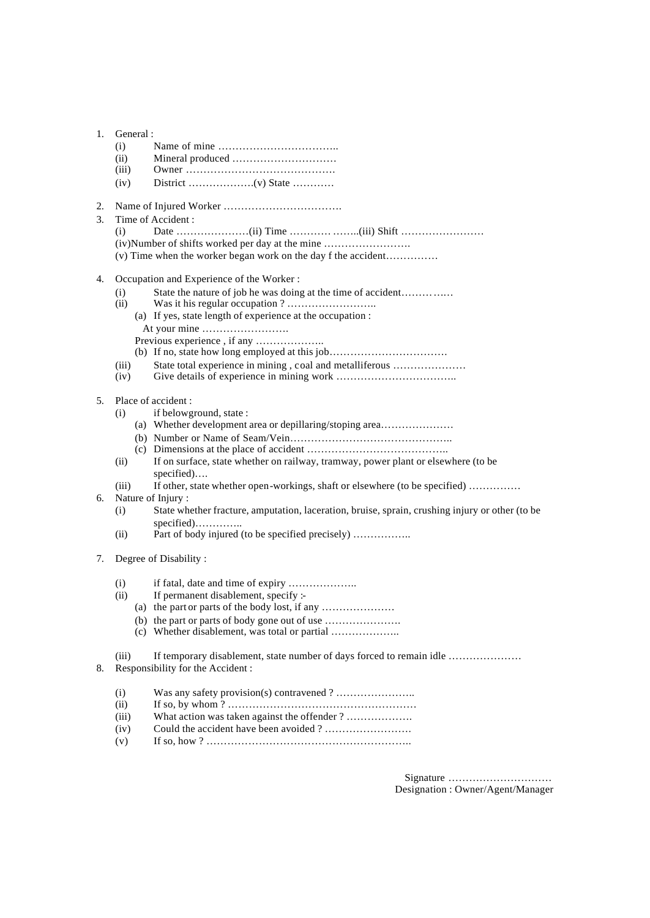| 1. | General:      |                                                                                                 |
|----|---------------|-------------------------------------------------------------------------------------------------|
|    | (i)           |                                                                                                 |
|    | (ii)<br>(iii) |                                                                                                 |
|    | (iv)          |                                                                                                 |
|    |               |                                                                                                 |
| 2. |               |                                                                                                 |
| 3. |               | Time of Accident:                                                                               |
|    | (i)           |                                                                                                 |
|    |               | (iv) Number of shifts worked per day at the mine                                                |
|    |               | (v) Time when the worker began work on the day f the accident                                   |
| 4. |               | Occupation and Experience of the Worker:                                                        |
|    | (i)           | State the nature of job he was doing at the time of accident                                    |
|    | (ii)          |                                                                                                 |
|    |               | (a) If yes, state length of experience at the occupation :                                      |
|    |               | At your mine                                                                                    |
|    |               |                                                                                                 |
|    |               | (b) If no, state how long employed at this job                                                  |
|    | (iii)<br>(iv) | State total experience in mining, coal and metalliferous                                        |
|    |               |                                                                                                 |
| 5. |               | Place of accident:                                                                              |
|    | (i)           | if belowground, state:                                                                          |
|    |               | (a) Whether development area or depillaring/stoping area                                        |
|    |               |                                                                                                 |
|    |               |                                                                                                 |
|    | (ii)          | If on surface, state whether on railway, tramway, power plant or elsewhere (to be<br>specified) |
|    | (iii)         | If other, state whether open-workings, shaft or elsewhere (to be specified)                     |
| 6. |               | Nature of Injury:                                                                               |
|    | (i)           | State whether fracture, amputation, laceration, bruise, sprain, crushing injury or other (to be |
|    |               | specified)                                                                                      |
|    | (ii)          | Part of body injured (to be specified precisely)                                                |
| 7. |               | Degree of Disability:                                                                           |
|    |               |                                                                                                 |
|    | (i)           |                                                                                                 |
|    | (ii)          | If permanent disablement, specify :-                                                            |
|    |               | (a) the part or parts of the body lost, if any                                                  |
|    |               | (c) Whether disablement, was total or partial                                                   |
|    |               |                                                                                                 |
|    | (iii)         | If temporary disablement, state number of days forced to remain idle                            |
| 8. |               | Responsibility for the Accident:                                                                |
|    | (i)           |                                                                                                 |
|    | (ii)          |                                                                                                 |
|    | (iii)         | What action was taken against the offender ?                                                    |
|    | (iv)          |                                                                                                 |
|    | (v)           |                                                                                                 |
|    |               |                                                                                                 |

Signature ………………………… Designation : Owner/Agent/Manager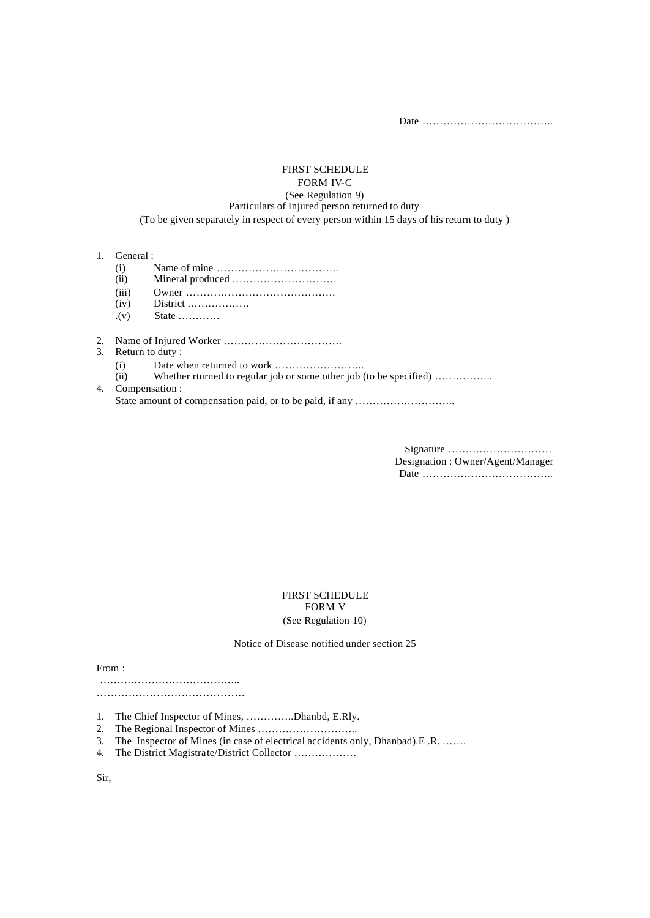Date ………………………………..

#### FIRST SCHEDULE FORM IV-C (See Regulation 9) Particulars of Injured person returned to duty (To be given separately in respect of every person within 15 days of his return to duty )

- 1. General :
	- (i) Name of mine  $\dots$   $\vdots$   $\vdots$   $\vdots$   $\vdots$   $\vdots$   $\vdots$   $\vdots$   $\vdots$   $\vdots$   $\vdots$   $\vdots$   $\vdots$   $\vdots$   $\vdots$   $\vdots$   $\vdots$   $\vdots$   $\vdots$   $\vdots$   $\vdots$   $\vdots$   $\vdots$   $\vdots$   $\vdots$   $\vdots$   $\vdots$   $\vdots$   $\vdots$   $\vdots$   $\vdots$   $\vdots$   $\vdots$   $\vdots$
	- (ii) Mineral produced …………………………
	- (iii) Owner …………………………………….
	- District ………………
	- $\mathbf{.}(v)$  State  $\ldots$ ..........
- 2. Name of Injured Worker …………………………….
- 3. Return to duty :
	- (i) Date when returned to work  $\ldots$  is  $\ldots$  whether runned to regular job or some other job (
	- Whether rturned to regular job or some other job (to be specified) ……………..
- 4. Compensation : State amount of compensation paid, or to be paid, if any ………………………..

Signature ………………………… Designation : Owner/Agent/Manager Date ………………………………..

#### FIRST SCHEDULE FORM V (See Regulation 10)

Notice of Disease notified under section 25

From :

…………………………………..

……………………………………………

- 1. The Chief Inspector of Mines, …………..Dhanbd, E.Rly.
- 2. The Regional Inspector of Mines ………………………..
- 3. The Inspector of Mines (in case of electrical accidents only, Dhanbad).E .R. …….
- 4. The District Magistrate/District Collector ………………

Sir,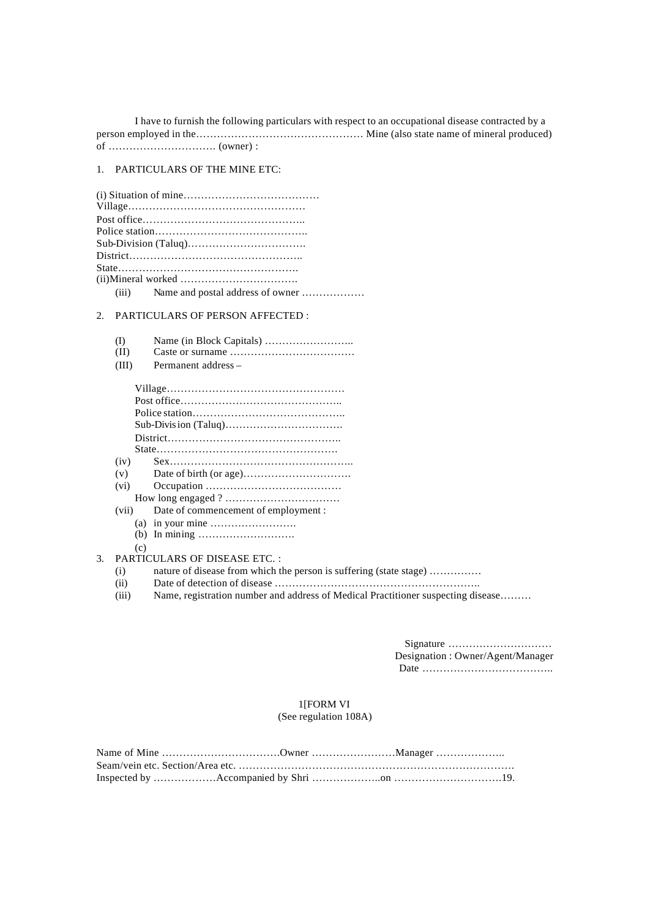I have to furnish the following particulars with respect to an occupational disease contracted by a person employed in the………………………………………… Mine (also state name of mineral produced) of …………………………. (owner) :

## 1. PARTICULARS OF THE MINE ETC:

#### 2. PARTICULARS OF PERSON AFFECTED :

| (I) |  |  |  |
|-----|--|--|--|
|-----|--|--|--|

- (II) Caste or surname ………………………………
- (III) Permanent address –

|    | (iv)  |                                                        |
|----|-------|--------------------------------------------------------|
|    | (v)   |                                                        |
|    | (vi)  |                                                        |
|    |       |                                                        |
|    | (vii) | Date of commencement of employment :                   |
|    |       | (a) in your mine $\dots \dots \dots \dots \dots \dots$ |
|    | (b)   |                                                        |
|    | (c)   |                                                        |
| 3. |       | <b>PARTICULARS OF DISEASE ETC.:</b>                    |

#### (i) nature of disease from which the person is suffering (state stage) ……………

- (ii) Date of detection of disease …………………………………………………..
- (iii) Name, registration number and address of Medical Practitioner suspecting disease………

Signature ………………………… Designation : Owner/Agent/Manager Date ………………………………..

#### 1[FORM VI (See regulation 108A)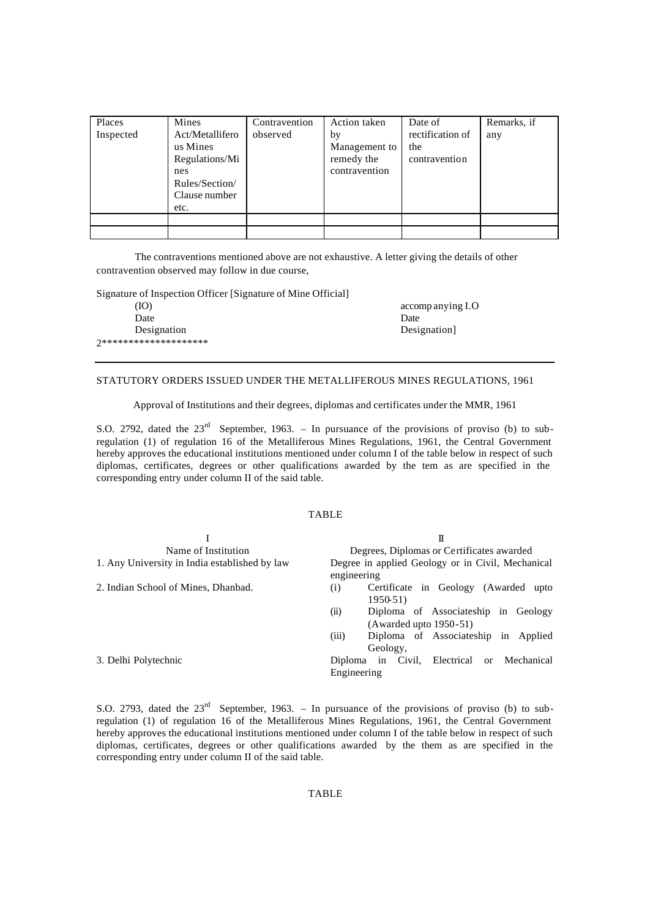| Places    | Mines                                                                                           | Contravention | Action taken                                       | Date of                                  | Remarks, if |
|-----------|-------------------------------------------------------------------------------------------------|---------------|----------------------------------------------------|------------------------------------------|-------------|
| Inspected | Act/Metallifero<br>us Mines<br>Regulations/Mi<br>nes<br>Rules/Section/<br>Clause number<br>etc. | observed      | by<br>Management to<br>remedy the<br>contravention | rectification of<br>the<br>contravention | any         |
|           |                                                                                                 |               |                                                    |                                          |             |
|           |                                                                                                 |               |                                                    |                                          |             |

The contraventions mentioned above are not exhaustive. A letter giving the details of other contravention observed may follow in due course,

Signature of Inspection Officer [Signature of Mine Official]

(IO) accomp anying I.O Date Date Date Designation Designation 2\*\*\*\*\*\*\*\*\*\*\*\*\*\*\*\*\*\*\*\*

## STATUTORY ORDERS ISSUED UNDER THE METALLIFEROUS MINES REGULATIONS, 1961

Approval of Institutions and their degrees, diplomas and certificates under the MMR, 1961

S.O. 2792, dated the 23<sup>rd</sup> September, 1963. – In pursuance of the provisions of proviso (b) to subregulation (1) of regulation 16 of the Metalliferous Mines Regulations, 1961, the Central Government hereby approves the educational institutions mentioned under column I of the table below in respect of such diplomas, certificates, degrees or other qualifications awarded by the tem as are specified in the corresponding entry under column II of the said table.

#### TABLE

|                                               | П                                                                          |  |  |  |
|-----------------------------------------------|----------------------------------------------------------------------------|--|--|--|
| Name of Institution                           | Degrees, Diplomas or Certificates awarded                                  |  |  |  |
| 1. Any University in India established by law | Degree in applied Geology or in Civil, Mechanical<br>engineering           |  |  |  |
| 2. Indian School of Mines, Dhanbad.           | Certificate in Geology (Awarded upto<br>$\left( 1\right)$<br>1950-51)      |  |  |  |
|                                               | Diploma of Associateship in Geology<br>(ii)<br>$(Awarded up to 1950-51)$   |  |  |  |
|                                               | (iii)<br>Diploma of Associateship in Applied<br>Geology,                   |  |  |  |
| 3. Delhi Polytechnic                          | Diploma in Civil, Electrical<br>Mechanical<br><sub>or</sub><br>Engineering |  |  |  |

S.O. 2793, dated the 23<sup>rd</sup> September, 1963. – In pursuance of the provisions of proviso (b) to subregulation (1) of regulation 16 of the Metalliferous Mines Regulations, 1961, the Central Government hereby approves the educational institutions mentioned under column I of the table below in respect of such diplomas, certificates, degrees or other qualifications awarded by the them as are specified in the corresponding entry under column II of the said table.

## TABLE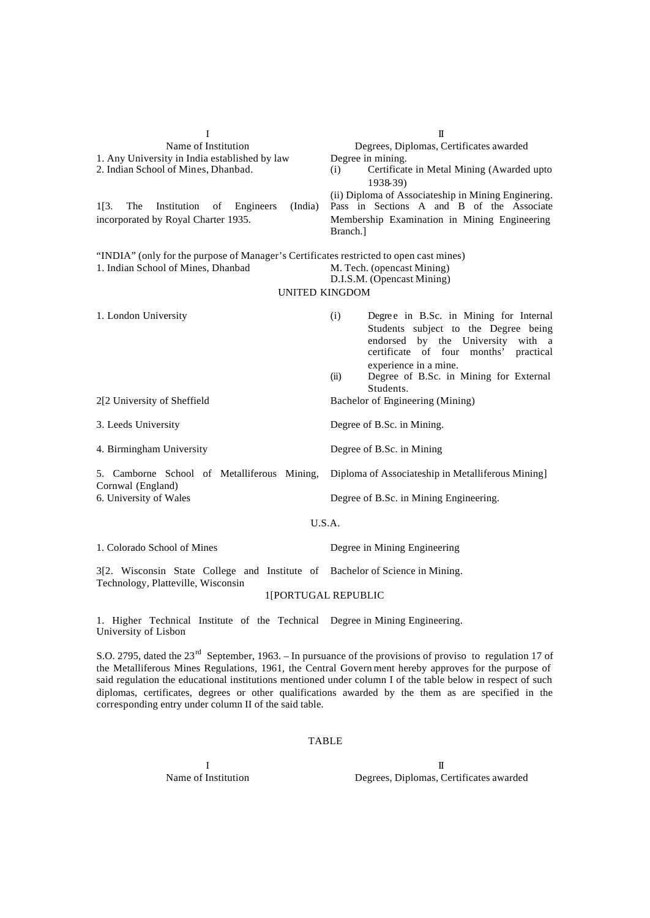| I                                                                                                                  | $\mathbf I$                                                                                                                                                                                     |  |  |
|--------------------------------------------------------------------------------------------------------------------|-------------------------------------------------------------------------------------------------------------------------------------------------------------------------------------------------|--|--|
| Name of Institution                                                                                                | Degrees, Diplomas, Certificates awarded                                                                                                                                                         |  |  |
| 1. Any University in India established by law<br>2. Indian School of Mines, Dhanbad.                               | Degree in mining.<br>Certificate in Metal Mining (Awarded upto<br>(i)<br>1938-39)                                                                                                               |  |  |
| (India)<br>$1[3]$ .<br>The<br>Institution<br>of<br>Engineers<br>incorporated by Royal Charter 1935.                | (ii) Diploma of Associateship in Mining Enginering.<br>Pass in Sections A and B of the Associate<br>Membership Examination in Mining Engineering<br>Branch.]                                    |  |  |
| "INDIA" (only for the purpose of Manager's Certificates restricted to open cast mines)                             |                                                                                                                                                                                                 |  |  |
| 1. Indian School of Mines, Dhanbad                                                                                 | M. Tech. (opencast Mining)                                                                                                                                                                      |  |  |
| <b>UNITED KINGDOM</b>                                                                                              | D.I.S.M. (Opencast Mining)                                                                                                                                                                      |  |  |
|                                                                                                                    |                                                                                                                                                                                                 |  |  |
| 1. London University                                                                                               | Degree in B.Sc. in Mining for Internal<br>(i)<br>Students subject to the Degree being<br>endorsed by the University with a<br>certificate of four months'<br>practical<br>experience in a mine. |  |  |
|                                                                                                                    | (ii)<br>Degree of B.Sc. in Mining for External                                                                                                                                                  |  |  |
|                                                                                                                    | Students.                                                                                                                                                                                       |  |  |
| 2[2 University of Sheffield                                                                                        | Bachelor of Engineering (Mining)                                                                                                                                                                |  |  |
| 3. Leeds University                                                                                                | Degree of B.Sc. in Mining.                                                                                                                                                                      |  |  |
| 4. Birmingham University                                                                                           | Degree of B.Sc. in Mining                                                                                                                                                                       |  |  |
| 5. Camborne School of Metalliferous Mining,                                                                        | Diploma of Associateship in Metalliferous Mining]                                                                                                                                               |  |  |
| Cornwal (England)<br>6. University of Wales                                                                        | Degree of B.Sc. in Mining Engineering.                                                                                                                                                          |  |  |
| U.S.A.                                                                                                             |                                                                                                                                                                                                 |  |  |
| 1. Colorado School of Mines                                                                                        | Degree in Mining Engineering                                                                                                                                                                    |  |  |
| 3[2. Wisconsin State College and Institute of Bachelor of Science in Mining.<br>Technology, Platteville, Wisconsin |                                                                                                                                                                                                 |  |  |
| $1$ EDODTILCAL DEDIJDI IC                                                                                          |                                                                                                                                                                                                 |  |  |

1[PORTUGAL REPUBLIC

1. Higher Technical Institute of the Technical Degree in Mining Engineering. University of Lisbon

S.O. 2795, dated the 23<sup>rd</sup> September, 1963. – In pursuance of the provisions of proviso to regulation 17 of the Metalliferous Mines Regulations, 1961, the Central Govern ment hereby approves for the purpose of said regulation the educational institutions mentioned under column I of the table below in respect of such diplomas, certificates, degrees or other qualifications awarded by the them as are specified in the corresponding entry under column II of the said table.

#### TABLE

 $\mathbf I$ Name of Institution Degrees, Diplomas, Certificates awarded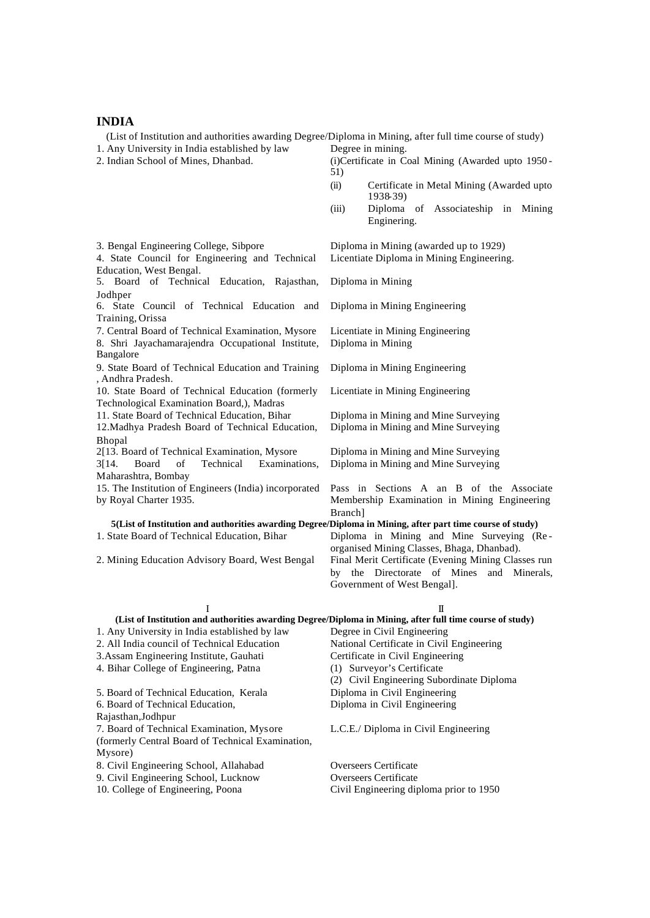#### **INDIA**

(List of Institution and authorities awarding Degree/Diploma in Mining, after full time course of study) 1. Any University in India established by law Degree in mining.<br>2. Indian School of Mines, Dhanbad. (i)Certificate in C

(i)Certificate in Coal Mining (Awarded upto 1950 -51)

- (ii) Certificate in Metal Mining (Awarded upto 1938-39)
- (iii) Diploma of Associateship in Mining Enginering.

3. Bengal Engineering College, Sibpore Diploma in Mining (awarded up to 1929) 4. State Council for Engineering and Technical Education, West Bengal. Licentiate Diploma in Mining Engineering. 5. Board of Technical Education, Rajasthan, Jodhper Diploma in Mining 6. State Council of Technical Education and Training, Orissa Diploma in Mining Engineering 7. Central Board of Technical Examination, Mysore Licentiate in Mining Engineering 8. Shri Jayachamarajendra Occupational Institute, Bangalore Diploma in Mining 9. State Board of Technical Education and Training , Andhra Pradesh. Diploma in Mining Engineering 10. State Board of Technical Education (formerly Technological Examination Board,), Madras Licentiate in Mining Engineering 11. State Board of Technical Education, Bihar Diploma in Mining and Mine Surveying 12.Madhya Pradesh Board of Technical Education, Bhopal Diploma in Mining and Mine Surveying 2[13. Board of Technical Examination, Mysore Diploma in Mining and Mine Surveying 3[14. Board of Technical Examinations, Maharashtra, Bombay Diploma in Mining and Mine Surveying 15. The Institution of Engineers (India) incorporated by Royal Charter 1935. Pass in Sections A an B of the Associate Membership Examination in Mining Engineering Branch] **5(List of Institution and authorities awarding Degree/Diploma in Mining, after part time course of study)** 1. State Board of Technical Education, Bihar Diploma in Mining and Mine Surveying (Re organised Mining Classes, Bhaga, Dhanbad). 2. Mining Education Advisory Board, West Bengal Final Merit Certificate (Evening Mining Classes run by the Directorate of Mines and Minerals, Government of West Bengal].  $\mathbf I$ **(List of Institution and authorities awarding Degree/Diploma in Mining, after full time course of study)** 1. Any University in India established by law Degree in Civil Engineering 2. All India council of Technical Education National Certificate in Civil Engineering 3.Assam Engineering Institute, Gauhati Certificate in Civil Engineering

4. Bihar College of Engineering, Patna (1) Surveyor's Certificate (2) Civil Engineering Subordinate Diploma 5. Board of Technical Education, Kerala Diploma in Civil Engineering 6. Board of Technical Education, Rajasthan,Jodhpur Diploma in Civil Engineering 7. Board of Technical Examination, Mysore (formerly Central Board of Technical Examination, Mysore) L.C.E./ Diploma in Civil Engineering 8. Civil Engineering School, Allahabad Overseers Certificate

9. Civil Engineering School, Lucknow Overseers Certificate 10. College of Engineering, Poona Civil Engineering diploma prior to 1950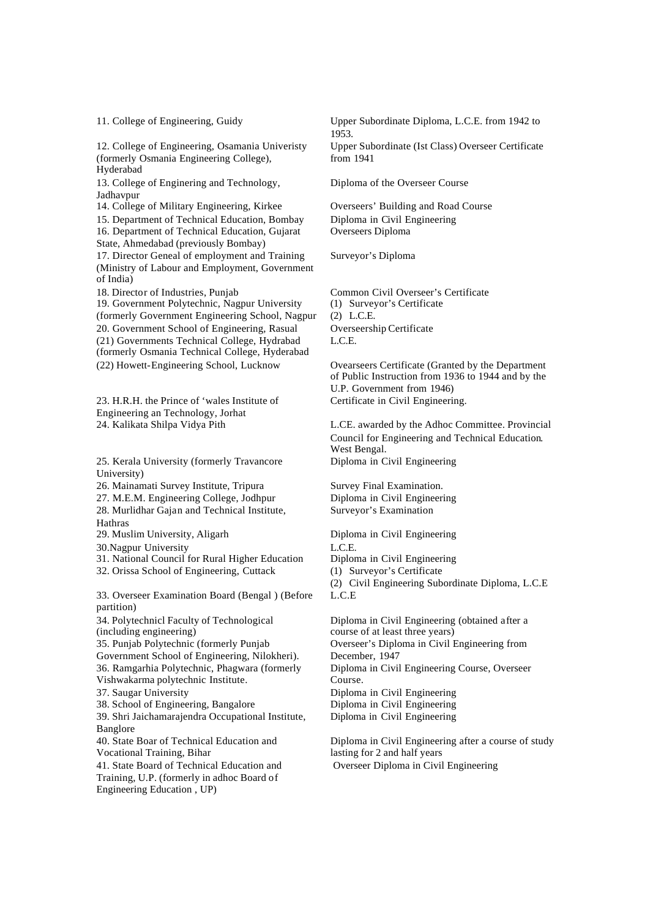12. College of Engineering, Osamania Univeristy (formerly Osmania Engineering College), Hyderabad

13. College of Enginering and Technology, Jadhavpur

15. Department of Technical Education, Bombay Diploma in Civil Engineering 16. Department of Technical Education, Gujarat State, Ahmedabad (previously Bombay) 17. Director Geneal of employment and Training (Ministry of Labour and Employment, Government of India)

19. Government Polytechnic, Nagpur University (formerly Government Engineering School, Nagpur 20. Government School of Engineering, Rasual Overseership Certificate (21) Governments Technical College, Hydrabad (formerly Osmania Technical College, Hyderabad (22) Howett-Engineering School, Lucknow Ovearseers Certificate (Granted by the Department

23. H.R.H. the Prince of 'wales Institute of Engineering an Technology, Jorhat

25. Kerala University (formerly Travancore University)

26. Mainamati Survey Institute, Tripura Survey Final Examination.

27. M.E.M. Engineering College, Jodhpur Diploma in Civil Engineering

28. Murlidhar Gajan and Technical Institute, Hathras

29. Muslim University, Aligarh Diploma in Civil Engineering

30.Nagpur University L.C.E.

31. National Council for Rural Higher Education Diploma in Civil Engineering

32. Orissa School of Engineering, Cuttack (1) Surveyor's Certificate

33. Overseer Examination Board (Bengal ) (Before partition)

34. Polytechnicl Faculty of Technological (including engineering) 35. Punjab Polytechnic (formerly Punjab

Government School of Engineering, Nilokheri). 36. Ramgarhia Polytechnic, Phagwara (formerly Vishwakarma polytechnic Institute.

38. School of Engineering, Bangalore Diploma in Civil Engineering

39. Shri Jaichamarajendra Occupational Institute, Banglore

40. State Boar of Technical Education and Vocational Training, Bihar

41. State Board of Technical Education and Training, U.P. (formerly in adhoc Board of Engineering Education , UP)

11. College of Engineering, Guidy Upper Subordinate Diploma, L.C.E. from 1942 to 1953. Upper Subordinate (Ist Class) Overseer Certificate from 1941

Diploma of the Overseer Course

14. College of Military Engineering, Kirkee Overseers' Building and Road Course Overseers Diploma

Surveyor's Diploma

18. Director of Industries, Punjab Common Civil Overseer's Certificate (1) Surveyor's Certificate (2) L.C.E. L.C.E.

> of Public Instruction from 1936 to 1944 and by the U.P. Government from 1946) Certificate in Civil Engineering.

24. Kalikata Shilpa Vidya Pith L.CE. awarded by the Adhoc Committee. Provincial Council for Engineering and Technical Education. West Bengal. Diploma in Civil Engineering

Surveyor's Examination

(2) Civil Engineering Subordinate Diploma, L.C.E L.C.E

Diploma in Civil Engineering (obtained after a course of at least three years) Overseer's Diploma in Civil Engineering from December, 1947 Diploma in Civil Engineering Course, Overseer Course. 37. Saugar University Diploma in Civil Engineering Diploma in Civil Engineering

> Diploma in Civil Engineering after a course of study lasting for 2 and half years Overseer Diploma in Civil Engineering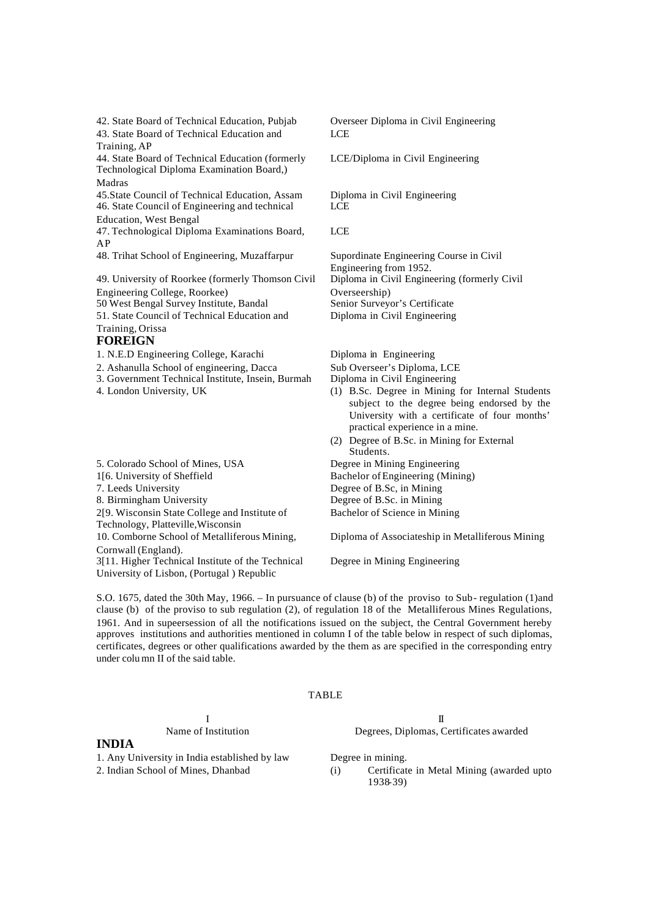42. State Board of Technical Education, Pubjab Overseer Diploma in Civil Engineering 43. State Board of Technical Education and Training, AP

44. State Board of Technical Education (formerly Technological Diploma Examination Board,) Madras

45.State Council of Technical Education, Assam Diploma in Civil Engineering 46. State Council of Engineering and technical Education, West Bengal

47. Technological Diploma Examinations Board, AP

48. Trihat School of Engineering, Muzaffarpur Supordinate Engineering Course in Civil

49. University of Roorkee (formerly Thomson Civil Engineering College, Roorkee) 50 West Bengal Survey Institute, Bandal 51. State Council of Technical Education and Training, Orissa

## **FOREIGN**

1. N.E.D Engineering College, Karachi Diploma in Engineering

2. Ashanulla School of engineering, Dacca Sub Overseer's Diploma, LCE

- 3. Government Technical Institute, Insein, Burmah Diploma in Civil Engineering
- 
- 5. Colorado School of Mines, USA Degree in Mining Engineering 1[6. University of Sheffield Bachelor of Engineering (Mining) 7. Leeds University Degree of B.Sc, in Mining 8. Birmingham University Degree of B.Sc. in Mining 2[9. Wisconsin State College and Institute of Technology, Platteville,Wisconsin 10. Comborne School of Metalliferous Mining, Cornwall (England). 3[11. Higher Technical Institute of the Technical University of Lisbon, (Portugal ) Republic

LCE

LCE/Diploma in Civil Engineering

**LCE** 

LCE

Engineering from 1952. Diploma in Civil Engineering (formerly Civil Overseership)<br>Senior Surveyor's Certificate Diploma in Civil Engineering

- 
- 4. London University, UK (1) B.Sc. Degree in Mining for Internal Students subject to the degree being endorsed by the University with a certificate of four months' practical experience in a mine.
	- (2) Degree of B.Sc. in Mining for External Students.

Bachelor of Science in Mining

Diploma of Associateship in Metalliferous Mining

Degree in Mining Engineering

S.O. 1675, dated the 30th May, 1966. – In pursuance of clause (b) of the proviso to Sub- regulation (1)and clause (b) of the proviso to sub regulation (2), of regulation 18 of the Metalliferous Mines Regulations, 1961. And in supeersession of all the notifications issued on the subject, the Central Government hereby approves institutions and authorities mentioned in column I of the table below in respect of such diplomas, certificates, degrees or other qualifications awarded by the them as are specified in the corresponding entry under colu mn II of the said table.

#### TABLE

#### **INDIA**

1. Any University in India established by law Degree in mining.

 $\mathbf I$ Name of Institution Degrees, Diplomas, Certificates awarded

2. Indian School of Mines, Dhanbad (i) Certificate in Metal Mining (awarded upto 1938-39)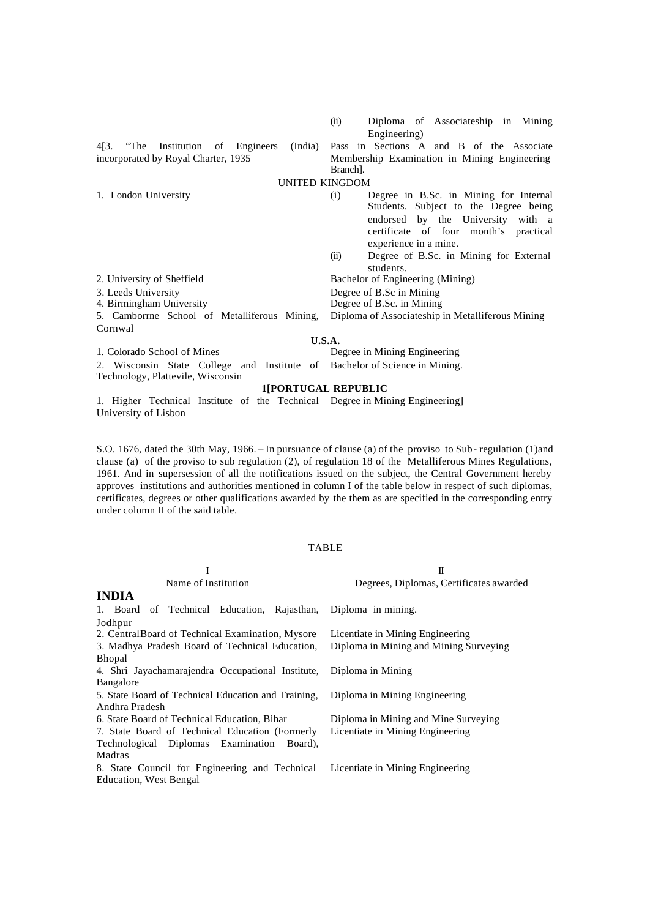|                                                                            | Engineering)                                                               |  |  |  |
|----------------------------------------------------------------------------|----------------------------------------------------------------------------|--|--|--|
| 4[3. The Institution of Engineers                                          | (India) Pass in Sections A and B of the Associate                          |  |  |  |
| incorporated by Royal Charter, 1935                                        | Membership Examination in Mining Engineering                               |  |  |  |
|                                                                            | Branch].                                                                   |  |  |  |
| <b>UNITED KINGDOM</b>                                                      |                                                                            |  |  |  |
| 1. London University                                                       | Degree in B.Sc. in Mining for Internal<br>(i)                              |  |  |  |
|                                                                            | Students. Subject to the Degree being                                      |  |  |  |
|                                                                            | endorsed by the University with a<br>certificate of four month's practical |  |  |  |
|                                                                            | experience in a mine.                                                      |  |  |  |
|                                                                            | Degree of B.Sc. in Mining for External<br>(ii)<br>students.                |  |  |  |
| 2. University of Sheffield                                                 | Bachelor of Engineering (Mining)                                           |  |  |  |
| 3. Leeds University                                                        | Degree of B.Sc in Mining                                                   |  |  |  |
| 4. Birmingham University                                                   | Degree of B.Sc. in Mining                                                  |  |  |  |
| 5. Camborrne School of Metalliferous Mining,                               | Diploma of Associateship in Metalliferous Mining                           |  |  |  |
| Cornwal                                                                    |                                                                            |  |  |  |
| U.S.A.                                                                     |                                                                            |  |  |  |
| 1. Colorado School of Mines                                                | Degree in Mining Engineering                                               |  |  |  |
| 2. Wisconsin State College and Institute of Bachelor of Science in Mining. |                                                                            |  |  |  |
| Technology, Plattevile, Wisconsin                                          |                                                                            |  |  |  |
| 1IPORTHGAL REPHRLIC                                                        |                                                                            |  |  |  |

(ii) Diploma of Associateship in Mining

#### **1[PORTUGAL REPUBL**

1. Higher Technical Institute of the Technical Degree in Mining Engineering] University of Lisbon

S.O. 1676, dated the 30th May, 1966. – In pursuance of clause (a) of the proviso to Sub- regulation (1)and clause (a) of the proviso to sub regulation (2), of regulation 18 of the Metalliferous Mines Regulations, 1961. And in supersession of all the notifications issued on the subject, the Central Government hereby approves institutions and authorities mentioned in column I of the table below in respect of such diplomas, certificates, degrees or other qualifications awarded by the them as are specified in the corresponding entry under column II of the said table.

## TABLE

|                                                                                 | $\mathbf I$                             |
|---------------------------------------------------------------------------------|-----------------------------------------|
| Name of Institution                                                             | Degrees, Diplomas, Certificates awarded |
| <b>INDIA</b>                                                                    |                                         |
| 1. Board of Technical Education, Rajasthan, Diploma in mining.                  |                                         |
| Jodhpur                                                                         |                                         |
| 2. Central Board of Technical Examination, Mysore                               | Licentiate in Mining Engineering        |
| 3. Madhya Pradesh Board of Technical Education,                                 | Diploma in Mining and Mining Surveying  |
| <b>Bhopal</b>                                                                   |                                         |
| 4. Shri Jayachamarajendra Occupational Institute,                               | Diploma in Mining                       |
| Bangalore                                                                       |                                         |
| 5. State Board of Technical Education and Training,                             | Diploma in Mining Engineering           |
| Andhra Pradesh                                                                  |                                         |
| 6. State Board of Technical Education, Bihar                                    | Diploma in Mining and Mine Surveying    |
| 7. State Board of Technical Education (Formerly                                 | Licentiate in Mining Engineering        |
| Technological Diplomas Examination Board),                                      |                                         |
| Madras                                                                          |                                         |
| 8. State Council for Engineering and Technical Licentiate in Mining Engineering |                                         |
| Education, West Bengal                                                          |                                         |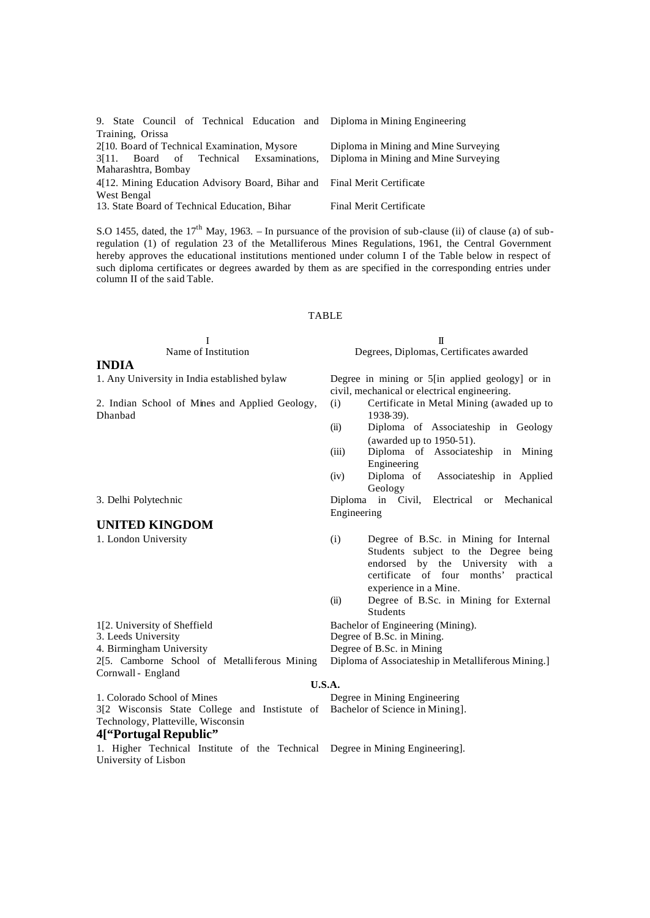| 9. State Council of Technical Education and Diploma in Mining Engineering |                                      |
|---------------------------------------------------------------------------|--------------------------------------|
| Training, Orissa                                                          |                                      |
| 2[10. Board of Technical Examination, Mysore                              | Diploma in Mining and Mine Surveying |
| 3[11. Board of Technical Exsaminations,                                   | Diploma in Mining and Mine Surveying |
| Maharashtra, Bombay                                                       |                                      |
| 4.12. Mining Education Advisory Board, Bihar and Final Merit Certificate  |                                      |
| West Bengal                                                               |                                      |
| 13. State Board of Technical Education, Bihar                             | Final Merit Certificate              |

S.O 1455, dated, the  $17<sup>th</sup>$  May, 1963. – In pursuance of the provision of sub-clause (ii) of clause (a) of subregulation (1) of regulation 23 of the Metalliferous Mines Regulations, 1961, the Central Government hereby approves the educational institutions mentioned under column I of the Table below in respect of such diploma certificates or degrees awarded by them as are specified in the corresponding entries under column II of the said Table.

#### TABLE

# **INDIA**

2. Indian School of Mines and Applied Geology, Dhanbad

## **UNITED KINGDOM**

Cornwall - England

 $\mathbf I$ Name of Institution Degrees, Diplomas, Certificates awarded

1. Any University in India established bylaw Degree in mining or 5[in applied geology] or in civil, mechanical or electrical engineering.

- (i) Certificate in Metal Mining (awaded up to 1938-39).
- (ii) Diploma of Associateship in Geology (awarded up to 1950-51).
- (iii) Diploma of Associateship in Mining Engineering
- (iv) Diploma of Associateship in Applied Geology

3. Delhi Polytechnic Diploma in Civil, Electrical or Mechanical Engineering

- 1. London University (i) Degree of B.Sc. in Mining for Internal Students subject to the Degree being endorsed by the University with a certificate of four months' practical experience in a Mine.
	- (ii) Degree of B.Sc. in Mining for External Students

1[2. University of Sheffield Bachelor of Engineering (Mining).<br>
3. Leeds University Degree of B.Sc. in Mining.

- Degree of B.Sc. in Mining.
- 4. Birmingham University Degree of B.Sc. in Mining

Diploma of Associateship in Metalliferous Mining.]

#### **U.S.A.**

1. Colorado School of Mines Degree in Mining Engineering 3[2 Wisconsis State College and Instistute of Technology, Platteville, Wisconsin **4["Portugal Republic"**

2[5. Camborne School of Metalliferous Mining

1. Higher Technical Institute of the Technical Degree in Mining Engineering].University of Lisbon

Bachelor of Science in Mining].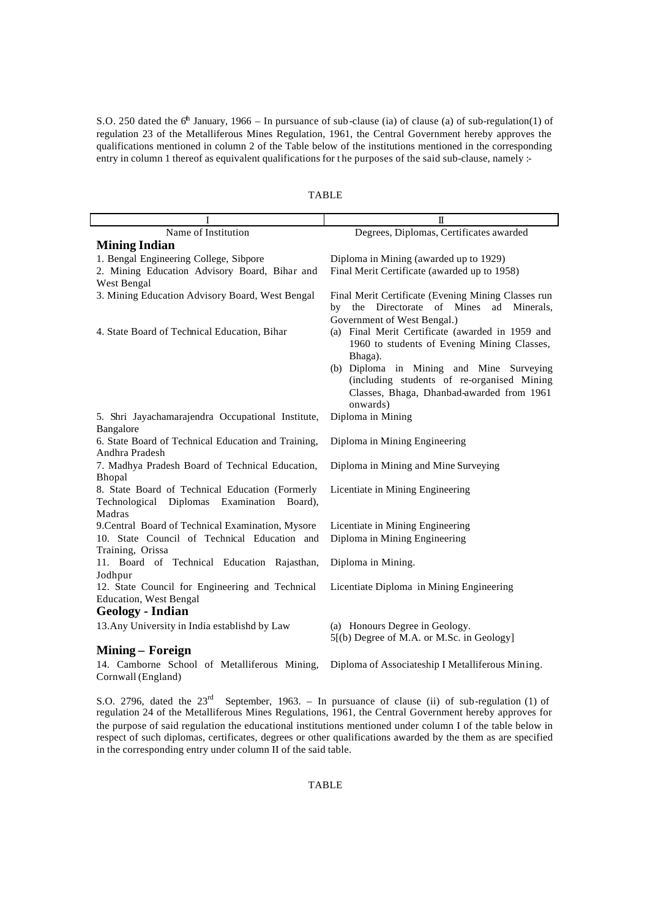S.O. 250 dated the  $6<sup>h</sup>$  January, 1966 – In pursuance of sub-clause (ia) of clause (a) of sub-regulation(1) of regulation 23 of the Metalliferous Mines Regulation, 1961, the Central Government hereby approves the qualifications mentioned in column 2 of the Table below of the institutions mentioned in the corresponding entry in column 1 thereof as equivalent qualifications for t he purposes of the said sub-clause, namely :-

|                                                                                                                  | Π                                                                                                                                                                                     |  |  |
|------------------------------------------------------------------------------------------------------------------|---------------------------------------------------------------------------------------------------------------------------------------------------------------------------------------|--|--|
| Name of Institution                                                                                              | Degrees, Diplomas, Certificates awarded                                                                                                                                               |  |  |
| <b>Mining Indian</b>                                                                                             |                                                                                                                                                                                       |  |  |
| 1. Bengal Engineering College, Sibpore                                                                           | Diploma in Mining (awarded up to 1929)                                                                                                                                                |  |  |
| 2. Mining Education Advisory Board, Bihar and                                                                    | Final Merit Certificate (awarded up to 1958)                                                                                                                                          |  |  |
| West Bengal                                                                                                      |                                                                                                                                                                                       |  |  |
| 3. Mining Education Advisory Board, West Bengal                                                                  | Final Merit Certificate (Evening Mining Classes run<br>Directorate of Mines<br>the<br>ad Minerals,<br>bv                                                                              |  |  |
| 4. State Board of Technical Education, Bihar                                                                     | Government of West Bengal.)<br>(a) Final Merit Certificate (awarded in 1959 and<br>1960 to students of Evening Mining Classes,<br>Bhaga).<br>(b) Diploma in Mining and Mine Surveying |  |  |
|                                                                                                                  | (including students of re-organised Mining<br>Classes, Bhaga, Dhanbad-awarded from 1961<br>onwards)                                                                                   |  |  |
| 5. Shri Jayachamarajendra Occupational Institute,                                                                | Diploma in Mining                                                                                                                                                                     |  |  |
| Bangalore                                                                                                        |                                                                                                                                                                                       |  |  |
| 6. State Board of Technical Education and Training,<br>Andhra Pradesh                                            | Diploma in Mining Engineering                                                                                                                                                         |  |  |
| 7. Madhya Pradesh Board of Technical Education,<br>Bhopal                                                        | Diploma in Mining and Mine Surveying                                                                                                                                                  |  |  |
| 8. State Board of Technical Education (Formerly<br>Technological<br>Diplomas<br>Examination<br>Board).<br>Madras | Licentiate in Mining Engineering                                                                                                                                                      |  |  |
| 9. Central Board of Technical Examination, Mysore                                                                | Licentiate in Mining Engineering                                                                                                                                                      |  |  |
| 10. State Council of Technical Education and                                                                     | Diploma in Mining Engineering                                                                                                                                                         |  |  |
| Training, Orissa                                                                                                 |                                                                                                                                                                                       |  |  |
| 11. Board of Technical Education Rajasthan,                                                                      | Diploma in Mining.                                                                                                                                                                    |  |  |
| Jodhpur                                                                                                          |                                                                                                                                                                                       |  |  |
| 12. State Council for Engineering and Technical                                                                  | Licentiate Diploma in Mining Engineering                                                                                                                                              |  |  |
| <b>Education</b> , West Bengal                                                                                   |                                                                                                                                                                                       |  |  |
| <b>Geology</b> - Indian                                                                                          |                                                                                                                                                                                       |  |  |
| 13. Any University in India establishd by Law                                                                    | (a) Honours Degree in Geology.<br>5[(b) Degree of M.A. or M.Sc. in Geology]                                                                                                           |  |  |
| Mining – Foreign                                                                                                 |                                                                                                                                                                                       |  |  |
| 14. Camborne School of Metalliferous Mining,                                                                     | Diploma of Associateship I Metalliferous Mining.                                                                                                                                      |  |  |

TABLE

Cornwall (England) S.O. 2796, dated the 23<sup>rd</sup> September, 1963. – In pursuance of clause (ii) of sub-regulation (1) of

regulation 24 of the Metalliferous Mines Regulations, 1961, the Central Government hereby approves for the purpose of said regulation the educational institutions mentioned under column I of the table below in respect of such diplomas, certificates, degrees or other qualifications awarded by the them as are specified in the corresponding entry under column II of the said table.

## TABLE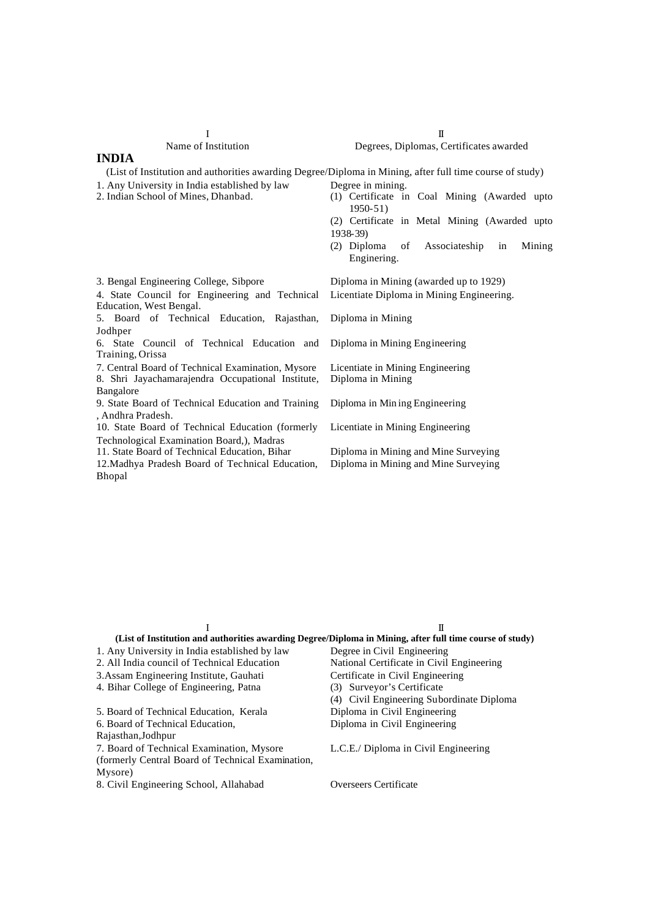| Vame of Institution |  |  |
|---------------------|--|--|

4. State Council for Engineering and Technical

6. State Council of Technical Education and

8. Shri Jayachamarajendra Occupational Institute,

9. State Board of Technical Education and Training

10. State Board of Technical Education (formerly Technological Examination Board,), Madras

#### **INDIA**

Jodhper

Bangalore

Training, Orissa

, Andhra Pradesh.

(List of Institution and authorities awarding Degree/Diploma in Mining, after full time course of study)

- 1. Any University in India established by law Degree in mining.<br>2. Indian School of Mines, Dhanbad. (1) Certificate in
- 
- (1) Certificate in Coal Mining (Awarded upto 1950-51) (2) Certificate in Metal Mining (Awarded upto
- 1938-39)
- (2) Diploma of Associateship in Mining Enginering.

3. Bengal Engineering College, Sibpore Diploma in Mining (awarded up to 1929) Licentiate Diploma in Mining Engineering.

5. Board of Technical Education, Rajasthan, Diploma in Mining

Diploma in Mining Engineering

7. Central Board of Technical Examination, Mysore Licentiate in Mining Engineering Diploma in Mining

Diploma in Min ing Engineering

Licentiate in Mining Engineering

11. State Board of Technical Education, Bihar Diploma in Mining and Mine Surveying Diploma in Mining and Mine Surveying

| 12. Madhya Pradesh Board of Technical Education, |  |  |  |
|--------------------------------------------------|--|--|--|
| <b>Bhopal</b>                                    |  |  |  |

Education, West Bengal.

|                                                   | Н                                                                                                        |
|---------------------------------------------------|----------------------------------------------------------------------------------------------------------|
|                                                   | (List of Institution and authorities awarding Degree/Diploma in Mining, after full time course of study) |
| 1. Any University in India established by law     | Degree in Civil Engineering                                                                              |
| 2. All India council of Technical Education       | National Certificate in Civil Engineering                                                                |
| 3. Assam Engineering Institute, Gauhati           | Certificate in Civil Engineering                                                                         |
| 4. Bihar College of Engineering, Patna            | (3) Surveyor's Certificate                                                                               |
|                                                   | (4) Civil Engineering Subordinate Diploma                                                                |
| 5. Board of Technical Education, Kerala           | Diploma in Civil Engineering                                                                             |
| 6. Board of Technical Education,                  | Diploma in Civil Engineering                                                                             |
| Rajasthan, Jodhpur                                |                                                                                                          |
| 7. Board of Technical Examination, Mysore         | L.C.E./ Diploma in Civil Engineering                                                                     |
| (formerly Central Board of Technical Examination, |                                                                                                          |
| Mysore)                                           |                                                                                                          |

8. Civil Engineering School, Allahabad Overseers Certificate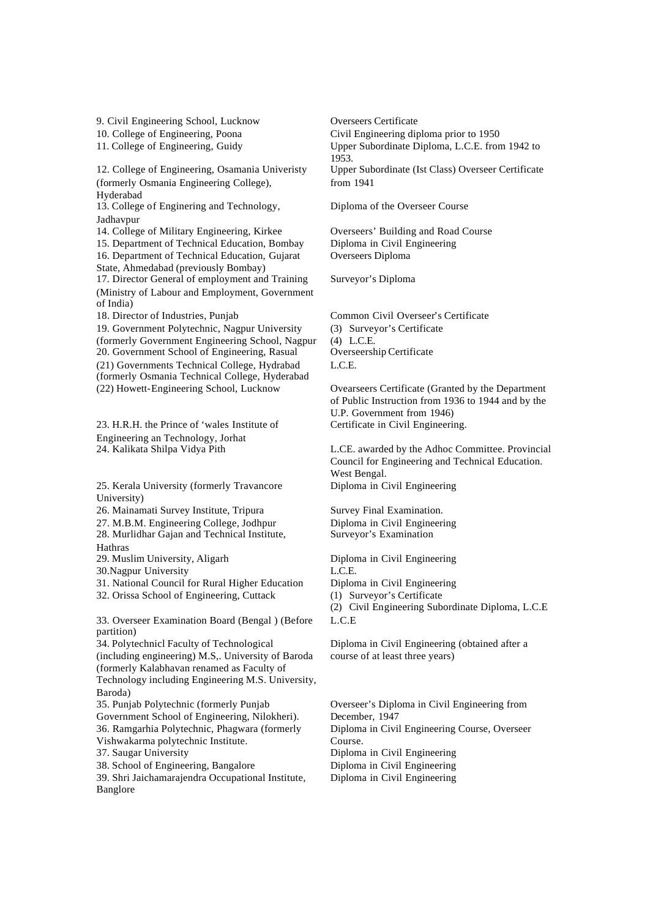9. Civil Engineering School, Lucknow Overseers Certificate

12. College of Engineering, Osamania Univeristy (formerly Osmania Engineering College), Hyderabad

13. College of Enginering and Technology, Jadhavpur

14. College of Military Engineering, Kirkee Overseers' Building and Road Course

15. Department of Technical Education, Bombay Diploma in Civil Engineering 16. Department of Technical Education, Gujarat State, Ahmedabad (previously Bombay)

17. Director General of employment and Training (Ministry of Labour and Employment, Government of India)

19. Government Polytechnic, Nagpur University (formerly Government Engineering School, Nagpur 20. Government School of Engineering, Rasual (21) Governments Technical College, Hydrabad (formerly Osmania Technical College, Hyderabad (22) Howett-Engineering School, Lucknow Ovearseers Certificate (Granted by the Department

23. H.R.H. the Prince of 'wales Institute of Engineering an Technology, Jorhat

25. Kerala University (formerly Travancore University)

26. Mainamati Survey Institute, Tripura Survey Final Examination.

27. M.B.M. Engineering College, Jodhpur Diploma in Civil Engineering

28. Murlidhar Gajan and Technical Institute, Hathras

29. Muslim University, Aligarh Diploma in Civil Engineering

30.Nagpur University L.C.E.

31. National Council for Rural Higher Education Diploma in Civil Engineering

32. Orissa School of Engineering, Cuttack (1) Surveyor's Certificate

33. Overseer Examination Board (Bengal ) (Before partition)

34. Polytechnicl Faculty of Technological (including engineering) M.S,. University of Baroda (formerly Kalabhavan renamed as Faculty of Technology including Engineering M.S. University, Baroda)

35. Punjab Polytechnic (formerly Punjab Government School of Engineering, Nilokheri). 36. Ramgarhia Polytechnic, Phagwara (formerly Vishwakarma polytechnic Institute.

38. School of Engineering, Bangalore Diploma in Civil Engineering

39. Shri Jaichamarajendra Occupational Institute, Banglore

10. College of Engineering, Poona Civil Engineering diploma prior to 1950 11. College of Engineering, Guidy Upper Subordinate Diploma, L.C.E. from 1942 to 1953. Upper Subordinate (Ist Class) Overseer Certificate from 1941

Diploma of the Overseer Course

Overseers Diploma

Surveyor's Diploma

18. Director of Industries, Punjab Common Civil Overseer's Certificate (3) Surveyor's Certificate (4) L.C.E. L.C.E.

> of Public Instruction from 1936 to 1944 and by the U.P. Government from 1946) Certificate in Civil Engineering.

24. Kalikata Shilpa Vidya Pith L.CE. awarded by the Adhoc Committee. Provincial Council for Engineering and Technical Education. West Bengal. Diploma in Civil Engineering

Surveyor's Examination

(2) Civil Engineering Subordinate Diploma, L.C.E L.C.E

Diploma in Civil Engineering (obtained after a course of at least three years)

Overseer's Diploma in Civil Engineering from December, 1947 Diploma in Civil Engineering Course, Overseer Course. 37. Saugar University Diploma in Civil Engineering Diploma in Civil Engineering